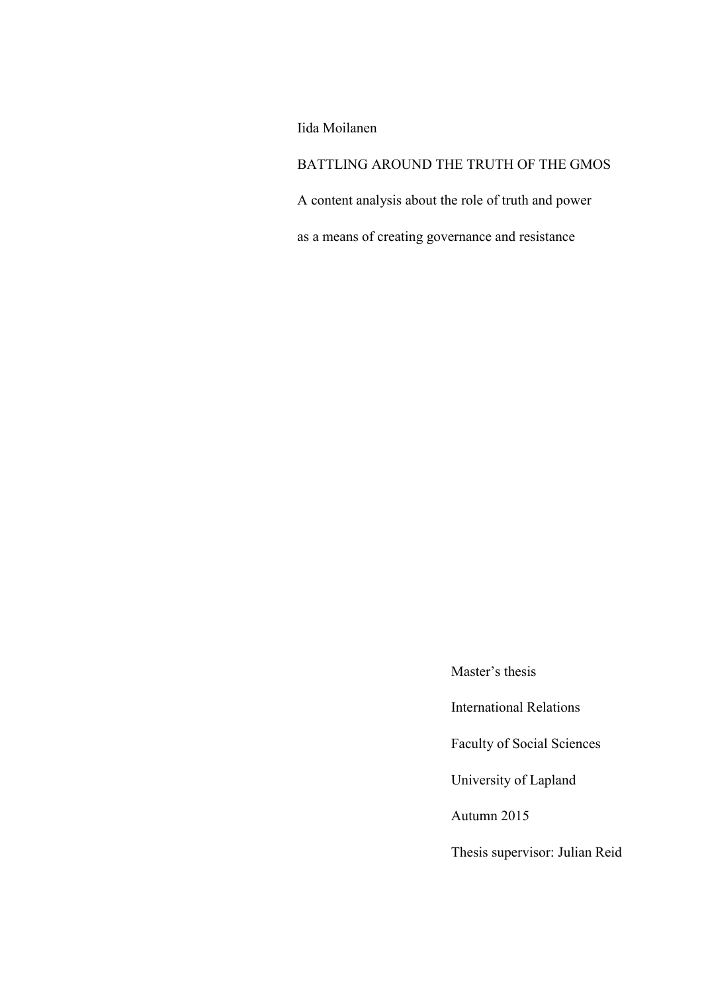Iida Moilanen

BATTLING AROUND THE TRUTH OF THE GMOS

A content analysis about the role of truth and power

as a means of creating governance and resistance

Master's thesis

International Relations

Faculty of Social Sciences

University of Lapland

Autumn 2015

Thesis supervisor: Julian Reid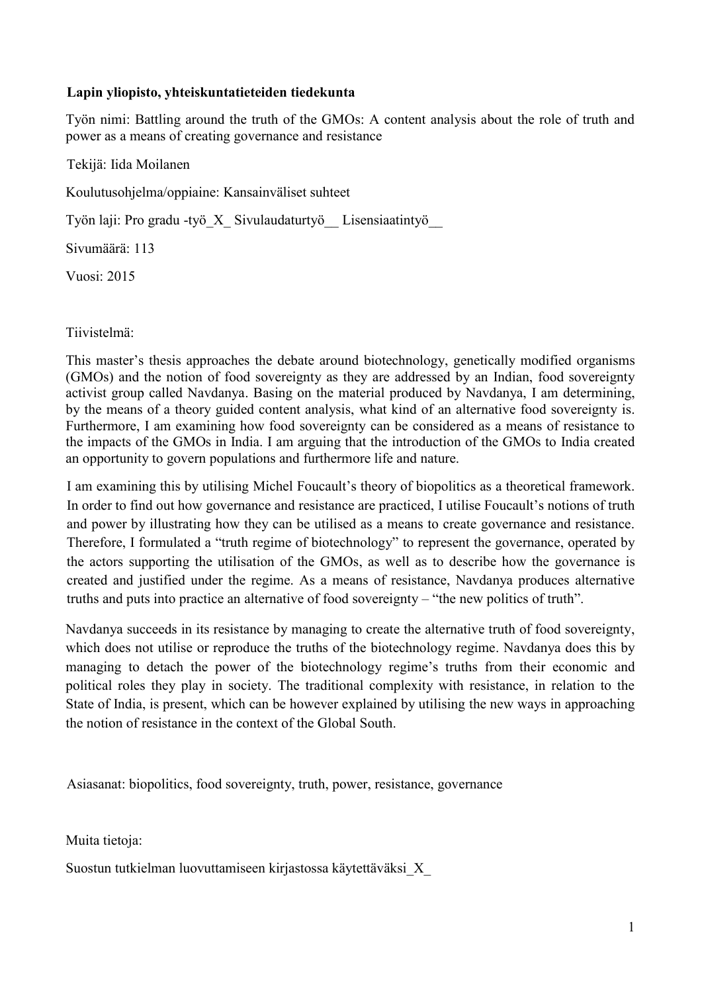## **Lapin yliopisto, yhteiskuntatieteiden tiedekunta**

Työn nimi: Battling around the truth of the GMOs: A content analysis about the role of truth and power as a means of creating governance and resistance

Tekijä: Iida Moilanen

Koulutusohjelma/oppiaine: Kansainväliset suhteet

Työn laji: Pro gradu -työ\_X\_ Sivulaudaturtyö\_\_ Lisensiaatintyö\_\_

Sivumäärä: 113

Vuosi: 2015

Tiivistelmä:

This master's thesis approaches the debate around biotechnology, genetically modified organisms (GMOs) and the notion of food sovereignty as they are addressed by an Indian, food sovereignty activist group called Navdanya. Basing on the material produced by Navdanya, I am determining, by the means of a theory guided content analysis, what kind of an alternative food sovereignty is. Furthermore, I am examining how food sovereignty can be considered as a means of resistance to the impacts of the GMOs in India. I am arguing that the introduction of the GMOs to India created an opportunity to govern populations and furthermore life and nature.

I am examining this by utilising Michel Foucault's theory of biopolitics as a theoretical framework. In order to find out how governance and resistance are practiced, I utilise Foucault's notions of truth and power by illustrating how they can be utilised as a means to create governance and resistance. Therefore, I formulated a "truth regime of biotechnology" to represent the governance, operated by the actors supporting the utilisation of the GMOs, as well as to describe how the governance is created and justified under the regime. As a means of resistance, Navdanya produces alternative truths and puts into practice an alternative of food sovereignty – "the new politics of truth".

Navdanya succeeds in its resistance by managing to create the alternative truth of food sovereignty, which does not utilise or reproduce the truths of the biotechnology regime. Navdanya does this by managing to detach the power of the biotechnology regime's truths from their economic and political roles they play in society. The traditional complexity with resistance, in relation to the State of India, is present, which can be however explained by utilising the new ways in approaching the notion of resistance in the context of the Global South.

Asiasanat: biopolitics, food sovereignty, truth, power, resistance, governance

Muita tietoja:

Suostun tutkielman luovuttamiseen kirjastossa käytettäväksi\_X\_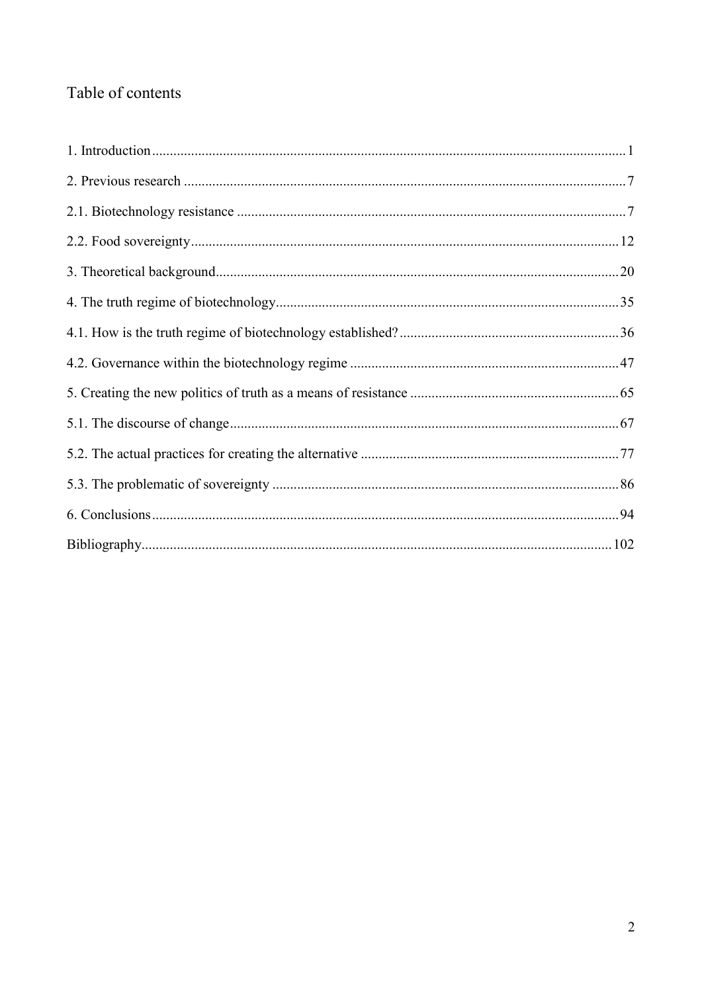# Table of contents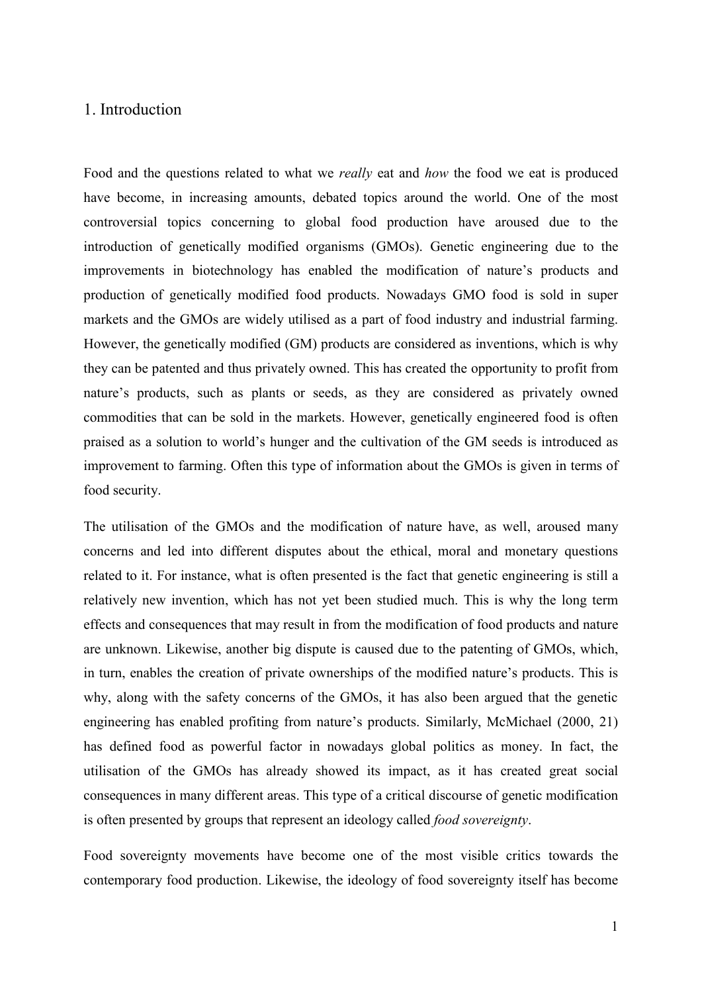## <span id="page-3-0"></span>1. Introduction

Food and the questions related to what we *really* eat and *how* the food we eat is produced have become, in increasing amounts, debated topics around the world. One of the most controversial topics concerning to global food production have aroused due to the introduction of genetically modified organisms (GMOs). Genetic engineering due to the improvements in biotechnology has enabled the modification of nature's products and production of genetically modified food products. Nowadays GMO food is sold in super markets and the GMOs are widely utilised as a part of food industry and industrial farming. However, the genetically modified (GM) products are considered as inventions, which is why they can be patented and thus privately owned. This has created the opportunity to profit from nature's products, such as plants or seeds, as they are considered as privately owned commodities that can be sold in the markets. However, genetically engineered food is often praised as a solution to world's hunger and the cultivation of the GM seeds is introduced as improvement to farming. Often this type of information about the GMOs is given in terms of food security.

The utilisation of the GMOs and the modification of nature have, as well, aroused many concerns and led into different disputes about the ethical, moral and monetary questions related to it. For instance, what is often presented is the fact that genetic engineering is still a relatively new invention, which has not yet been studied much. This is why the long term effects and consequences that may result in from the modification of food products and nature are unknown. Likewise, another big dispute is caused due to the patenting of GMOs, which, in turn, enables the creation of private ownerships of the modified nature's products. This is why, along with the safety concerns of the GMOs, it has also been argued that the genetic engineering has enabled profiting from nature's products. Similarly, McMichael (2000, 21) has defined food as powerful factor in nowadays global politics as money. In fact, the utilisation of the GMOs has already showed its impact, as it has created great social consequences in many different areas. This type of a critical discourse of genetic modification is often presented by groups that represent an ideology called *food sovereignty*.

Food sovereignty movements have become one of the most visible critics towards the contemporary food production. Likewise, the ideology of food sovereignty itself has become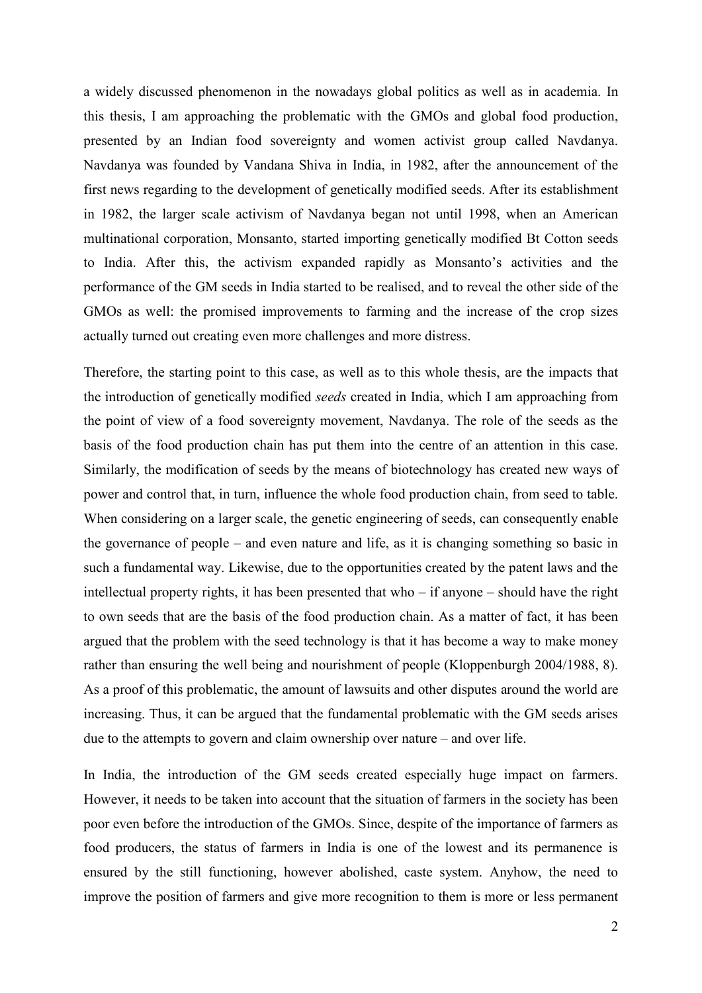a widely discussed phenomenon in the nowadays global politics as well as in academia. In this thesis, I am approaching the problematic with the GMOs and global food production, presented by an Indian food sovereignty and women activist group called Navdanya. Navdanya was founded by Vandana Shiva in India, in 1982, after the announcement of the first news regarding to the development of genetically modified seeds. After its establishment in 1982, the larger scale activism of Navdanya began not until 1998, when an American multinational corporation, Monsanto, started importing genetically modified Bt Cotton seeds to India. After this, the activism expanded rapidly as Monsanto's activities and the performance of the GM seeds in India started to be realised, and to reveal the other side of the GMOs as well: the promised improvements to farming and the increase of the crop sizes actually turned out creating even more challenges and more distress.

Therefore, the starting point to this case, as well as to this whole thesis, are the impacts that the introduction of genetically modified *seeds* created in India, which I am approaching from the point of view of a food sovereignty movement, Navdanya. The role of the seeds as the basis of the food production chain has put them into the centre of an attention in this case. Similarly, the modification of seeds by the means of biotechnology has created new ways of power and control that, in turn, influence the whole food production chain, from seed to table. When considering on a larger scale, the genetic engineering of seeds, can consequently enable the governance of people – and even nature and life, as it is changing something so basic in such a fundamental way. Likewise, due to the opportunities created by the patent laws and the intellectual property rights, it has been presented that who – if anyone – should have the right to own seeds that are the basis of the food production chain. As a matter of fact, it has been argued that the problem with the seed technology is that it has become a way to make money rather than ensuring the well being and nourishment of people (Kloppenburgh 2004/1988, 8). As a proof of this problematic, the amount of lawsuits and other disputes around the world are increasing. Thus, it can be argued that the fundamental problematic with the GM seeds arises due to the attempts to govern and claim ownership over nature – and over life.

In India, the introduction of the GM seeds created especially huge impact on farmers. However, it needs to be taken into account that the situation of farmers in the society has been poor even before the introduction of the GMOs. Since, despite of the importance of farmers as food producers, the status of farmers in India is one of the lowest and its permanence is ensured by the still functioning, however abolished, caste system. Anyhow, the need to improve the position of farmers and give more recognition to them is more or less permanent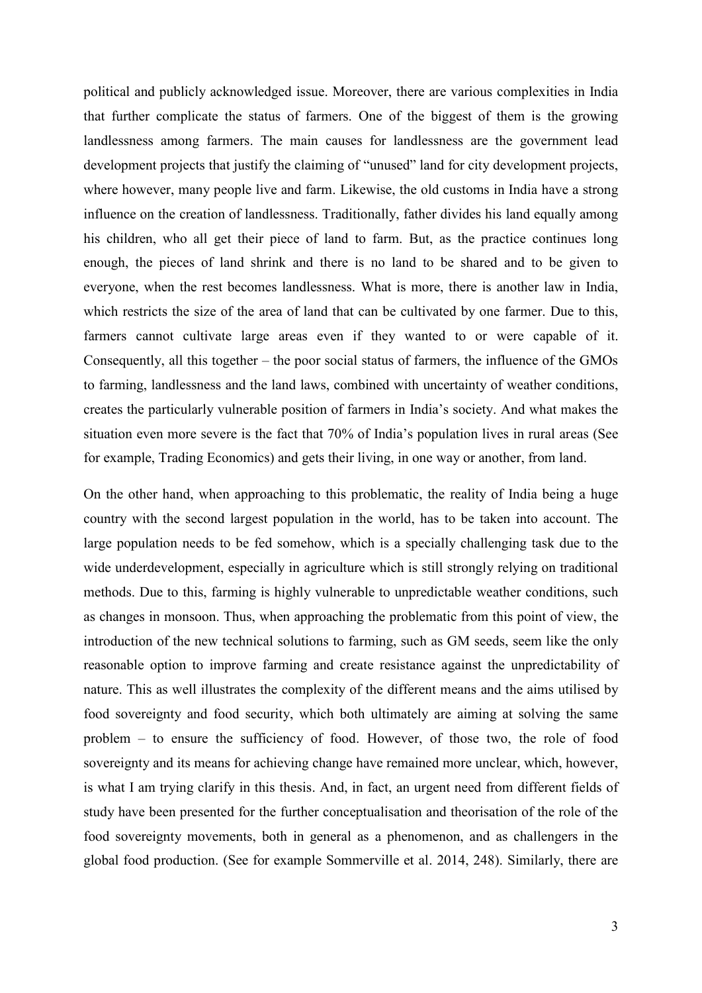political and publicly acknowledged issue. Moreover, there are various complexities in India that further complicate the status of farmers. One of the biggest of them is the growing landlessness among farmers. The main causes for landlessness are the government lead development projects that justify the claiming of "unused" land for city development projects, where however, many people live and farm. Likewise, the old customs in India have a strong influence on the creation of landlessness. Traditionally, father divides his land equally among his children, who all get their piece of land to farm. But, as the practice continues long enough, the pieces of land shrink and there is no land to be shared and to be given to everyone, when the rest becomes landlessness. What is more, there is another law in India, which restricts the size of the area of land that can be cultivated by one farmer. Due to this, farmers cannot cultivate large areas even if they wanted to or were capable of it. Consequently, all this together – the poor social status of farmers, the influence of the GMOs to farming, landlessness and the land laws, combined with uncertainty of weather conditions, creates the particularly vulnerable position of farmers in India's society. And what makes the situation even more severe is the fact that 70% of India's population lives in rural areas (See for example, Trading Economics) and gets their living, in one way or another, from land.

On the other hand, when approaching to this problematic, the reality of India being a huge country with the second largest population in the world, has to be taken into account. The large population needs to be fed somehow, which is a specially challenging task due to the wide underdevelopment, especially in agriculture which is still strongly relying on traditional methods. Due to this, farming is highly vulnerable to unpredictable weather conditions, such as changes in monsoon. Thus, when approaching the problematic from this point of view, the introduction of the new technical solutions to farming, such as GM seeds, seem like the only reasonable option to improve farming and create resistance against the unpredictability of nature. This as well illustrates the complexity of the different means and the aims utilised by food sovereignty and food security, which both ultimately are aiming at solving the same problem – to ensure the sufficiency of food. However, of those two, the role of food sovereignty and its means for achieving change have remained more unclear, which, however, is what I am trying clarify in this thesis. And, in fact, an urgent need from different fields of study have been presented for the further conceptualisation and theorisation of the role of the food sovereignty movements, both in general as a phenomenon, and as challengers in the global food production. (See for example Sommerville et al. 2014, 248). Similarly, there are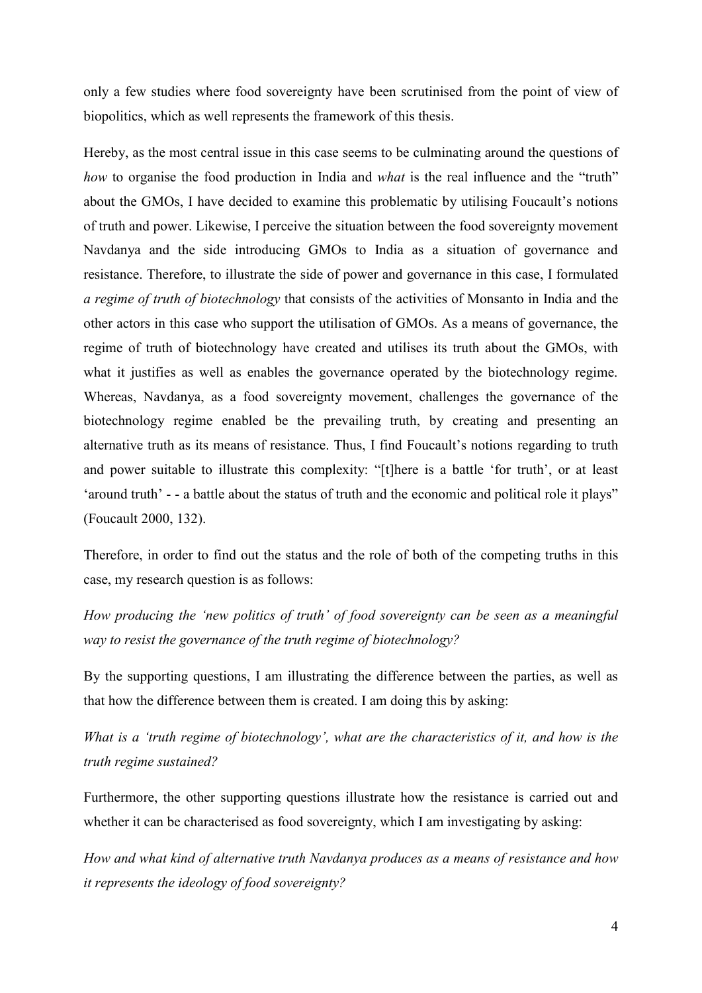only a few studies where food sovereignty have been scrutinised from the point of view of biopolitics, which as well represents the framework of this thesis.

Hereby, as the most central issue in this case seems to be culminating around the questions of *how* to organise the food production in India and *what* is the real influence and the "truth" about the GMOs, I have decided to examine this problematic by utilising Foucault's notions of truth and power. Likewise, I perceive the situation between the food sovereignty movement Navdanya and the side introducing GMOs to India as a situation of governance and resistance. Therefore, to illustrate the side of power and governance in this case, I formulated *a regime of truth of biotechnology* that consists of the activities of Monsanto in India and the other actors in this case who support the utilisation of GMOs. As a means of governance, the regime of truth of biotechnology have created and utilises its truth about the GMOs, with what it justifies as well as enables the governance operated by the biotechnology regime. Whereas, Navdanya, as a food sovereignty movement, challenges the governance of the biotechnology regime enabled be the prevailing truth, by creating and presenting an alternative truth as its means of resistance. Thus, I find Foucault's notions regarding to truth and power suitable to illustrate this complexity: "[t]here is a battle 'for truth', or at least 'around truth' - - a battle about the status of truth and the economic and political role it plays" (Foucault 2000, 132).

Therefore, in order to find out the status and the role of both of the competing truths in this case, my research question is as follows:

*How producing the 'new politics of truth' of food sovereignty can be seen as a meaningful way to resist the governance of the truth regime of biotechnology?* 

By the supporting questions, I am illustrating the difference between the parties, as well as that how the difference between them is created. I am doing this by asking:

*What is a 'truth regime of biotechnology', what are the characteristics of it, and how is the truth regime sustained?* 

Furthermore, the other supporting questions illustrate how the resistance is carried out and whether it can be characterised as food sovereignty, which I am investigating by asking:

*How and what kind of alternative truth Navdanya produces as a means of resistance and how it represents the ideology of food sovereignty?*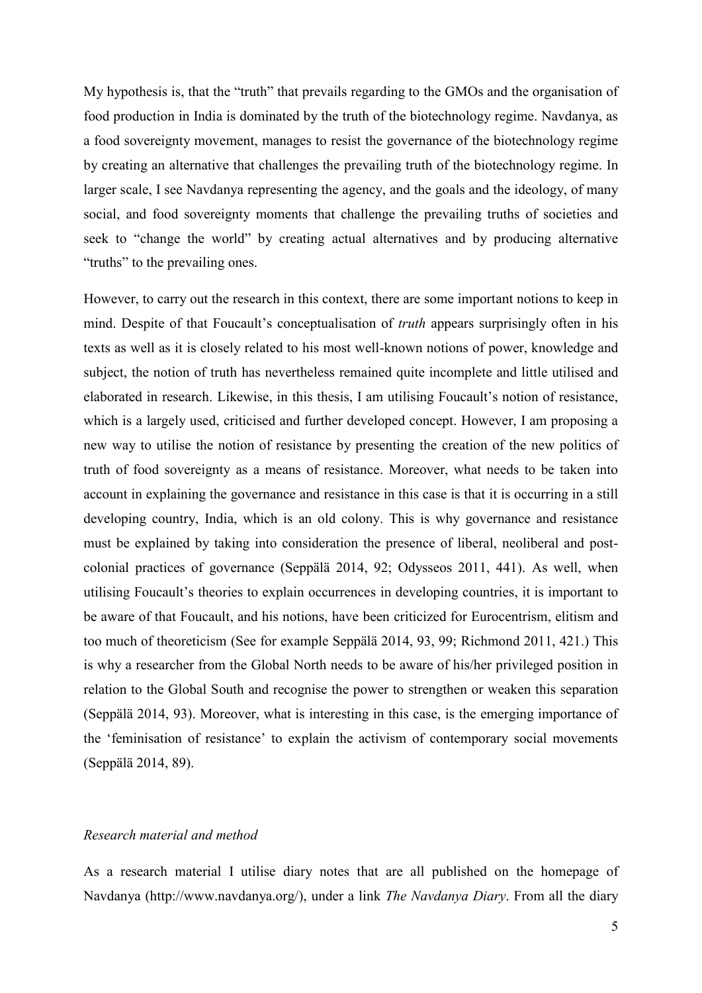My hypothesis is, that the "truth" that prevails regarding to the GMOs and the organisation of food production in India is dominated by the truth of the biotechnology regime. Navdanya, as a food sovereignty movement, manages to resist the governance of the biotechnology regime by creating an alternative that challenges the prevailing truth of the biotechnology regime. In larger scale, I see Navdanya representing the agency, and the goals and the ideology, of many social, and food sovereignty moments that challenge the prevailing truths of societies and seek to "change the world" by creating actual alternatives and by producing alternative "truths" to the prevailing ones.

However, to carry out the research in this context, there are some important notions to keep in mind. Despite of that Foucault's conceptualisation of *truth* appears surprisingly often in his texts as well as it is closely related to his most well-known notions of power, knowledge and subject, the notion of truth has nevertheless remained quite incomplete and little utilised and elaborated in research. Likewise, in this thesis, I am utilising Foucault's notion of resistance, which is a largely used, criticised and further developed concept. However, I am proposing a new way to utilise the notion of resistance by presenting the creation of the new politics of truth of food sovereignty as a means of resistance. Moreover, what needs to be taken into account in explaining the governance and resistance in this case is that it is occurring in a still developing country, India, which is an old colony. This is why governance and resistance must be explained by taking into consideration the presence of liberal, neoliberal and postcolonial practices of governance (Seppälä 2014, 92; Odysseos 2011, 441). As well, when utilising Foucault's theories to explain occurrences in developing countries, it is important to be aware of that Foucault, and his notions, have been criticized for Eurocentrism, elitism and too much of theoreticism (See for example Seppälä 2014, 93, 99; Richmond 2011, 421.) This is why a researcher from the Global North needs to be aware of his/her privileged position in relation to the Global South and recognise the power to strengthen or weaken this separation (Seppälä 2014, 93). Moreover, what is interesting in this case, is the emerging importance of the 'feminisation of resistance' to explain the activism of contemporary social movements (Seppälä 2014, 89).

## *Research material and method*

As a research material I utilise diary notes that are all published on the homepage of Navdanya (http://www.navdanya.org/), under a link *The Navdanya Diary*. From all the diary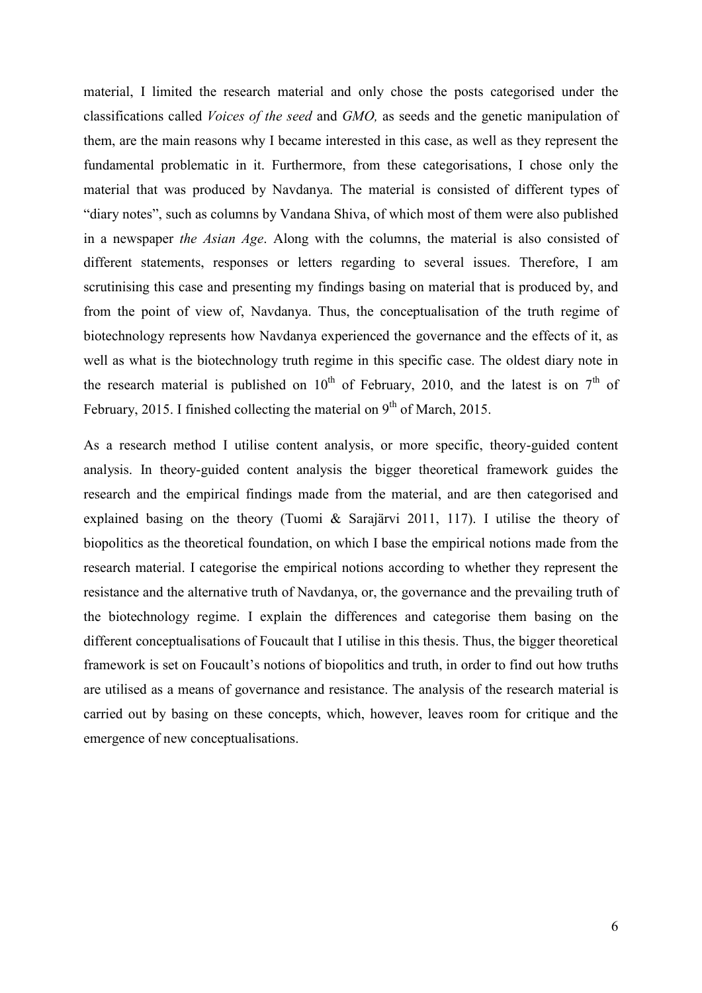material, I limited the research material and only chose the posts categorised under the classifications called *Voices of the seed* and *GMO,* as seeds and the genetic manipulation of them, are the main reasons why I became interested in this case, as well as they represent the fundamental problematic in it. Furthermore, from these categorisations, I chose only the material that was produced by Navdanya. The material is consisted of different types of "diary notes", such as columns by Vandana Shiva, of which most of them were also published in a newspaper *the Asian Age*. Along with the columns, the material is also consisted of different statements, responses or letters regarding to several issues. Therefore, I am scrutinising this case and presenting my findings basing on material that is produced by, and from the point of view of, Navdanya. Thus, the conceptualisation of the truth regime of biotechnology represents how Navdanya experienced the governance and the effects of it, as well as what is the biotechnology truth regime in this specific case. The oldest diary note in the research material is published on  $10^{th}$  of February, 2010, and the latest is on  $7^{th}$  of February, 2015. I finished collecting the material on  $9<sup>th</sup>$  of March, 2015.

As a research method I utilise content analysis, or more specific, theory-guided content analysis. In theory-guided content analysis the bigger theoretical framework guides the research and the empirical findings made from the material, and are then categorised and explained basing on the theory (Tuomi & Sarajärvi 2011, 117). I utilise the theory of biopolitics as the theoretical foundation, on which I base the empirical notions made from the research material. I categorise the empirical notions according to whether they represent the resistance and the alternative truth of Navdanya, or, the governance and the prevailing truth of the biotechnology regime. I explain the differences and categorise them basing on the different conceptualisations of Foucault that I utilise in this thesis. Thus, the bigger theoretical framework is set on Foucault's notions of biopolitics and truth, in order to find out how truths are utilised as a means of governance and resistance. The analysis of the research material is carried out by basing on these concepts, which, however, leaves room for critique and the emergence of new conceptualisations.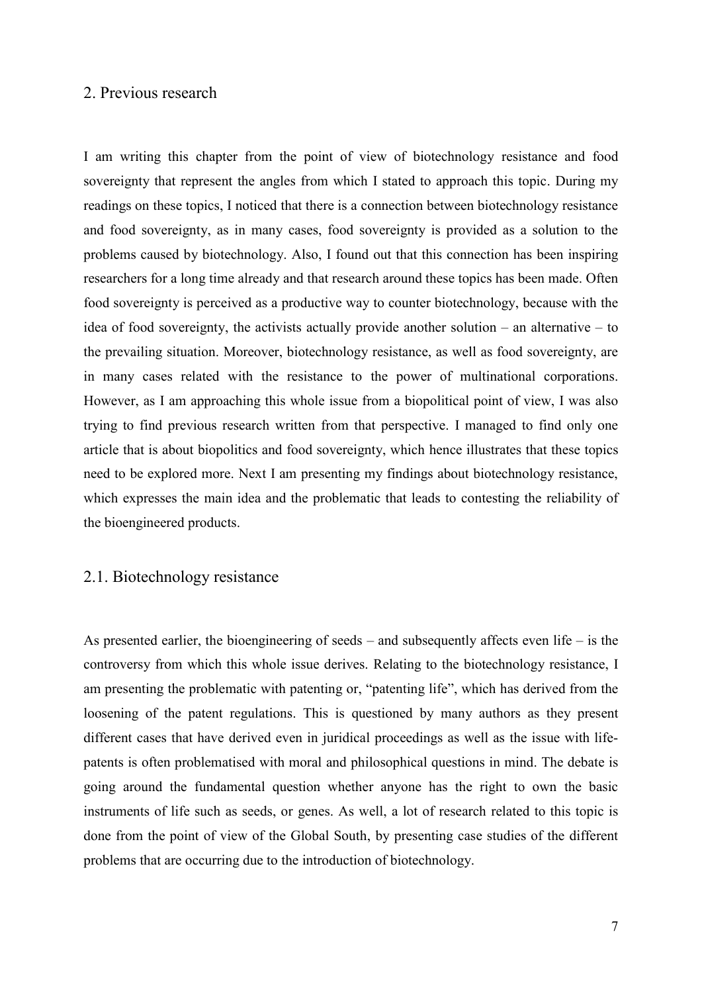## <span id="page-9-0"></span>2. Previous research

I am writing this chapter from the point of view of biotechnology resistance and food sovereignty that represent the angles from which I stated to approach this topic. During my readings on these topics, I noticed that there is a connection between biotechnology resistance and food sovereignty, as in many cases, food sovereignty is provided as a solution to the problems caused by biotechnology. Also, I found out that this connection has been inspiring researchers for a long time already and that research around these topics has been made. Often food sovereignty is perceived as a productive way to counter biotechnology, because with the idea of food sovereignty, the activists actually provide another solution – an alternative – to the prevailing situation. Moreover, biotechnology resistance, as well as food sovereignty, are in many cases related with the resistance to the power of multinational corporations. However, as I am approaching this whole issue from a biopolitical point of view, I was also trying to find previous research written from that perspective. I managed to find only one article that is about biopolitics and food sovereignty, which hence illustrates that these topics need to be explored more. Next I am presenting my findings about biotechnology resistance, which expresses the main idea and the problematic that leads to contesting the reliability of the bioengineered products.

## <span id="page-9-1"></span>2.1. Biotechnology resistance

As presented earlier, the bioengineering of seeds – and subsequently affects even life – is the controversy from which this whole issue derives. Relating to the biotechnology resistance, I am presenting the problematic with patenting or, "patenting life", which has derived from the loosening of the patent regulations. This is questioned by many authors as they present different cases that have derived even in juridical proceedings as well as the issue with lifepatents is often problematised with moral and philosophical questions in mind. The debate is going around the fundamental question whether anyone has the right to own the basic instruments of life such as seeds, or genes. As well, a lot of research related to this topic is done from the point of view of the Global South, by presenting case studies of the different problems that are occurring due to the introduction of biotechnology.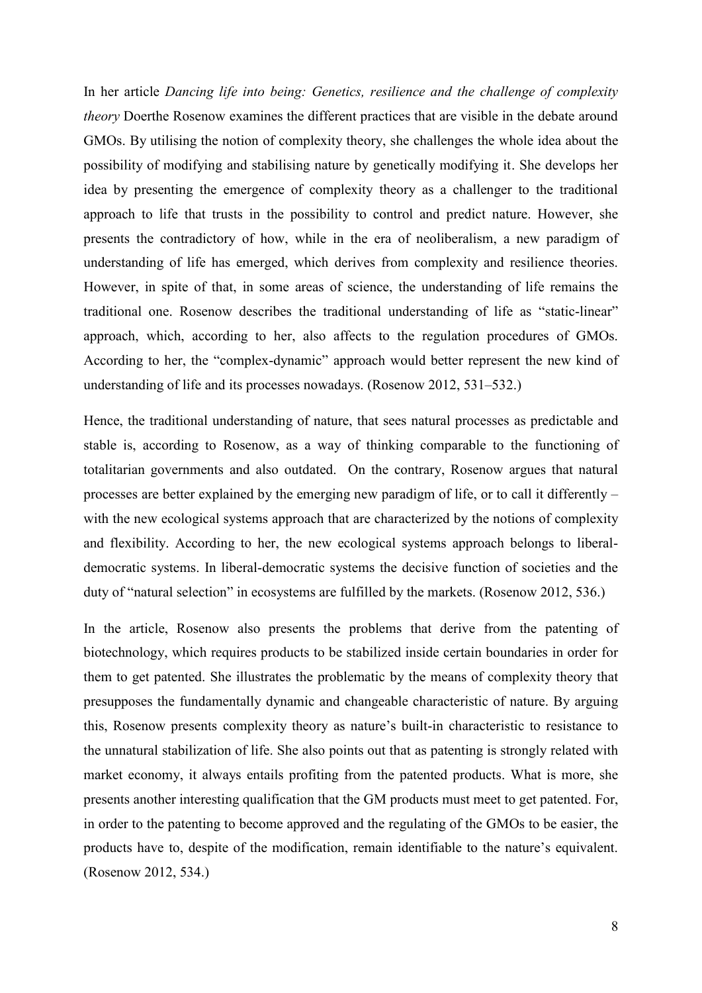In her article *Dancing life into being: Genetics, resilience and the challenge of complexity theory* Doerthe Rosenow examines the different practices that are visible in the debate around GMOs. By utilising the notion of complexity theory, she challenges the whole idea about the possibility of modifying and stabilising nature by genetically modifying it. She develops her idea by presenting the emergence of complexity theory as a challenger to the traditional approach to life that trusts in the possibility to control and predict nature. However, she presents the contradictory of how, while in the era of neoliberalism, a new paradigm of understanding of life has emerged, which derives from complexity and resilience theories. However, in spite of that, in some areas of science, the understanding of life remains the traditional one. Rosenow describes the traditional understanding of life as "static-linear" approach, which, according to her, also affects to the regulation procedures of GMOs. According to her, the "complex-dynamic" approach would better represent the new kind of understanding of life and its processes nowadays. (Rosenow 2012, 531–532.)

Hence, the traditional understanding of nature, that sees natural processes as predictable and stable is, according to Rosenow, as a way of thinking comparable to the functioning of totalitarian governments and also outdated. On the contrary, Rosenow argues that natural processes are better explained by the emerging new paradigm of life, or to call it differently – with the new ecological systems approach that are characterized by the notions of complexity and flexibility. According to her, the new ecological systems approach belongs to liberaldemocratic systems. In liberal-democratic systems the decisive function of societies and the duty of "natural selection" in ecosystems are fulfilled by the markets. (Rosenow 2012, 536.)

In the article, Rosenow also presents the problems that derive from the patenting of biotechnology, which requires products to be stabilized inside certain boundaries in order for them to get patented. She illustrates the problematic by the means of complexity theory that presupposes the fundamentally dynamic and changeable characteristic of nature. By arguing this, Rosenow presents complexity theory as nature's built-in characteristic to resistance to the unnatural stabilization of life. She also points out that as patenting is strongly related with market economy, it always entails profiting from the patented products. What is more, she presents another interesting qualification that the GM products must meet to get patented. For, in order to the patenting to become approved and the regulating of the GMOs to be easier, the products have to, despite of the modification, remain identifiable to the nature's equivalent. (Rosenow 2012, 534.)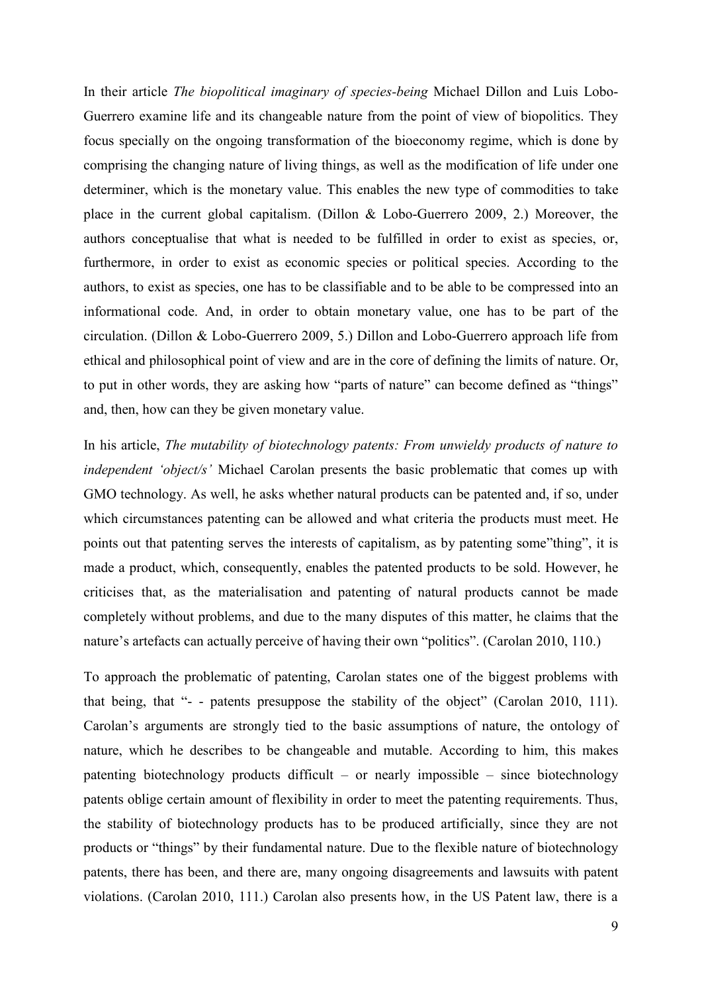In their article *The biopolitical imaginary of species-being* Michael Dillon and Luis Lobo-Guerrero examine life and its changeable nature from the point of view of biopolitics. They focus specially on the ongoing transformation of the bioeconomy regime, which is done by comprising the changing nature of living things, as well as the modification of life under one determiner, which is the monetary value. This enables the new type of commodities to take place in the current global capitalism. (Dillon & Lobo-Guerrero 2009, 2.) Moreover, the authors conceptualise that what is needed to be fulfilled in order to exist as species, or, furthermore, in order to exist as economic species or political species. According to the authors, to exist as species, one has to be classifiable and to be able to be compressed into an informational code. And, in order to obtain monetary value, one has to be part of the circulation. (Dillon & Lobo-Guerrero 2009, 5.) Dillon and Lobo-Guerrero approach life from ethical and philosophical point of view and are in the core of defining the limits of nature. Or, to put in other words, they are asking how "parts of nature" can become defined as "things" and, then, how can they be given monetary value.

In his article, *The mutability of biotechnology patents: From unwieldy products of nature to independent 'object/s'* Michael Carolan presents the basic problematic that comes up with GMO technology. As well, he asks whether natural products can be patented and, if so, under which circumstances patenting can be allowed and what criteria the products must meet. He points out that patenting serves the interests of capitalism, as by patenting some"thing", it is made a product, which, consequently, enables the patented products to be sold. However, he criticises that, as the materialisation and patenting of natural products cannot be made completely without problems, and due to the many disputes of this matter, he claims that the nature's artefacts can actually perceive of having their own "politics". (Carolan 2010, 110.)

To approach the problematic of patenting, Carolan states one of the biggest problems with that being, that "- - patents presuppose the stability of the object" (Carolan 2010, 111). Carolan's arguments are strongly tied to the basic assumptions of nature, the ontology of nature, which he describes to be changeable and mutable. According to him, this makes patenting biotechnology products difficult – or nearly impossible – since biotechnology patents oblige certain amount of flexibility in order to meet the patenting requirements. Thus, the stability of biotechnology products has to be produced artificially, since they are not products or "things" by their fundamental nature. Due to the flexible nature of biotechnology patents, there has been, and there are, many ongoing disagreements and lawsuits with patent violations. (Carolan 2010, 111.) Carolan also presents how, in the US Patent law, there is a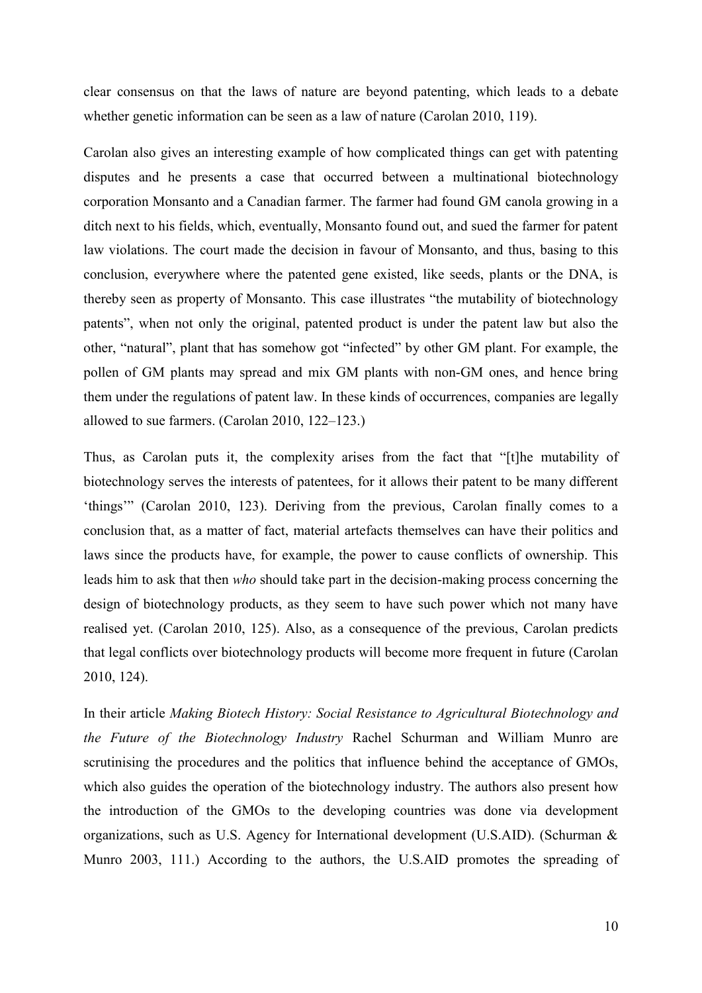clear consensus on that the laws of nature are beyond patenting, which leads to a debate whether genetic information can be seen as a law of nature (Carolan 2010, 119).

Carolan also gives an interesting example of how complicated things can get with patenting disputes and he presents a case that occurred between a multinational biotechnology corporation Monsanto and a Canadian farmer. The farmer had found GM canola growing in a ditch next to his fields, which, eventually, Monsanto found out, and sued the farmer for patent law violations. The court made the decision in favour of Monsanto, and thus, basing to this conclusion, everywhere where the patented gene existed, like seeds, plants or the DNA, is thereby seen as property of Monsanto. This case illustrates "the mutability of biotechnology patents", when not only the original, patented product is under the patent law but also the other, "natural", plant that has somehow got "infected" by other GM plant. For example, the pollen of GM plants may spread and mix GM plants with non-GM ones, and hence bring them under the regulations of patent law. In these kinds of occurrences, companies are legally allowed to sue farmers. (Carolan 2010, 122–123.)

Thus, as Carolan puts it, the complexity arises from the fact that "[t]he mutability of biotechnology serves the interests of patentees, for it allows their patent to be many different 'things'" (Carolan 2010, 123). Deriving from the previous, Carolan finally comes to a conclusion that, as a matter of fact, material artefacts themselves can have their politics and laws since the products have, for example, the power to cause conflicts of ownership. This leads him to ask that then *who* should take part in the decision-making process concerning the design of biotechnology products, as they seem to have such power which not many have realised yet. (Carolan 2010, 125). Also, as a consequence of the previous, Carolan predicts that legal conflicts over biotechnology products will become more frequent in future (Carolan 2010, 124).

In their article *Making Biotech History: Social Resistance to Agricultural Biotechnology and the Future of the Biotechnology Industry* Rachel Schurman and William Munro are scrutinising the procedures and the politics that influence behind the acceptance of GMOs, which also guides the operation of the biotechnology industry. The authors also present how the introduction of the GMOs to the developing countries was done via development organizations, such as U.S. Agency for International development (U.S.AID). (Schurman & Munro 2003, 111.) According to the authors, the U.S.AID promotes the spreading of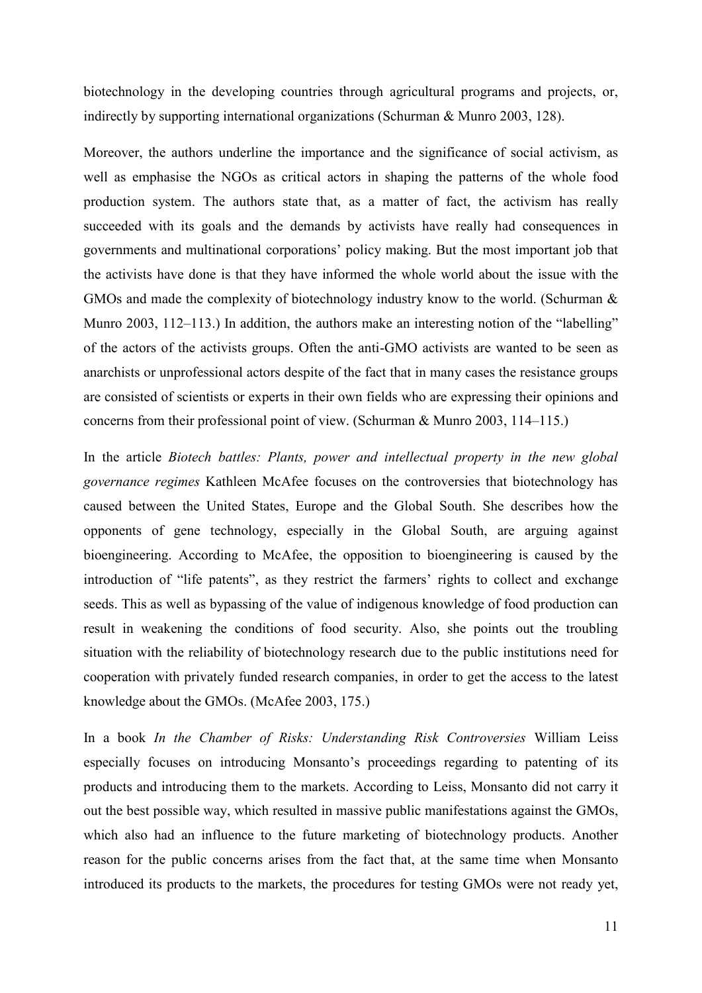biotechnology in the developing countries through agricultural programs and projects, or, indirectly by supporting international organizations (Schurman & Munro 2003, 128).

Moreover, the authors underline the importance and the significance of social activism, as well as emphasise the NGOs as critical actors in shaping the patterns of the whole food production system. The authors state that, as a matter of fact, the activism has really succeeded with its goals and the demands by activists have really had consequences in governments and multinational corporations' policy making. But the most important job that the activists have done is that they have informed the whole world about the issue with the GMOs and made the complexity of biotechnology industry know to the world. (Schurman & Munro 2003, 112–113.) In addition, the authors make an interesting notion of the "labelling" of the actors of the activists groups. Often the anti-GMO activists are wanted to be seen as anarchists or unprofessional actors despite of the fact that in many cases the resistance groups are consisted of scientists or experts in their own fields who are expressing their opinions and concerns from their professional point of view. (Schurman & Munro 2003, 114–115.)

In the article *Biotech battles: Plants, power and intellectual property in the new global governance regimes* Kathleen McAfee focuses on the controversies that biotechnology has caused between the United States, Europe and the Global South. She describes how the opponents of gene technology, especially in the Global South, are arguing against bioengineering. According to McAfee, the opposition to bioengineering is caused by the introduction of "life patents", as they restrict the farmers' rights to collect and exchange seeds. This as well as bypassing of the value of indigenous knowledge of food production can result in weakening the conditions of food security. Also, she points out the troubling situation with the reliability of biotechnology research due to the public institutions need for cooperation with privately funded research companies, in order to get the access to the latest knowledge about the GMOs. (McAfee 2003, 175.)

In a book *In the Chamber of Risks: Understanding Risk Controversies* William Leiss especially focuses on introducing Monsanto's proceedings regarding to patenting of its products and introducing them to the markets. According to Leiss, Monsanto did not carry it out the best possible way, which resulted in massive public manifestations against the GMOs, which also had an influence to the future marketing of biotechnology products. Another reason for the public concerns arises from the fact that, at the same time when Monsanto introduced its products to the markets, the procedures for testing GMOs were not ready yet,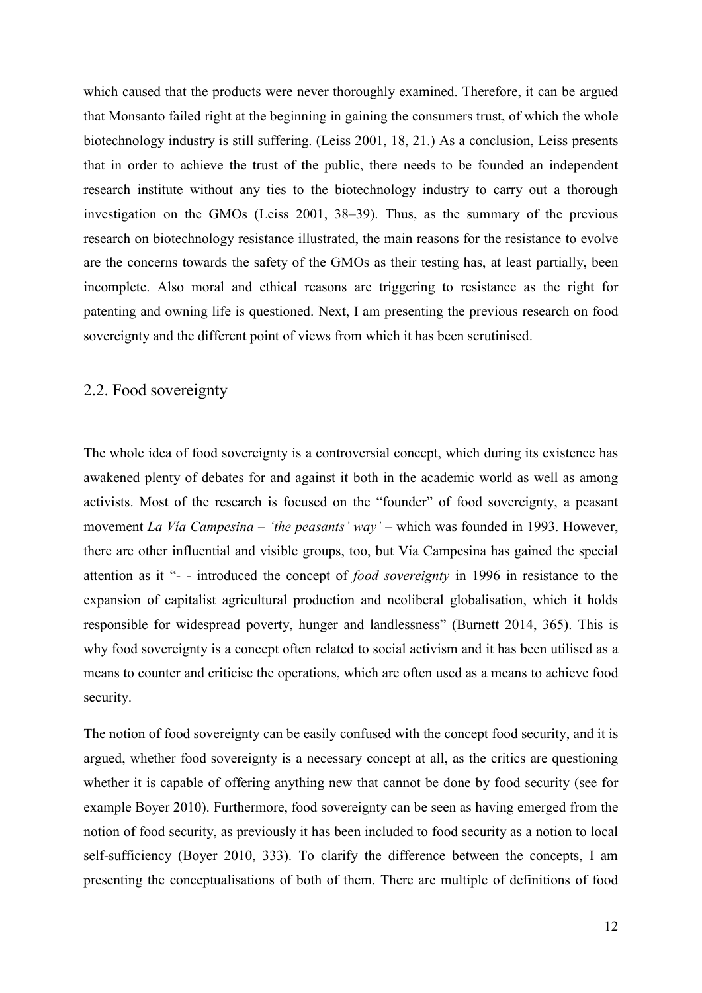which caused that the products were never thoroughly examined. Therefore, it can be argued that Monsanto failed right at the beginning in gaining the consumers trust, of which the whole biotechnology industry is still suffering. (Leiss 2001, 18, 21.) As a conclusion, Leiss presents that in order to achieve the trust of the public, there needs to be founded an independent research institute without any ties to the biotechnology industry to carry out a thorough investigation on the GMOs (Leiss 2001, 38–39). Thus, as the summary of the previous research on biotechnology resistance illustrated, the main reasons for the resistance to evolve are the concerns towards the safety of the GMOs as their testing has, at least partially, been incomplete. Also moral and ethical reasons are triggering to resistance as the right for patenting and owning life is questioned. Next, I am presenting the previous research on food sovereignty and the different point of views from which it has been scrutinised.

### <span id="page-14-0"></span>2.2. Food sovereignty

The whole idea of food sovereignty is a controversial concept, which during its existence has awakened plenty of debates for and against it both in the academic world as well as among activists. Most of the research is focused on the "founder" of food sovereignty, a peasant movement *La Vía Campesina – 'the peasants' way' –* which was founded in 1993. However, there are other influential and visible groups, too, but Vía Campesina has gained the special attention as it "- - introduced the concept of *food sovereignty* in 1996 in resistance to the expansion of capitalist agricultural production and neoliberal globalisation, which it holds responsible for widespread poverty, hunger and landlessness" (Burnett 2014, 365). This is why food sovereignty is a concept often related to social activism and it has been utilised as a means to counter and criticise the operations, which are often used as a means to achieve food security.

The notion of food sovereignty can be easily confused with the concept food security, and it is argued, whether food sovereignty is a necessary concept at all, as the critics are questioning whether it is capable of offering anything new that cannot be done by food security (see for example Boyer 2010). Furthermore, food sovereignty can be seen as having emerged from the notion of food security, as previously it has been included to food security as a notion to local self-sufficiency (Boyer 2010, 333). To clarify the difference between the concepts, I am presenting the conceptualisations of both of them. There are multiple of definitions of food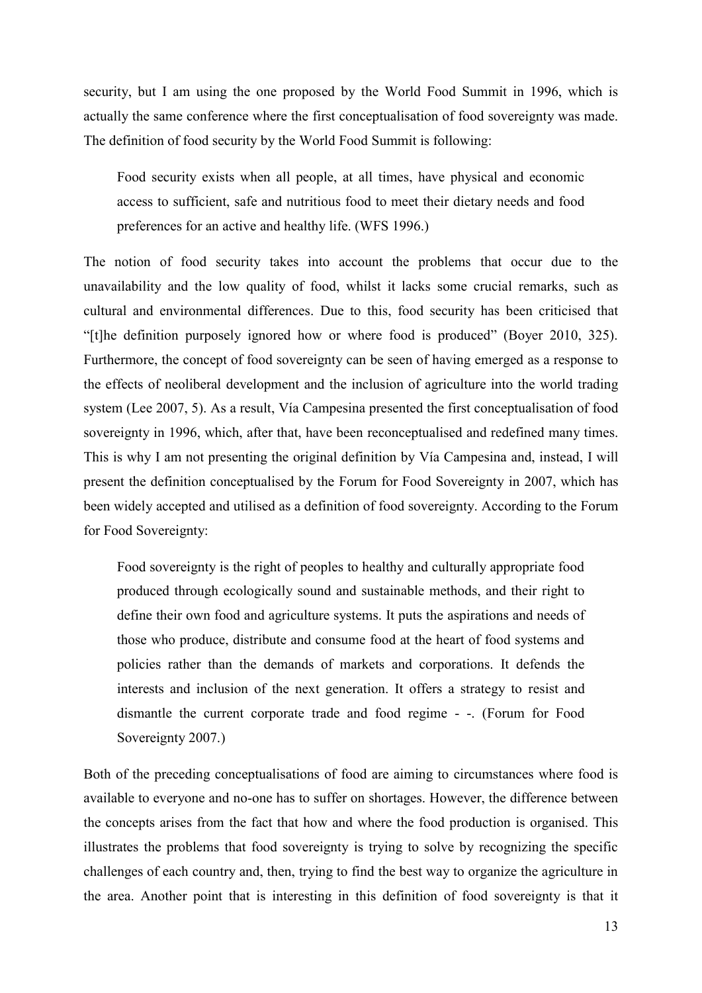security, but I am using the one proposed by the World Food Summit in 1996, which is actually the same conference where the first conceptualisation of food sovereignty was made. The definition of food security by the World Food Summit is following:

Food security exists when all people, at all times, have physical and economic access to sufficient, safe and nutritious food to meet their dietary needs and food preferences for an active and healthy life. (WFS 1996.)

The notion of food security takes into account the problems that occur due to the unavailability and the low quality of food, whilst it lacks some crucial remarks, such as cultural and environmental differences. Due to this, food security has been criticised that "[t]he definition purposely ignored how or where food is produced" (Boyer 2010, 325). Furthermore, the concept of food sovereignty can be seen of having emerged as a response to the effects of neoliberal development and the inclusion of agriculture into the world trading system (Lee 2007, 5). As a result, Vía Campesina presented the first conceptualisation of food sovereignty in 1996, which, after that, have been reconceptualised and redefined many times. This is why I am not presenting the original definition by Vía Campesina and, instead, I will present the definition conceptualised by the Forum for Food Sovereignty in 2007, which has been widely accepted and utilised as a definition of food sovereignty. According to the Forum for Food Sovereignty:

Food sovereignty is the right of peoples to healthy and culturally appropriate food produced through ecologically sound and sustainable methods, and their right to define their own food and agriculture systems. It puts the aspirations and needs of those who produce, distribute and consume food at the heart of food systems and policies rather than the demands of markets and corporations. It defends the interests and inclusion of the next generation. It offers a strategy to resist and dismantle the current corporate trade and food regime - -. (Forum for Food Sovereignty 2007.)

Both of the preceding conceptualisations of food are aiming to circumstances where food is available to everyone and no-one has to suffer on shortages. However, the difference between the concepts arises from the fact that how and where the food production is organised. This illustrates the problems that food sovereignty is trying to solve by recognizing the specific challenges of each country and, then, trying to find the best way to organize the agriculture in the area. Another point that is interesting in this definition of food sovereignty is that it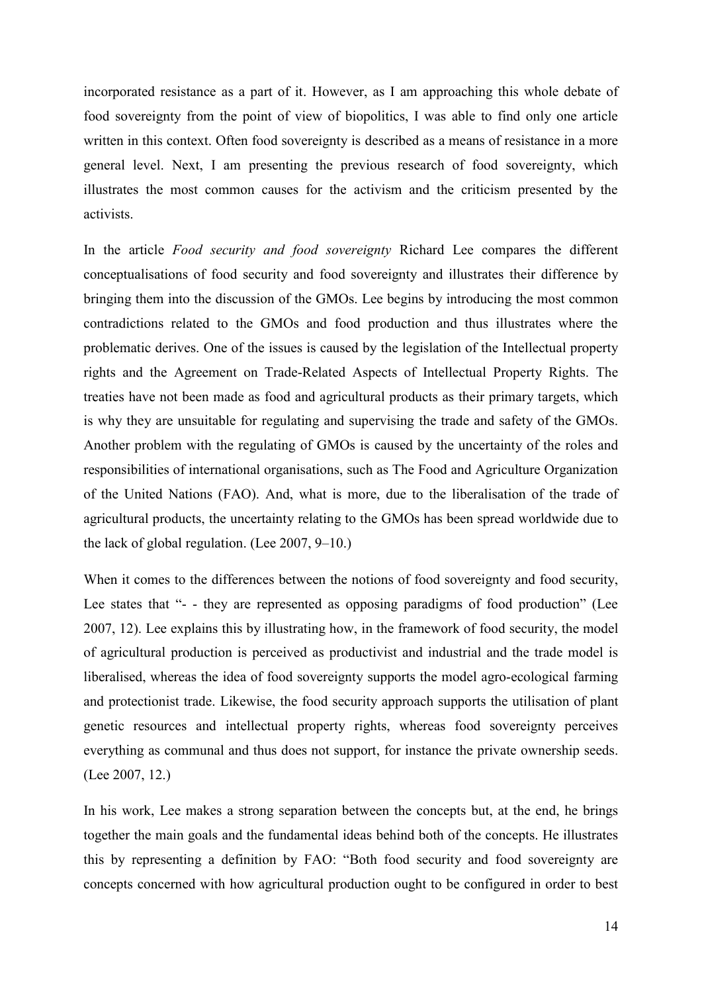incorporated resistance as a part of it. However, as I am approaching this whole debate of food sovereignty from the point of view of biopolitics, I was able to find only one article written in this context. Often food sovereignty is described as a means of resistance in a more general level. Next, I am presenting the previous research of food sovereignty, which illustrates the most common causes for the activism and the criticism presented by the activists.

In the article *Food security and food sovereignty* Richard Lee compares the different conceptualisations of food security and food sovereignty and illustrates their difference by bringing them into the discussion of the GMOs. Lee begins by introducing the most common contradictions related to the GMOs and food production and thus illustrates where the problematic derives. One of the issues is caused by the legislation of the Intellectual property rights and the Agreement on Trade-Related Aspects of Intellectual Property Rights. The treaties have not been made as food and agricultural products as their primary targets, which is why they are unsuitable for regulating and supervising the trade and safety of the GMOs. Another problem with the regulating of GMOs is caused by the uncertainty of the roles and responsibilities of international organisations, such as The Food and Agriculture Organization of the United Nations (FAO). And, what is more, due to the liberalisation of the trade of agricultural products, the uncertainty relating to the GMOs has been spread worldwide due to the lack of global regulation. (Lee 2007, 9–10.)

When it comes to the differences between the notions of food sovereignty and food security, Lee states that "- - they are represented as opposing paradigms of food production" (Lee 2007, 12). Lee explains this by illustrating how, in the framework of food security, the model of agricultural production is perceived as productivist and industrial and the trade model is liberalised, whereas the idea of food sovereignty supports the model agro-ecological farming and protectionist trade. Likewise, the food security approach supports the utilisation of plant genetic resources and intellectual property rights, whereas food sovereignty perceives everything as communal and thus does not support, for instance the private ownership seeds. (Lee 2007, 12.)

In his work, Lee makes a strong separation between the concepts but, at the end, he brings together the main goals and the fundamental ideas behind both of the concepts. He illustrates this by representing a definition by FAO: "Both food security and food sovereignty are concepts concerned with how agricultural production ought to be configured in order to best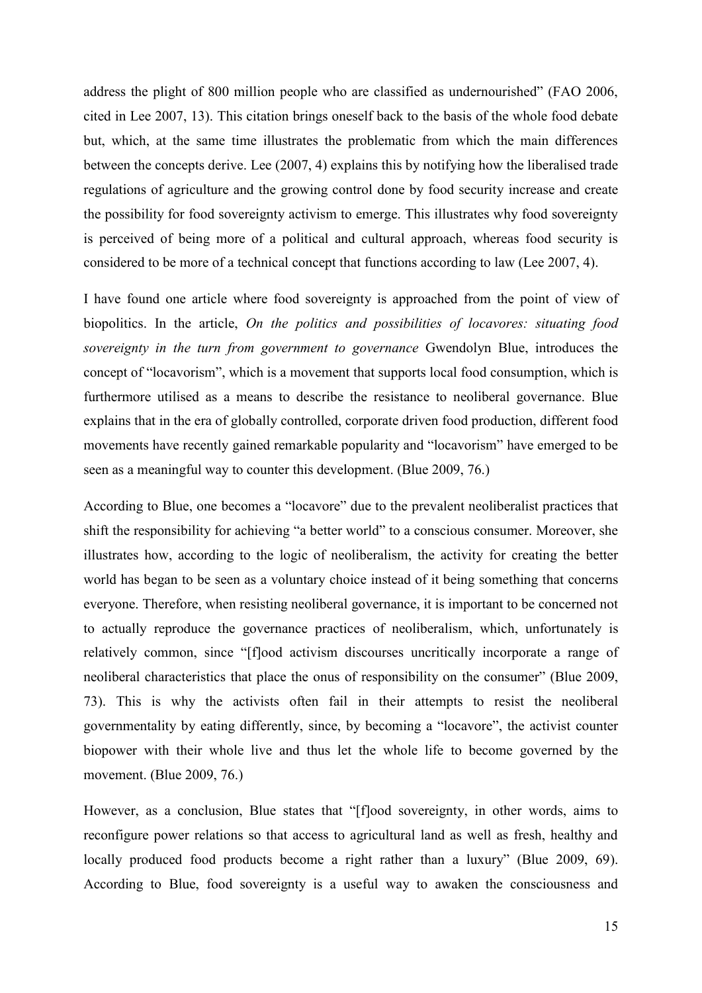address the plight of 800 million people who are classified as undernourished" (FAO 2006, cited in Lee 2007, 13). This citation brings oneself back to the basis of the whole food debate but, which, at the same time illustrates the problematic from which the main differences between the concepts derive. Lee (2007, 4) explains this by notifying how the liberalised trade regulations of agriculture and the growing control done by food security increase and create the possibility for food sovereignty activism to emerge. This illustrates why food sovereignty is perceived of being more of a political and cultural approach, whereas food security is considered to be more of a technical concept that functions according to law (Lee 2007, 4).

I have found one article where food sovereignty is approached from the point of view of biopolitics. In the article, *On the politics and possibilities of locavores: situating food sovereignty in the turn from government to governance* Gwendolyn Blue, introduces the concept of "locavorism", which is a movement that supports local food consumption, which is furthermore utilised as a means to describe the resistance to neoliberal governance. Blue explains that in the era of globally controlled, corporate driven food production, different food movements have recently gained remarkable popularity and "locavorism" have emerged to be seen as a meaningful way to counter this development. (Blue 2009, 76.)

According to Blue, one becomes a "locavore" due to the prevalent neoliberalist practices that shift the responsibility for achieving "a better world" to a conscious consumer. Moreover, she illustrates how, according to the logic of neoliberalism, the activity for creating the better world has began to be seen as a voluntary choice instead of it being something that concerns everyone. Therefore, when resisting neoliberal governance, it is important to be concerned not to actually reproduce the governance practices of neoliberalism, which, unfortunately is relatively common, since "[f]ood activism discourses uncritically incorporate a range of neoliberal characteristics that place the onus of responsibility on the consumer" (Blue 2009, 73). This is why the activists often fail in their attempts to resist the neoliberal governmentality by eating differently, since, by becoming a "locavore", the activist counter biopower with their whole live and thus let the whole life to become governed by the movement. (Blue 2009, 76.)

However, as a conclusion, Blue states that "[f]ood sovereignty, in other words, aims to reconfigure power relations so that access to agricultural land as well as fresh, healthy and locally produced food products become a right rather than a luxury" (Blue 2009, 69). According to Blue, food sovereignty is a useful way to awaken the consciousness and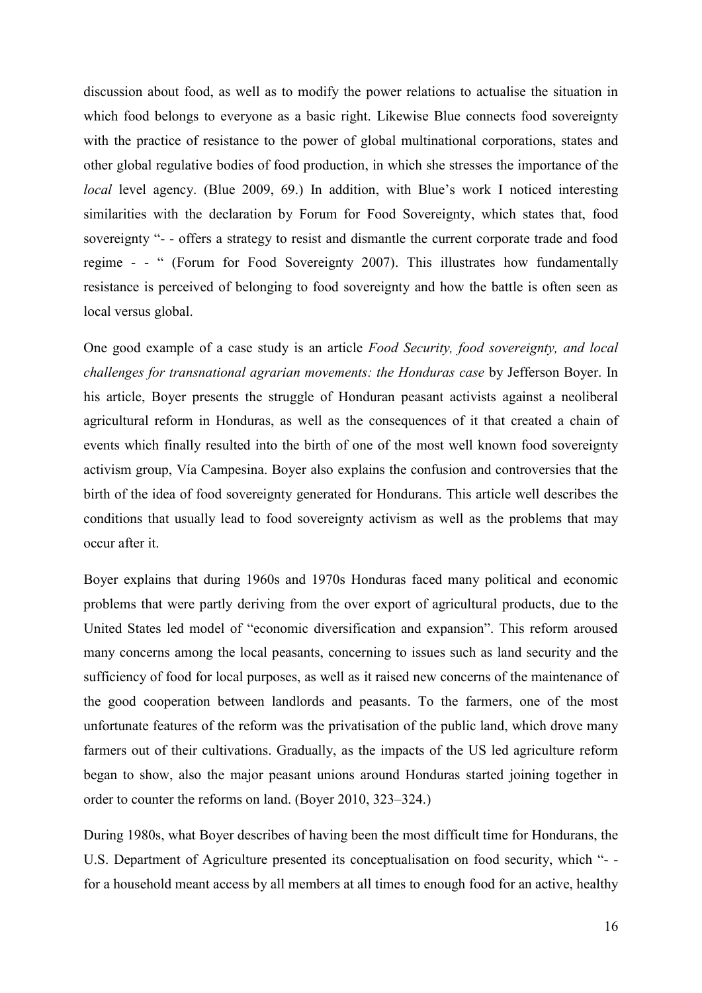discussion about food, as well as to modify the power relations to actualise the situation in which food belongs to everyone as a basic right. Likewise Blue connects food sovereignty with the practice of resistance to the power of global multinational corporations, states and other global regulative bodies of food production, in which she stresses the importance of the *local* level agency. (Blue 2009, 69.) In addition, with Blue's work I noticed interesting similarities with the declaration by Forum for Food Sovereignty, which states that, food sovereignty "- - offers a strategy to resist and dismantle the current corporate trade and food regime - - " (Forum for Food Sovereignty 2007). This illustrates how fundamentally resistance is perceived of belonging to food sovereignty and how the battle is often seen as local versus global.

One good example of a case study is an article *Food Security, food sovereignty, and local challenges for transnational agrarian movements: the Honduras case* by Jefferson Boyer. In his article, Boyer presents the struggle of Honduran peasant activists against a neoliberal agricultural reform in Honduras, as well as the consequences of it that created a chain of events which finally resulted into the birth of one of the most well known food sovereignty activism group, Vía Campesina. Boyer also explains the confusion and controversies that the birth of the idea of food sovereignty generated for Hondurans. This article well describes the conditions that usually lead to food sovereignty activism as well as the problems that may occur after it.

Boyer explains that during 1960s and 1970s Honduras faced many political and economic problems that were partly deriving from the over export of agricultural products, due to the United States led model of "economic diversification and expansion". This reform aroused many concerns among the local peasants, concerning to issues such as land security and the sufficiency of food for local purposes, as well as it raised new concerns of the maintenance of the good cooperation between landlords and peasants. To the farmers, one of the most unfortunate features of the reform was the privatisation of the public land, which drove many farmers out of their cultivations. Gradually, as the impacts of the US led agriculture reform began to show, also the major peasant unions around Honduras started joining together in order to counter the reforms on land. (Boyer 2010, 323–324.)

During 1980s, what Boyer describes of having been the most difficult time for Hondurans, the U.S. Department of Agriculture presented its conceptualisation on food security, which "- for a household meant access by all members at all times to enough food for an active, healthy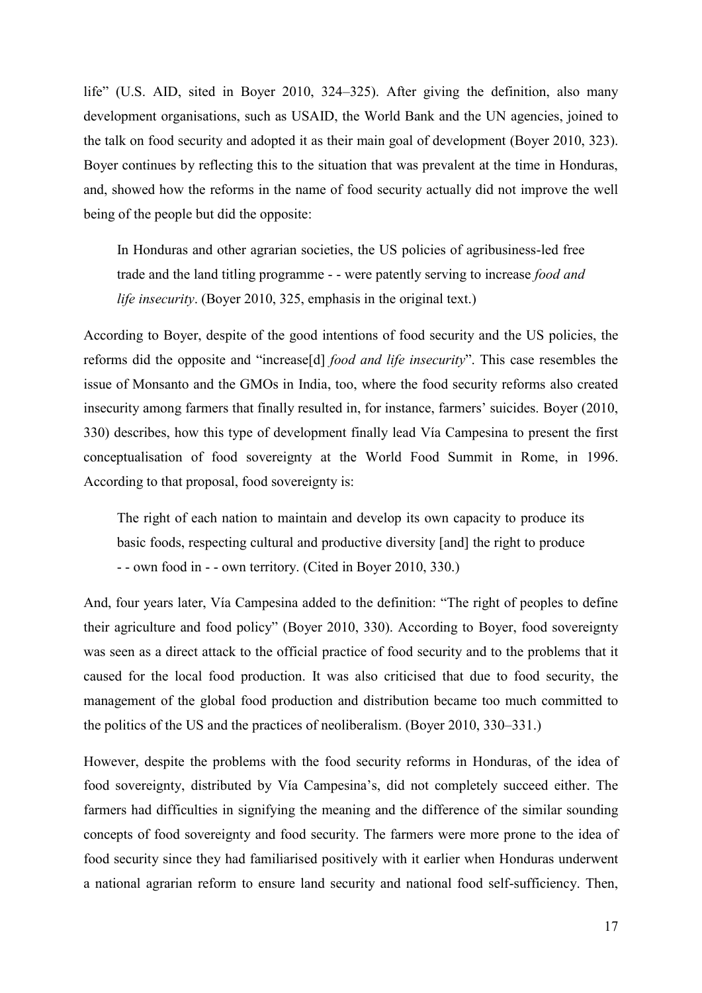life" (U.S. AID, sited in Boyer 2010, 324–325). After giving the definition, also many development organisations, such as USAID, the World Bank and the UN agencies, joined to the talk on food security and adopted it as their main goal of development (Boyer 2010, 323). Boyer continues by reflecting this to the situation that was prevalent at the time in Honduras, and, showed how the reforms in the name of food security actually did not improve the well being of the people but did the opposite:

In Honduras and other agrarian societies, the US policies of agribusiness-led free trade and the land titling programme - - were patently serving to increase *food and life insecurity*. (Boyer 2010, 325, emphasis in the original text.)

According to Boyer, despite of the good intentions of food security and the US policies, the reforms did the opposite and "increase[d] *food and life insecurity*". This case resembles the issue of Monsanto and the GMOs in India, too, where the food security reforms also created insecurity among farmers that finally resulted in, for instance, farmers' suicides. Boyer (2010, 330) describes, how this type of development finally lead Vía Campesina to present the first conceptualisation of food sovereignty at the World Food Summit in Rome, in 1996. According to that proposal, food sovereignty is:

The right of each nation to maintain and develop its own capacity to produce its basic foods, respecting cultural and productive diversity [and] the right to produce - - own food in - - own territory. (Cited in Boyer 2010, 330.)

And, four years later, Vía Campesina added to the definition: "The right of peoples to define their agriculture and food policy" (Boyer 2010, 330). According to Boyer, food sovereignty was seen as a direct attack to the official practice of food security and to the problems that it caused for the local food production. It was also criticised that due to food security, the management of the global food production and distribution became too much committed to the politics of the US and the practices of neoliberalism. (Boyer 2010, 330–331.)

However, despite the problems with the food security reforms in Honduras, of the idea of food sovereignty, distributed by Vía Campesina's, did not completely succeed either. The farmers had difficulties in signifying the meaning and the difference of the similar sounding concepts of food sovereignty and food security. The farmers were more prone to the idea of food security since they had familiarised positively with it earlier when Honduras underwent a national agrarian reform to ensure land security and national food self-sufficiency. Then,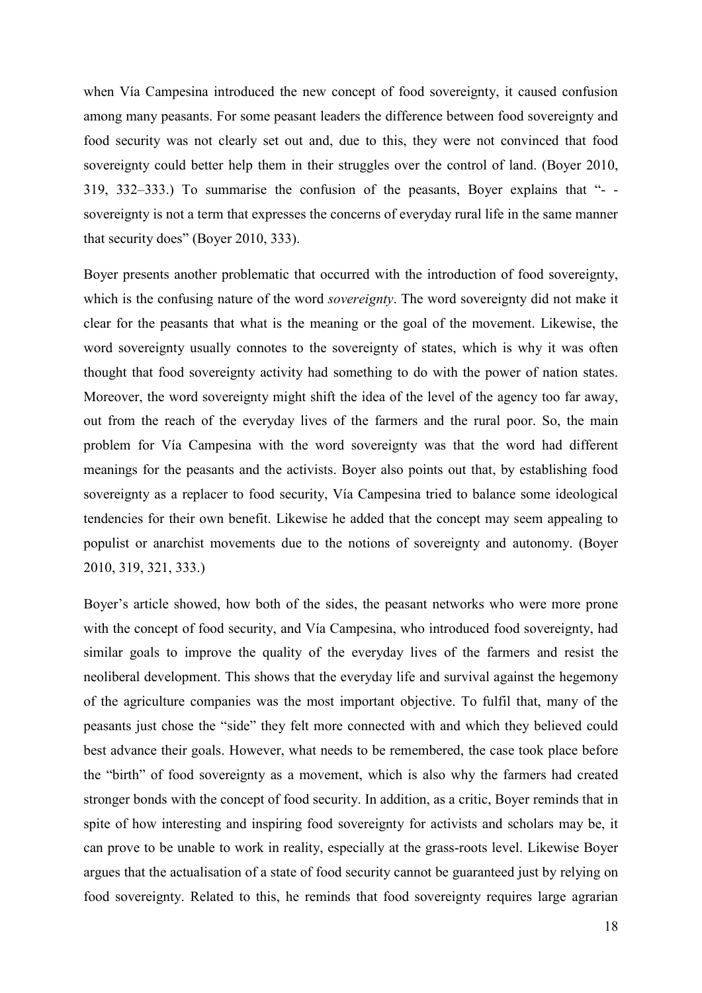when Vía Campesina introduced the new concept of food sovereignty, it caused confusion among many peasants. For some peasant leaders the difference between food sovereignty and food security was not clearly set out and, due to this, they were not convinced that food sovereignty could better help them in their struggles over the control of land. (Boyer 2010, 319, 332–333.) To summarise the confusion of the peasants, Boyer explains that "- sovereignty is not a term that expresses the concerns of everyday rural life in the same manner that security does" (Boyer 2010, 333).

Boyer presents another problematic that occurred with the introduction of food sovereignty, which is the confusing nature of the word *sovereignty*. The word sovereignty did not make it clear for the peasants that what is the meaning or the goal of the movement. Likewise, the word sovereignty usually connotes to the sovereignty of states, which is why it was often thought that food sovereignty activity had something to do with the power of nation states. Moreover, the word sovereignty might shift the idea of the level of the agency too far away, out from the reach of the everyday lives of the farmers and the rural poor. So, the main problem for Vía Campesina with the word sovereignty was that the word had different meanings for the peasants and the activists. Boyer also points out that, by establishing food sovereignty as a replacer to food security, Vía Campesina tried to balance some ideological tendencies for their own benefit. Likewise he added that the concept may seem appealing to populist or anarchist movements due to the notions of sovereignty and autonomy. (Boyer 2010, 319, 321, 333.)

Boyer's article showed, how both of the sides, the peasant networks who were more prone with the concept of food security, and Vía Campesina, who introduced food sovereignty, had similar goals to improve the quality of the everyday lives of the farmers and resist the neoliberal development. This shows that the everyday life and survival against the hegemony of the agriculture companies was the most important objective. To fulfil that, many of the peasants just chose the "side" they felt more connected with and which they believed could best advance their goals. However, what needs to be remembered, the case took place before the "birth" of food sovereignty as a movement, which is also why the farmers had created stronger bonds with the concept of food security. In addition, as a critic, Boyer reminds that in spite of how interesting and inspiring food sovereignty for activists and scholars may be, it can prove to be unable to work in reality, especially at the grass-roots level. Likewise Boyer argues that the actualisation of a state of food security cannot be guaranteed just by relying on food sovereignty. Related to this, he reminds that food sovereignty requires large agrarian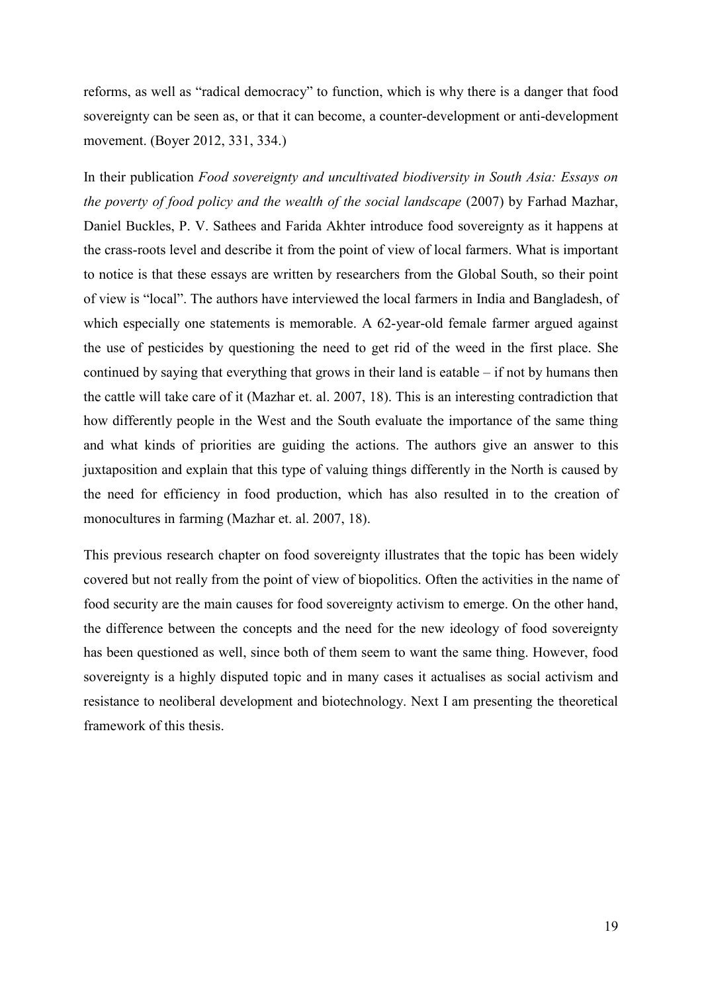reforms, as well as "radical democracy" to function, which is why there is a danger that food sovereignty can be seen as, or that it can become, a counter-development or anti-development movement. (Boyer 2012, 331, 334.)

In their publication *Food sovereignty and uncultivated biodiversity in South Asia: Essays on the poverty of food policy and the wealth of the social landscape* (2007) by Farhad Mazhar, Daniel Buckles, P. V. Sathees and Farida Akhter introduce food sovereignty as it happens at the crass-roots level and describe it from the point of view of local farmers. What is important to notice is that these essays are written by researchers from the Global South, so their point of view is "local". The authors have interviewed the local farmers in India and Bangladesh, of which especially one statements is memorable. A 62-year-old female farmer argued against the use of pesticides by questioning the need to get rid of the weed in the first place. She continued by saying that everything that grows in their land is eatable – if not by humans then the cattle will take care of it (Mazhar et. al. 2007, 18). This is an interesting contradiction that how differently people in the West and the South evaluate the importance of the same thing and what kinds of priorities are guiding the actions. The authors give an answer to this juxtaposition and explain that this type of valuing things differently in the North is caused by the need for efficiency in food production, which has also resulted in to the creation of monocultures in farming (Mazhar et. al. 2007, 18).

This previous research chapter on food sovereignty illustrates that the topic has been widely covered but not really from the point of view of biopolitics. Often the activities in the name of food security are the main causes for food sovereignty activism to emerge. On the other hand, the difference between the concepts and the need for the new ideology of food sovereignty has been questioned as well, since both of them seem to want the same thing. However, food sovereignty is a highly disputed topic and in many cases it actualises as social activism and resistance to neoliberal development and biotechnology. Next I am presenting the theoretical framework of this thesis.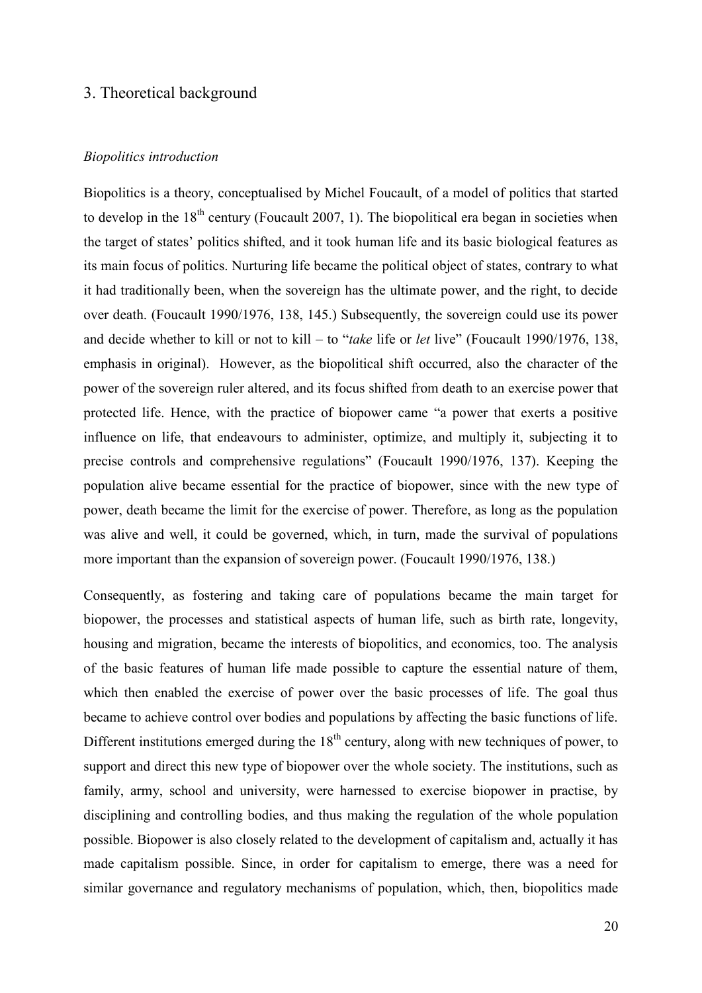## <span id="page-22-0"></span>3. Theoretical background

#### *Biopolitics introduction*

Biopolitics is a theory, conceptualised by Michel Foucault, of a model of politics that started to develop in the  $18<sup>th</sup>$  century (Foucault 2007, 1). The biopolitical era began in societies when the target of states' politics shifted, and it took human life and its basic biological features as its main focus of politics. Nurturing life became the political object of states, contrary to what it had traditionally been, when the sovereign has the ultimate power, and the right, to decide over death. (Foucault 1990/1976, 138, 145.) Subsequently, the sovereign could use its power and decide whether to kill or not to kill – to "*take* life or *let* live" (Foucault 1990/1976, 138, emphasis in original). However, as the biopolitical shift occurred, also the character of the power of the sovereign ruler altered, and its focus shifted from death to an exercise power that protected life. Hence, with the practice of biopower came "a power that exerts a positive influence on life, that endeavours to administer, optimize, and multiply it, subjecting it to precise controls and comprehensive regulations" (Foucault 1990/1976, 137). Keeping the population alive became essential for the practice of biopower, since with the new type of power, death became the limit for the exercise of power. Therefore, as long as the population was alive and well, it could be governed, which, in turn, made the survival of populations more important than the expansion of sovereign power. (Foucault 1990/1976, 138.)

Consequently, as fostering and taking care of populations became the main target for biopower, the processes and statistical aspects of human life, such as birth rate, longevity, housing and migration, became the interests of biopolitics, and economics, too. The analysis of the basic features of human life made possible to capture the essential nature of them, which then enabled the exercise of power over the basic processes of life. The goal thus became to achieve control over bodies and populations by affecting the basic functions of life. Different institutions emerged during the  $18<sup>th</sup>$  century, along with new techniques of power, to support and direct this new type of biopower over the whole society. The institutions, such as family, army, school and university, were harnessed to exercise biopower in practise, by disciplining and controlling bodies, and thus making the regulation of the whole population possible. Biopower is also closely related to the development of capitalism and, actually it has made capitalism possible. Since, in order for capitalism to emerge, there was a need for similar governance and regulatory mechanisms of population, which, then, biopolitics made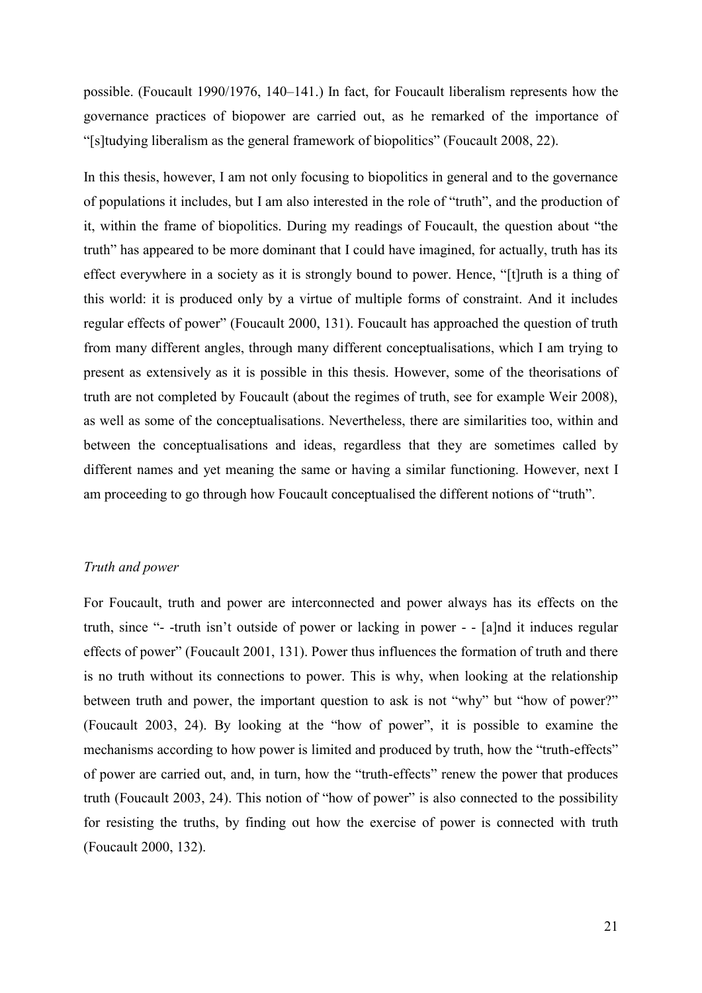possible. (Foucault 1990/1976, 140–141.) In fact, for Foucault liberalism represents how the governance practices of biopower are carried out, as he remarked of the importance of "[s]tudying liberalism as the general framework of biopolitics" (Foucault 2008, 22).

In this thesis, however, I am not only focusing to biopolitics in general and to the governance of populations it includes, but I am also interested in the role of "truth", and the production of it, within the frame of biopolitics. During my readings of Foucault, the question about "the truth" has appeared to be more dominant that I could have imagined, for actually, truth has its effect everywhere in a society as it is strongly bound to power. Hence, "[t]ruth is a thing of this world: it is produced only by a virtue of multiple forms of constraint. And it includes regular effects of power" (Foucault 2000, 131). Foucault has approached the question of truth from many different angles, through many different conceptualisations, which I am trying to present as extensively as it is possible in this thesis. However, some of the theorisations of truth are not completed by Foucault (about the regimes of truth, see for example Weir 2008), as well as some of the conceptualisations. Nevertheless, there are similarities too, within and between the conceptualisations and ideas, regardless that they are sometimes called by different names and yet meaning the same or having a similar functioning. However, next I am proceeding to go through how Foucault conceptualised the different notions of "truth".

#### *Truth and power*

For Foucault, truth and power are interconnected and power always has its effects on the truth, since "- -truth isn't outside of power or lacking in power - - [a]nd it induces regular effects of power" (Foucault 2001, 131). Power thus influences the formation of truth and there is no truth without its connections to power. This is why, when looking at the relationship between truth and power, the important question to ask is not "why" but "how of power?" (Foucault 2003, 24). By looking at the "how of power", it is possible to examine the mechanisms according to how power is limited and produced by truth, how the "truth-effects" of power are carried out, and, in turn, how the "truth-effects" renew the power that produces truth (Foucault 2003, 24). This notion of "how of power" is also connected to the possibility for resisting the truths, by finding out how the exercise of power is connected with truth (Foucault 2000, 132).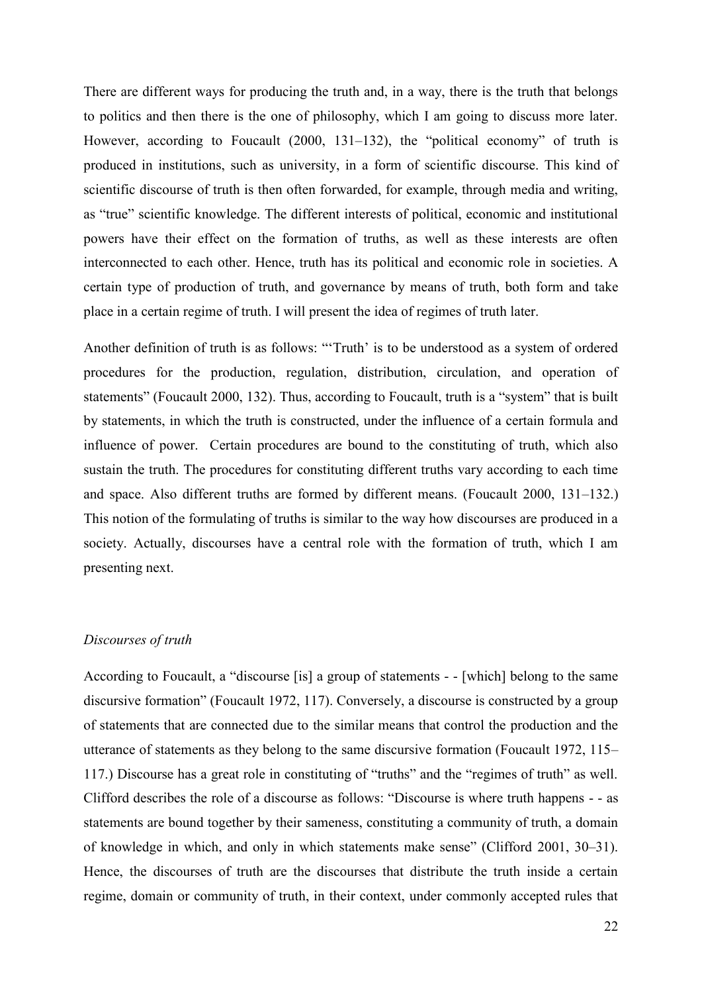There are different ways for producing the truth and, in a way, there is the truth that belongs to politics and then there is the one of philosophy, which I am going to discuss more later. However, according to Foucault (2000, 131–132), the "political economy" of truth is produced in institutions, such as university, in a form of scientific discourse. This kind of scientific discourse of truth is then often forwarded, for example, through media and writing, as "true" scientific knowledge. The different interests of political, economic and institutional powers have their effect on the formation of truths, as well as these interests are often interconnected to each other. Hence, truth has its political and economic role in societies. A certain type of production of truth, and governance by means of truth, both form and take place in a certain regime of truth. I will present the idea of regimes of truth later.

Another definition of truth is as follows: "'Truth' is to be understood as a system of ordered procedures for the production, regulation, distribution, circulation, and operation of statements" (Foucault 2000, 132). Thus, according to Foucault, truth is a "system" that is built by statements, in which the truth is constructed, under the influence of a certain formula and influence of power. Certain procedures are bound to the constituting of truth, which also sustain the truth. The procedures for constituting different truths vary according to each time and space. Also different truths are formed by different means. (Foucault 2000, 131–132.) This notion of the formulating of truths is similar to the way how discourses are produced in a society. Actually, discourses have a central role with the formation of truth, which I am presenting next.

#### *Discourses of truth*

According to Foucault, a "discourse [is] a group of statements - - [which] belong to the same discursive formation" (Foucault 1972, 117). Conversely, a discourse is constructed by a group of statements that are connected due to the similar means that control the production and the utterance of statements as they belong to the same discursive formation (Foucault 1972, 115– 117.) Discourse has a great role in constituting of "truths" and the "regimes of truth" as well. Clifford describes the role of a discourse as follows: "Discourse is where truth happens - - as statements are bound together by their sameness, constituting a community of truth, a domain of knowledge in which, and only in which statements make sense" (Clifford 2001, 30–31). Hence, the discourses of truth are the discourses that distribute the truth inside a certain regime, domain or community of truth, in their context, under commonly accepted rules that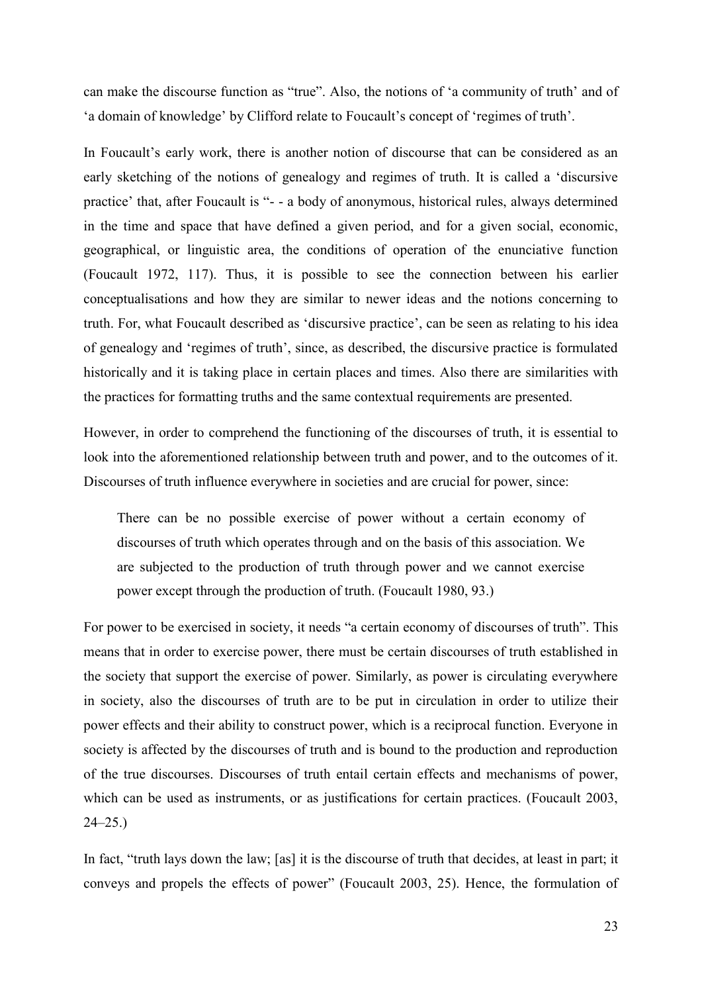can make the discourse function as "true". Also, the notions of 'a community of truth' and of 'a domain of knowledge' by Clifford relate to Foucault's concept of 'regimes of truth'.

In Foucault's early work, there is another notion of discourse that can be considered as an early sketching of the notions of genealogy and regimes of truth. It is called a 'discursive practice' that, after Foucault is "- - a body of anonymous, historical rules, always determined in the time and space that have defined a given period, and for a given social, economic, geographical, or linguistic area, the conditions of operation of the enunciative function (Foucault 1972, 117). Thus, it is possible to see the connection between his earlier conceptualisations and how they are similar to newer ideas and the notions concerning to truth. For, what Foucault described as 'discursive practice', can be seen as relating to his idea of genealogy and 'regimes of truth', since, as described, the discursive practice is formulated historically and it is taking place in certain places and times. Also there are similarities with the practices for formatting truths and the same contextual requirements are presented.

However, in order to comprehend the functioning of the discourses of truth, it is essential to look into the aforementioned relationship between truth and power, and to the outcomes of it. Discourses of truth influence everywhere in societies and are crucial for power, since:

There can be no possible exercise of power without a certain economy of discourses of truth which operates through and on the basis of this association. We are subjected to the production of truth through power and we cannot exercise power except through the production of truth. (Foucault 1980, 93.)

For power to be exercised in society, it needs "a certain economy of discourses of truth". This means that in order to exercise power, there must be certain discourses of truth established in the society that support the exercise of power. Similarly, as power is circulating everywhere in society, also the discourses of truth are to be put in circulation in order to utilize their power effects and their ability to construct power, which is a reciprocal function. Everyone in society is affected by the discourses of truth and is bound to the production and reproduction of the true discourses. Discourses of truth entail certain effects and mechanisms of power, which can be used as instruments, or as justifications for certain practices. (Foucault 2003,  $24 - 25.$ 

In fact, "truth lays down the law; [as] it is the discourse of truth that decides, at least in part; it conveys and propels the effects of power" (Foucault 2003, 25). Hence, the formulation of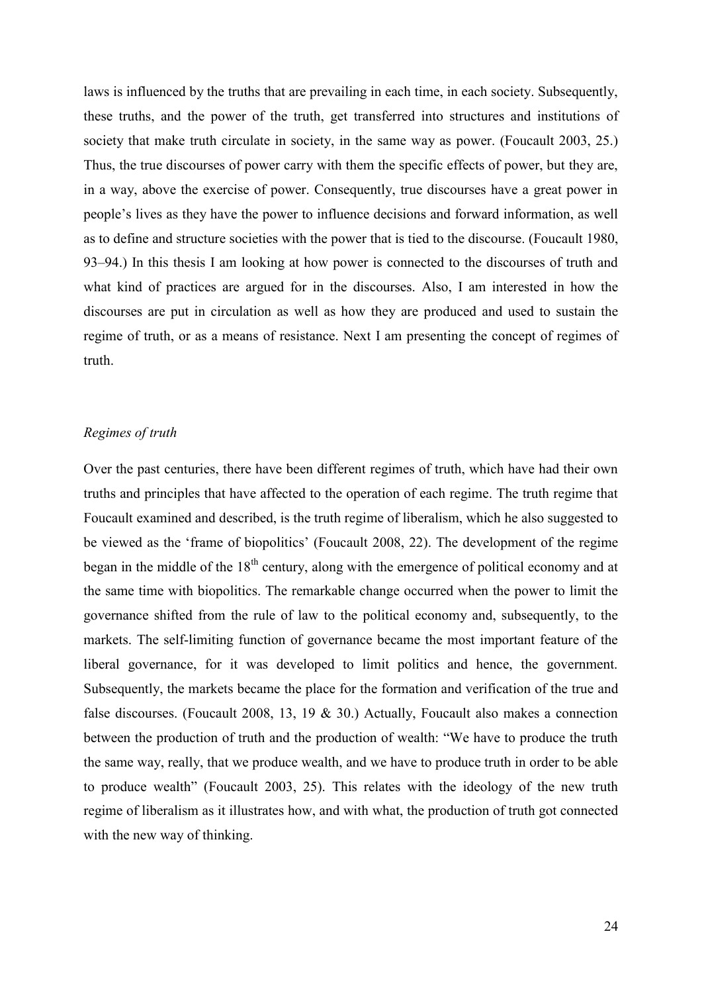laws is influenced by the truths that are prevailing in each time, in each society. Subsequently, these truths, and the power of the truth, get transferred into structures and institutions of society that make truth circulate in society, in the same way as power. (Foucault 2003, 25.) Thus, the true discourses of power carry with them the specific effects of power, but they are, in a way, above the exercise of power. Consequently, true discourses have a great power in people's lives as they have the power to influence decisions and forward information, as well as to define and structure societies with the power that is tied to the discourse. (Foucault 1980, 93–94.) In this thesis I am looking at how power is connected to the discourses of truth and what kind of practices are argued for in the discourses. Also, I am interested in how the discourses are put in circulation as well as how they are produced and used to sustain the regime of truth, or as a means of resistance. Next I am presenting the concept of regimes of truth.

#### *Regimes of truth*

Over the past centuries, there have been different regimes of truth, which have had their own truths and principles that have affected to the operation of each regime. The truth regime that Foucault examined and described, is the truth regime of liberalism, which he also suggested to be viewed as the 'frame of biopolitics' (Foucault 2008, 22). The development of the regime began in the middle of the  $18<sup>th</sup>$  century, along with the emergence of political economy and at the same time with biopolitics. The remarkable change occurred when the power to limit the governance shifted from the rule of law to the political economy and, subsequently, to the markets. The self-limiting function of governance became the most important feature of the liberal governance, for it was developed to limit politics and hence, the government. Subsequently, the markets became the place for the formation and verification of the true and false discourses. (Foucault 2008, 13, 19 & 30.) Actually, Foucault also makes a connection between the production of truth and the production of wealth: "We have to produce the truth the same way, really, that we produce wealth, and we have to produce truth in order to be able to produce wealth" (Foucault 2003, 25). This relates with the ideology of the new truth regime of liberalism as it illustrates how, and with what, the production of truth got connected with the new way of thinking.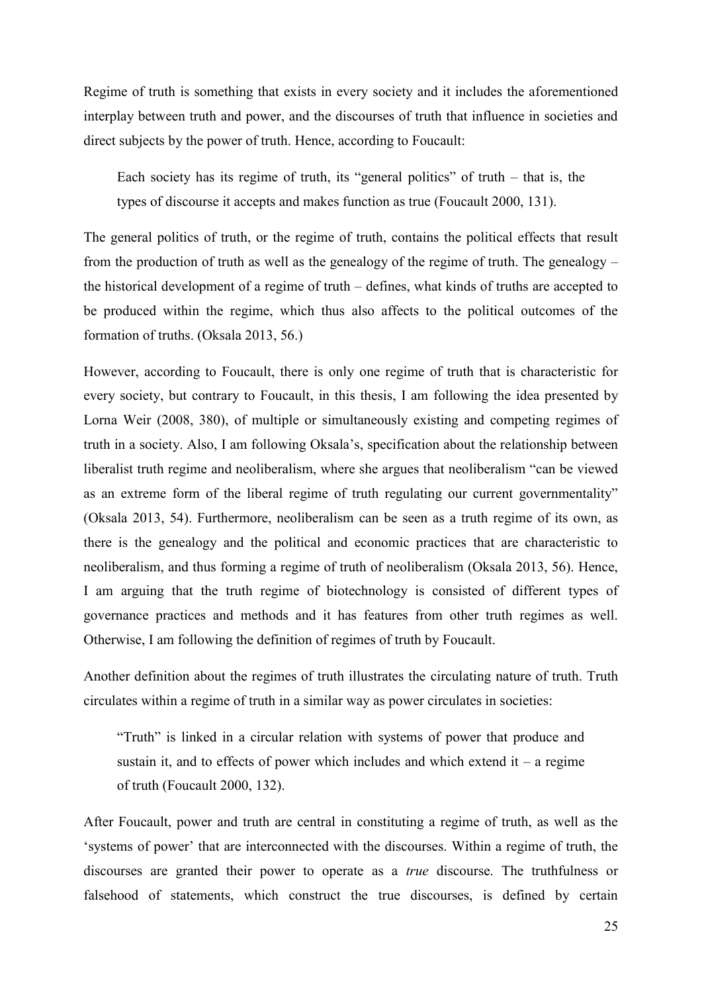Regime of truth is something that exists in every society and it includes the aforementioned interplay between truth and power, and the discourses of truth that influence in societies and direct subjects by the power of truth. Hence, according to Foucault:

Each society has its regime of truth, its "general politics" of truth  $-$  that is, the types of discourse it accepts and makes function as true (Foucault 2000, 131).

The general politics of truth, or the regime of truth, contains the political effects that result from the production of truth as well as the genealogy of the regime of truth. The genealogy – the historical development of a regime of truth – defines, what kinds of truths are accepted to be produced within the regime, which thus also affects to the political outcomes of the formation of truths. (Oksala 2013, 56.)

However, according to Foucault, there is only one regime of truth that is characteristic for every society, but contrary to Foucault, in this thesis, I am following the idea presented by Lorna Weir (2008, 380), of multiple or simultaneously existing and competing regimes of truth in a society. Also, I am following Oksala's, specification about the relationship between liberalist truth regime and neoliberalism, where she argues that neoliberalism "can be viewed as an extreme form of the liberal regime of truth regulating our current governmentality" (Oksala 2013, 54). Furthermore, neoliberalism can be seen as a truth regime of its own, as there is the genealogy and the political and economic practices that are characteristic to neoliberalism, and thus forming a regime of truth of neoliberalism (Oksala 2013, 56). Hence, I am arguing that the truth regime of biotechnology is consisted of different types of governance practices and methods and it has features from other truth regimes as well. Otherwise, I am following the definition of regimes of truth by Foucault.

Another definition about the regimes of truth illustrates the circulating nature of truth. Truth circulates within a regime of truth in a similar way as power circulates in societies:

"Truth" is linked in a circular relation with systems of power that produce and sustain it, and to effects of power which includes and which extend it – a regime of truth (Foucault 2000, 132).

After Foucault, power and truth are central in constituting a regime of truth, as well as the 'systems of power' that are interconnected with the discourses. Within a regime of truth, the discourses are granted their power to operate as a *true* discourse. The truthfulness or falsehood of statements, which construct the true discourses, is defined by certain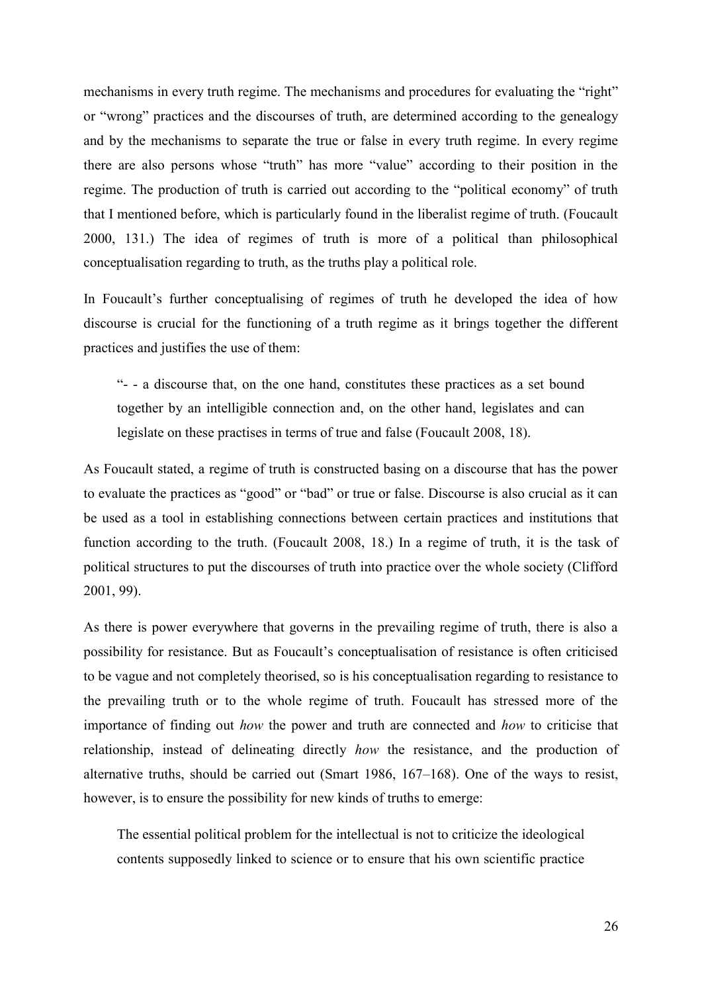mechanisms in every truth regime. The mechanisms and procedures for evaluating the "right" or "wrong" practices and the discourses of truth, are determined according to the genealogy and by the mechanisms to separate the true or false in every truth regime. In every regime there are also persons whose "truth" has more "value" according to their position in the regime. The production of truth is carried out according to the "political economy" of truth that I mentioned before, which is particularly found in the liberalist regime of truth. (Foucault 2000, 131.) The idea of regimes of truth is more of a political than philosophical conceptualisation regarding to truth, as the truths play a political role.

In Foucault's further conceptualising of regimes of truth he developed the idea of how discourse is crucial for the functioning of a truth regime as it brings together the different practices and justifies the use of them:

"- - a discourse that, on the one hand, constitutes these practices as a set bound together by an intelligible connection and, on the other hand, legislates and can legislate on these practises in terms of true and false (Foucault 2008, 18).

As Foucault stated, a regime of truth is constructed basing on a discourse that has the power to evaluate the practices as "good" or "bad" or true or false. Discourse is also crucial as it can be used as a tool in establishing connections between certain practices and institutions that function according to the truth. (Foucault 2008, 18.) In a regime of truth, it is the task of political structures to put the discourses of truth into practice over the whole society (Clifford 2001, 99).

As there is power everywhere that governs in the prevailing regime of truth, there is also a possibility for resistance. But as Foucault's conceptualisation of resistance is often criticised to be vague and not completely theorised, so is his conceptualisation regarding to resistance to the prevailing truth or to the whole regime of truth. Foucault has stressed more of the importance of finding out *how* the power and truth are connected and *how* to criticise that relationship, instead of delineating directly *how* the resistance, and the production of alternative truths, should be carried out (Smart 1986, 167–168). One of the ways to resist, however, is to ensure the possibility for new kinds of truths to emerge:

The essential political problem for the intellectual is not to criticize the ideological contents supposedly linked to science or to ensure that his own scientific practice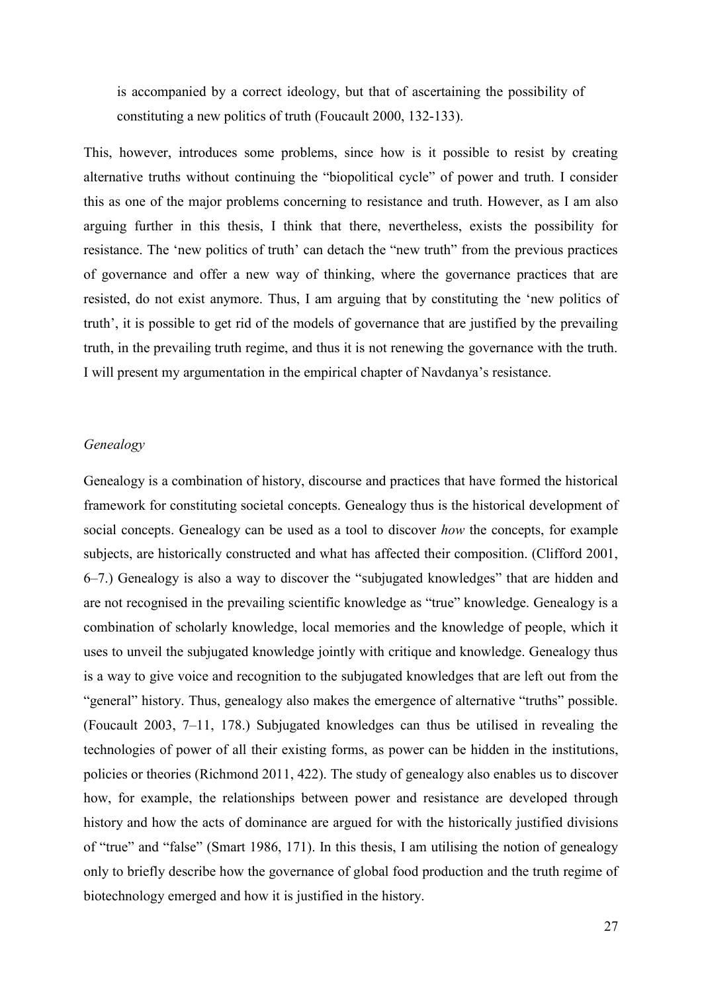is accompanied by a correct ideology, but that of ascertaining the possibility of constituting a new politics of truth (Foucault 2000, 132-133).

This, however, introduces some problems, since how is it possible to resist by creating alternative truths without continuing the "biopolitical cycle" of power and truth. I consider this as one of the major problems concerning to resistance and truth. However, as I am also arguing further in this thesis, I think that there, nevertheless, exists the possibility for resistance. The 'new politics of truth' can detach the "new truth" from the previous practices of governance and offer a new way of thinking, where the governance practices that are resisted, do not exist anymore. Thus, I am arguing that by constituting the 'new politics of truth', it is possible to get rid of the models of governance that are justified by the prevailing truth, in the prevailing truth regime, and thus it is not renewing the governance with the truth. I will present my argumentation in the empirical chapter of Navdanya's resistance.

### *Genealogy*

Genealogy is a combination of history, discourse and practices that have formed the historical framework for constituting societal concepts. Genealogy thus is the historical development of social concepts. Genealogy can be used as a tool to discover *how* the concepts, for example subjects, are historically constructed and what has affected their composition. (Clifford 2001, 6–7.) Genealogy is also a way to discover the "subjugated knowledges" that are hidden and are not recognised in the prevailing scientific knowledge as "true" knowledge. Genealogy is a combination of scholarly knowledge, local memories and the knowledge of people, which it uses to unveil the subjugated knowledge jointly with critique and knowledge. Genealogy thus is a way to give voice and recognition to the subjugated knowledges that are left out from the "general" history. Thus, genealogy also makes the emergence of alternative "truths" possible. (Foucault 2003, 7–11, 178.) Subjugated knowledges can thus be utilised in revealing the technologies of power of all their existing forms, as power can be hidden in the institutions, policies or theories (Richmond 2011, 422). The study of genealogy also enables us to discover how, for example, the relationships between power and resistance are developed through history and how the acts of dominance are argued for with the historically justified divisions of "true" and "false" (Smart 1986, 171). In this thesis, I am utilising the notion of genealogy only to briefly describe how the governance of global food production and the truth regime of biotechnology emerged and how it is justified in the history.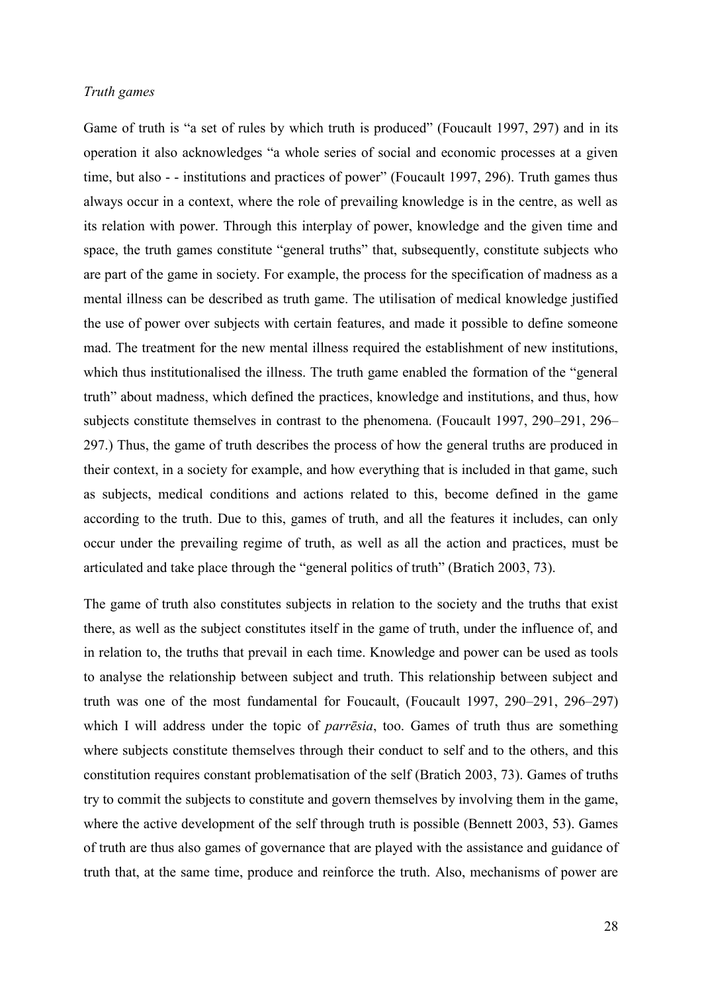#### *Truth games*

Game of truth is "a set of rules by which truth is produced" (Foucault 1997, 297) and in its operation it also acknowledges "a whole series of social and economic processes at a given time, but also - - institutions and practices of power" (Foucault 1997, 296). Truth games thus always occur in a context, where the role of prevailing knowledge is in the centre, as well as its relation with power. Through this interplay of power, knowledge and the given time and space, the truth games constitute "general truths" that, subsequently, constitute subjects who are part of the game in society. For example, the process for the specification of madness as a mental illness can be described as truth game. The utilisation of medical knowledge justified the use of power over subjects with certain features, and made it possible to define someone mad. The treatment for the new mental illness required the establishment of new institutions, which thus institutionalised the illness. The truth game enabled the formation of the "general truth" about madness, which defined the practices, knowledge and institutions, and thus, how subjects constitute themselves in contrast to the phenomena. (Foucault 1997, 290–291, 296– 297.) Thus, the game of truth describes the process of how the general truths are produced in their context, in a society for example, and how everything that is included in that game, such as subjects, medical conditions and actions related to this, become defined in the game according to the truth. Due to this, games of truth, and all the features it includes, can only occur under the prevailing regime of truth, as well as all the action and practices, must be articulated and take place through the "general politics of truth" (Bratich 2003, 73).

The game of truth also constitutes subjects in relation to the society and the truths that exist there, as well as the subject constitutes itself in the game of truth, under the influence of, and in relation to, the truths that prevail in each time. Knowledge and power can be used as tools to analyse the relationship between subject and truth. This relationship between subject and truth was one of the most fundamental for Foucault, (Foucault 1997, 290–291, 296–297) which I will address under the topic of *parrēsia*, too. Games of truth thus are something where subjects constitute themselves through their conduct to self and to the others, and this constitution requires constant problematisation of the self (Bratich 2003, 73). Games of truths try to commit the subjects to constitute and govern themselves by involving them in the game, where the active development of the self through truth is possible (Bennett 2003, 53). Games of truth are thus also games of governance that are played with the assistance and guidance of truth that, at the same time, produce and reinforce the truth. Also, mechanisms of power are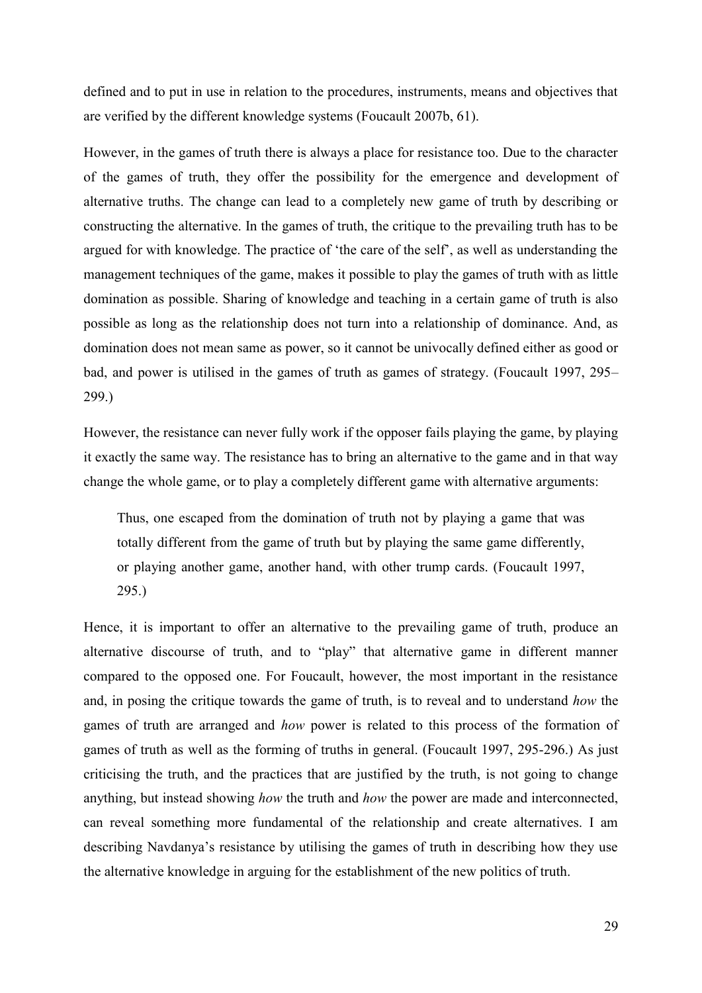defined and to put in use in relation to the procedures, instruments, means and objectives that are verified by the different knowledge systems (Foucault 2007b, 61).

However, in the games of truth there is always a place for resistance too. Due to the character of the games of truth, they offer the possibility for the emergence and development of alternative truths. The change can lead to a completely new game of truth by describing or constructing the alternative. In the games of truth, the critique to the prevailing truth has to be argued for with knowledge. The practice of 'the care of the self', as well as understanding the management techniques of the game, makes it possible to play the games of truth with as little domination as possible. Sharing of knowledge and teaching in a certain game of truth is also possible as long as the relationship does not turn into a relationship of dominance. And, as domination does not mean same as power, so it cannot be univocally defined either as good or bad, and power is utilised in the games of truth as games of strategy. (Foucault 1997, 295– 299.)

However, the resistance can never fully work if the opposer fails playing the game, by playing it exactly the same way. The resistance has to bring an alternative to the game and in that way change the whole game, or to play a completely different game with alternative arguments:

Thus, one escaped from the domination of truth not by playing a game that was totally different from the game of truth but by playing the same game differently, or playing another game, another hand, with other trump cards. (Foucault 1997, 295.)

Hence, it is important to offer an alternative to the prevailing game of truth, produce an alternative discourse of truth, and to "play" that alternative game in different manner compared to the opposed one. For Foucault, however, the most important in the resistance and, in posing the critique towards the game of truth, is to reveal and to understand *how* the games of truth are arranged and *how* power is related to this process of the formation of games of truth as well as the forming of truths in general. (Foucault 1997, 295-296.) As just criticising the truth, and the practices that are justified by the truth, is not going to change anything, but instead showing *how* the truth and *how* the power are made and interconnected, can reveal something more fundamental of the relationship and create alternatives. I am describing Navdanya's resistance by utilising the games of truth in describing how they use the alternative knowledge in arguing for the establishment of the new politics of truth.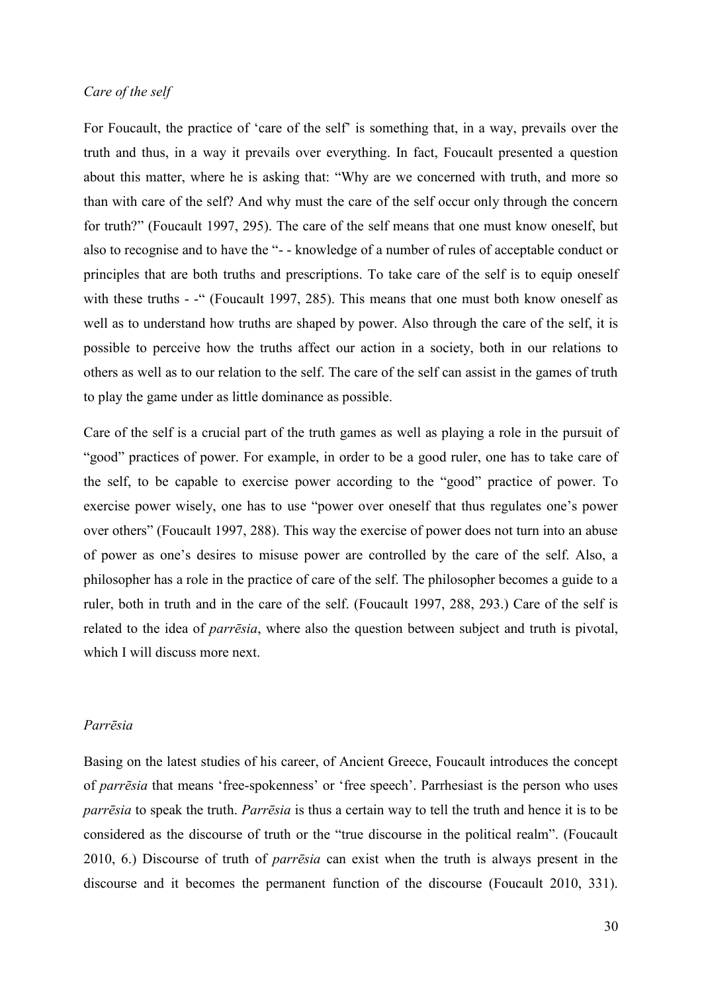#### *Care of the self*

For Foucault, the practice of 'care of the self' is something that, in a way, prevails over the truth and thus, in a way it prevails over everything. In fact, Foucault presented a question about this matter, where he is asking that: "Why are we concerned with truth, and more so than with care of the self? And why must the care of the self occur only through the concern for truth?" (Foucault 1997, 295). The care of the self means that one must know oneself, but also to recognise and to have the "- - knowledge of a number of rules of acceptable conduct or principles that are both truths and prescriptions. To take care of the self is to equip oneself with these truths - -" (Foucault 1997, 285). This means that one must both know oneself as well as to understand how truths are shaped by power. Also through the care of the self, it is possible to perceive how the truths affect our action in a society, both in our relations to others as well as to our relation to the self. The care of the self can assist in the games of truth to play the game under as little dominance as possible.

Care of the self is a crucial part of the truth games as well as playing a role in the pursuit of "good" practices of power. For example, in order to be a good ruler, one has to take care of the self, to be capable to exercise power according to the "good" practice of power. To exercise power wisely, one has to use "power over oneself that thus regulates one's power over others" (Foucault 1997, 288). This way the exercise of power does not turn into an abuse of power as one's desires to misuse power are controlled by the care of the self. Also, a philosopher has a role in the practice of care of the self. The philosopher becomes a guide to a ruler, both in truth and in the care of the self. (Foucault 1997, 288, 293.) Care of the self is related to the idea of *parrēsia*, where also the question between subject and truth is pivotal, which I will discuss more next.

#### *Parrēsia*

Basing on the latest studies of his career, of Ancient Greece, Foucault introduces the concept of *parrēsia* that means 'free-spokenness' or 'free speech'. Parrhesiast is the person who uses *parrēsia* to speak the truth. *Parrēsia* is thus a certain way to tell the truth and hence it is to be considered as the discourse of truth or the "true discourse in the political realm". (Foucault 2010, 6.) Discourse of truth of *parrēsia* can exist when the truth is always present in the discourse and it becomes the permanent function of the discourse (Foucault 2010, 331).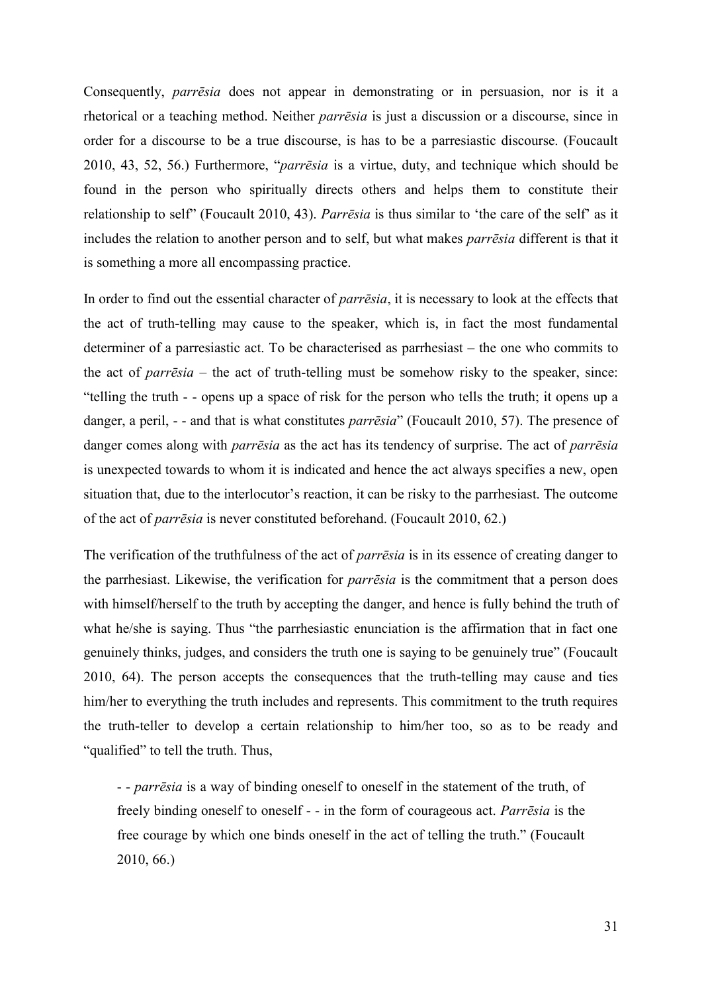Consequently, *parrēsia* does not appear in demonstrating or in persuasion, nor is it a rhetorical or a teaching method. Neither *parrēsia* is just a discussion or a discourse, since in order for a discourse to be a true discourse, is has to be a parresiastic discourse. (Foucault 2010, 43, 52, 56.) Furthermore, "*parrēsia* is a virtue, duty, and technique which should be found in the person who spiritually directs others and helps them to constitute their relationship to self" (Foucault 2010, 43). *Parrēsia* is thus similar to 'the care of the self' as it includes the relation to another person and to self, but what makes *parrēsia* different is that it is something a more all encompassing practice.

In order to find out the essential character of *parrēsia*, it is necessary to look at the effects that the act of truth-telling may cause to the speaker, which is, in fact the most fundamental determiner of a parresiastic act. To be characterised as parrhesiast – the one who commits to the act of *parrēsia* – the act of truth-telling must be somehow risky to the speaker, since: "telling the truth - - opens up a space of risk for the person who tells the truth; it opens up a danger, a peril, - - and that is what constitutes *parrēsia*" (Foucault 2010, 57). The presence of danger comes along with *parrēsia* as the act has its tendency of surprise. The act of *parrēsia* is unexpected towards to whom it is indicated and hence the act always specifies a new, open situation that, due to the interlocutor's reaction, it can be risky to the parrhesiast. The outcome of the act of *parrēsia* is never constituted beforehand. (Foucault 2010, 62.)

The verification of the truthfulness of the act of *parrēsia* is in its essence of creating danger to the parrhesiast. Likewise, the verification for *parrēsia* is the commitment that a person does with himself/herself to the truth by accepting the danger, and hence is fully behind the truth of what he/she is saying. Thus "the parrhesiastic enunciation is the affirmation that in fact one genuinely thinks, judges, and considers the truth one is saying to be genuinely true" (Foucault 2010, 64). The person accepts the consequences that the truth-telling may cause and ties him/her to everything the truth includes and represents. This commitment to the truth requires the truth-teller to develop a certain relationship to him/her too, so as to be ready and "qualified" to tell the truth. Thus,

- - *parrēsia* is a way of binding oneself to oneself in the statement of the truth, of freely binding oneself to oneself - - in the form of courageous act. *Parrēsia* is the free courage by which one binds oneself in the act of telling the truth." (Foucault 2010, 66.)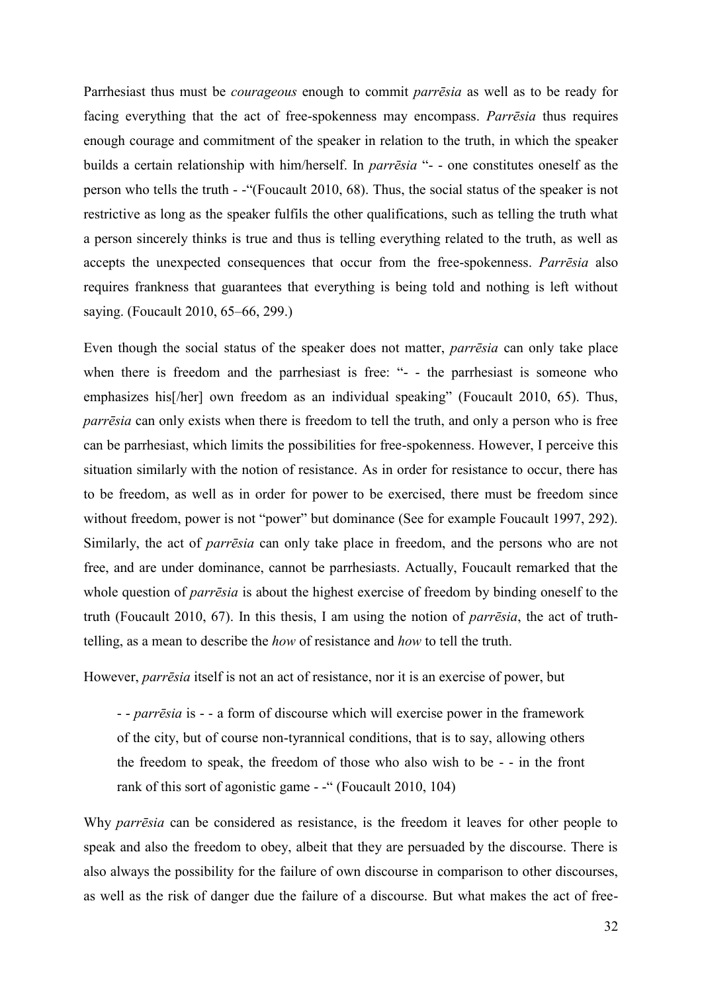Parrhesiast thus must be *courageous* enough to commit *parrēsia* as well as to be ready for facing everything that the act of free-spokenness may encompass. *Parrēsia* thus requires enough courage and commitment of the speaker in relation to the truth, in which the speaker builds a certain relationship with him/herself. In *parrēsia* "- - one constitutes oneself as the person who tells the truth - -"(Foucault 2010, 68). Thus, the social status of the speaker is not restrictive as long as the speaker fulfils the other qualifications, such as telling the truth what a person sincerely thinks is true and thus is telling everything related to the truth, as well as accepts the unexpected consequences that occur from the free-spokenness. *Parrēsia* also requires frankness that guarantees that everything is being told and nothing is left without saying. (Foucault 2010, 65–66, 299.)

Even though the social status of the speaker does not matter, *parrēsia* can only take place when there is freedom and the parrhesiast is free: "- - the parrhesiast is someone who emphasizes his<sup>[/her]</sup> own freedom as an individual speaking" (Foucault 2010, 65). Thus, *parrēsia* can only exists when there is freedom to tell the truth, and only a person who is free can be parrhesiast, which limits the possibilities for free-spokenness. However, I perceive this situation similarly with the notion of resistance. As in order for resistance to occur, there has to be freedom, as well as in order for power to be exercised, there must be freedom since without freedom, power is not "power" but dominance (See for example Foucault 1997, 292). Similarly, the act of *parrēsia* can only take place in freedom, and the persons who are not free, and are under dominance, cannot be parrhesiasts. Actually, Foucault remarked that the whole question of *parrēsia* is about the highest exercise of freedom by binding oneself to the truth (Foucault 2010, 67). In this thesis, I am using the notion of *parrēsia*, the act of truthtelling, as a mean to describe the *how* of resistance and *how* to tell the truth.

However, *parrēsia* itself is not an act of resistance, nor it is an exercise of power, but

- - *parrēsia* is - - a form of discourse which will exercise power in the framework of the city, but of course non-tyrannical conditions, that is to say, allowing others the freedom to speak, the freedom of those who also wish to be - - in the front rank of this sort of agonistic game - -" (Foucault 2010, 104)

Why *parrēsia* can be considered as resistance, is the freedom it leaves for other people to speak and also the freedom to obey, albeit that they are persuaded by the discourse. There is also always the possibility for the failure of own discourse in comparison to other discourses, as well as the risk of danger due the failure of a discourse. But what makes the act of free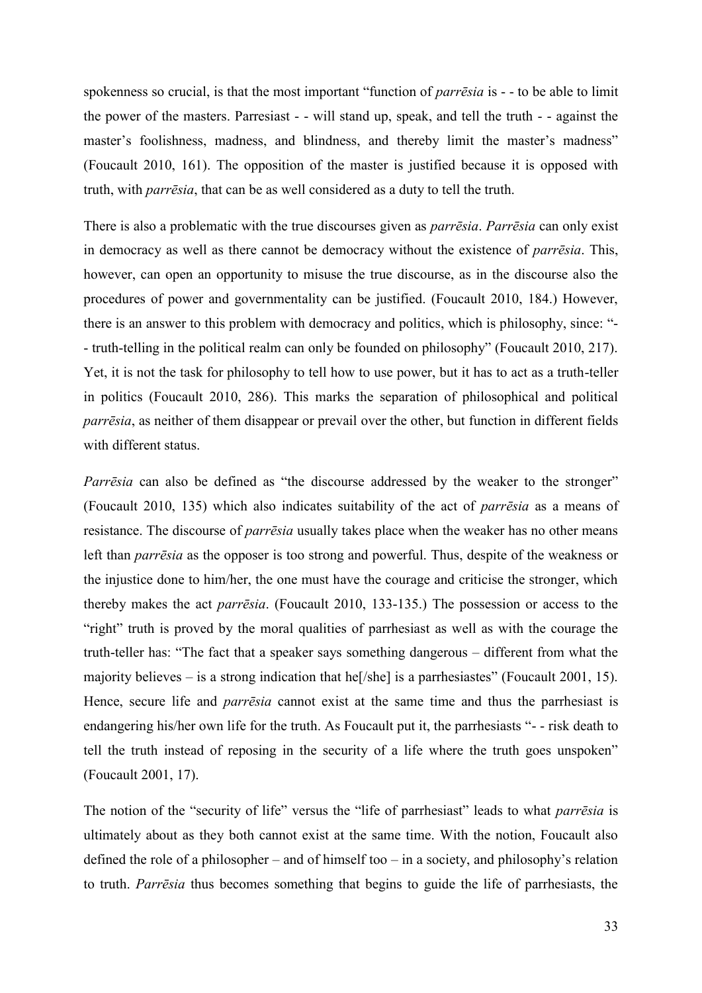spokenness so crucial, is that the most important "function of *parrēsia* is - - to be able to limit the power of the masters. Parresiast - - will stand up, speak, and tell the truth - - against the master's foolishness, madness, and blindness, and thereby limit the master's madness" (Foucault 2010, 161). The opposition of the master is justified because it is opposed with truth, with *parrēsia*, that can be as well considered as a duty to tell the truth.

There is also a problematic with the true discourses given as *parrēsia*. *Parrēsia* can only exist in democracy as well as there cannot be democracy without the existence of *parrēsia*. This, however, can open an opportunity to misuse the true discourse, as in the discourse also the procedures of power and governmentality can be justified. (Foucault 2010, 184.) However, there is an answer to this problem with democracy and politics, which is philosophy, since: "- - truth-telling in the political realm can only be founded on philosophy" (Foucault 2010, 217). Yet, it is not the task for philosophy to tell how to use power, but it has to act as a truth-teller in politics (Foucault 2010, 286). This marks the separation of philosophical and political *parrēsia*, as neither of them disappear or prevail over the other, but function in different fields with different status.

*Parrēsia* can also be defined as "the discourse addressed by the weaker to the stronger" (Foucault 2010, 135) which also indicates suitability of the act of *parrēsia* as a means of resistance. The discourse of *parrēsia* usually takes place when the weaker has no other means left than *parrēsia* as the opposer is too strong and powerful. Thus, despite of the weakness or the injustice done to him/her, the one must have the courage and criticise the stronger, which thereby makes the act *parrēsia*. (Foucault 2010, 133-135.) The possession or access to the "right" truth is proved by the moral qualities of parrhesiast as well as with the courage the truth-teller has: "The fact that a speaker says something dangerous – different from what the majority believes – is a strong indication that he[/she] is a parrhesiastes" (Foucault 2001, 15). Hence, secure life and *parrēsia* cannot exist at the same time and thus the parrhesiast is endangering his/her own life for the truth. As Foucault put it, the parrhesiasts "- - risk death to tell the truth instead of reposing in the security of a life where the truth goes unspoken" (Foucault 2001, 17).

The notion of the "security of life" versus the "life of parrhesiast" leads to what *parrēsia* is ultimately about as they both cannot exist at the same time. With the notion, Foucault also defined the role of a philosopher – and of himself too – in a society, and philosophy's relation to truth. *Parrēsia* thus becomes something that begins to guide the life of parrhesiasts, the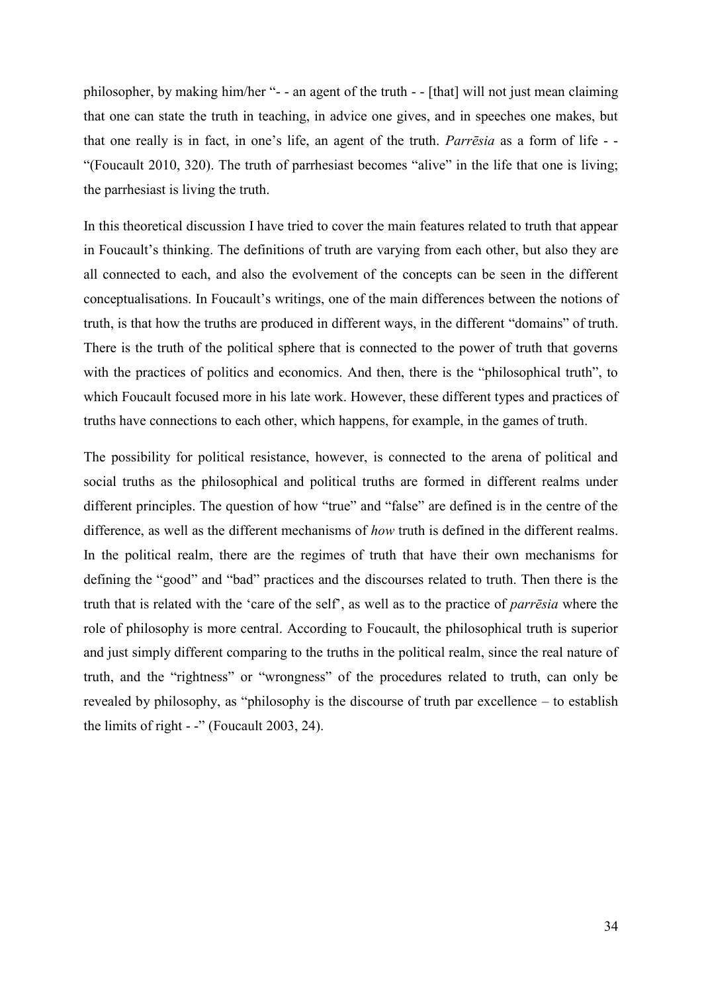philosopher, by making him/her "- - an agent of the truth - - [that] will not just mean claiming that one can state the truth in teaching, in advice one gives, and in speeches one makes, but that one really is in fact, in one's life, an agent of the truth. *Parrēsia* as a form of life - - "(Foucault 2010, 320). The truth of parrhesiast becomes "alive" in the life that one is living; the parrhesiast is living the truth.

In this theoretical discussion I have tried to cover the main features related to truth that appear in Foucault's thinking. The definitions of truth are varying from each other, but also they are all connected to each, and also the evolvement of the concepts can be seen in the different conceptualisations. In Foucault's writings, one of the main differences between the notions of truth, is that how the truths are produced in different ways, in the different "domains" of truth. There is the truth of the political sphere that is connected to the power of truth that governs with the practices of politics and economics. And then, there is the "philosophical truth", to which Foucault focused more in his late work. However, these different types and practices of truths have connections to each other, which happens, for example, in the games of truth.

The possibility for political resistance, however, is connected to the arena of political and social truths as the philosophical and political truths are formed in different realms under different principles. The question of how "true" and "false" are defined is in the centre of the difference, as well as the different mechanisms of *how* truth is defined in the different realms. In the political realm, there are the regimes of truth that have their own mechanisms for defining the "good" and "bad" practices and the discourses related to truth. Then there is the truth that is related with the 'care of the self', as well as to the practice of *parrēsia* where the role of philosophy is more central. According to Foucault, the philosophical truth is superior and just simply different comparing to the truths in the political realm, since the real nature of truth, and the "rightness" or "wrongness" of the procedures related to truth, can only be revealed by philosophy, as "philosophy is the discourse of truth par excellence – to establish the limits of right - -" (Foucault 2003, 24).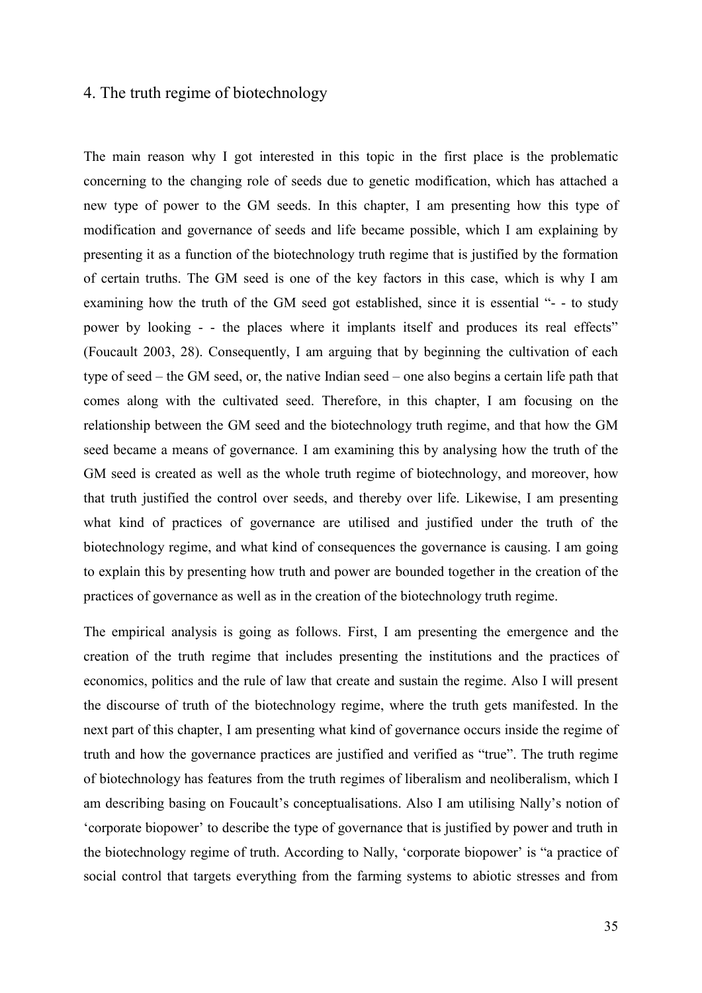# 4. The truth regime of biotechnology

The main reason why I got interested in this topic in the first place is the problematic concerning to the changing role of seeds due to genetic modification, which has attached a new type of power to the GM seeds. In this chapter, I am presenting how this type of modification and governance of seeds and life became possible, which I am explaining by presenting it as a function of the biotechnology truth regime that is justified by the formation of certain truths. The GM seed is one of the key factors in this case, which is why I am examining how the truth of the GM seed got established, since it is essential "- - to study power by looking - - the places where it implants itself and produces its real effects" (Foucault 2003, 28). Consequently, I am arguing that by beginning the cultivation of each type of seed – the GM seed, or, the native Indian seed – one also begins a certain life path that comes along with the cultivated seed. Therefore, in this chapter, I am focusing on the relationship between the GM seed and the biotechnology truth regime, and that how the GM seed became a means of governance. I am examining this by analysing how the truth of the GM seed is created as well as the whole truth regime of biotechnology, and moreover, how that truth justified the control over seeds, and thereby over life. Likewise, I am presenting what kind of practices of governance are utilised and justified under the truth of the biotechnology regime, and what kind of consequences the governance is causing. I am going to explain this by presenting how truth and power are bounded together in the creation of the practices of governance as well as in the creation of the biotechnology truth regime.

The empirical analysis is going as follows. First, I am presenting the emergence and the creation of the truth regime that includes presenting the institutions and the practices of economics, politics and the rule of law that create and sustain the regime. Also I will present the discourse of truth of the biotechnology regime, where the truth gets manifested. In the next part of this chapter, I am presenting what kind of governance occurs inside the regime of truth and how the governance practices are justified and verified as "true". The truth regime of biotechnology has features from the truth regimes of liberalism and neoliberalism, which I am describing basing on Foucault's conceptualisations. Also I am utilising Nally's notion of 'corporate biopower' to describe the type of governance that is justified by power and truth in the biotechnology regime of truth. According to Nally, 'corporate biopower' is "a practice of social control that targets everything from the farming systems to abiotic stresses and from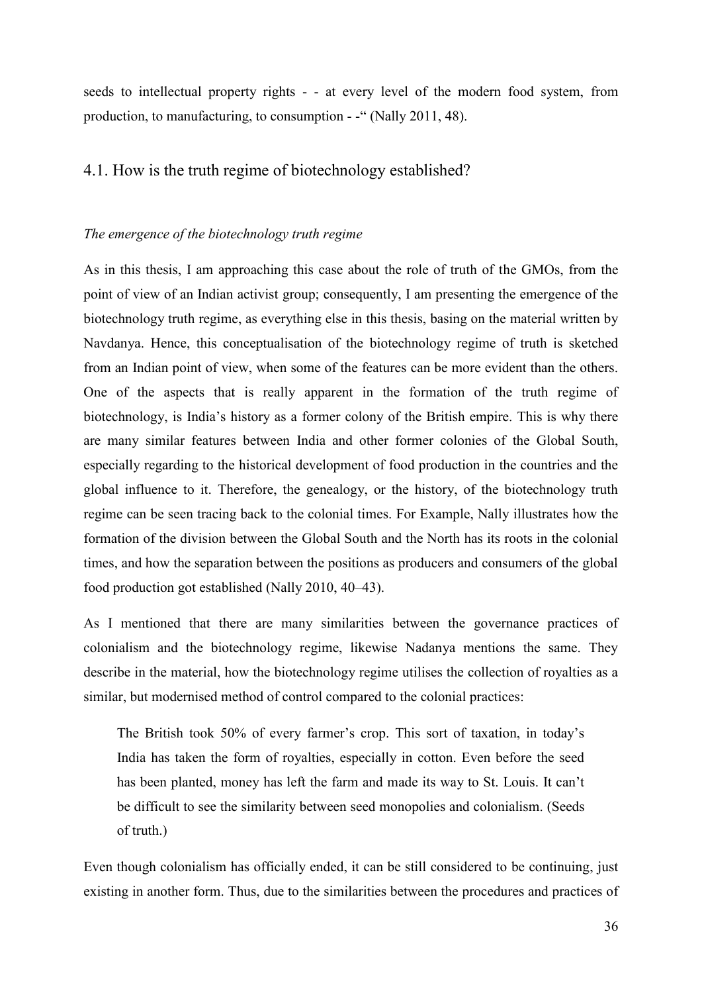seeds to intellectual property rights - - at every level of the modern food system, from production, to manufacturing, to consumption - -" (Nally 2011, 48).

# 4.1. How is the truth regime of biotechnology established?

### *The emergence of the biotechnology truth regime*

As in this thesis, I am approaching this case about the role of truth of the GMOs, from the point of view of an Indian activist group; consequently, I am presenting the emergence of the biotechnology truth regime, as everything else in this thesis, basing on the material written by Navdanya. Hence, this conceptualisation of the biotechnology regime of truth is sketched from an Indian point of view, when some of the features can be more evident than the others. One of the aspects that is really apparent in the formation of the truth regime of biotechnology, is India's history as a former colony of the British empire. This is why there are many similar features between India and other former colonies of the Global South, especially regarding to the historical development of food production in the countries and the global influence to it. Therefore, the genealogy, or the history, of the biotechnology truth regime can be seen tracing back to the colonial times. For Example, Nally illustrates how the formation of the division between the Global South and the North has its roots in the colonial times, and how the separation between the positions as producers and consumers of the global food production got established (Nally 2010, 40–43).

As I mentioned that there are many similarities between the governance practices of colonialism and the biotechnology regime, likewise Nadanya mentions the same. They describe in the material, how the biotechnology regime utilises the collection of royalties as a similar, but modernised method of control compared to the colonial practices:

The British took 50% of every farmer's crop. This sort of taxation, in today's India has taken the form of royalties, especially in cotton. Even before the seed has been planted, money has left the farm and made its way to St. Louis. It can't be difficult to see the similarity between seed monopolies and colonialism. (Seeds of truth.)

Even though colonialism has officially ended, it can be still considered to be continuing, just existing in another form. Thus, due to the similarities between the procedures and practices of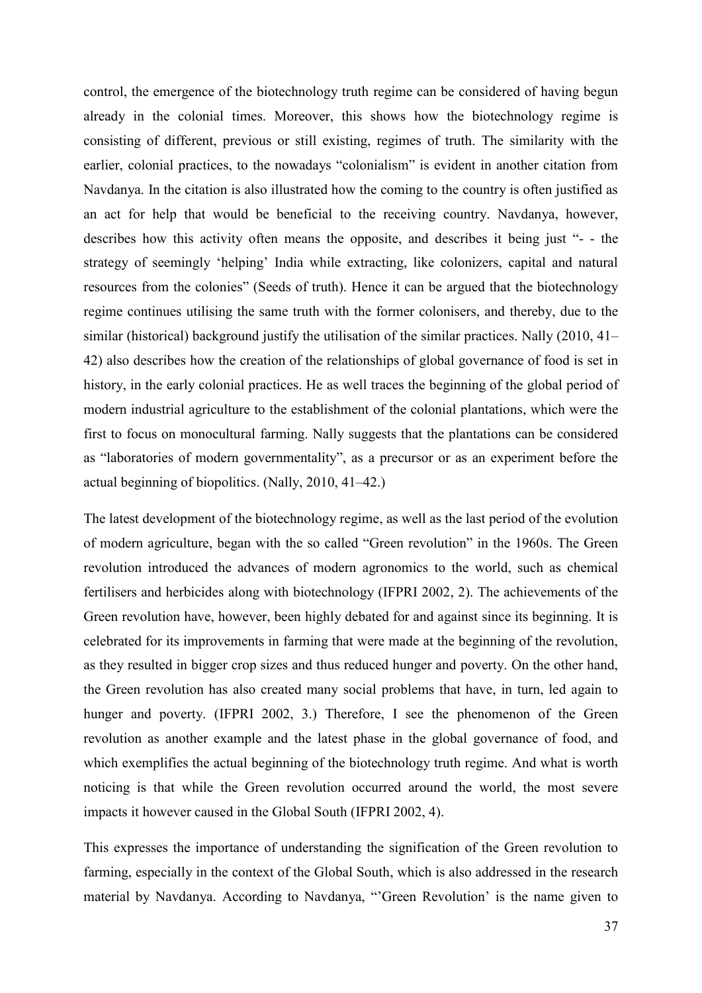control, the emergence of the biotechnology truth regime can be considered of having begun already in the colonial times. Moreover, this shows how the biotechnology regime is consisting of different, previous or still existing, regimes of truth. The similarity with the earlier, colonial practices, to the nowadays "colonialism" is evident in another citation from Navdanya. In the citation is also illustrated how the coming to the country is often justified as an act for help that would be beneficial to the receiving country. Navdanya, however, describes how this activity often means the opposite, and describes it being just "- - the strategy of seemingly 'helping' India while extracting, like colonizers, capital and natural resources from the colonies" (Seeds of truth). Hence it can be argued that the biotechnology regime continues utilising the same truth with the former colonisers, and thereby, due to the similar (historical) background justify the utilisation of the similar practices. Nally (2010, 41– 42) also describes how the creation of the relationships of global governance of food is set in history, in the early colonial practices. He as well traces the beginning of the global period of modern industrial agriculture to the establishment of the colonial plantations, which were the first to focus on monocultural farming. Nally suggests that the plantations can be considered as "laboratories of modern governmentality", as a precursor or as an experiment before the actual beginning of biopolitics. (Nally, 2010, 41–42.)

The latest development of the biotechnology regime, as well as the last period of the evolution of modern agriculture, began with the so called "Green revolution" in the 1960s. The Green revolution introduced the advances of modern agronomics to the world, such as chemical fertilisers and herbicides along with biotechnology (IFPRI 2002, 2). The achievements of the Green revolution have, however, been highly debated for and against since its beginning. It is celebrated for its improvements in farming that were made at the beginning of the revolution, as they resulted in bigger crop sizes and thus reduced hunger and poverty. On the other hand, the Green revolution has also created many social problems that have, in turn, led again to hunger and poverty. (IFPRI 2002, 3.) Therefore, I see the phenomenon of the Green revolution as another example and the latest phase in the global governance of food, and which exemplifies the actual beginning of the biotechnology truth regime. And what is worth noticing is that while the Green revolution occurred around the world, the most severe impacts it however caused in the Global South (IFPRI 2002, 4).

This expresses the importance of understanding the signification of the Green revolution to farming, especially in the context of the Global South, which is also addressed in the research material by Navdanya. According to Navdanya, "'Green Revolution' is the name given to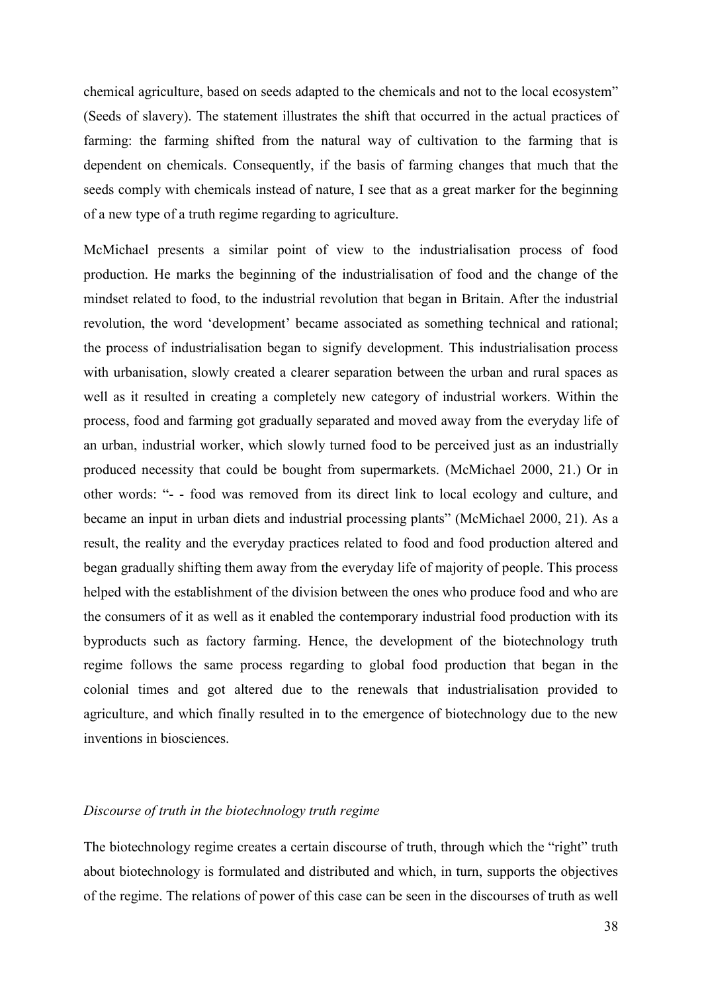chemical agriculture, based on seeds adapted to the chemicals and not to the local ecosystem" (Seeds of slavery). The statement illustrates the shift that occurred in the actual practices of farming: the farming shifted from the natural way of cultivation to the farming that is dependent on chemicals. Consequently, if the basis of farming changes that much that the seeds comply with chemicals instead of nature, I see that as a great marker for the beginning of a new type of a truth regime regarding to agriculture.

McMichael presents a similar point of view to the industrialisation process of food production. He marks the beginning of the industrialisation of food and the change of the mindset related to food, to the industrial revolution that began in Britain. After the industrial revolution, the word 'development' became associated as something technical and rational; the process of industrialisation began to signify development. This industrialisation process with urbanisation, slowly created a clearer separation between the urban and rural spaces as well as it resulted in creating a completely new category of industrial workers. Within the process, food and farming got gradually separated and moved away from the everyday life of an urban, industrial worker, which slowly turned food to be perceived just as an industrially produced necessity that could be bought from supermarkets. (McMichael 2000, 21.) Or in other words: "- - food was removed from its direct link to local ecology and culture, and became an input in urban diets and industrial processing plants" (McMichael 2000, 21). As a result, the reality and the everyday practices related to food and food production altered and began gradually shifting them away from the everyday life of majority of people. This process helped with the establishment of the division between the ones who produce food and who are the consumers of it as well as it enabled the contemporary industrial food production with its byproducts such as factory farming. Hence, the development of the biotechnology truth regime follows the same process regarding to global food production that began in the colonial times and got altered due to the renewals that industrialisation provided to agriculture, and which finally resulted in to the emergence of biotechnology due to the new inventions in biosciences.

## *Discourse of truth in the biotechnology truth regime*

The biotechnology regime creates a certain discourse of truth, through which the "right" truth about biotechnology is formulated and distributed and which, in turn, supports the objectives of the regime. The relations of power of this case can be seen in the discourses of truth as well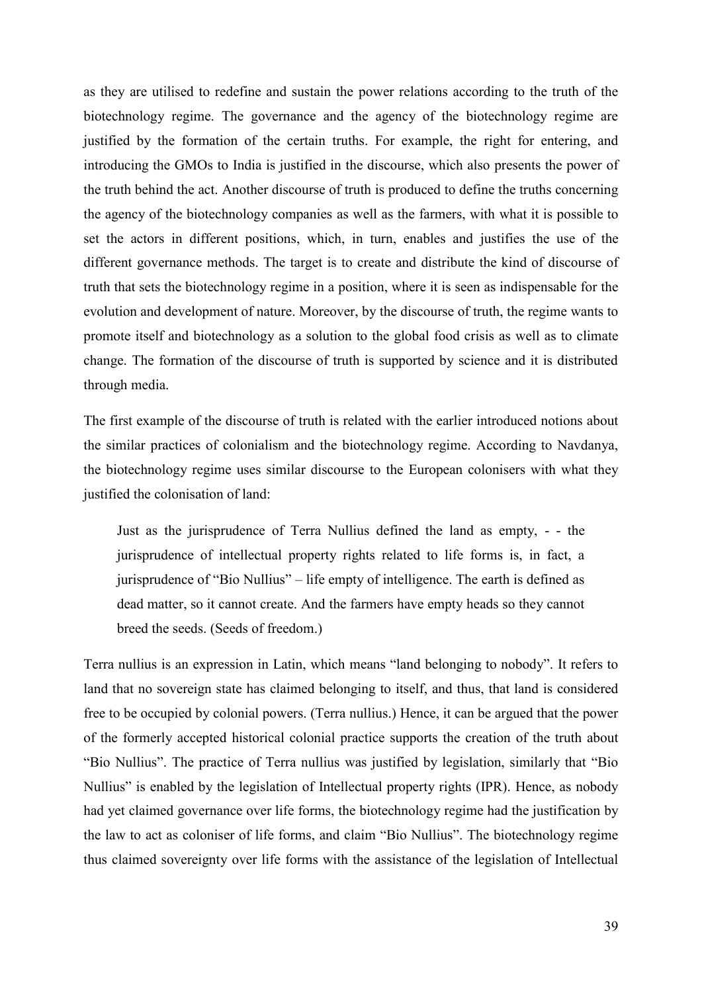as they are utilised to redefine and sustain the power relations according to the truth of the biotechnology regime. The governance and the agency of the biotechnology regime are justified by the formation of the certain truths. For example, the right for entering, and introducing the GMOs to India is justified in the discourse, which also presents the power of the truth behind the act. Another discourse of truth is produced to define the truths concerning the agency of the biotechnology companies as well as the farmers, with what it is possible to set the actors in different positions, which, in turn, enables and justifies the use of the different governance methods. The target is to create and distribute the kind of discourse of truth that sets the biotechnology regime in a position, where it is seen as indispensable for the evolution and development of nature. Moreover, by the discourse of truth, the regime wants to promote itself and biotechnology as a solution to the global food crisis as well as to climate change. The formation of the discourse of truth is supported by science and it is distributed through media.

The first example of the discourse of truth is related with the earlier introduced notions about the similar practices of colonialism and the biotechnology regime. According to Navdanya, the biotechnology regime uses similar discourse to the European colonisers with what they justified the colonisation of land:

Just as the jurisprudence of Terra Nullius defined the land as empty, - - the jurisprudence of intellectual property rights related to life forms is, in fact, a jurisprudence of "Bio Nullius" – life empty of intelligence. The earth is defined as dead matter, so it cannot create. And the farmers have empty heads so they cannot breed the seeds. (Seeds of freedom.)

Terra nullius is an expression in Latin, which means "land belonging to nobody". It refers to land that no sovereign state has claimed belonging to itself, and thus, that land is considered free to be occupied by colonial powers. (Terra nullius.) Hence, it can be argued that the power of the formerly accepted historical colonial practice supports the creation of the truth about "Bio Nullius". The practice of Terra nullius was justified by legislation, similarly that "Bio Nullius" is enabled by the legislation of Intellectual property rights (IPR). Hence, as nobody had yet claimed governance over life forms, the biotechnology regime had the justification by the law to act as coloniser of life forms, and claim "Bio Nullius". The biotechnology regime thus claimed sovereignty over life forms with the assistance of the legislation of Intellectual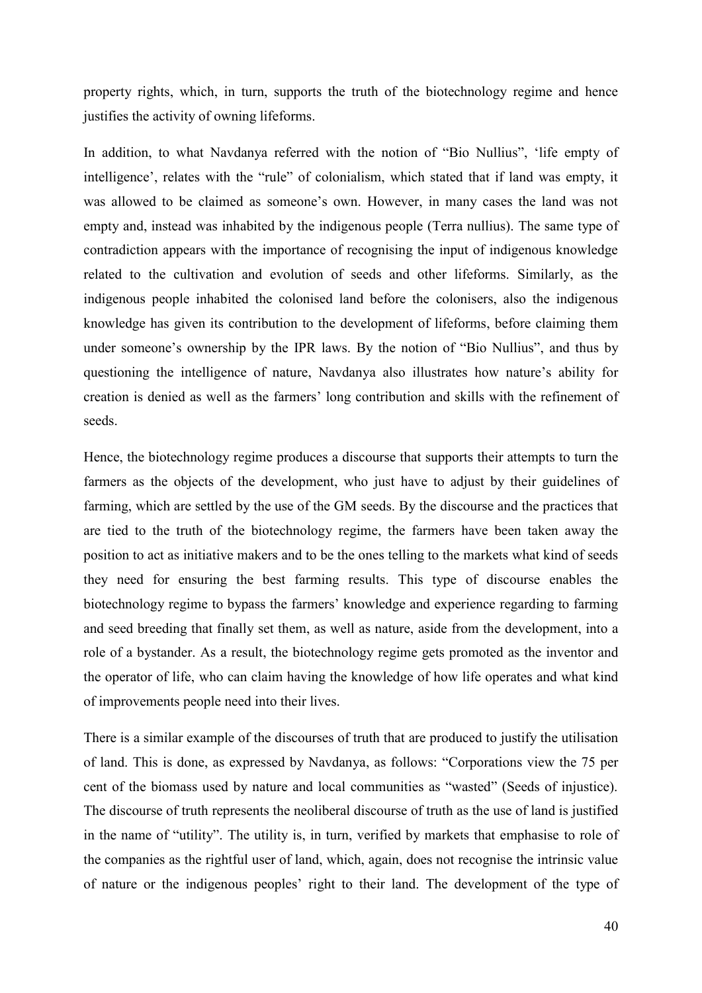property rights, which, in turn, supports the truth of the biotechnology regime and hence justifies the activity of owning lifeforms.

In addition, to what Navdanya referred with the notion of "Bio Nullius", 'life empty of intelligence', relates with the "rule" of colonialism, which stated that if land was empty, it was allowed to be claimed as someone's own. However, in many cases the land was not empty and, instead was inhabited by the indigenous people (Terra nullius). The same type of contradiction appears with the importance of recognising the input of indigenous knowledge related to the cultivation and evolution of seeds and other lifeforms. Similarly, as the indigenous people inhabited the colonised land before the colonisers, also the indigenous knowledge has given its contribution to the development of lifeforms, before claiming them under someone's ownership by the IPR laws. By the notion of "Bio Nullius", and thus by questioning the intelligence of nature, Navdanya also illustrates how nature's ability for creation is denied as well as the farmers' long contribution and skills with the refinement of seeds.

Hence, the biotechnology regime produces a discourse that supports their attempts to turn the farmers as the objects of the development, who just have to adjust by their guidelines of farming, which are settled by the use of the GM seeds. By the discourse and the practices that are tied to the truth of the biotechnology regime, the farmers have been taken away the position to act as initiative makers and to be the ones telling to the markets what kind of seeds they need for ensuring the best farming results. This type of discourse enables the biotechnology regime to bypass the farmers' knowledge and experience regarding to farming and seed breeding that finally set them, as well as nature, aside from the development, into a role of a bystander. As a result, the biotechnology regime gets promoted as the inventor and the operator of life, who can claim having the knowledge of how life operates and what kind of improvements people need into their lives.

There is a similar example of the discourses of truth that are produced to justify the utilisation of land. This is done, as expressed by Navdanya, as follows: "Corporations view the 75 per cent of the biomass used by nature and local communities as "wasted" (Seeds of injustice). The discourse of truth represents the neoliberal discourse of truth as the use of land is justified in the name of "utility". The utility is, in turn, verified by markets that emphasise to role of the companies as the rightful user of land, which, again, does not recognise the intrinsic value of nature or the indigenous peoples' right to their land. The development of the type of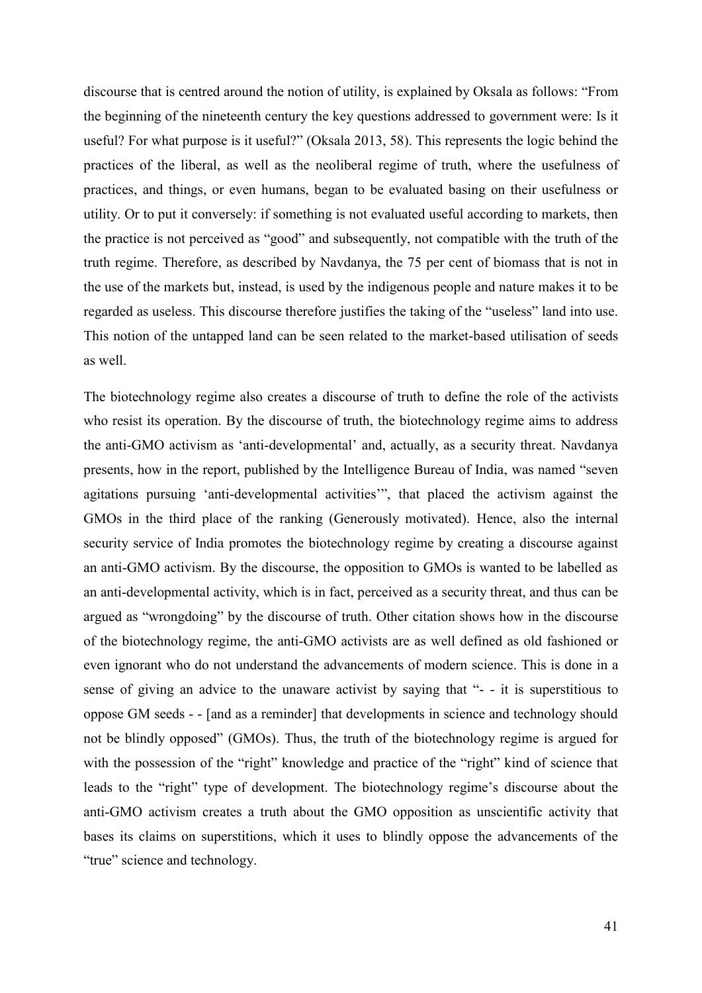discourse that is centred around the notion of utility, is explained by Oksala as follows: "From the beginning of the nineteenth century the key questions addressed to government were: Is it useful? For what purpose is it useful?" (Oksala 2013, 58). This represents the logic behind the practices of the liberal, as well as the neoliberal regime of truth, where the usefulness of practices, and things, or even humans, began to be evaluated basing on their usefulness or utility. Or to put it conversely: if something is not evaluated useful according to markets, then the practice is not perceived as "good" and subsequently, not compatible with the truth of the truth regime. Therefore, as described by Navdanya, the 75 per cent of biomass that is not in the use of the markets but, instead, is used by the indigenous people and nature makes it to be regarded as useless. This discourse therefore justifies the taking of the "useless" land into use. This notion of the untapped land can be seen related to the market-based utilisation of seeds as well.

The biotechnology regime also creates a discourse of truth to define the role of the activists who resist its operation. By the discourse of truth, the biotechnology regime aims to address the anti-GMO activism as 'anti-developmental' and, actually, as a security threat. Navdanya presents, how in the report, published by the Intelligence Bureau of India, was named "seven agitations pursuing 'anti-developmental activities'", that placed the activism against the GMOs in the third place of the ranking (Generously motivated). Hence, also the internal security service of India promotes the biotechnology regime by creating a discourse against an anti-GMO activism. By the discourse, the opposition to GMOs is wanted to be labelled as an anti-developmental activity, which is in fact, perceived as a security threat, and thus can be argued as "wrongdoing" by the discourse of truth. Other citation shows how in the discourse of the biotechnology regime, the anti-GMO activists are as well defined as old fashioned or even ignorant who do not understand the advancements of modern science. This is done in a sense of giving an advice to the unaware activist by saying that "- - it is superstitious to oppose GM seeds - - [and as a reminder] that developments in science and technology should not be blindly opposed" (GMOs). Thus, the truth of the biotechnology regime is argued for with the possession of the "right" knowledge and practice of the "right" kind of science that leads to the "right" type of development. The biotechnology regime's discourse about the anti-GMO activism creates a truth about the GMO opposition as unscientific activity that bases its claims on superstitions, which it uses to blindly oppose the advancements of the "true" science and technology.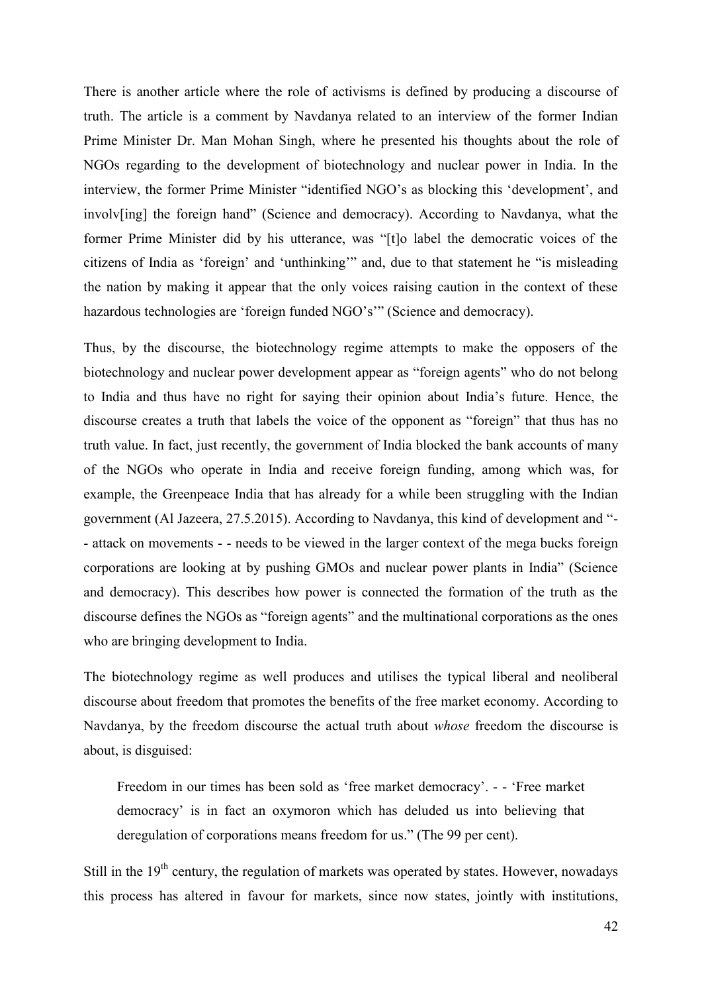There is another article where the role of activisms is defined by producing a discourse of truth. The article is a comment by Navdanya related to an interview of the former Indian Prime Minister Dr. Man Mohan Singh, where he presented his thoughts about the role of NGOs regarding to the development of biotechnology and nuclear power in India. In the interview, the former Prime Minister "identified NGO's as blocking this 'development', and involv[ing] the foreign hand" (Science and democracy). According to Navdanya, what the former Prime Minister did by his utterance, was "[t]o label the democratic voices of the citizens of India as 'foreign' and 'unthinking'" and, due to that statement he "is misleading the nation by making it appear that the only voices raising caution in the context of these hazardous technologies are 'foreign funded NGO's'" (Science and democracy).

Thus, by the discourse, the biotechnology regime attempts to make the opposers of the biotechnology and nuclear power development appear as "foreign agents" who do not belong to India and thus have no right for saying their opinion about India's future. Hence, the discourse creates a truth that labels the voice of the opponent as "foreign" that thus has no truth value. In fact, just recently, the government of India blocked the bank accounts of many of the NGOs who operate in India and receive foreign funding, among which was, for example, the Greenpeace India that has already for a while been struggling with the Indian government (Al Jazeera, 27.5.2015). According to Navdanya, this kind of development and "- - attack on movements - - needs to be viewed in the larger context of the mega bucks foreign corporations are looking at by pushing GMOs and nuclear power plants in India" (Science and democracy). This describes how power is connected the formation of the truth as the discourse defines the NGOs as "foreign agents" and the multinational corporations as the ones who are bringing development to India.

The biotechnology regime as well produces and utilises the typical liberal and neoliberal discourse about freedom that promotes the benefits of the free market economy. According to Navdanya, by the freedom discourse the actual truth about *whose* freedom the discourse is about, is disguised:

Freedom in our times has been sold as 'free market democracy'. - - 'Free market democracy' is in fact an oxymoron which has deluded us into believing that deregulation of corporations means freedom for us." (The 99 per cent).

Still in the  $19<sup>th</sup>$  century, the regulation of markets was operated by states. However, nowadays this process has altered in favour for markets, since now states, jointly with institutions,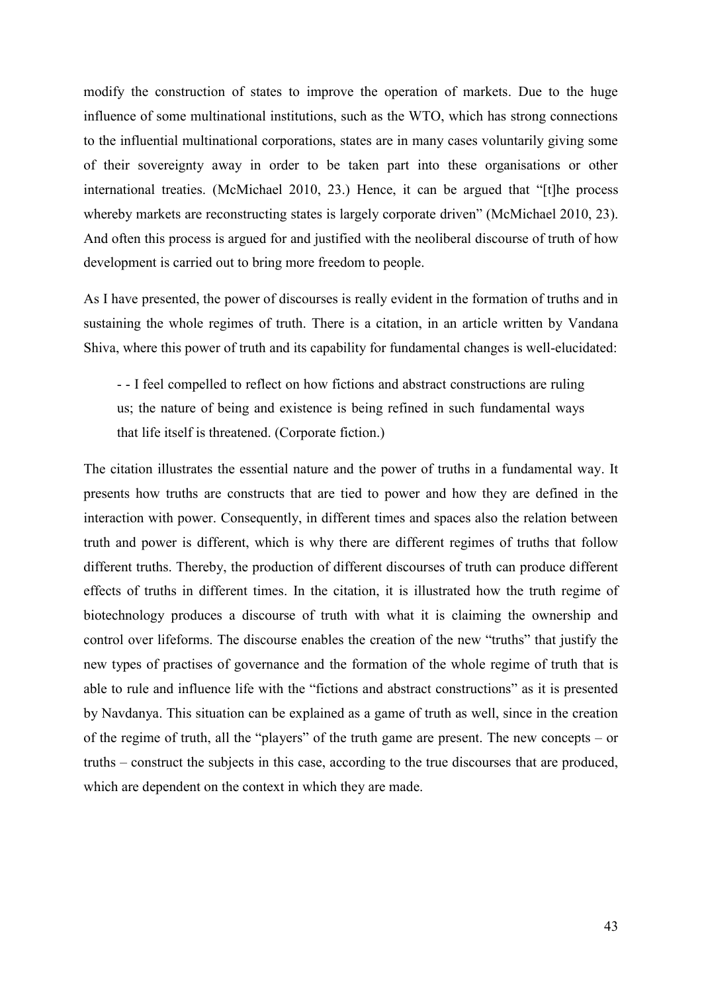modify the construction of states to improve the operation of markets. Due to the huge influence of some multinational institutions, such as the WTO, which has strong connections to the influential multinational corporations, states are in many cases voluntarily giving some of their sovereignty away in order to be taken part into these organisations or other international treaties. (McMichael 2010, 23.) Hence, it can be argued that "[t]he process whereby markets are reconstructing states is largely corporate driven" (McMichael 2010, 23). And often this process is argued for and justified with the neoliberal discourse of truth of how development is carried out to bring more freedom to people.

As I have presented, the power of discourses is really evident in the formation of truths and in sustaining the whole regimes of truth. There is a citation, in an article written by Vandana Shiva, where this power of truth and its capability for fundamental changes is well-elucidated:

- - I feel compelled to reflect on how fictions and abstract constructions are ruling us; the nature of being and existence is being refined in such fundamental ways that life itself is threatened. (Corporate fiction.)

The citation illustrates the essential nature and the power of truths in a fundamental way. It presents how truths are constructs that are tied to power and how they are defined in the interaction with power. Consequently, in different times and spaces also the relation between truth and power is different, which is why there are different regimes of truths that follow different truths. Thereby, the production of different discourses of truth can produce different effects of truths in different times. In the citation, it is illustrated how the truth regime of biotechnology produces a discourse of truth with what it is claiming the ownership and control over lifeforms. The discourse enables the creation of the new "truths" that justify the new types of practises of governance and the formation of the whole regime of truth that is able to rule and influence life with the "fictions and abstract constructions" as it is presented by Navdanya. This situation can be explained as a game of truth as well, since in the creation of the regime of truth, all the "players" of the truth game are present. The new concepts – or truths – construct the subjects in this case, according to the true discourses that are produced, which are dependent on the context in which they are made.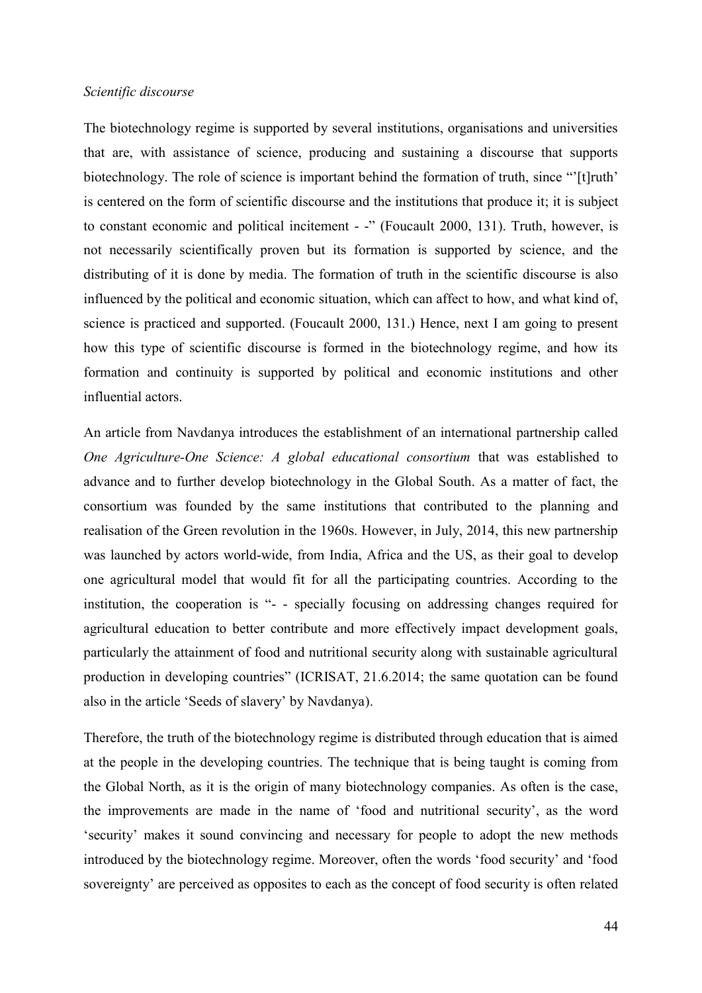#### *Scientific discourse*

The biotechnology regime is supported by several institutions, organisations and universities that are, with assistance of science, producing and sustaining a discourse that supports biotechnology. The role of science is important behind the formation of truth, since "[t]ruth' is centered on the form of scientific discourse and the institutions that produce it; it is subject to constant economic and political incitement - -" (Foucault 2000, 131). Truth, however, is not necessarily scientifically proven but its formation is supported by science, and the distributing of it is done by media. The formation of truth in the scientific discourse is also influenced by the political and economic situation, which can affect to how, and what kind of, science is practiced and supported. (Foucault 2000, 131.) Hence, next I am going to present how this type of scientific discourse is formed in the biotechnology regime, and how its formation and continuity is supported by political and economic institutions and other influential actors.

An article from Navdanya introduces the establishment of an international partnership called *One Agriculture-One Science: A global educational consortium* that was established to advance and to further develop biotechnology in the Global South. As a matter of fact, the consortium was founded by the same institutions that contributed to the planning and realisation of the Green revolution in the 1960s. However, in July, 2014, this new partnership was launched by actors world-wide, from India, Africa and the US, as their goal to develop one agricultural model that would fit for all the participating countries. According to the institution, the cooperation is "- - specially focusing on addressing changes required for agricultural education to better contribute and more effectively impact development goals, particularly the attainment of food and nutritional security along with sustainable agricultural production in developing countries" (ICRISAT, 21.6.2014; the same quotation can be found also in the article 'Seeds of slavery' by Navdanya).

Therefore, the truth of the biotechnology regime is distributed through education that is aimed at the people in the developing countries. The technique that is being taught is coming from the Global North, as it is the origin of many biotechnology companies. As often is the case, the improvements are made in the name of 'food and nutritional security', as the word 'security' makes it sound convincing and necessary for people to adopt the new methods introduced by the biotechnology regime. Moreover, often the words 'food security' and 'food sovereignty' are perceived as opposites to each as the concept of food security is often related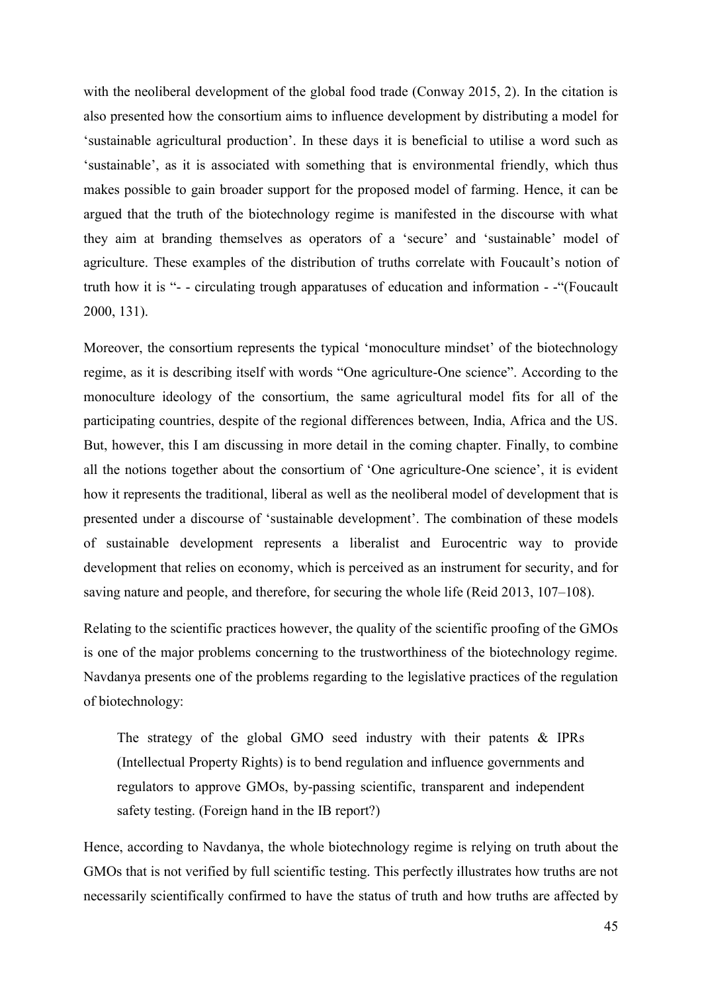with the neoliberal development of the global food trade (Conway 2015, 2). In the citation is also presented how the consortium aims to influence development by distributing a model for 'sustainable agricultural production'. In these days it is beneficial to utilise a word such as 'sustainable', as it is associated with something that is environmental friendly, which thus makes possible to gain broader support for the proposed model of farming. Hence, it can be argued that the truth of the biotechnology regime is manifested in the discourse with what they aim at branding themselves as operators of a 'secure' and 'sustainable' model of agriculture. These examples of the distribution of truths correlate with Foucault's notion of truth how it is "- - circulating trough apparatuses of education and information - -"(Foucault 2000, 131).

Moreover, the consortium represents the typical 'monoculture mindset' of the biotechnology regime, as it is describing itself with words "One agriculture-One science". According to the monoculture ideology of the consortium, the same agricultural model fits for all of the participating countries, despite of the regional differences between, India, Africa and the US. But, however, this I am discussing in more detail in the coming chapter. Finally, to combine all the notions together about the consortium of 'One agriculture-One science', it is evident how it represents the traditional, liberal as well as the neoliberal model of development that is presented under a discourse of 'sustainable development'. The combination of these models of sustainable development represents a liberalist and Eurocentric way to provide development that relies on economy, which is perceived as an instrument for security, and for saving nature and people, and therefore, for securing the whole life (Reid 2013, 107–108).

Relating to the scientific practices however, the quality of the scientific proofing of the GMOs is one of the major problems concerning to the trustworthiness of the biotechnology regime. Navdanya presents one of the problems regarding to the legislative practices of the regulation of biotechnology:

The strategy of the global GMO seed industry with their patents & IPRs (Intellectual Property Rights) is to bend regulation and influence governments and regulators to approve GMOs, by-passing scientific, transparent and independent safety testing. (Foreign hand in the IB report?)

Hence, according to Navdanya, the whole biotechnology regime is relying on truth about the GMOs that is not verified by full scientific testing. This perfectly illustrates how truths are not necessarily scientifically confirmed to have the status of truth and how truths are affected by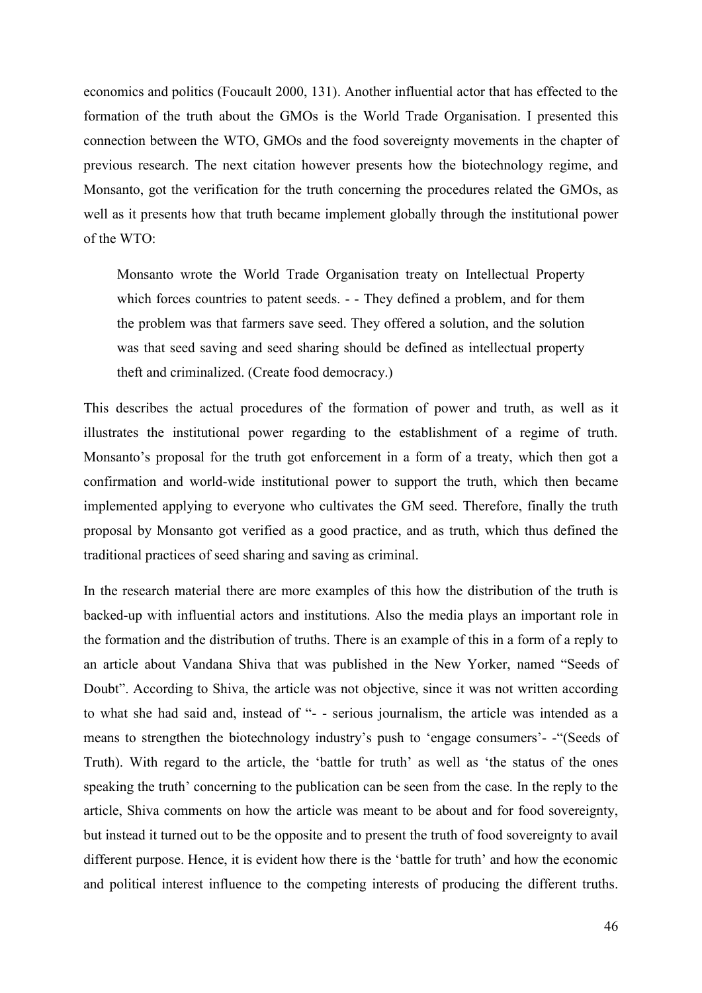economics and politics (Foucault 2000, 131). Another influential actor that has effected to the formation of the truth about the GMOs is the World Trade Organisation. I presented this connection between the WTO, GMOs and the food sovereignty movements in the chapter of previous research. The next citation however presents how the biotechnology regime, and Monsanto, got the verification for the truth concerning the procedures related the GMOs, as well as it presents how that truth became implement globally through the institutional power of the WTO:

Monsanto wrote the World Trade Organisation treaty on Intellectual Property which forces countries to patent seeds. - - They defined a problem, and for them the problem was that farmers save seed. They offered a solution, and the solution was that seed saving and seed sharing should be defined as intellectual property theft and criminalized. (Create food democracy.)

This describes the actual procedures of the formation of power and truth, as well as it illustrates the institutional power regarding to the establishment of a regime of truth. Monsanto's proposal for the truth got enforcement in a form of a treaty, which then got a confirmation and world-wide institutional power to support the truth, which then became implemented applying to everyone who cultivates the GM seed. Therefore, finally the truth proposal by Monsanto got verified as a good practice, and as truth, which thus defined the traditional practices of seed sharing and saving as criminal.

In the research material there are more examples of this how the distribution of the truth is backed-up with influential actors and institutions. Also the media plays an important role in the formation and the distribution of truths. There is an example of this in a form of a reply to an article about Vandana Shiva that was published in the New Yorker, named "Seeds of Doubt". According to Shiva, the article was not objective, since it was not written according to what she had said and, instead of "- - serious journalism, the article was intended as a means to strengthen the biotechnology industry's push to 'engage consumers'- -"(Seeds of Truth). With regard to the article, the 'battle for truth' as well as 'the status of the ones speaking the truth' concerning to the publication can be seen from the case. In the reply to the article, Shiva comments on how the article was meant to be about and for food sovereignty, but instead it turned out to be the opposite and to present the truth of food sovereignty to avail different purpose. Hence, it is evident how there is the 'battle for truth' and how the economic and political interest influence to the competing interests of producing the different truths.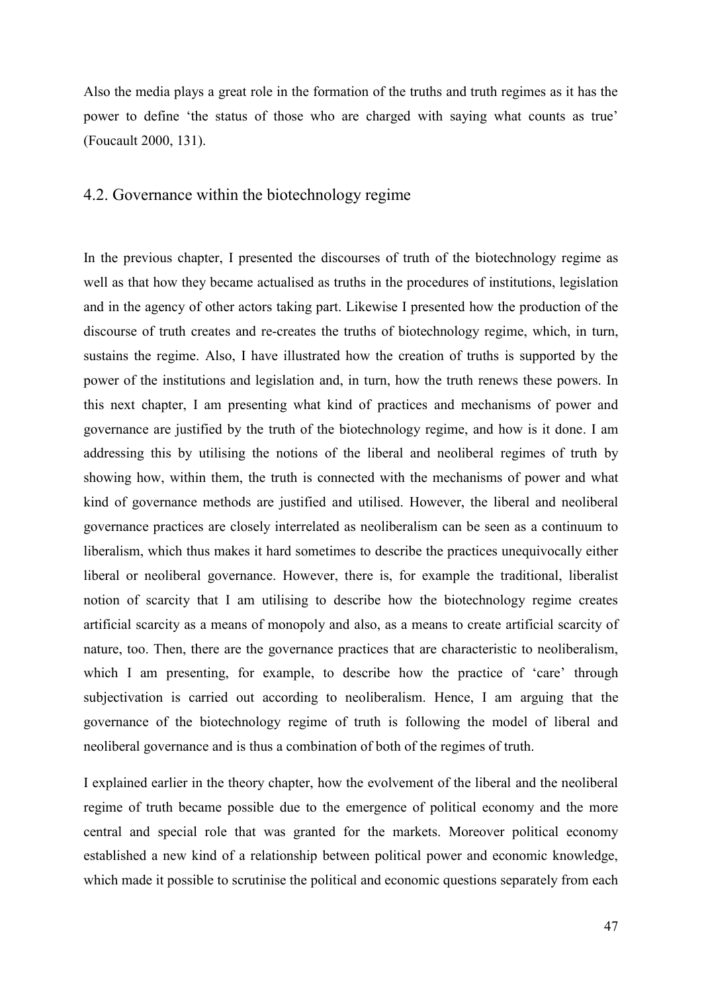Also the media plays a great role in the formation of the truths and truth regimes as it has the power to define 'the status of those who are charged with saying what counts as true' (Foucault 2000, 131).

## 4.2. Governance within the biotechnology regime

In the previous chapter, I presented the discourses of truth of the biotechnology regime as well as that how they became actualised as truths in the procedures of institutions, legislation and in the agency of other actors taking part. Likewise I presented how the production of the discourse of truth creates and re-creates the truths of biotechnology regime, which, in turn, sustains the regime. Also, I have illustrated how the creation of truths is supported by the power of the institutions and legislation and, in turn, how the truth renews these powers. In this next chapter, I am presenting what kind of practices and mechanisms of power and governance are justified by the truth of the biotechnology regime, and how is it done. I am addressing this by utilising the notions of the liberal and neoliberal regimes of truth by showing how, within them, the truth is connected with the mechanisms of power and what kind of governance methods are justified and utilised. However, the liberal and neoliberal governance practices are closely interrelated as neoliberalism can be seen as a continuum to liberalism, which thus makes it hard sometimes to describe the practices unequivocally either liberal or neoliberal governance. However, there is, for example the traditional, liberalist notion of scarcity that I am utilising to describe how the biotechnology regime creates artificial scarcity as a means of monopoly and also, as a means to create artificial scarcity of nature, too. Then, there are the governance practices that are characteristic to neoliberalism, which I am presenting, for example, to describe how the practice of 'care' through subjectivation is carried out according to neoliberalism. Hence, I am arguing that the governance of the biotechnology regime of truth is following the model of liberal and neoliberal governance and is thus a combination of both of the regimes of truth.

I explained earlier in the theory chapter, how the evolvement of the liberal and the neoliberal regime of truth became possible due to the emergence of political economy and the more central and special role that was granted for the markets. Moreover political economy established a new kind of a relationship between political power and economic knowledge, which made it possible to scrutinise the political and economic questions separately from each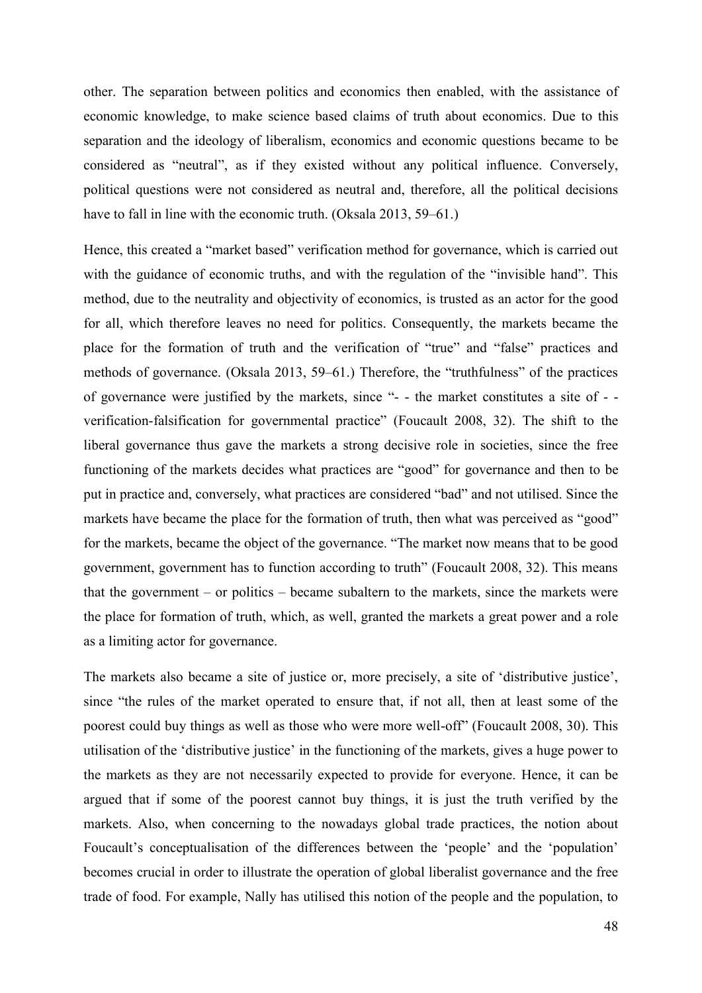other. The separation between politics and economics then enabled, with the assistance of economic knowledge, to make science based claims of truth about economics. Due to this separation and the ideology of liberalism, economics and economic questions became to be considered as "neutral", as if they existed without any political influence. Conversely, political questions were not considered as neutral and, therefore, all the political decisions have to fall in line with the economic truth. (Oksala 2013, 59–61.)

Hence, this created a "market based" verification method for governance, which is carried out with the guidance of economic truths, and with the regulation of the "invisible hand". This method, due to the neutrality and objectivity of economics, is trusted as an actor for the good for all, which therefore leaves no need for politics. Consequently, the markets became the place for the formation of truth and the verification of "true" and "false" practices and methods of governance. (Oksala 2013, 59–61.) Therefore, the "truthfulness" of the practices of governance were justified by the markets, since "- - the market constitutes a site of - verification-falsification for governmental practice" (Foucault 2008, 32). The shift to the liberal governance thus gave the markets a strong decisive role in societies, since the free functioning of the markets decides what practices are "good" for governance and then to be put in practice and, conversely, what practices are considered "bad" and not utilised. Since the markets have became the place for the formation of truth, then what was perceived as "good" for the markets, became the object of the governance. "The market now means that to be good government, government has to function according to truth" (Foucault 2008, 32). This means that the government – or politics – became subaltern to the markets, since the markets were the place for formation of truth, which, as well, granted the markets a great power and a role as a limiting actor for governance.

The markets also became a site of justice or, more precisely, a site of 'distributive justice', since "the rules of the market operated to ensure that, if not all, then at least some of the poorest could buy things as well as those who were more well-off" (Foucault 2008, 30). This utilisation of the 'distributive justice' in the functioning of the markets, gives a huge power to the markets as they are not necessarily expected to provide for everyone. Hence, it can be argued that if some of the poorest cannot buy things, it is just the truth verified by the markets. Also, when concerning to the nowadays global trade practices, the notion about Foucault's conceptualisation of the differences between the 'people' and the 'population' becomes crucial in order to illustrate the operation of global liberalist governance and the free trade of food. For example, Nally has utilised this notion of the people and the population, to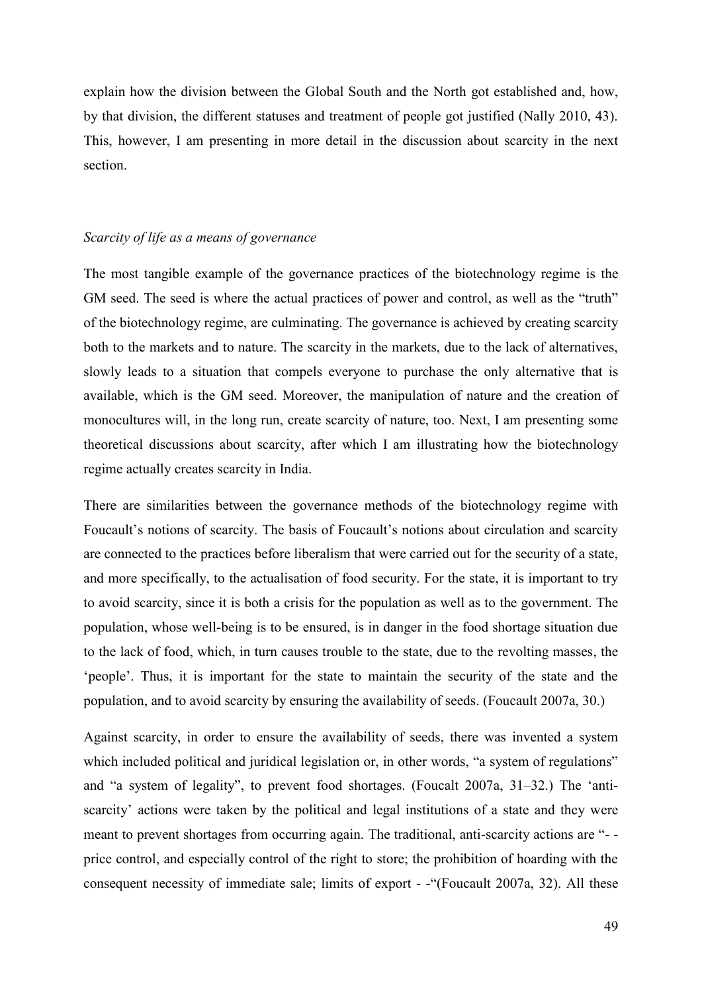explain how the division between the Global South and the North got established and, how, by that division, the different statuses and treatment of people got justified (Nally 2010, 43). This, however, I am presenting in more detail in the discussion about scarcity in the next section.

#### *Scarcity of life as a means of governance*

The most tangible example of the governance practices of the biotechnology regime is the GM seed. The seed is where the actual practices of power and control, as well as the "truth" of the biotechnology regime, are culminating. The governance is achieved by creating scarcity both to the markets and to nature. The scarcity in the markets, due to the lack of alternatives, slowly leads to a situation that compels everyone to purchase the only alternative that is available, which is the GM seed. Moreover, the manipulation of nature and the creation of monocultures will, in the long run, create scarcity of nature, too. Next, I am presenting some theoretical discussions about scarcity, after which I am illustrating how the biotechnology regime actually creates scarcity in India.

There are similarities between the governance methods of the biotechnology regime with Foucault's notions of scarcity. The basis of Foucault's notions about circulation and scarcity are connected to the practices before liberalism that were carried out for the security of a state, and more specifically, to the actualisation of food security. For the state, it is important to try to avoid scarcity, since it is both a crisis for the population as well as to the government. The population, whose well-being is to be ensured, is in danger in the food shortage situation due to the lack of food, which, in turn causes trouble to the state, due to the revolting masses, the 'people'. Thus, it is important for the state to maintain the security of the state and the population, and to avoid scarcity by ensuring the availability of seeds. (Foucault 2007a, 30.)

Against scarcity, in order to ensure the availability of seeds, there was invented a system which included political and juridical legislation or, in other words, "a system of regulations" and "a system of legality", to prevent food shortages. (Foucalt 2007a, 31–32.) The 'antiscarcity' actions were taken by the political and legal institutions of a state and they were meant to prevent shortages from occurring again. The traditional, anti-scarcity actions are "- price control, and especially control of the right to store; the prohibition of hoarding with the consequent necessity of immediate sale; limits of export - -"(Foucault 2007a, 32). All these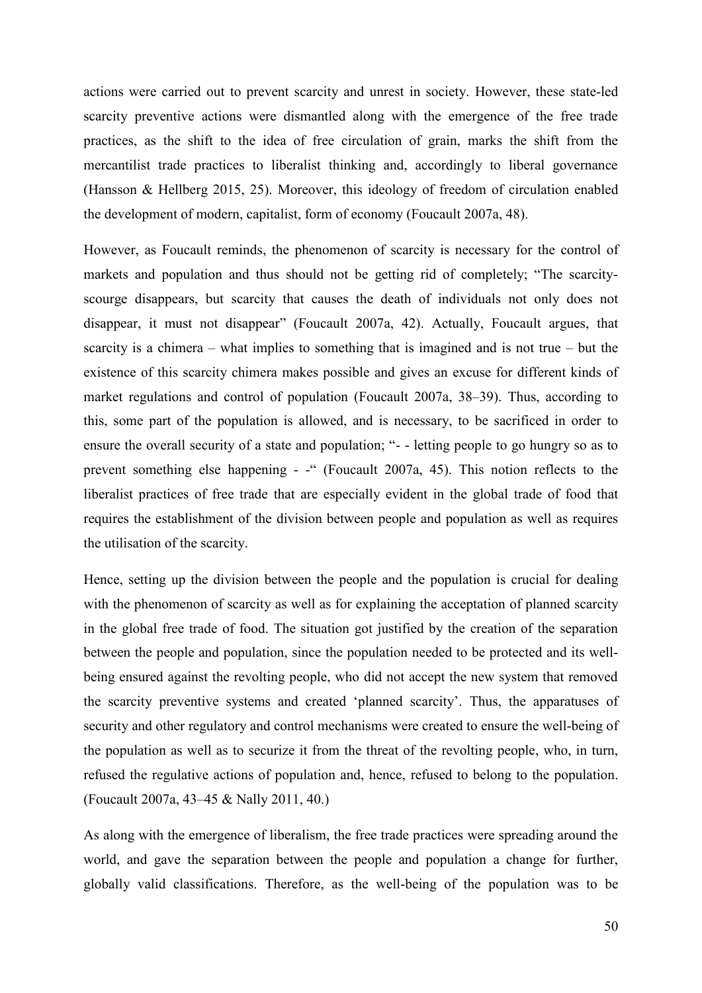actions were carried out to prevent scarcity and unrest in society. However, these state-led scarcity preventive actions were dismantled along with the emergence of the free trade practices, as the shift to the idea of free circulation of grain, marks the shift from the mercantilist trade practices to liberalist thinking and, accordingly to liberal governance (Hansson & Hellberg 2015, 25). Moreover, this ideology of freedom of circulation enabled the development of modern, capitalist, form of economy (Foucault 2007a, 48).

However, as Foucault reminds, the phenomenon of scarcity is necessary for the control of markets and population and thus should not be getting rid of completely; "The scarcityscourge disappears, but scarcity that causes the death of individuals not only does not disappear, it must not disappear" (Foucault 2007a, 42). Actually, Foucault argues, that scarcity is a chimera – what implies to something that is imagined and is not true – but the existence of this scarcity chimera makes possible and gives an excuse for different kinds of market regulations and control of population (Foucault 2007a, 38–39). Thus, according to this, some part of the population is allowed, and is necessary, to be sacrificed in order to ensure the overall security of a state and population; "- - letting people to go hungry so as to prevent something else happening - -" (Foucault 2007a, 45). This notion reflects to the liberalist practices of free trade that are especially evident in the global trade of food that requires the establishment of the division between people and population as well as requires the utilisation of the scarcity.

Hence, setting up the division between the people and the population is crucial for dealing with the phenomenon of scarcity as well as for explaining the acceptation of planned scarcity in the global free trade of food. The situation got justified by the creation of the separation between the people and population, since the population needed to be protected and its wellbeing ensured against the revolting people, who did not accept the new system that removed the scarcity preventive systems and created 'planned scarcity'. Thus, the apparatuses of security and other regulatory and control mechanisms were created to ensure the well-being of the population as well as to securize it from the threat of the revolting people, who, in turn, refused the regulative actions of population and, hence, refused to belong to the population. (Foucault 2007a, 43–45 & Nally 2011, 40.)

As along with the emergence of liberalism, the free trade practices were spreading around the world, and gave the separation between the people and population a change for further, globally valid classifications. Therefore, as the well-being of the population was to be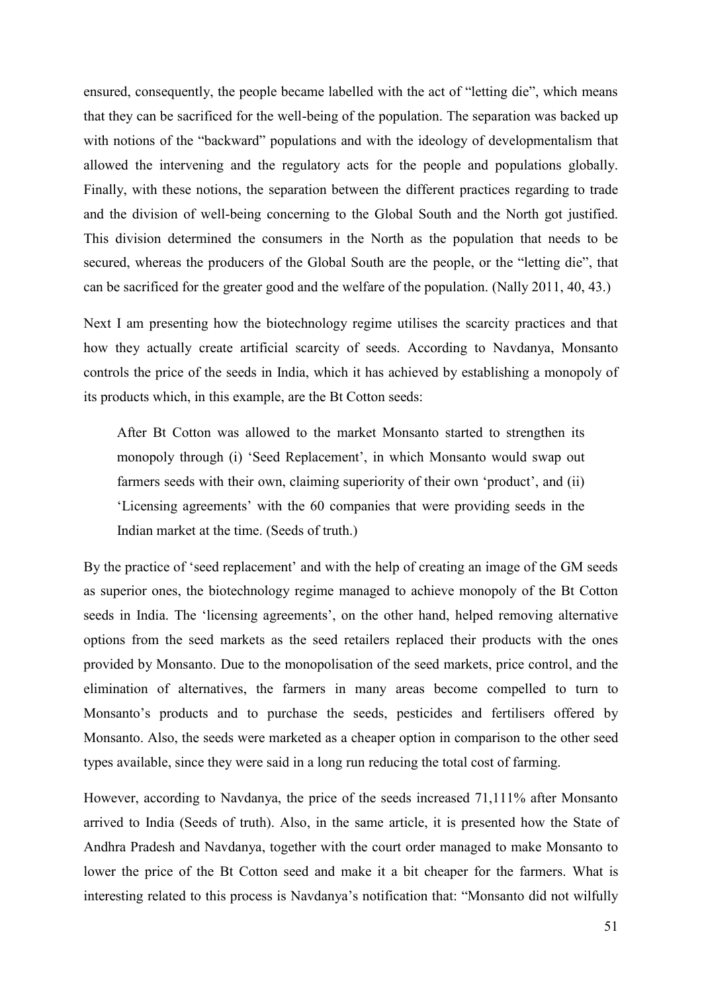ensured, consequently, the people became labelled with the act of "letting die", which means that they can be sacrificed for the well-being of the population. The separation was backed up with notions of the "backward" populations and with the ideology of developmentalism that allowed the intervening and the regulatory acts for the people and populations globally. Finally, with these notions, the separation between the different practices regarding to trade and the division of well-being concerning to the Global South and the North got justified. This division determined the consumers in the North as the population that needs to be secured, whereas the producers of the Global South are the people, or the "letting die", that can be sacrificed for the greater good and the welfare of the population. (Nally 2011, 40, 43.)

Next I am presenting how the biotechnology regime utilises the scarcity practices and that how they actually create artificial scarcity of seeds. According to Navdanya, Monsanto controls the price of the seeds in India, which it has achieved by establishing a monopoly of its products which, in this example, are the Bt Cotton seeds:

After Bt Cotton was allowed to the market Monsanto started to strengthen its monopoly through (i) 'Seed Replacement', in which Monsanto would swap out farmers seeds with their own, claiming superiority of their own 'product', and (ii) 'Licensing agreements' with the 60 companies that were providing seeds in the Indian market at the time. (Seeds of truth.)

By the practice of 'seed replacement' and with the help of creating an image of the GM seeds as superior ones, the biotechnology regime managed to achieve monopoly of the Bt Cotton seeds in India. The 'licensing agreements', on the other hand, helped removing alternative options from the seed markets as the seed retailers replaced their products with the ones provided by Monsanto. Due to the monopolisation of the seed markets, price control, and the elimination of alternatives, the farmers in many areas become compelled to turn to Monsanto's products and to purchase the seeds, pesticides and fertilisers offered by Monsanto. Also, the seeds were marketed as a cheaper option in comparison to the other seed types available, since they were said in a long run reducing the total cost of farming.

However, according to Navdanya, the price of the seeds increased 71,111% after Monsanto arrived to India (Seeds of truth). Also, in the same article, it is presented how the State of Andhra Pradesh and Navdanya, together with the court order managed to make Monsanto to lower the price of the Bt Cotton seed and make it a bit cheaper for the farmers. What is interesting related to this process is Navdanya's notification that: "Monsanto did not wilfully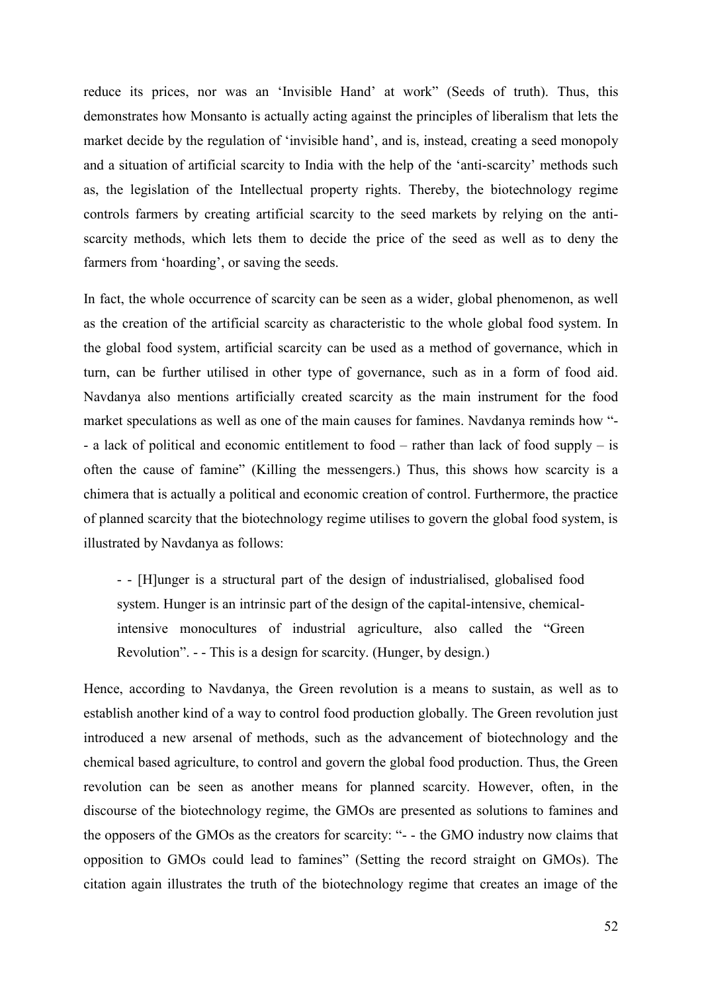reduce its prices, nor was an 'Invisible Hand' at work" (Seeds of truth). Thus, this demonstrates how Monsanto is actually acting against the principles of liberalism that lets the market decide by the regulation of 'invisible hand', and is, instead, creating a seed monopoly and a situation of artificial scarcity to India with the help of the 'anti-scarcity' methods such as, the legislation of the Intellectual property rights. Thereby, the biotechnology regime controls farmers by creating artificial scarcity to the seed markets by relying on the antiscarcity methods, which lets them to decide the price of the seed as well as to deny the farmers from 'hoarding', or saving the seeds.

In fact, the whole occurrence of scarcity can be seen as a wider, global phenomenon, as well as the creation of the artificial scarcity as characteristic to the whole global food system. In the global food system, artificial scarcity can be used as a method of governance, which in turn, can be further utilised in other type of governance, such as in a form of food aid. Navdanya also mentions artificially created scarcity as the main instrument for the food market speculations as well as one of the main causes for famines. Navdanya reminds how "- - a lack of political and economic entitlement to food – rather than lack of food supply – is often the cause of famine" (Killing the messengers.) Thus, this shows how scarcity is a chimera that is actually a political and economic creation of control. Furthermore, the practice of planned scarcity that the biotechnology regime utilises to govern the global food system, is illustrated by Navdanya as follows:

- - [H]unger is a structural part of the design of industrialised, globalised food system. Hunger is an intrinsic part of the design of the capital-intensive, chemicalintensive monocultures of industrial agriculture, also called the "Green Revolution". - - This is a design for scarcity. (Hunger, by design.)

Hence, according to Navdanya, the Green revolution is a means to sustain, as well as to establish another kind of a way to control food production globally. The Green revolution just introduced a new arsenal of methods, such as the advancement of biotechnology and the chemical based agriculture, to control and govern the global food production. Thus, the Green revolution can be seen as another means for planned scarcity. However, often, in the discourse of the biotechnology regime, the GMOs are presented as solutions to famines and the opposers of the GMOs as the creators for scarcity: "- - the GMO industry now claims that opposition to GMOs could lead to famines" (Setting the record straight on GMOs). The citation again illustrates the truth of the biotechnology regime that creates an image of the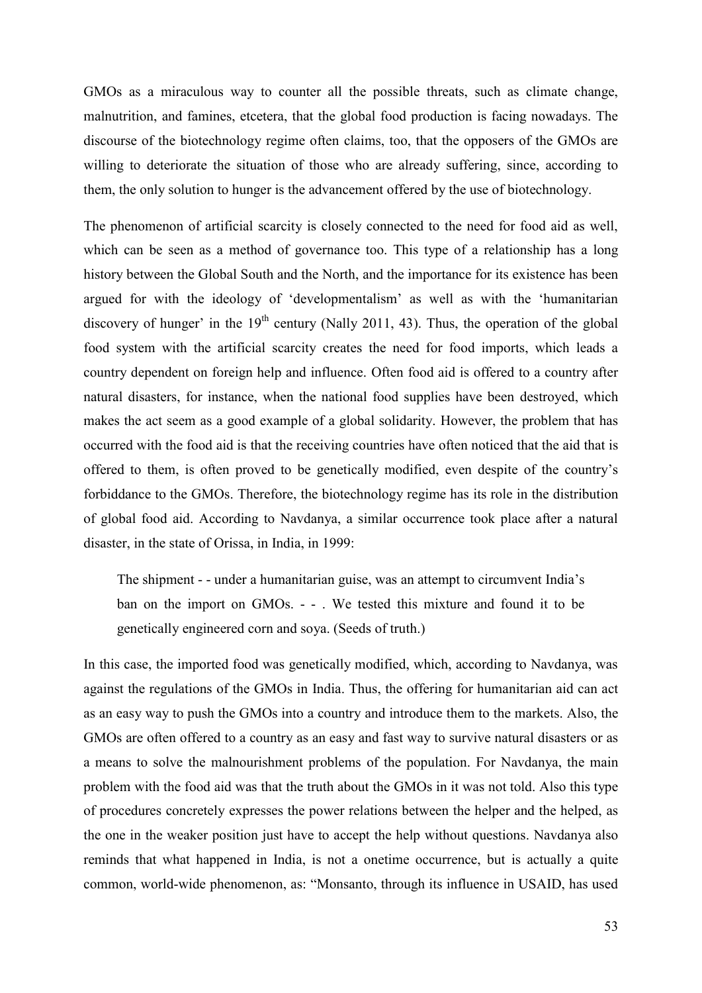GMOs as a miraculous way to counter all the possible threats, such as climate change, malnutrition, and famines, etcetera, that the global food production is facing nowadays. The discourse of the biotechnology regime often claims, too, that the opposers of the GMOs are willing to deteriorate the situation of those who are already suffering, since, according to them, the only solution to hunger is the advancement offered by the use of biotechnology.

The phenomenon of artificial scarcity is closely connected to the need for food aid as well, which can be seen as a method of governance too. This type of a relationship has a long history between the Global South and the North, and the importance for its existence has been argued for with the ideology of 'developmentalism' as well as with the 'humanitarian discovery of hunger' in the  $19<sup>th</sup>$  century (Nally 2011, 43). Thus, the operation of the global food system with the artificial scarcity creates the need for food imports, which leads a country dependent on foreign help and influence. Often food aid is offered to a country after natural disasters, for instance, when the national food supplies have been destroyed, which makes the act seem as a good example of a global solidarity. However, the problem that has occurred with the food aid is that the receiving countries have often noticed that the aid that is offered to them, is often proved to be genetically modified, even despite of the country's forbiddance to the GMOs. Therefore, the biotechnology regime has its role in the distribution of global food aid. According to Navdanya, a similar occurrence took place after a natural disaster, in the state of Orissa, in India, in 1999:

The shipment - - under a humanitarian guise, was an attempt to circumvent India's ban on the import on GMOs. - - . We tested this mixture and found it to be genetically engineered corn and soya. (Seeds of truth.)

In this case, the imported food was genetically modified, which, according to Navdanya, was against the regulations of the GMOs in India. Thus, the offering for humanitarian aid can act as an easy way to push the GMOs into a country and introduce them to the markets. Also, the GMOs are often offered to a country as an easy and fast way to survive natural disasters or as a means to solve the malnourishment problems of the population. For Navdanya, the main problem with the food aid was that the truth about the GMOs in it was not told. Also this type of procedures concretely expresses the power relations between the helper and the helped, as the one in the weaker position just have to accept the help without questions. Navdanya also reminds that what happened in India, is not a onetime occurrence, but is actually a quite common, world-wide phenomenon, as: "Monsanto, through its influence in USAID, has used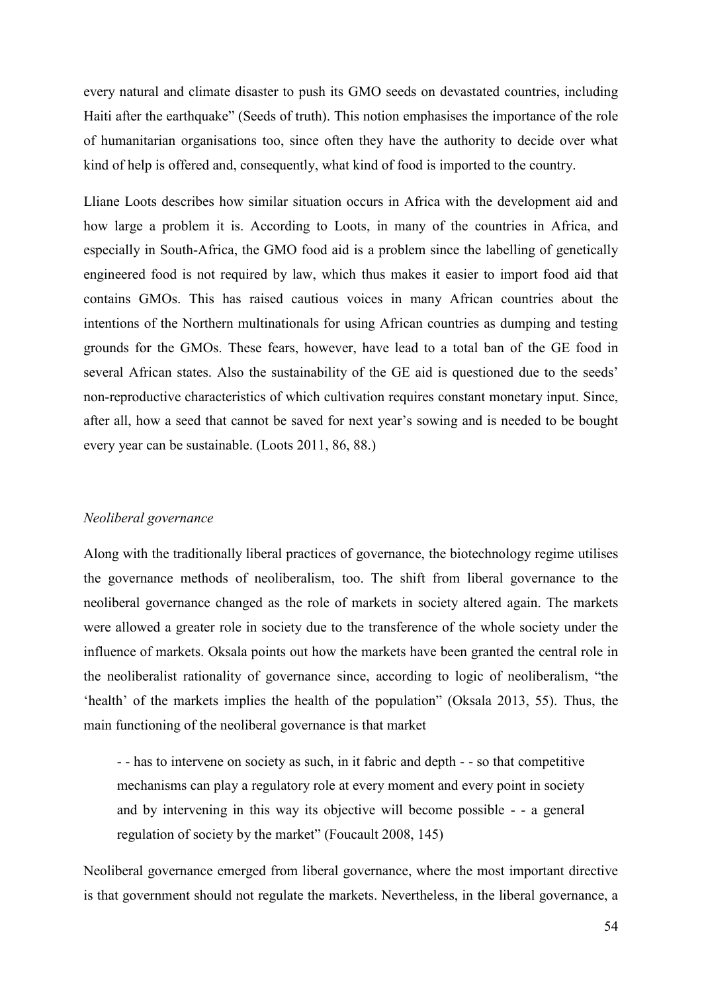every natural and climate disaster to push its GMO seeds on devastated countries, including Haiti after the earthquake" (Seeds of truth). This notion emphasises the importance of the role of humanitarian organisations too, since often they have the authority to decide over what kind of help is offered and, consequently, what kind of food is imported to the country.

Lliane Loots describes how similar situation occurs in Africa with the development aid and how large a problem it is. According to Loots, in many of the countries in Africa, and especially in South-Africa, the GMO food aid is a problem since the labelling of genetically engineered food is not required by law, which thus makes it easier to import food aid that contains GMOs. This has raised cautious voices in many African countries about the intentions of the Northern multinationals for using African countries as dumping and testing grounds for the GMOs. These fears, however, have lead to a total ban of the GE food in several African states. Also the sustainability of the GE aid is questioned due to the seeds' non-reproductive characteristics of which cultivation requires constant monetary input. Since, after all, how a seed that cannot be saved for next year's sowing and is needed to be bought every year can be sustainable. (Loots 2011, 86, 88.)

#### *Neoliberal governance*

Along with the traditionally liberal practices of governance, the biotechnology regime utilises the governance methods of neoliberalism, too. The shift from liberal governance to the neoliberal governance changed as the role of markets in society altered again. The markets were allowed a greater role in society due to the transference of the whole society under the influence of markets. Oksala points out how the markets have been granted the central role in the neoliberalist rationality of governance since, according to logic of neoliberalism, "the 'health' of the markets implies the health of the population" (Oksala 2013, 55). Thus, the main functioning of the neoliberal governance is that market

- - has to intervene on society as such, in it fabric and depth - - so that competitive mechanisms can play a regulatory role at every moment and every point in society and by intervening in this way its objective will become possible - - a general regulation of society by the market" (Foucault 2008, 145)

Neoliberal governance emerged from liberal governance, where the most important directive is that government should not regulate the markets. Nevertheless, in the liberal governance, a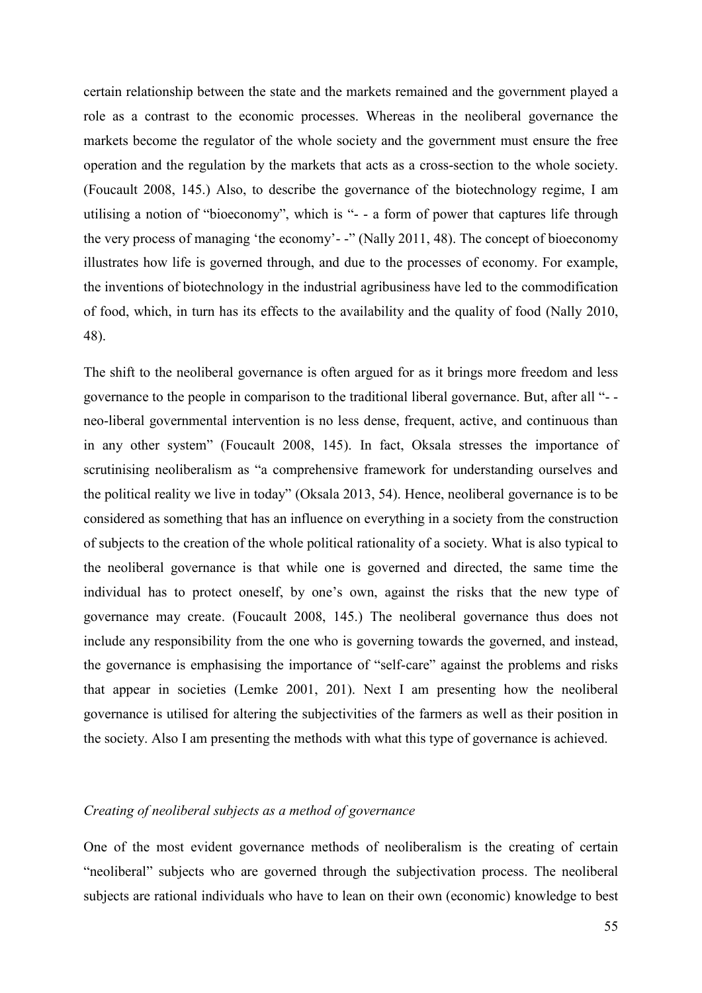certain relationship between the state and the markets remained and the government played a role as a contrast to the economic processes. Whereas in the neoliberal governance the markets become the regulator of the whole society and the government must ensure the free operation and the regulation by the markets that acts as a cross-section to the whole society. (Foucault 2008, 145.) Also, to describe the governance of the biotechnology regime, I am utilising a notion of "bioeconomy", which is "- - a form of power that captures life through the very process of managing 'the economy'- -" (Nally 2011, 48). The concept of bioeconomy illustrates how life is governed through, and due to the processes of economy. For example, the inventions of biotechnology in the industrial agribusiness have led to the commodification of food, which, in turn has its effects to the availability and the quality of food (Nally 2010, 48).

The shift to the neoliberal governance is often argued for as it brings more freedom and less governance to the people in comparison to the traditional liberal governance. But, after all "- neo-liberal governmental intervention is no less dense, frequent, active, and continuous than in any other system" (Foucault 2008, 145). In fact, Oksala stresses the importance of scrutinising neoliberalism as "a comprehensive framework for understanding ourselves and the political reality we live in today" (Oksala 2013, 54). Hence, neoliberal governance is to be considered as something that has an influence on everything in a society from the construction of subjects to the creation of the whole political rationality of a society. What is also typical to the neoliberal governance is that while one is governed and directed, the same time the individual has to protect oneself, by one's own, against the risks that the new type of governance may create. (Foucault 2008, 145.) The neoliberal governance thus does not include any responsibility from the one who is governing towards the governed, and instead, the governance is emphasising the importance of "self-care" against the problems and risks that appear in societies (Lemke 2001, 201). Next I am presenting how the neoliberal governance is utilised for altering the subjectivities of the farmers as well as their position in the society. Also I am presenting the methods with what this type of governance is achieved.

## *Creating of neoliberal subjects as a method of governance*

One of the most evident governance methods of neoliberalism is the creating of certain "neoliberal" subjects who are governed through the subjectivation process. The neoliberal subjects are rational individuals who have to lean on their own (economic) knowledge to best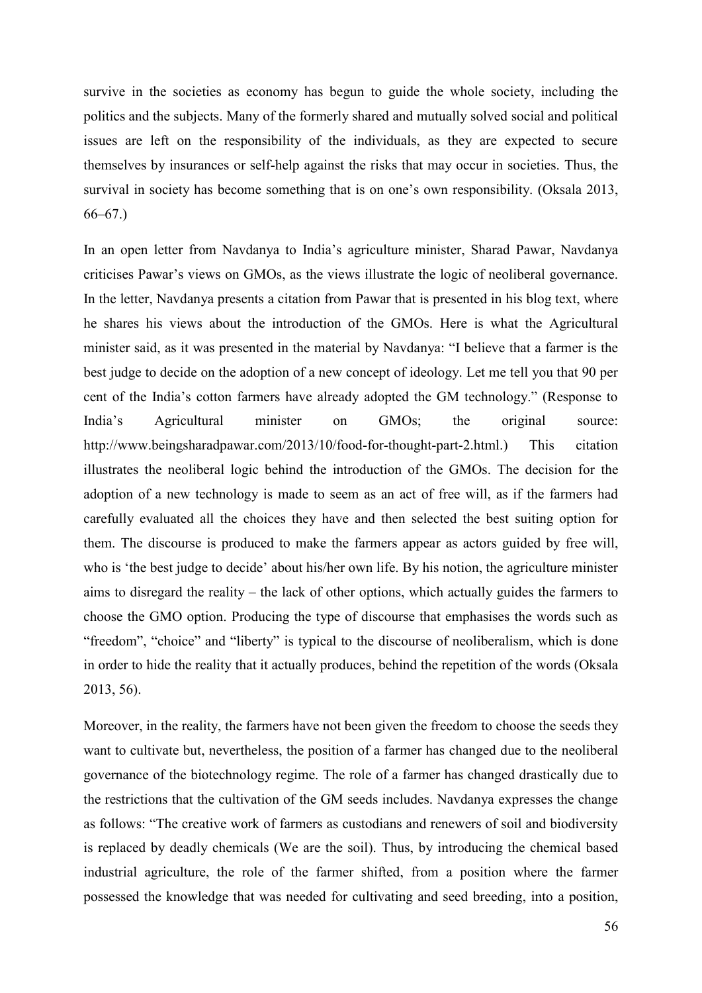survive in the societies as economy has begun to guide the whole society, including the politics and the subjects. Many of the formerly shared and mutually solved social and political issues are left on the responsibility of the individuals, as they are expected to secure themselves by insurances or self-help against the risks that may occur in societies. Thus, the survival in society has become something that is on one's own responsibility. (Oksala 2013, 66–67.)

In an open letter from Navdanya to India's agriculture minister, Sharad Pawar, Navdanya criticises Pawar's views on GMOs, as the views illustrate the logic of neoliberal governance. In the letter, Navdanya presents a citation from Pawar that is presented in his blog text, where he shares his views about the introduction of the GMOs. Here is what the Agricultural minister said, as it was presented in the material by Navdanya: "I believe that a farmer is the best judge to decide on the adoption of a new concept of ideology. Let me tell you that 90 per cent of the India's cotton farmers have already adopted the GM technology." (Response to India's Agricultural minister on GMOs; the original source: http://www.beingsharadpawar.com/2013/10/food-for-thought-part-2.html.) This citation illustrates the neoliberal logic behind the introduction of the GMOs. The decision for the adoption of a new technology is made to seem as an act of free will, as if the farmers had carefully evaluated all the choices they have and then selected the best suiting option for them. The discourse is produced to make the farmers appear as actors guided by free will, who is 'the best judge to decide' about his/her own life. By his notion, the agriculture minister aims to disregard the reality – the lack of other options, which actually guides the farmers to choose the GMO option. Producing the type of discourse that emphasises the words such as "freedom", "choice" and "liberty" is typical to the discourse of neoliberalism, which is done in order to hide the reality that it actually produces, behind the repetition of the words (Oksala 2013, 56).

Moreover, in the reality, the farmers have not been given the freedom to choose the seeds they want to cultivate but, nevertheless, the position of a farmer has changed due to the neoliberal governance of the biotechnology regime. The role of a farmer has changed drastically due to the restrictions that the cultivation of the GM seeds includes. Navdanya expresses the change as follows: "The creative work of farmers as custodians and renewers of soil and biodiversity is replaced by deadly chemicals (We are the soil). Thus, by introducing the chemical based industrial agriculture, the role of the farmer shifted, from a position where the farmer possessed the knowledge that was needed for cultivating and seed breeding, into a position,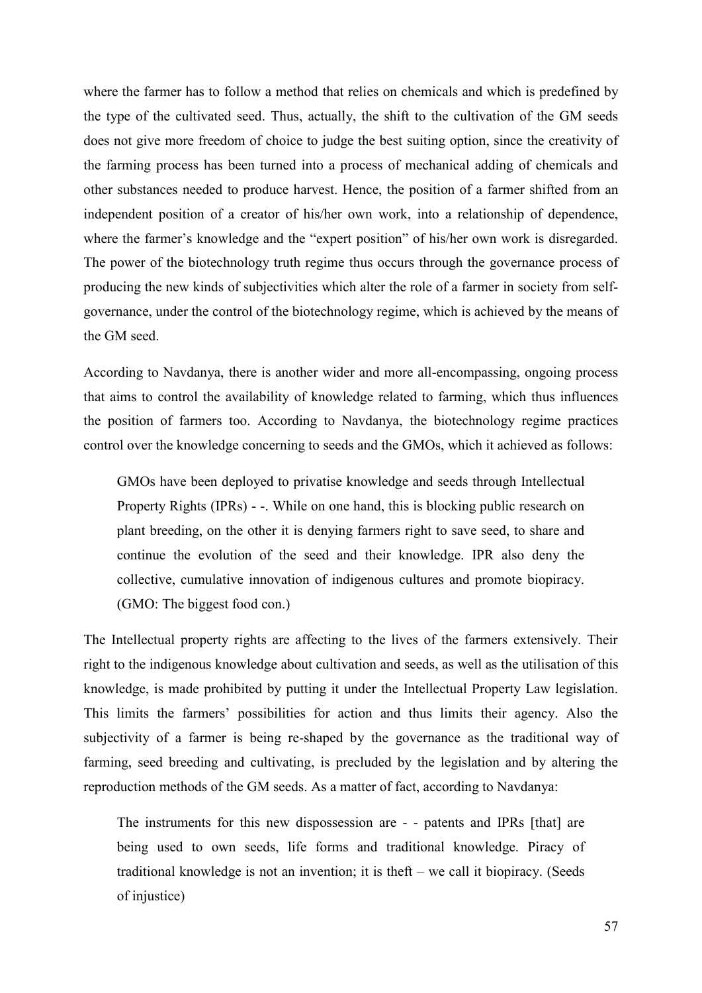where the farmer has to follow a method that relies on chemicals and which is predefined by the type of the cultivated seed. Thus, actually, the shift to the cultivation of the GM seeds does not give more freedom of choice to judge the best suiting option, since the creativity of the farming process has been turned into a process of mechanical adding of chemicals and other substances needed to produce harvest. Hence, the position of a farmer shifted from an independent position of a creator of his/her own work, into a relationship of dependence, where the farmer's knowledge and the "expert position" of his/her own work is disregarded. The power of the biotechnology truth regime thus occurs through the governance process of producing the new kinds of subjectivities which alter the role of a farmer in society from selfgovernance, under the control of the biotechnology regime, which is achieved by the means of the GM seed.

According to Navdanya, there is another wider and more all-encompassing, ongoing process that aims to control the availability of knowledge related to farming, which thus influences the position of farmers too. According to Navdanya, the biotechnology regime practices control over the knowledge concerning to seeds and the GMOs, which it achieved as follows:

GMOs have been deployed to privatise knowledge and seeds through Intellectual Property Rights (IPRs) - -. While on one hand, this is blocking public research on plant breeding, on the other it is denying farmers right to save seed, to share and continue the evolution of the seed and their knowledge. IPR also deny the collective, cumulative innovation of indigenous cultures and promote biopiracy. (GMO: The biggest food con.)

The Intellectual property rights are affecting to the lives of the farmers extensively. Their right to the indigenous knowledge about cultivation and seeds, as well as the utilisation of this knowledge, is made prohibited by putting it under the Intellectual Property Law legislation. This limits the farmers' possibilities for action and thus limits their agency. Also the subjectivity of a farmer is being re-shaped by the governance as the traditional way of farming, seed breeding and cultivating, is precluded by the legislation and by altering the reproduction methods of the GM seeds. As a matter of fact, according to Navdanya:

The instruments for this new dispossession are - - patents and IPRs [that] are being used to own seeds, life forms and traditional knowledge. Piracy of traditional knowledge is not an invention; it is theft – we call it biopiracy. (Seeds of injustice)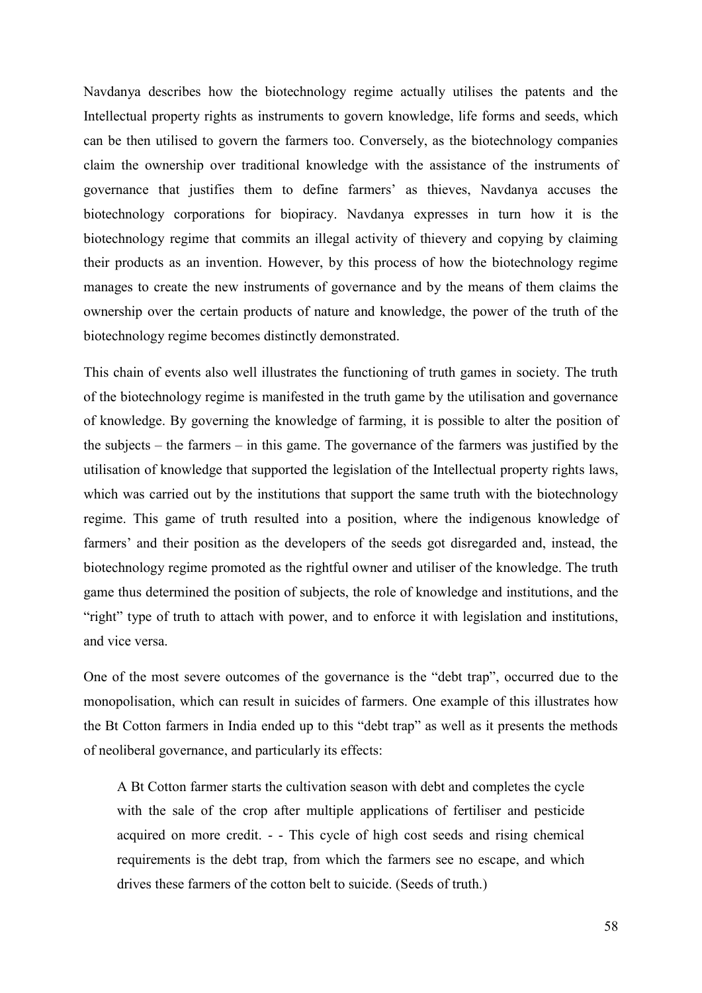Navdanya describes how the biotechnology regime actually utilises the patents and the Intellectual property rights as instruments to govern knowledge, life forms and seeds, which can be then utilised to govern the farmers too. Conversely, as the biotechnology companies claim the ownership over traditional knowledge with the assistance of the instruments of governance that justifies them to define farmers' as thieves, Navdanya accuses the biotechnology corporations for biopiracy. Navdanya expresses in turn how it is the biotechnology regime that commits an illegal activity of thievery and copying by claiming their products as an invention. However, by this process of how the biotechnology regime manages to create the new instruments of governance and by the means of them claims the ownership over the certain products of nature and knowledge, the power of the truth of the biotechnology regime becomes distinctly demonstrated.

This chain of events also well illustrates the functioning of truth games in society. The truth of the biotechnology regime is manifested in the truth game by the utilisation and governance of knowledge. By governing the knowledge of farming, it is possible to alter the position of the subjects – the farmers – in this game. The governance of the farmers was justified by the utilisation of knowledge that supported the legislation of the Intellectual property rights laws, which was carried out by the institutions that support the same truth with the biotechnology regime. This game of truth resulted into a position, where the indigenous knowledge of farmers' and their position as the developers of the seeds got disregarded and, instead, the biotechnology regime promoted as the rightful owner and utiliser of the knowledge. The truth game thus determined the position of subjects, the role of knowledge and institutions, and the "right" type of truth to attach with power, and to enforce it with legislation and institutions, and vice versa.

One of the most severe outcomes of the governance is the "debt trap", occurred due to the monopolisation, which can result in suicides of farmers. One example of this illustrates how the Bt Cotton farmers in India ended up to this "debt trap" as well as it presents the methods of neoliberal governance, and particularly its effects:

A Bt Cotton farmer starts the cultivation season with debt and completes the cycle with the sale of the crop after multiple applications of fertiliser and pesticide acquired on more credit. - - This cycle of high cost seeds and rising chemical requirements is the debt trap, from which the farmers see no escape, and which drives these farmers of the cotton belt to suicide. (Seeds of truth.)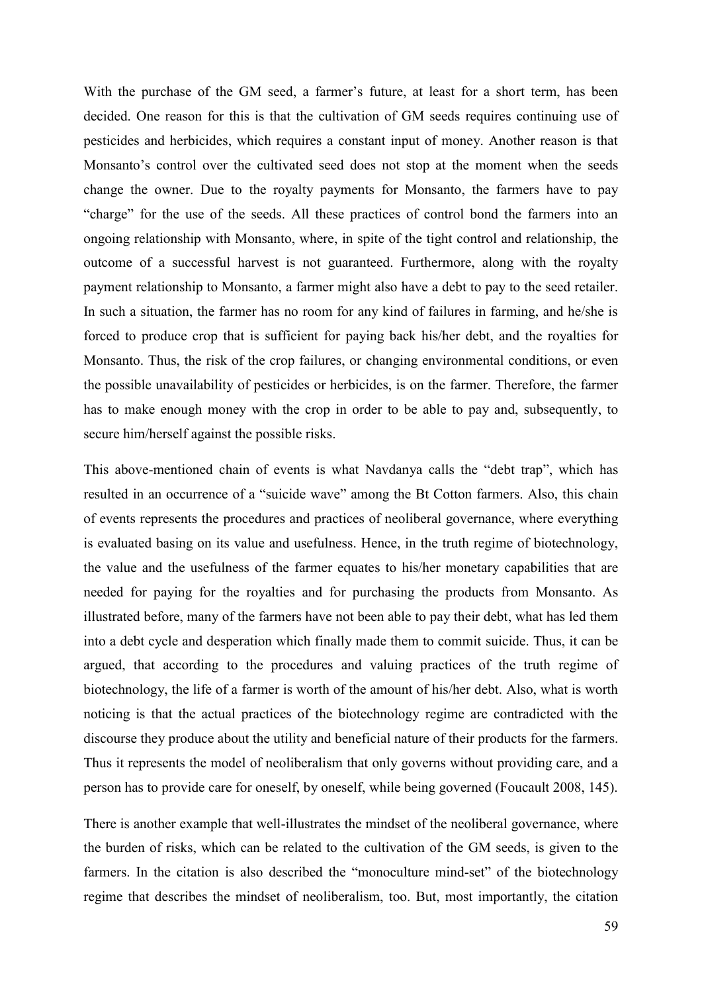With the purchase of the GM seed, a farmer's future, at least for a short term, has been decided. One reason for this is that the cultivation of GM seeds requires continuing use of pesticides and herbicides, which requires a constant input of money. Another reason is that Monsanto's control over the cultivated seed does not stop at the moment when the seeds change the owner. Due to the royalty payments for Monsanto, the farmers have to pay "charge" for the use of the seeds. All these practices of control bond the farmers into an ongoing relationship with Monsanto, where, in spite of the tight control and relationship, the outcome of a successful harvest is not guaranteed. Furthermore, along with the royalty payment relationship to Monsanto, a farmer might also have a debt to pay to the seed retailer. In such a situation, the farmer has no room for any kind of failures in farming, and he/she is forced to produce crop that is sufficient for paying back his/her debt, and the royalties for Monsanto. Thus, the risk of the crop failures, or changing environmental conditions, or even the possible unavailability of pesticides or herbicides, is on the farmer. Therefore, the farmer has to make enough money with the crop in order to be able to pay and, subsequently, to secure him/herself against the possible risks.

This above-mentioned chain of events is what Navdanya calls the "debt trap", which has resulted in an occurrence of a "suicide wave" among the Bt Cotton farmers. Also, this chain of events represents the procedures and practices of neoliberal governance, where everything is evaluated basing on its value and usefulness. Hence, in the truth regime of biotechnology, the value and the usefulness of the farmer equates to his/her monetary capabilities that are needed for paying for the royalties and for purchasing the products from Monsanto. As illustrated before, many of the farmers have not been able to pay their debt, what has led them into a debt cycle and desperation which finally made them to commit suicide. Thus, it can be argued, that according to the procedures and valuing practices of the truth regime of biotechnology, the life of a farmer is worth of the amount of his/her debt. Also, what is worth noticing is that the actual practices of the biotechnology regime are contradicted with the discourse they produce about the utility and beneficial nature of their products for the farmers. Thus it represents the model of neoliberalism that only governs without providing care, and a person has to provide care for oneself, by oneself, while being governed (Foucault 2008, 145).

There is another example that well-illustrates the mindset of the neoliberal governance, where the burden of risks, which can be related to the cultivation of the GM seeds, is given to the farmers. In the citation is also described the "monoculture mind-set" of the biotechnology regime that describes the mindset of neoliberalism, too. But, most importantly, the citation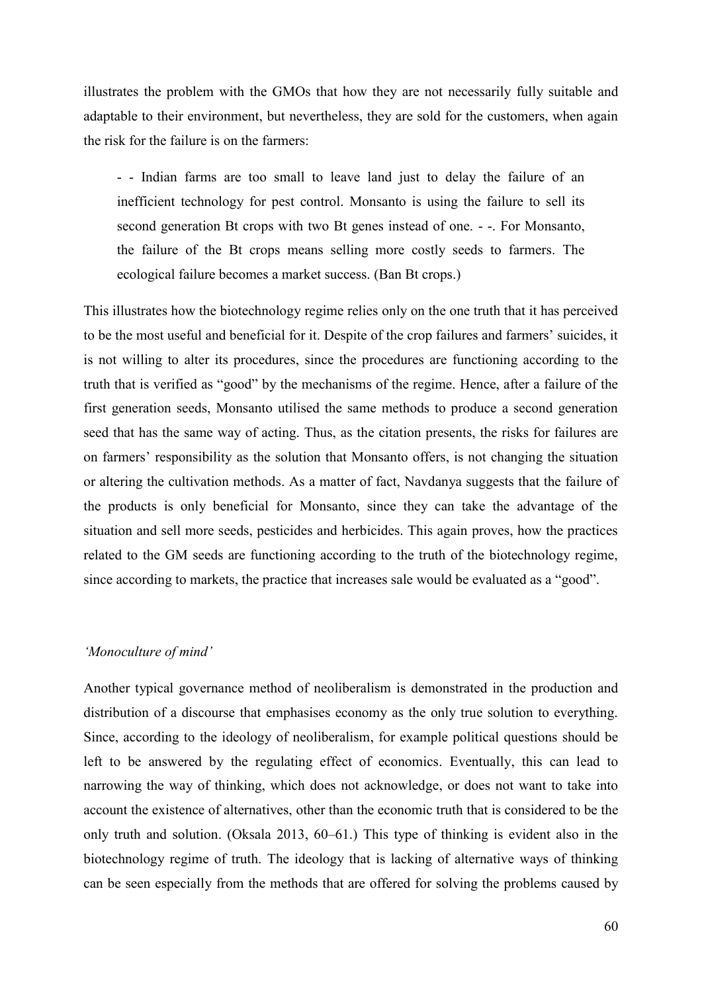illustrates the problem with the GMOs that how they are not necessarily fully suitable and adaptable to their environment, but nevertheless, they are sold for the customers, when again the risk for the failure is on the farmers:

- - Indian farms are too small to leave land just to delay the failure of an inefficient technology for pest control. Monsanto is using the failure to sell its second generation Bt crops with two Bt genes instead of one. - -. For Monsanto, the failure of the Bt crops means selling more costly seeds to farmers. The ecological failure becomes a market success. (Ban Bt crops.)

This illustrates how the biotechnology regime relies only on the one truth that it has perceived to be the most useful and beneficial for it. Despite of the crop failures and farmers' suicides, it is not willing to alter its procedures, since the procedures are functioning according to the truth that is verified as "good" by the mechanisms of the regime. Hence, after a failure of the first generation seeds, Monsanto utilised the same methods to produce a second generation seed that has the same way of acting. Thus, as the citation presents, the risks for failures are on farmers' responsibility as the solution that Monsanto offers, is not changing the situation or altering the cultivation methods. As a matter of fact, Navdanya suggests that the failure of the products is only beneficial for Monsanto, since they can take the advantage of the situation and sell more seeds, pesticides and herbicides. This again proves, how the practices related to the GM seeds are functioning according to the truth of the biotechnology regime, since according to markets, the practice that increases sale would be evaluated as a "good".

#### *'Monoculture of mind'*

Another typical governance method of neoliberalism is demonstrated in the production and distribution of a discourse that emphasises economy as the only true solution to everything. Since, according to the ideology of neoliberalism, for example political questions should be left to be answered by the regulating effect of economics. Eventually, this can lead to narrowing the way of thinking, which does not acknowledge, or does not want to take into account the existence of alternatives, other than the economic truth that is considered to be the only truth and solution. (Oksala 2013, 60–61.) This type of thinking is evident also in the biotechnology regime of truth. The ideology that is lacking of alternative ways of thinking can be seen especially from the methods that are offered for solving the problems caused by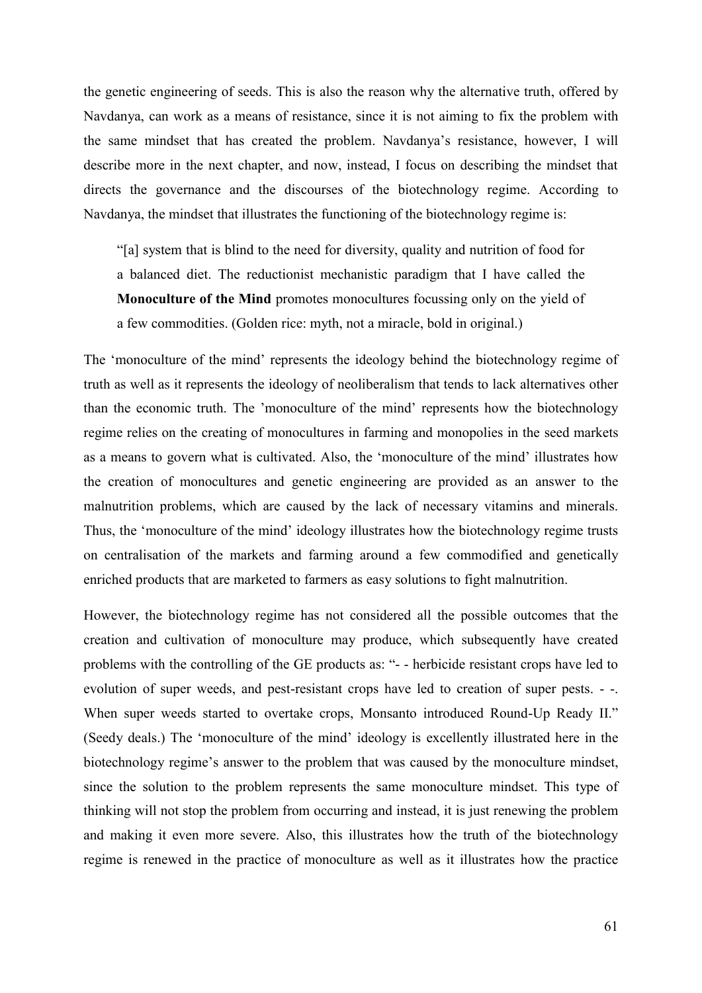the genetic engineering of seeds. This is also the reason why the alternative truth, offered by Navdanya, can work as a means of resistance, since it is not aiming to fix the problem with the same mindset that has created the problem. Navdanya's resistance, however, I will describe more in the next chapter, and now, instead, I focus on describing the mindset that directs the governance and the discourses of the biotechnology regime. According to Navdanya, the mindset that illustrates the functioning of the biotechnology regime is:

"[a] system that is blind to the need for diversity, quality and nutrition of food for a balanced diet. The reductionist mechanistic paradigm that I have called the **Monoculture of the Mind** promotes monocultures focussing only on the yield of a few commodities. (Golden rice: myth, not a miracle, bold in original.)

The 'monoculture of the mind' represents the ideology behind the biotechnology regime of truth as well as it represents the ideology of neoliberalism that tends to lack alternatives other than the economic truth. The 'monoculture of the mind' represents how the biotechnology regime relies on the creating of monocultures in farming and monopolies in the seed markets as a means to govern what is cultivated. Also, the 'monoculture of the mind' illustrates how the creation of monocultures and genetic engineering are provided as an answer to the malnutrition problems, which are caused by the lack of necessary vitamins and minerals. Thus, the 'monoculture of the mind' ideology illustrates how the biotechnology regime trusts on centralisation of the markets and farming around a few commodified and genetically enriched products that are marketed to farmers as easy solutions to fight malnutrition.

However, the biotechnology regime has not considered all the possible outcomes that the creation and cultivation of monoculture may produce, which subsequently have created problems with the controlling of the GE products as: "- - herbicide resistant crops have led to evolution of super weeds, and pest-resistant crops have led to creation of super pests. - -. When super weeds started to overtake crops, Monsanto introduced Round-Up Ready II." (Seedy deals.) The 'monoculture of the mind' ideology is excellently illustrated here in the biotechnology regime's answer to the problem that was caused by the monoculture mindset, since the solution to the problem represents the same monoculture mindset. This type of thinking will not stop the problem from occurring and instead, it is just renewing the problem and making it even more severe. Also, this illustrates how the truth of the biotechnology regime is renewed in the practice of monoculture as well as it illustrates how the practice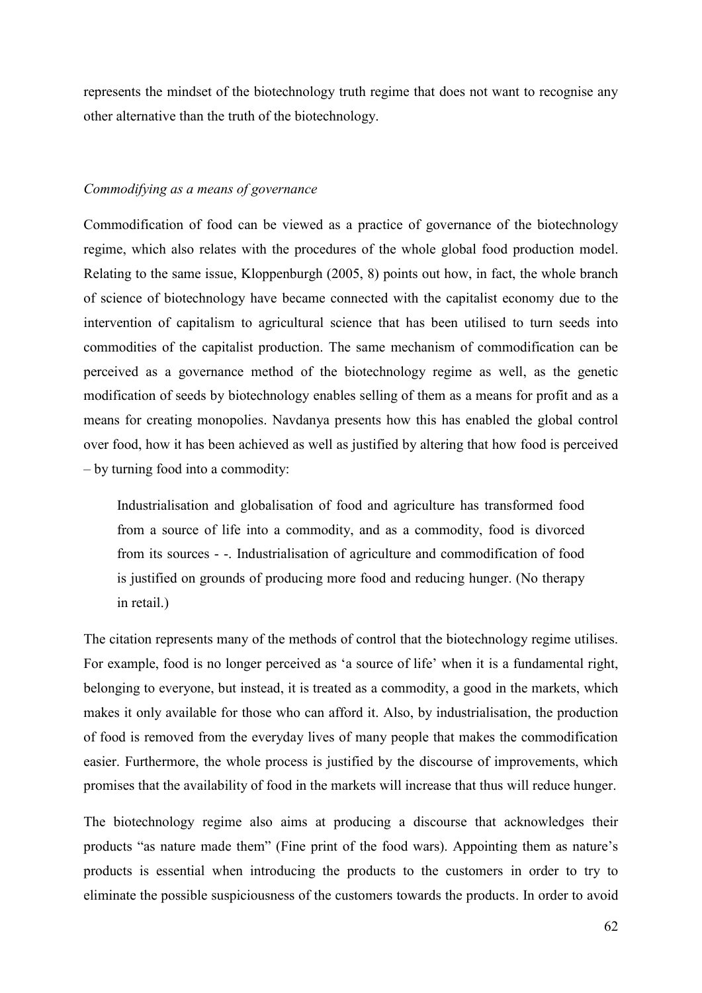represents the mindset of the biotechnology truth regime that does not want to recognise any other alternative than the truth of the biotechnology.

## *Commodifying as a means of governance*

Commodification of food can be viewed as a practice of governance of the biotechnology regime, which also relates with the procedures of the whole global food production model. Relating to the same issue, Kloppenburgh (2005, 8) points out how, in fact, the whole branch of science of biotechnology have became connected with the capitalist economy due to the intervention of capitalism to agricultural science that has been utilised to turn seeds into commodities of the capitalist production. The same mechanism of commodification can be perceived as a governance method of the biotechnology regime as well, as the genetic modification of seeds by biotechnology enables selling of them as a means for profit and as a means for creating monopolies. Navdanya presents how this has enabled the global control over food, how it has been achieved as well as justified by altering that how food is perceived – by turning food into a commodity:

Industrialisation and globalisation of food and agriculture has transformed food from a source of life into a commodity, and as a commodity, food is divorced from its sources - -. Industrialisation of agriculture and commodification of food is justified on grounds of producing more food and reducing hunger. (No therapy in retail.)

The citation represents many of the methods of control that the biotechnology regime utilises. For example, food is no longer perceived as 'a source of life' when it is a fundamental right, belonging to everyone, but instead, it is treated as a commodity, a good in the markets, which makes it only available for those who can afford it. Also, by industrialisation, the production of food is removed from the everyday lives of many people that makes the commodification easier. Furthermore, the whole process is justified by the discourse of improvements, which promises that the availability of food in the markets will increase that thus will reduce hunger.

The biotechnology regime also aims at producing a discourse that acknowledges their products "as nature made them" (Fine print of the food wars). Appointing them as nature's products is essential when introducing the products to the customers in order to try to eliminate the possible suspiciousness of the customers towards the products. In order to avoid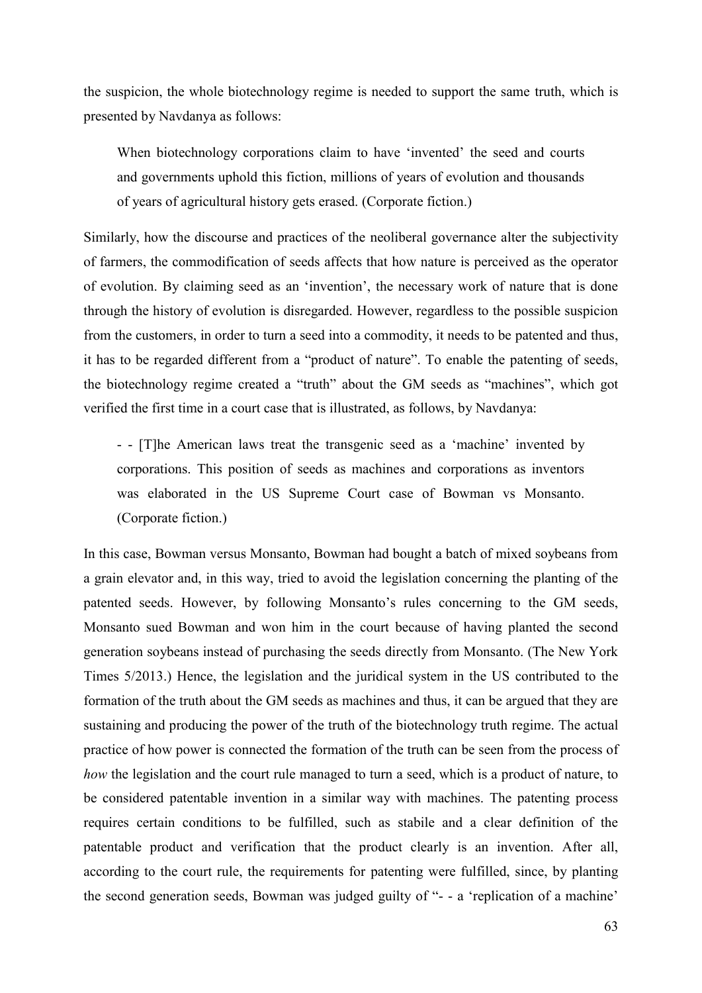the suspicion, the whole biotechnology regime is needed to support the same truth, which is presented by Navdanya as follows:

When biotechnology corporations claim to have 'invented' the seed and courts and governments uphold this fiction, millions of years of evolution and thousands of years of agricultural history gets erased. (Corporate fiction.)

Similarly, how the discourse and practices of the neoliberal governance alter the subjectivity of farmers, the commodification of seeds affects that how nature is perceived as the operator of evolution. By claiming seed as an 'invention', the necessary work of nature that is done through the history of evolution is disregarded. However, regardless to the possible suspicion from the customers, in order to turn a seed into a commodity, it needs to be patented and thus, it has to be regarded different from a "product of nature". To enable the patenting of seeds, the biotechnology regime created a "truth" about the GM seeds as "machines", which got verified the first time in a court case that is illustrated, as follows, by Navdanya:

- - [T]he American laws treat the transgenic seed as a 'machine' invented by corporations. This position of seeds as machines and corporations as inventors was elaborated in the US Supreme Court case of Bowman vs Monsanto. (Corporate fiction.)

In this case, Bowman versus Monsanto, Bowman had bought a batch of mixed soybeans from a grain elevator and, in this way, tried to avoid the legislation concerning the planting of the patented seeds. However, by following Monsanto's rules concerning to the GM seeds, Monsanto sued Bowman and won him in the court because of having planted the second generation soybeans instead of purchasing the seeds directly from Monsanto. (The New York Times 5/2013.) Hence, the legislation and the juridical system in the US contributed to the formation of the truth about the GM seeds as machines and thus, it can be argued that they are sustaining and producing the power of the truth of the biotechnology truth regime. The actual practice of how power is connected the formation of the truth can be seen from the process of *how* the legislation and the court rule managed to turn a seed, which is a product of nature, to be considered patentable invention in a similar way with machines. The patenting process requires certain conditions to be fulfilled, such as stabile and a clear definition of the patentable product and verification that the product clearly is an invention. After all, according to the court rule, the requirements for patenting were fulfilled, since, by planting the second generation seeds, Bowman was judged guilty of "- - a 'replication of a machine'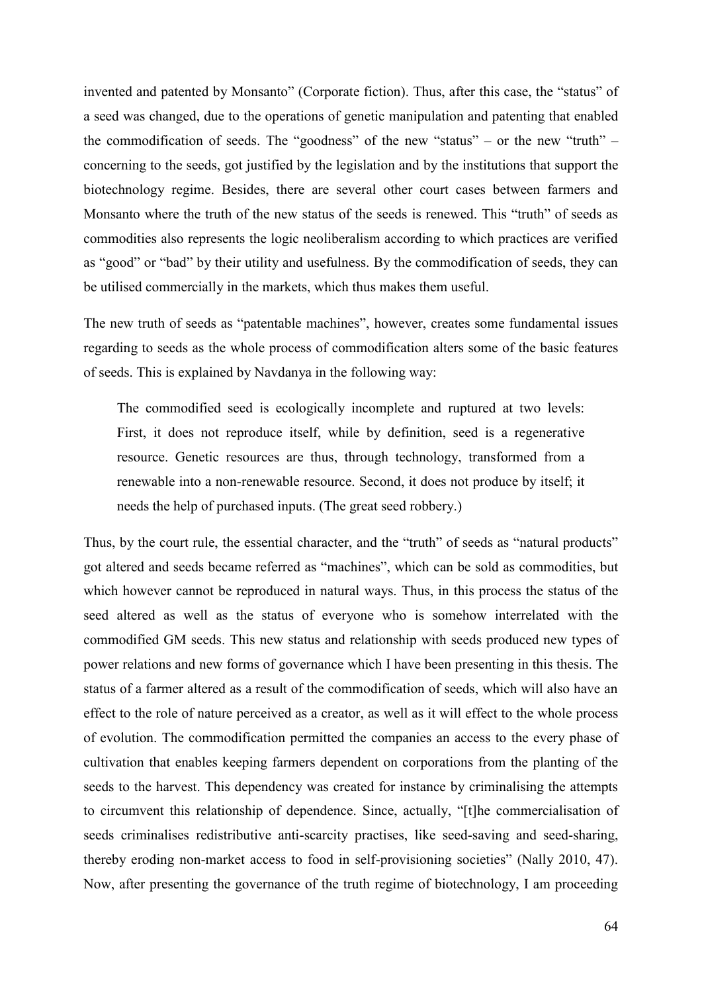invented and patented by Monsanto" (Corporate fiction). Thus, after this case, the "status" of a seed was changed, due to the operations of genetic manipulation and patenting that enabled the commodification of seeds. The "goodness" of the new "status" – or the new "truth" – concerning to the seeds, got justified by the legislation and by the institutions that support the biotechnology regime. Besides, there are several other court cases between farmers and Monsanto where the truth of the new status of the seeds is renewed. This "truth" of seeds as commodities also represents the logic neoliberalism according to which practices are verified as "good" or "bad" by their utility and usefulness. By the commodification of seeds, they can be utilised commercially in the markets, which thus makes them useful.

The new truth of seeds as "patentable machines", however, creates some fundamental issues regarding to seeds as the whole process of commodification alters some of the basic features of seeds. This is explained by Navdanya in the following way:

The commodified seed is ecologically incomplete and ruptured at two levels: First, it does not reproduce itself, while by definition, seed is a regenerative resource. Genetic resources are thus, through technology, transformed from a renewable into a non-renewable resource. Second, it does not produce by itself; it needs the help of purchased inputs. (The great seed robbery.)

Thus, by the court rule, the essential character, and the "truth" of seeds as "natural products" got altered and seeds became referred as "machines", which can be sold as commodities, but which however cannot be reproduced in natural ways. Thus, in this process the status of the seed altered as well as the status of everyone who is somehow interrelated with the commodified GM seeds. This new status and relationship with seeds produced new types of power relations and new forms of governance which I have been presenting in this thesis. The status of a farmer altered as a result of the commodification of seeds, which will also have an effect to the role of nature perceived as a creator, as well as it will effect to the whole process of evolution. The commodification permitted the companies an access to the every phase of cultivation that enables keeping farmers dependent on corporations from the planting of the seeds to the harvest. This dependency was created for instance by criminalising the attempts to circumvent this relationship of dependence. Since, actually, "[t]he commercialisation of seeds criminalises redistributive anti-scarcity practises, like seed-saving and seed-sharing, thereby eroding non-market access to food in self-provisioning societies" (Nally 2010, 47). Now, after presenting the governance of the truth regime of biotechnology, I am proceeding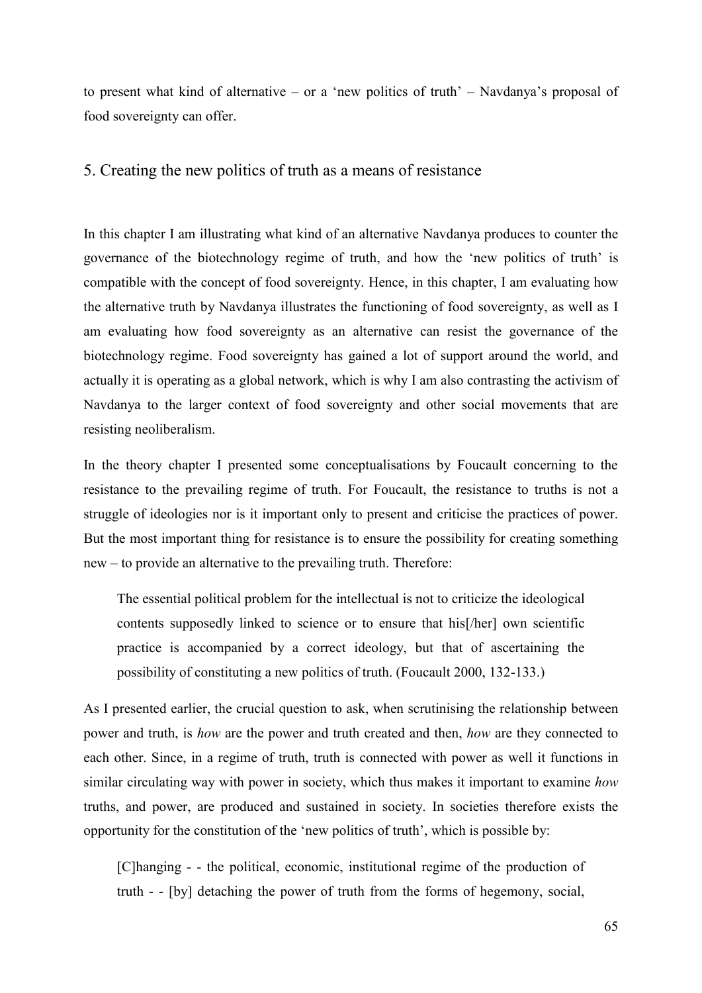to present what kind of alternative – or a 'new politics of truth' – Navdanya's proposal of food sovereignty can offer.

## 5. Creating the new politics of truth as a means of resistance

In this chapter I am illustrating what kind of an alternative Navdanya produces to counter the governance of the biotechnology regime of truth, and how the 'new politics of truth' is compatible with the concept of food sovereignty. Hence, in this chapter, I am evaluating how the alternative truth by Navdanya illustrates the functioning of food sovereignty, as well as I am evaluating how food sovereignty as an alternative can resist the governance of the biotechnology regime. Food sovereignty has gained a lot of support around the world, and actually it is operating as a global network, which is why I am also contrasting the activism of Navdanya to the larger context of food sovereignty and other social movements that are resisting neoliberalism.

In the theory chapter I presented some conceptualisations by Foucault concerning to the resistance to the prevailing regime of truth. For Foucault, the resistance to truths is not a struggle of ideologies nor is it important only to present and criticise the practices of power. But the most important thing for resistance is to ensure the possibility for creating something new – to provide an alternative to the prevailing truth. Therefore:

The essential political problem for the intellectual is not to criticize the ideological contents supposedly linked to science or to ensure that his[/her] own scientific practice is accompanied by a correct ideology, but that of ascertaining the possibility of constituting a new politics of truth. (Foucault 2000, 132-133.)

As I presented earlier, the crucial question to ask, when scrutinising the relationship between power and truth, is *how* are the power and truth created and then, *how* are they connected to each other. Since, in a regime of truth, truth is connected with power as well it functions in similar circulating way with power in society, which thus makes it important to examine *how* truths, and power, are produced and sustained in society. In societies therefore exists the opportunity for the constitution of the 'new politics of truth', which is possible by:

[C]hanging - - the political, economic, institutional regime of the production of truth - - [by] detaching the power of truth from the forms of hegemony, social,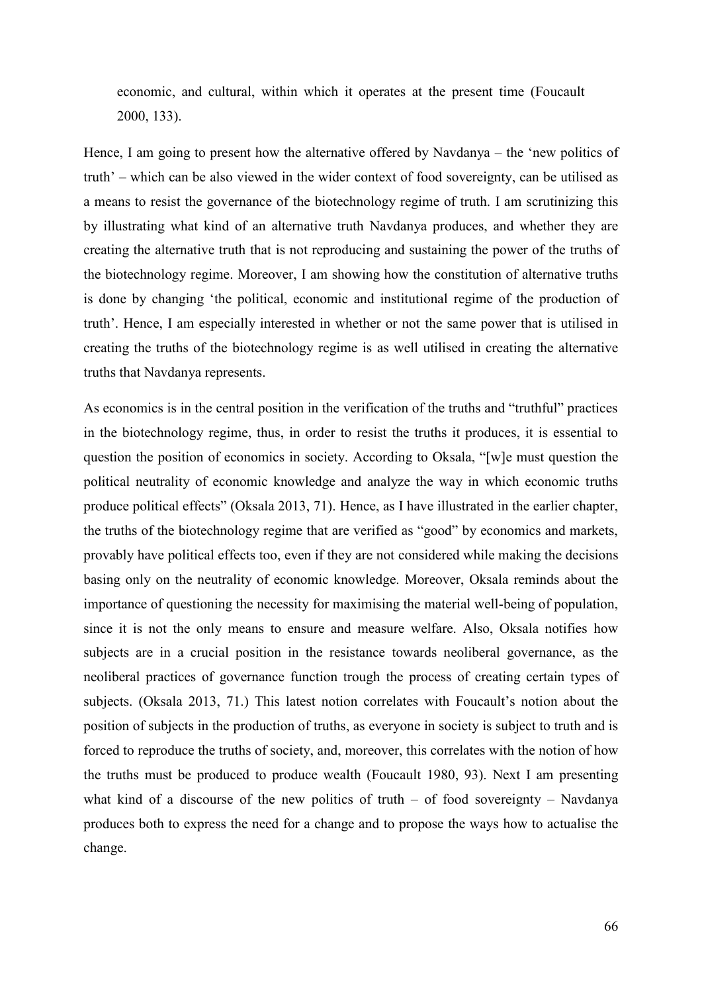economic, and cultural, within which it operates at the present time (Foucault 2000, 133).

Hence, I am going to present how the alternative offered by Navdanya – the 'new politics of truth' – which can be also viewed in the wider context of food sovereignty, can be utilised as a means to resist the governance of the biotechnology regime of truth. I am scrutinizing this by illustrating what kind of an alternative truth Navdanya produces, and whether they are creating the alternative truth that is not reproducing and sustaining the power of the truths of the biotechnology regime. Moreover, I am showing how the constitution of alternative truths is done by changing 'the political, economic and institutional regime of the production of truth'. Hence, I am especially interested in whether or not the same power that is utilised in creating the truths of the biotechnology regime is as well utilised in creating the alternative truths that Navdanya represents.

As economics is in the central position in the verification of the truths and "truthful" practices in the biotechnology regime, thus, in order to resist the truths it produces, it is essential to question the position of economics in society. According to Oksala, "[w]e must question the political neutrality of economic knowledge and analyze the way in which economic truths produce political effects" (Oksala 2013, 71). Hence, as I have illustrated in the earlier chapter, the truths of the biotechnology regime that are verified as "good" by economics and markets, provably have political effects too, even if they are not considered while making the decisions basing only on the neutrality of economic knowledge. Moreover, Oksala reminds about the importance of questioning the necessity for maximising the material well-being of population, since it is not the only means to ensure and measure welfare. Also, Oksala notifies how subjects are in a crucial position in the resistance towards neoliberal governance, as the neoliberal practices of governance function trough the process of creating certain types of subjects. (Oksala 2013, 71.) This latest notion correlates with Foucault's notion about the position of subjects in the production of truths, as everyone in society is subject to truth and is forced to reproduce the truths of society, and, moreover, this correlates with the notion of how the truths must be produced to produce wealth (Foucault 1980, 93). Next I am presenting what kind of a discourse of the new politics of truth – of food sovereignty – Navdanya produces both to express the need for a change and to propose the ways how to actualise the change.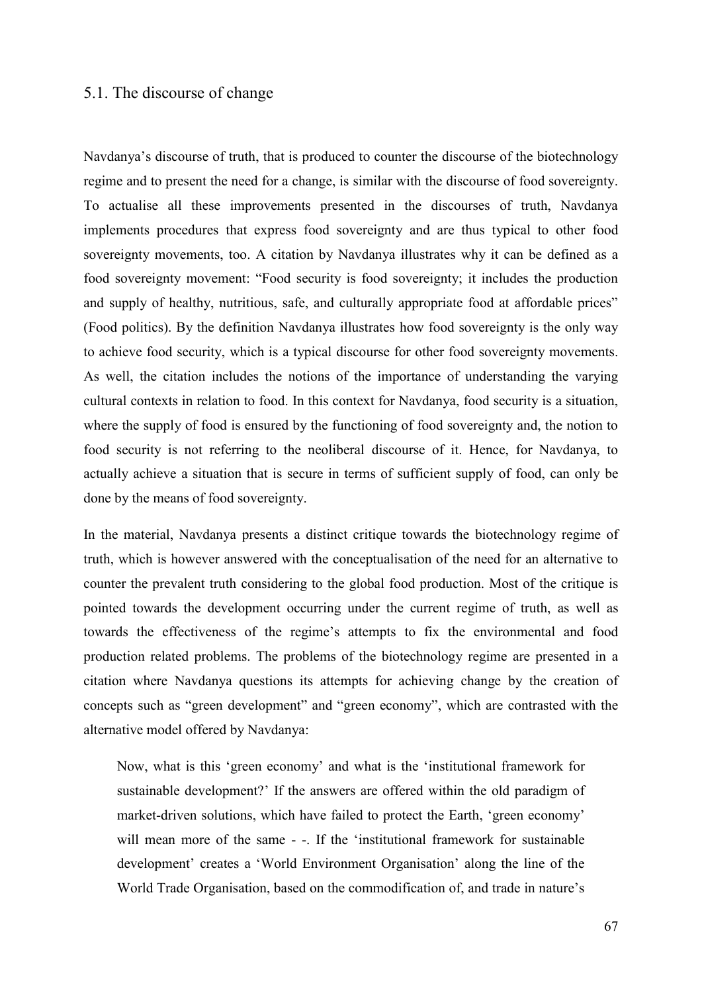# 5.1. The discourse of change

Navdanya's discourse of truth, that is produced to counter the discourse of the biotechnology regime and to present the need for a change, is similar with the discourse of food sovereignty. To actualise all these improvements presented in the discourses of truth, Navdanya implements procedures that express food sovereignty and are thus typical to other food sovereignty movements, too. A citation by Navdanya illustrates why it can be defined as a food sovereignty movement: "Food security is food sovereignty; it includes the production and supply of healthy, nutritious, safe, and culturally appropriate food at affordable prices" (Food politics). By the definition Navdanya illustrates how food sovereignty is the only way to achieve food security, which is a typical discourse for other food sovereignty movements. As well, the citation includes the notions of the importance of understanding the varying cultural contexts in relation to food. In this context for Navdanya, food security is a situation, where the supply of food is ensured by the functioning of food sovereignty and, the notion to food security is not referring to the neoliberal discourse of it. Hence, for Navdanya, to actually achieve a situation that is secure in terms of sufficient supply of food, can only be done by the means of food sovereignty.

In the material, Navdanya presents a distinct critique towards the biotechnology regime of truth, which is however answered with the conceptualisation of the need for an alternative to counter the prevalent truth considering to the global food production. Most of the critique is pointed towards the development occurring under the current regime of truth, as well as towards the effectiveness of the regime's attempts to fix the environmental and food production related problems. The problems of the biotechnology regime are presented in a citation where Navdanya questions its attempts for achieving change by the creation of concepts such as "green development" and "green economy", which are contrasted with the alternative model offered by Navdanya:

Now, what is this 'green economy' and what is the 'institutional framework for sustainable development?' If the answers are offered within the old paradigm of market-driven solutions, which have failed to protect the Earth, 'green economy' will mean more of the same - -. If the 'institutional framework for sustainable development' creates a 'World Environment Organisation' along the line of the World Trade Organisation, based on the commodification of, and trade in nature's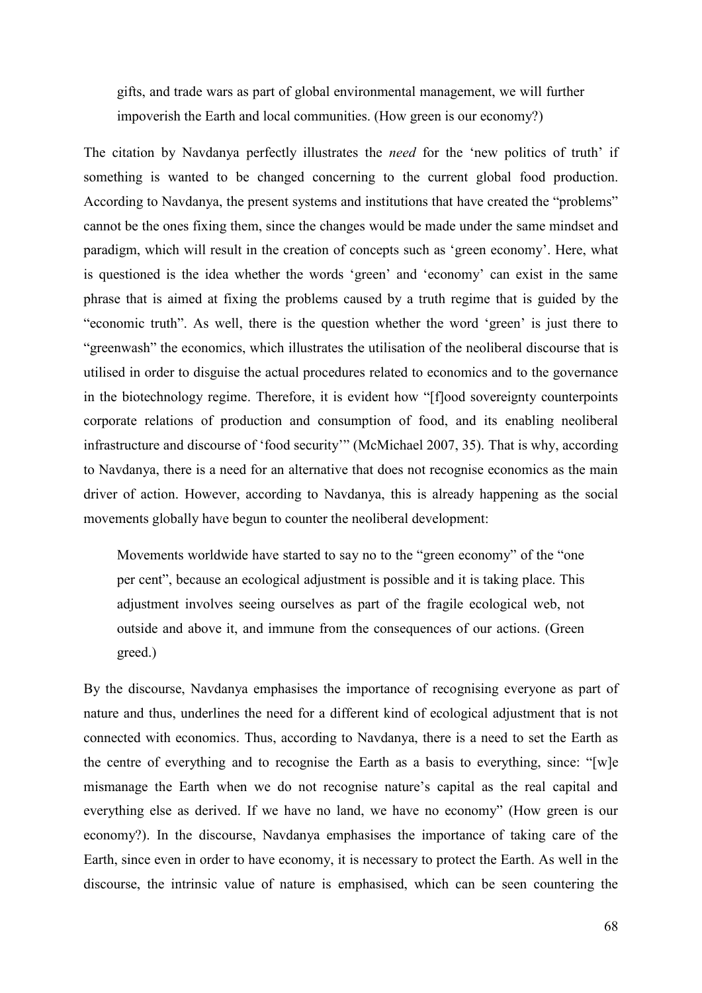gifts, and trade wars as part of global environmental management, we will further impoverish the Earth and local communities. (How green is our economy?)

The citation by Navdanya perfectly illustrates the *need* for the 'new politics of truth' if something is wanted to be changed concerning to the current global food production. According to Navdanya, the present systems and institutions that have created the "problems" cannot be the ones fixing them, since the changes would be made under the same mindset and paradigm, which will result in the creation of concepts such as 'green economy'. Here, what is questioned is the idea whether the words 'green' and 'economy' can exist in the same phrase that is aimed at fixing the problems caused by a truth regime that is guided by the "economic truth". As well, there is the question whether the word 'green' is just there to "greenwash" the economics, which illustrates the utilisation of the neoliberal discourse that is utilised in order to disguise the actual procedures related to economics and to the governance in the biotechnology regime. Therefore, it is evident how "[f]ood sovereignty counterpoints corporate relations of production and consumption of food, and its enabling neoliberal infrastructure and discourse of 'food security'" (McMichael 2007, 35). That is why, according to Navdanya, there is a need for an alternative that does not recognise economics as the main driver of action. However, according to Navdanya, this is already happening as the social movements globally have begun to counter the neoliberal development:

Movements worldwide have started to say no to the "green economy" of the "one per cent", because an ecological adjustment is possible and it is taking place. This adjustment involves seeing ourselves as part of the fragile ecological web, not outside and above it, and immune from the consequences of our actions. (Green greed.)

By the discourse, Navdanya emphasises the importance of recognising everyone as part of nature and thus, underlines the need for a different kind of ecological adjustment that is not connected with economics. Thus, according to Navdanya, there is a need to set the Earth as the centre of everything and to recognise the Earth as a basis to everything, since: "[w]e mismanage the Earth when we do not recognise nature's capital as the real capital and everything else as derived. If we have no land, we have no economy" (How green is our economy?). In the discourse, Navdanya emphasises the importance of taking care of the Earth, since even in order to have economy, it is necessary to protect the Earth. As well in the discourse, the intrinsic value of nature is emphasised, which can be seen countering the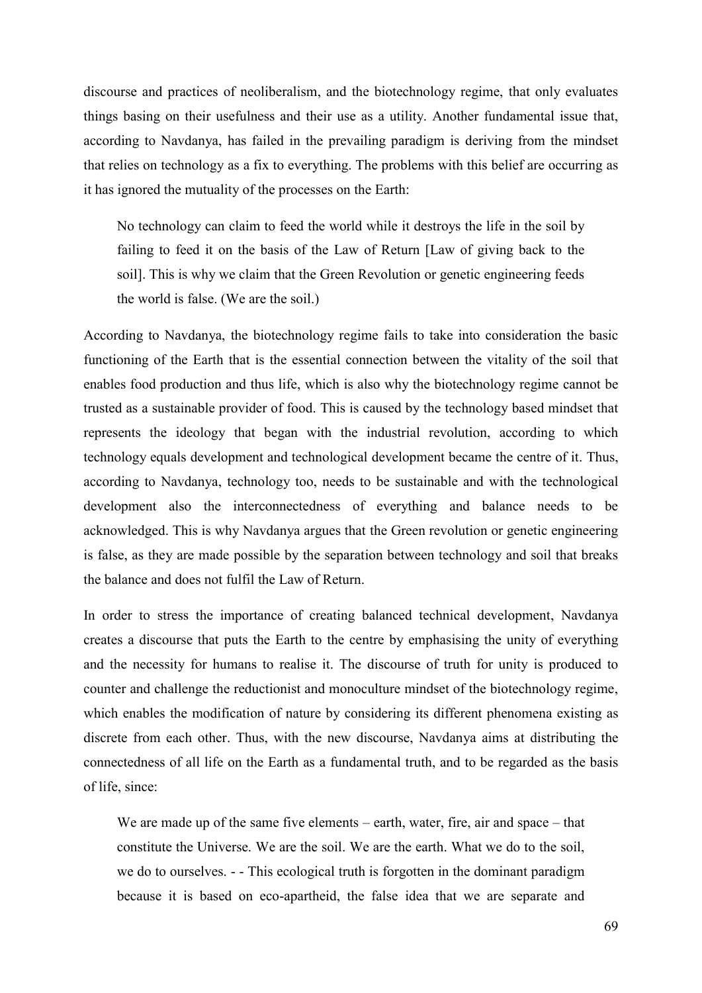discourse and practices of neoliberalism, and the biotechnology regime, that only evaluates things basing on their usefulness and their use as a utility. Another fundamental issue that, according to Navdanya, has failed in the prevailing paradigm is deriving from the mindset that relies on technology as a fix to everything. The problems with this belief are occurring as it has ignored the mutuality of the processes on the Earth:

No technology can claim to feed the world while it destroys the life in the soil by failing to feed it on the basis of the Law of Return [Law of giving back to the soil]. This is why we claim that the Green Revolution or genetic engineering feeds the world is false. (We are the soil.)

According to Navdanya, the biotechnology regime fails to take into consideration the basic functioning of the Earth that is the essential connection between the vitality of the soil that enables food production and thus life, which is also why the biotechnology regime cannot be trusted as a sustainable provider of food. This is caused by the technology based mindset that represents the ideology that began with the industrial revolution, according to which technology equals development and technological development became the centre of it. Thus, according to Navdanya, technology too, needs to be sustainable and with the technological development also the interconnectedness of everything and balance needs to be acknowledged. This is why Navdanya argues that the Green revolution or genetic engineering is false, as they are made possible by the separation between technology and soil that breaks the balance and does not fulfil the Law of Return.

In order to stress the importance of creating balanced technical development, Navdanya creates a discourse that puts the Earth to the centre by emphasising the unity of everything and the necessity for humans to realise it. The discourse of truth for unity is produced to counter and challenge the reductionist and monoculture mindset of the biotechnology regime, which enables the modification of nature by considering its different phenomena existing as discrete from each other. Thus, with the new discourse, Navdanya aims at distributing the connectedness of all life on the Earth as a fundamental truth, and to be regarded as the basis of life, since:

We are made up of the same five elements – earth, water, fire, air and space – that constitute the Universe. We are the soil. We are the earth. What we do to the soil, we do to ourselves. - - This ecological truth is forgotten in the dominant paradigm because it is based on eco-apartheid, the false idea that we are separate and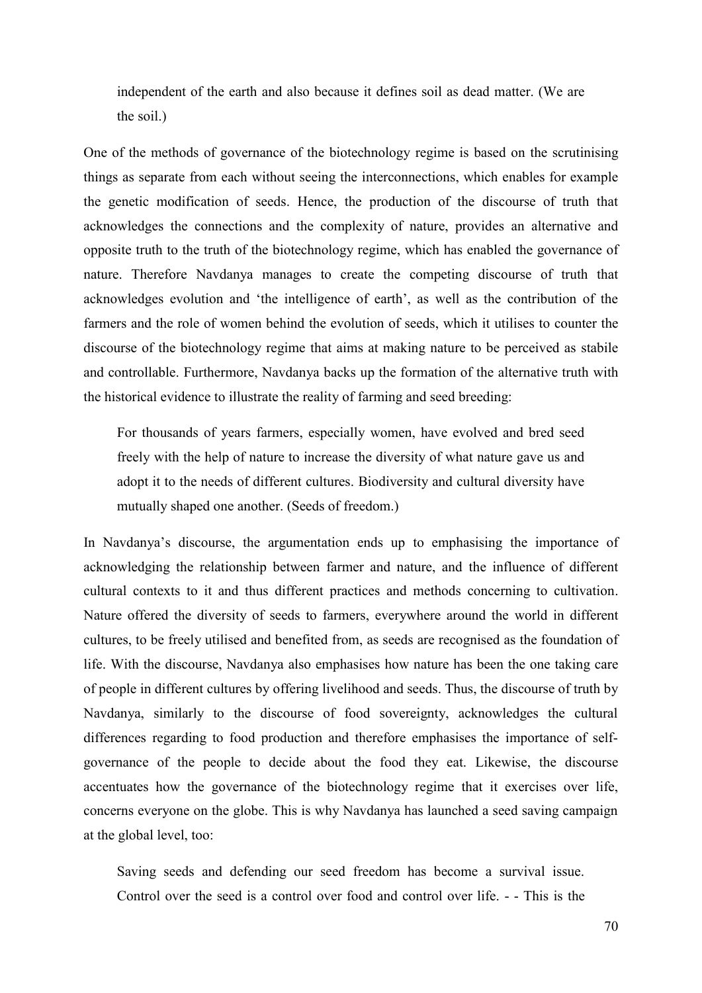independent of the earth and also because it defines soil as dead matter. (We are the soil.)

One of the methods of governance of the biotechnology regime is based on the scrutinising things as separate from each without seeing the interconnections, which enables for example the genetic modification of seeds. Hence, the production of the discourse of truth that acknowledges the connections and the complexity of nature, provides an alternative and opposite truth to the truth of the biotechnology regime, which has enabled the governance of nature. Therefore Navdanya manages to create the competing discourse of truth that acknowledges evolution and 'the intelligence of earth', as well as the contribution of the farmers and the role of women behind the evolution of seeds, which it utilises to counter the discourse of the biotechnology regime that aims at making nature to be perceived as stabile and controllable. Furthermore, Navdanya backs up the formation of the alternative truth with the historical evidence to illustrate the reality of farming and seed breeding:

For thousands of years farmers, especially women, have evolved and bred seed freely with the help of nature to increase the diversity of what nature gave us and adopt it to the needs of different cultures. Biodiversity and cultural diversity have mutually shaped one another. (Seeds of freedom.)

In Navdanya's discourse, the argumentation ends up to emphasising the importance of acknowledging the relationship between farmer and nature, and the influence of different cultural contexts to it and thus different practices and methods concerning to cultivation. Nature offered the diversity of seeds to farmers, everywhere around the world in different cultures, to be freely utilised and benefited from, as seeds are recognised as the foundation of life. With the discourse, Navdanya also emphasises how nature has been the one taking care of people in different cultures by offering livelihood and seeds. Thus, the discourse of truth by Navdanya, similarly to the discourse of food sovereignty, acknowledges the cultural differences regarding to food production and therefore emphasises the importance of selfgovernance of the people to decide about the food they eat. Likewise, the discourse accentuates how the governance of the biotechnology regime that it exercises over life, concerns everyone on the globe. This is why Navdanya has launched a seed saving campaign at the global level, too:

Saving seeds and defending our seed freedom has become a survival issue. Control over the seed is a control over food and control over life. - - This is the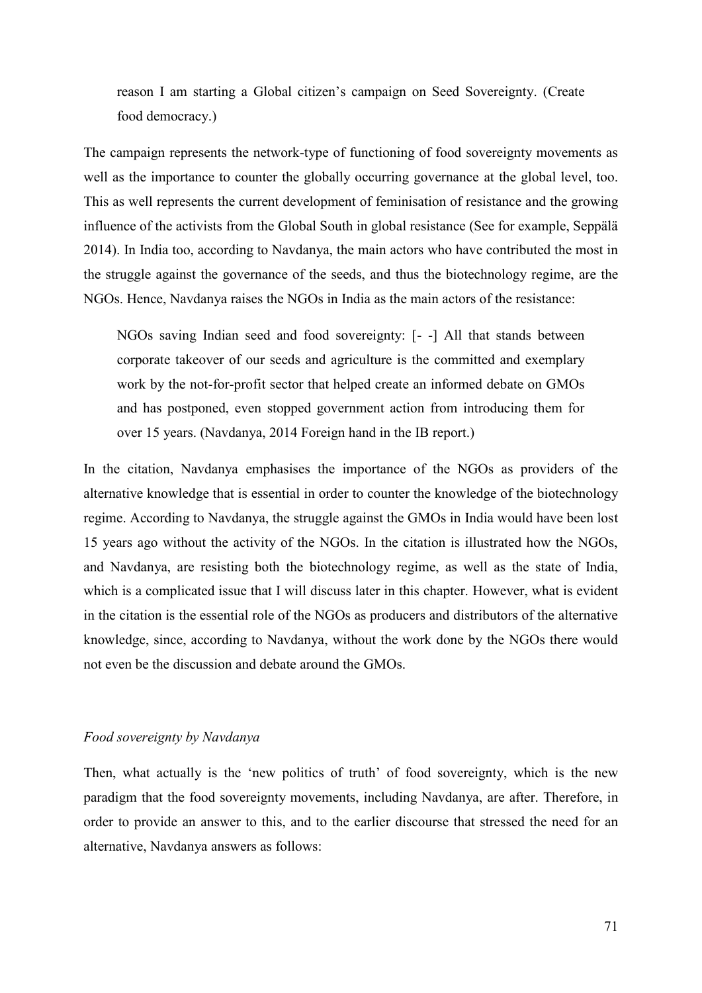reason I am starting a Global citizen's campaign on Seed Sovereignty. (Create food democracy.)

The campaign represents the network-type of functioning of food sovereignty movements as well as the importance to counter the globally occurring governance at the global level, too. This as well represents the current development of feminisation of resistance and the growing influence of the activists from the Global South in global resistance (See for example, Seppälä 2014). In India too, according to Navdanya, the main actors who have contributed the most in the struggle against the governance of the seeds, and thus the biotechnology regime, are the NGOs. Hence, Navdanya raises the NGOs in India as the main actors of the resistance:

NGOs saving Indian seed and food sovereignty: [- -] All that stands between corporate takeover of our seeds and agriculture is the committed and exemplary work by the not-for-profit sector that helped create an informed debate on GMOs and has postponed, even stopped government action from introducing them for over 15 years. (Navdanya, 2014 Foreign hand in the IB report.)

In the citation, Navdanya emphasises the importance of the NGOs as providers of the alternative knowledge that is essential in order to counter the knowledge of the biotechnology regime. According to Navdanya, the struggle against the GMOs in India would have been lost 15 years ago without the activity of the NGOs. In the citation is illustrated how the NGOs, and Navdanya, are resisting both the biotechnology regime, as well as the state of India, which is a complicated issue that I will discuss later in this chapter. However, what is evident in the citation is the essential role of the NGOs as producers and distributors of the alternative knowledge, since, according to Navdanya, without the work done by the NGOs there would not even be the discussion and debate around the GMOs.

### *Food sovereignty by Navdanya*

Then, what actually is the 'new politics of truth' of food sovereignty, which is the new paradigm that the food sovereignty movements, including Navdanya, are after. Therefore, in order to provide an answer to this, and to the earlier discourse that stressed the need for an alternative, Navdanya answers as follows: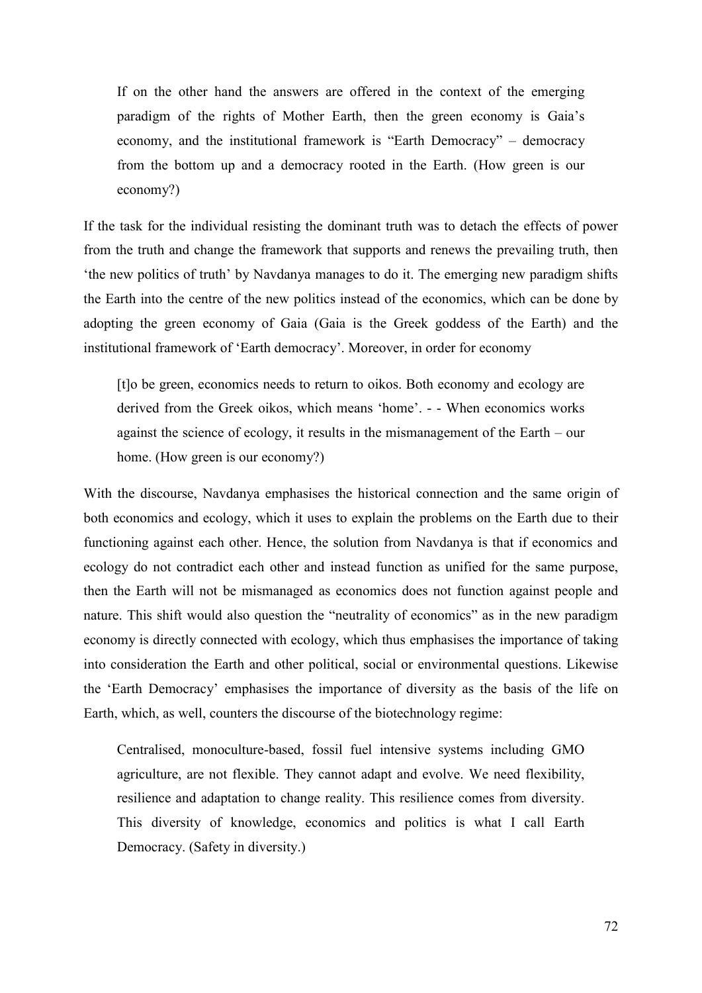If on the other hand the answers are offered in the context of the emerging paradigm of the rights of Mother Earth, then the green economy is Gaia's economy, and the institutional framework is "Earth Democracy" – democracy from the bottom up and a democracy rooted in the Earth. (How green is our economy?)

If the task for the individual resisting the dominant truth was to detach the effects of power from the truth and change the framework that supports and renews the prevailing truth, then 'the new politics of truth' by Navdanya manages to do it. The emerging new paradigm shifts the Earth into the centre of the new politics instead of the economics, which can be done by adopting the green economy of Gaia (Gaia is the Greek goddess of the Earth) and the institutional framework of 'Earth democracy'. Moreover, in order for economy

[t]o be green, economics needs to return to oikos. Both economy and ecology are derived from the Greek oikos, which means 'home'. - - When economics works against the science of ecology, it results in the mismanagement of the Earth – our home. (How green is our economy?)

With the discourse, Navdanya emphasises the historical connection and the same origin of both economics and ecology, which it uses to explain the problems on the Earth due to their functioning against each other. Hence, the solution from Navdanya is that if economics and ecology do not contradict each other and instead function as unified for the same purpose, then the Earth will not be mismanaged as economics does not function against people and nature. This shift would also question the "neutrality of economics" as in the new paradigm economy is directly connected with ecology, which thus emphasises the importance of taking into consideration the Earth and other political, social or environmental questions. Likewise the 'Earth Democracy' emphasises the importance of diversity as the basis of the life on Earth, which, as well, counters the discourse of the biotechnology regime:

Centralised, monoculture-based, fossil fuel intensive systems including GMO agriculture, are not flexible. They cannot adapt and evolve. We need flexibility, resilience and adaptation to change reality. This resilience comes from diversity. This diversity of knowledge, economics and politics is what I call Earth Democracy. (Safety in diversity.)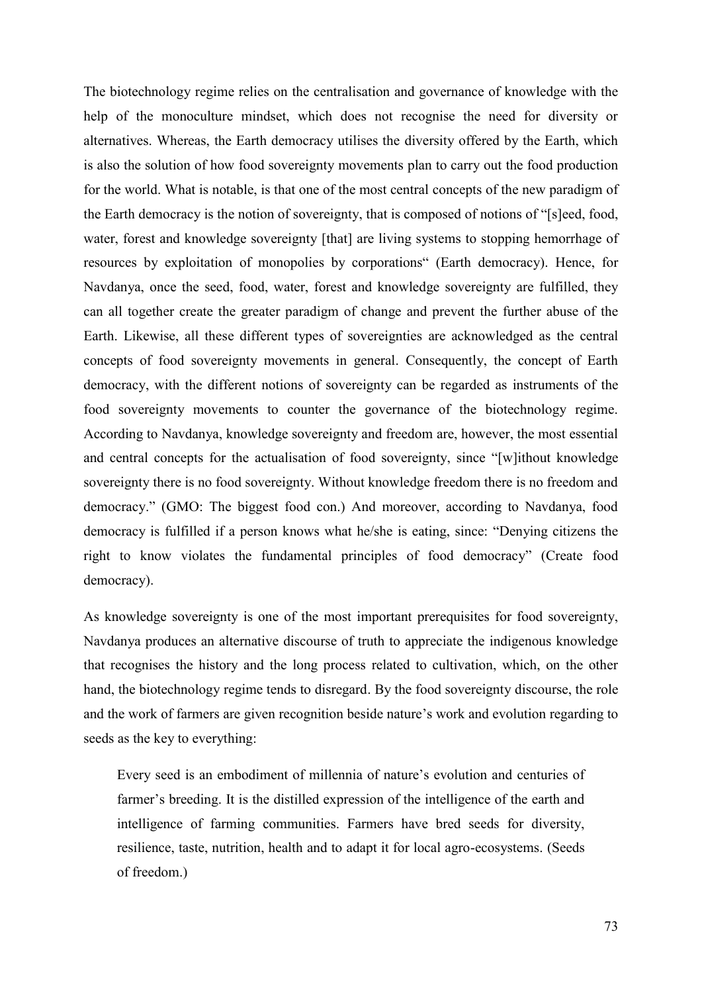The biotechnology regime relies on the centralisation and governance of knowledge with the help of the monoculture mindset, which does not recognise the need for diversity or alternatives. Whereas, the Earth democracy utilises the diversity offered by the Earth, which is also the solution of how food sovereignty movements plan to carry out the food production for the world. What is notable, is that one of the most central concepts of the new paradigm of the Earth democracy is the notion of sovereignty, that is composed of notions of "[s]eed, food, water, forest and knowledge sovereignty [that] are living systems to stopping hemorrhage of resources by exploitation of monopolies by corporations" (Earth democracy). Hence, for Navdanya, once the seed, food, water, forest and knowledge sovereignty are fulfilled, they can all together create the greater paradigm of change and prevent the further abuse of the Earth. Likewise, all these different types of sovereignties are acknowledged as the central concepts of food sovereignty movements in general. Consequently, the concept of Earth democracy, with the different notions of sovereignty can be regarded as instruments of the food sovereignty movements to counter the governance of the biotechnology regime. According to Navdanya, knowledge sovereignty and freedom are, however, the most essential and central concepts for the actualisation of food sovereignty, since "[w]ithout knowledge sovereignty there is no food sovereignty. Without knowledge freedom there is no freedom and democracy." (GMO: The biggest food con.) And moreover, according to Navdanya, food democracy is fulfilled if a person knows what he/she is eating, since: "Denying citizens the right to know violates the fundamental principles of food democracy" (Create food democracy).

As knowledge sovereignty is one of the most important prerequisites for food sovereignty, Navdanya produces an alternative discourse of truth to appreciate the indigenous knowledge that recognises the history and the long process related to cultivation, which, on the other hand, the biotechnology regime tends to disregard. By the food sovereignty discourse, the role and the work of farmers are given recognition beside nature's work and evolution regarding to seeds as the key to everything:

Every seed is an embodiment of millennia of nature's evolution and centuries of farmer's breeding. It is the distilled expression of the intelligence of the earth and intelligence of farming communities. Farmers have bred seeds for diversity, resilience, taste, nutrition, health and to adapt it for local agro-ecosystems. (Seeds of freedom.)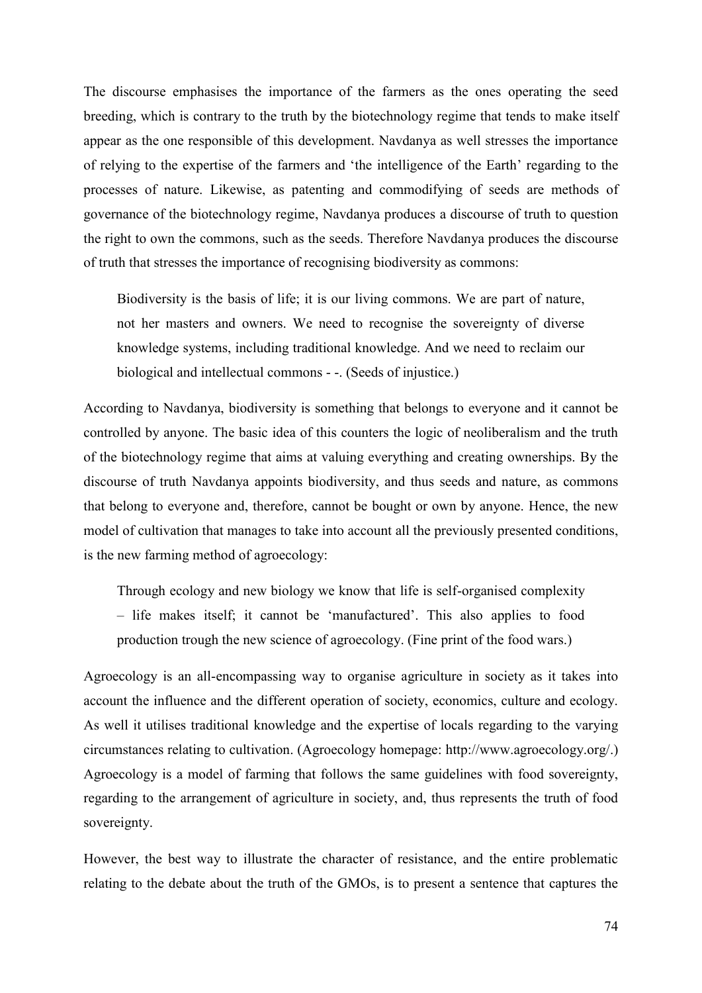The discourse emphasises the importance of the farmers as the ones operating the seed breeding, which is contrary to the truth by the biotechnology regime that tends to make itself appear as the one responsible of this development. Navdanya as well stresses the importance of relying to the expertise of the farmers and 'the intelligence of the Earth' regarding to the processes of nature. Likewise, as patenting and commodifying of seeds are methods of governance of the biotechnology regime, Navdanya produces a discourse of truth to question the right to own the commons, such as the seeds. Therefore Navdanya produces the discourse of truth that stresses the importance of recognising biodiversity as commons:

Biodiversity is the basis of life; it is our living commons. We are part of nature, not her masters and owners. We need to recognise the sovereignty of diverse knowledge systems, including traditional knowledge. And we need to reclaim our biological and intellectual commons - -. (Seeds of injustice.)

According to Navdanya, biodiversity is something that belongs to everyone and it cannot be controlled by anyone. The basic idea of this counters the logic of neoliberalism and the truth of the biotechnology regime that aims at valuing everything and creating ownerships. By the discourse of truth Navdanya appoints biodiversity, and thus seeds and nature, as commons that belong to everyone and, therefore, cannot be bought or own by anyone. Hence, the new model of cultivation that manages to take into account all the previously presented conditions, is the new farming method of agroecology:

Through ecology and new biology we know that life is self-organised complexity – life makes itself; it cannot be 'manufactured'. This also applies to food production trough the new science of agroecology. (Fine print of the food wars.)

Agroecology is an all-encompassing way to organise agriculture in society as it takes into account the influence and the different operation of society, economics, culture and ecology. As well it utilises traditional knowledge and the expertise of locals regarding to the varying circumstances relating to cultivation. (Agroecology homepage: http://www.agroecology.org/.) Agroecology is a model of farming that follows the same guidelines with food sovereignty, regarding to the arrangement of agriculture in society, and, thus represents the truth of food sovereignty.

However, the best way to illustrate the character of resistance, and the entire problematic relating to the debate about the truth of the GMOs, is to present a sentence that captures the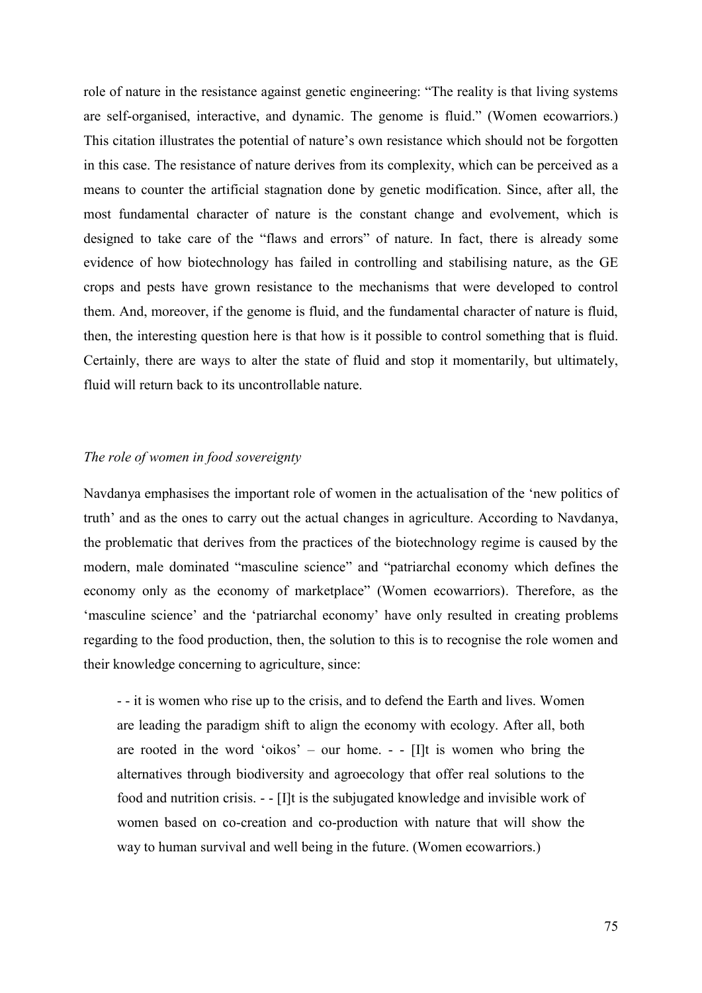role of nature in the resistance against genetic engineering: "The reality is that living systems are self-organised, interactive, and dynamic. The genome is fluid." (Women ecowarriors.) This citation illustrates the potential of nature's own resistance which should not be forgotten in this case. The resistance of nature derives from its complexity, which can be perceived as a means to counter the artificial stagnation done by genetic modification. Since, after all, the most fundamental character of nature is the constant change and evolvement, which is designed to take care of the "flaws and errors" of nature. In fact, there is already some evidence of how biotechnology has failed in controlling and stabilising nature, as the GE crops and pests have grown resistance to the mechanisms that were developed to control them. And, moreover, if the genome is fluid, and the fundamental character of nature is fluid, then, the interesting question here is that how is it possible to control something that is fluid. Certainly, there are ways to alter the state of fluid and stop it momentarily, but ultimately, fluid will return back to its uncontrollable nature.

### *The role of women in food sovereignty*

Navdanya emphasises the important role of women in the actualisation of the 'new politics of truth' and as the ones to carry out the actual changes in agriculture. According to Navdanya, the problematic that derives from the practices of the biotechnology regime is caused by the modern, male dominated "masculine science" and "patriarchal economy which defines the economy only as the economy of marketplace" (Women ecowarriors). Therefore, as the 'masculine science' and the 'patriarchal economy' have only resulted in creating problems regarding to the food production, then, the solution to this is to recognise the role women and their knowledge concerning to agriculture, since:

- - it is women who rise up to the crisis, and to defend the Earth and lives. Women are leading the paradigm shift to align the economy with ecology. After all, both are rooted in the word 'oikos' – our home.  $\overline{\phantom{a}}$  - [I]t is women who bring the alternatives through biodiversity and agroecology that offer real solutions to the food and nutrition crisis. - - [I]t is the subjugated knowledge and invisible work of women based on co-creation and co-production with nature that will show the way to human survival and well being in the future. (Women ecowarriors.)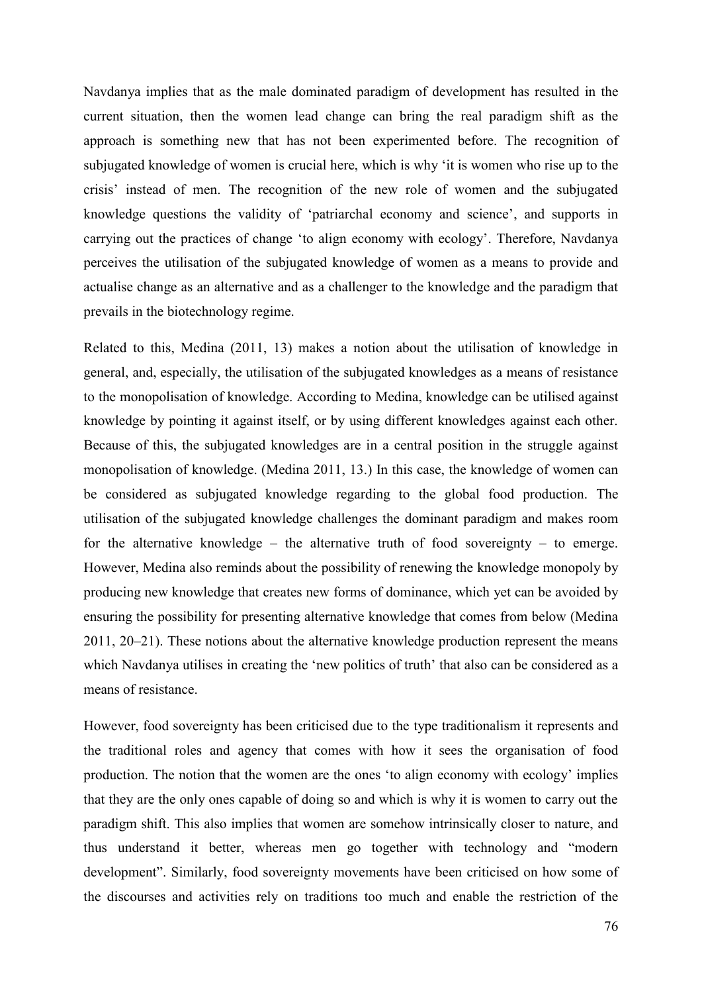Navdanya implies that as the male dominated paradigm of development has resulted in the current situation, then the women lead change can bring the real paradigm shift as the approach is something new that has not been experimented before. The recognition of subjugated knowledge of women is crucial here, which is why 'it is women who rise up to the crisis' instead of men. The recognition of the new role of women and the subjugated knowledge questions the validity of 'patriarchal economy and science', and supports in carrying out the practices of change 'to align economy with ecology'. Therefore, Navdanya perceives the utilisation of the subjugated knowledge of women as a means to provide and actualise change as an alternative and as a challenger to the knowledge and the paradigm that prevails in the biotechnology regime.

Related to this, Medina (2011, 13) makes a notion about the utilisation of knowledge in general, and, especially, the utilisation of the subjugated knowledges as a means of resistance to the monopolisation of knowledge. According to Medina, knowledge can be utilised against knowledge by pointing it against itself, or by using different knowledges against each other. Because of this, the subjugated knowledges are in a central position in the struggle against monopolisation of knowledge. (Medina 2011, 13.) In this case, the knowledge of women can be considered as subjugated knowledge regarding to the global food production. The utilisation of the subjugated knowledge challenges the dominant paradigm and makes room for the alternative knowledge – the alternative truth of food sovereignty – to emerge. However, Medina also reminds about the possibility of renewing the knowledge monopoly by producing new knowledge that creates new forms of dominance, which yet can be avoided by ensuring the possibility for presenting alternative knowledge that comes from below (Medina 2011, 20–21). These notions about the alternative knowledge production represent the means which Navdanya utilises in creating the 'new politics of truth' that also can be considered as a means of resistance.

However, food sovereignty has been criticised due to the type traditionalism it represents and the traditional roles and agency that comes with how it sees the organisation of food production. The notion that the women are the ones 'to align economy with ecology' implies that they are the only ones capable of doing so and which is why it is women to carry out the paradigm shift. This also implies that women are somehow intrinsically closer to nature, and thus understand it better, whereas men go together with technology and "modern development". Similarly, food sovereignty movements have been criticised on how some of the discourses and activities rely on traditions too much and enable the restriction of the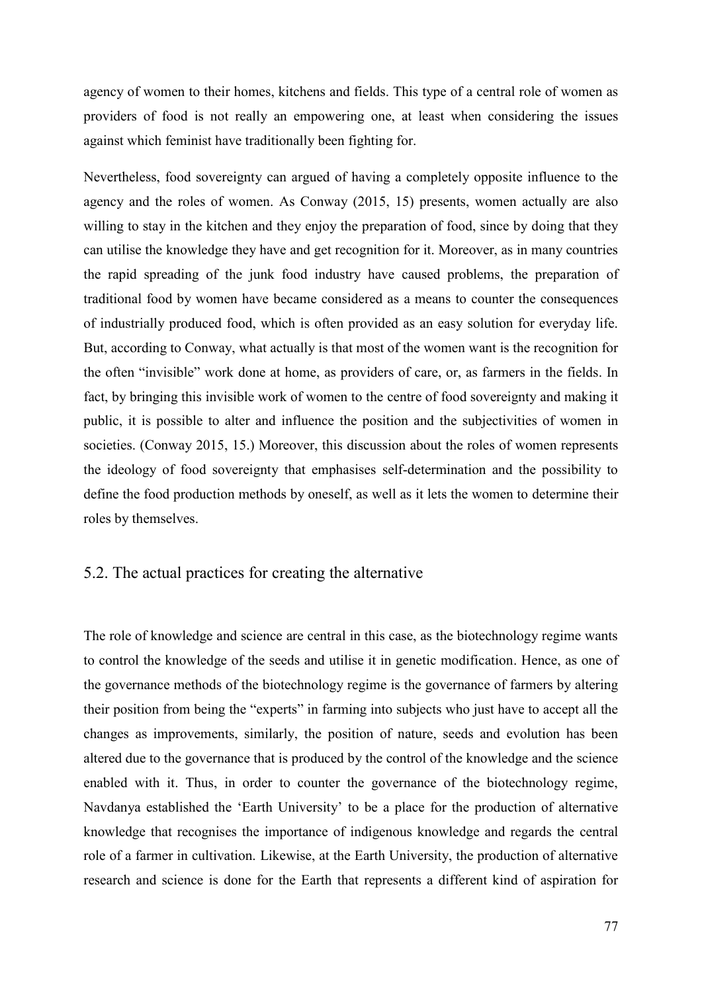agency of women to their homes, kitchens and fields. This type of a central role of women as providers of food is not really an empowering one, at least when considering the issues against which feminist have traditionally been fighting for.

Nevertheless, food sovereignty can argued of having a completely opposite influence to the agency and the roles of women. As Conway (2015, 15) presents, women actually are also willing to stay in the kitchen and they enjoy the preparation of food, since by doing that they can utilise the knowledge they have and get recognition for it. Moreover, as in many countries the rapid spreading of the junk food industry have caused problems, the preparation of traditional food by women have became considered as a means to counter the consequences of industrially produced food, which is often provided as an easy solution for everyday life. But, according to Conway, what actually is that most of the women want is the recognition for the often "invisible" work done at home, as providers of care, or, as farmers in the fields. In fact, by bringing this invisible work of women to the centre of food sovereignty and making it public, it is possible to alter and influence the position and the subjectivities of women in societies. (Conway 2015, 15.) Moreover, this discussion about the roles of women represents the ideology of food sovereignty that emphasises self-determination and the possibility to define the food production methods by oneself, as well as it lets the women to determine their roles by themselves.

# 5.2. The actual practices for creating the alternative

The role of knowledge and science are central in this case, as the biotechnology regime wants to control the knowledge of the seeds and utilise it in genetic modification. Hence, as one of the governance methods of the biotechnology regime is the governance of farmers by altering their position from being the "experts" in farming into subjects who just have to accept all the changes as improvements, similarly, the position of nature, seeds and evolution has been altered due to the governance that is produced by the control of the knowledge and the science enabled with it. Thus, in order to counter the governance of the biotechnology regime, Navdanya established the 'Earth University' to be a place for the production of alternative knowledge that recognises the importance of indigenous knowledge and regards the central role of a farmer in cultivation. Likewise, at the Earth University, the production of alternative research and science is done for the Earth that represents a different kind of aspiration for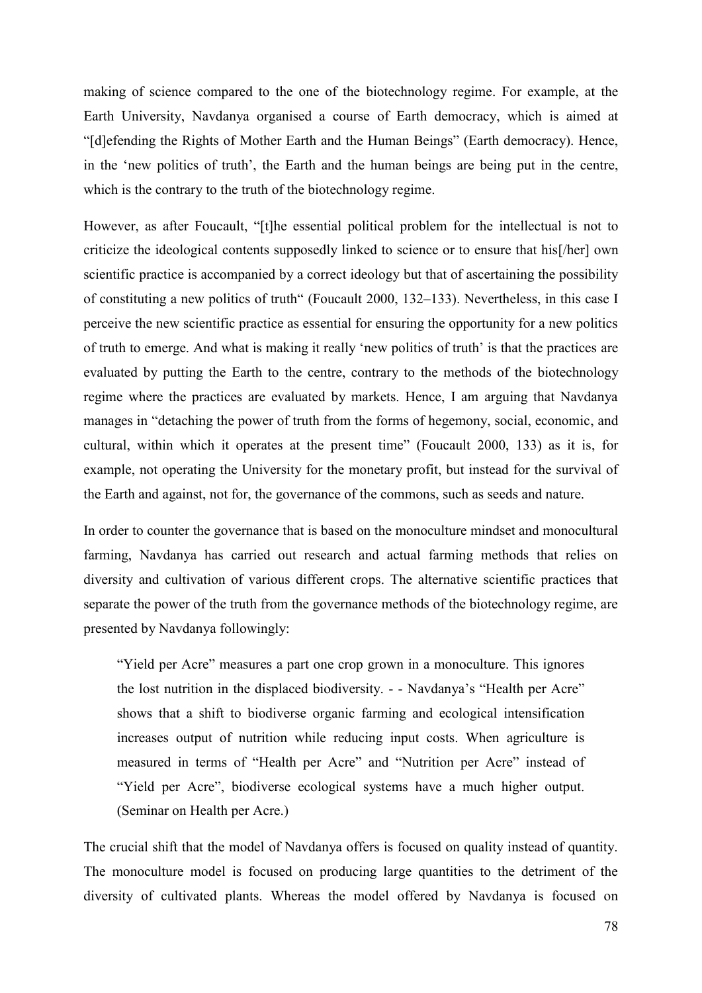making of science compared to the one of the biotechnology regime. For example, at the Earth University, Navdanya organised a course of Earth democracy, which is aimed at "[d]efending the Rights of Mother Earth and the Human Beings" (Earth democracy). Hence, in the 'new politics of truth', the Earth and the human beings are being put in the centre, which is the contrary to the truth of the biotechnology regime.

However, as after Foucault, "[t]he essential political problem for the intellectual is not to criticize the ideological contents supposedly linked to science or to ensure that his[/her] own scientific practice is accompanied by a correct ideology but that of ascertaining the possibility of constituting a new politics of truth" (Foucault 2000, 132–133). Nevertheless, in this case I perceive the new scientific practice as essential for ensuring the opportunity for a new politics of truth to emerge. And what is making it really 'new politics of truth' is that the practices are evaluated by putting the Earth to the centre, contrary to the methods of the biotechnology regime where the practices are evaluated by markets. Hence, I am arguing that Navdanya manages in "detaching the power of truth from the forms of hegemony, social, economic, and cultural, within which it operates at the present time" (Foucault 2000, 133) as it is, for example, not operating the University for the monetary profit, but instead for the survival of the Earth and against, not for, the governance of the commons, such as seeds and nature.

In order to counter the governance that is based on the monoculture mindset and monocultural farming, Navdanya has carried out research and actual farming methods that relies on diversity and cultivation of various different crops. The alternative scientific practices that separate the power of the truth from the governance methods of the biotechnology regime, are presented by Navdanya followingly:

"Yield per Acre" measures a part one crop grown in a monoculture. This ignores the lost nutrition in the displaced biodiversity. - - Navdanya's "Health per Acre" shows that a shift to biodiverse organic farming and ecological intensification increases output of nutrition while reducing input costs. When agriculture is measured in terms of "Health per Acre" and "Nutrition per Acre" instead of "Yield per Acre", biodiverse ecological systems have a much higher output. (Seminar on Health per Acre.)

The crucial shift that the model of Navdanya offers is focused on quality instead of quantity. The monoculture model is focused on producing large quantities to the detriment of the diversity of cultivated plants. Whereas the model offered by Navdanya is focused on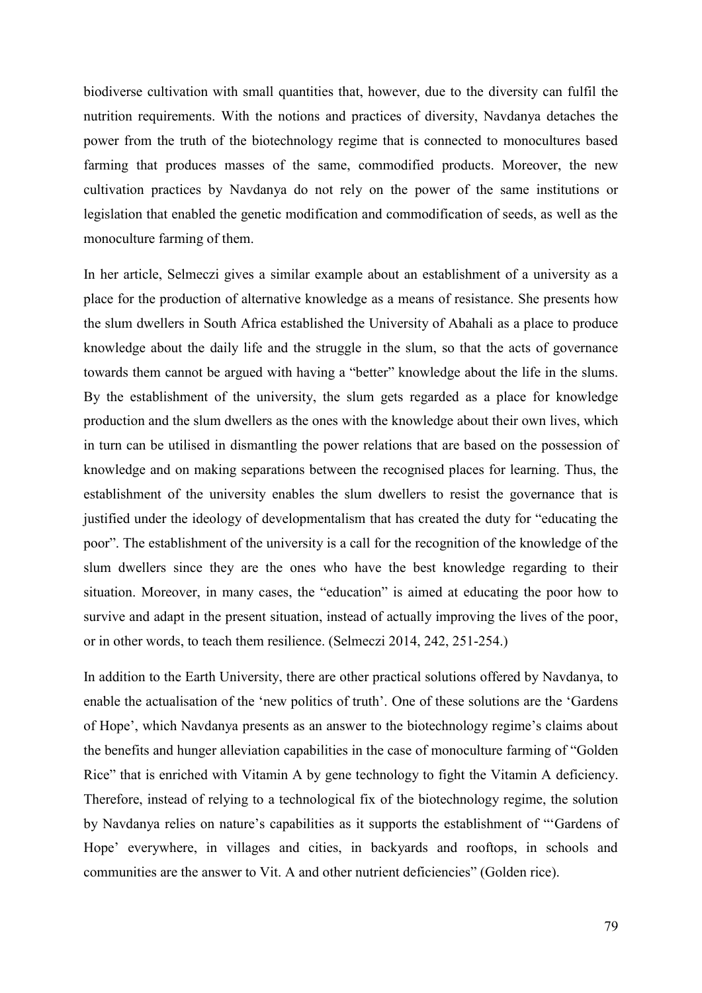biodiverse cultivation with small quantities that, however, due to the diversity can fulfil the nutrition requirements. With the notions and practices of diversity, Navdanya detaches the power from the truth of the biotechnology regime that is connected to monocultures based farming that produces masses of the same, commodified products. Moreover, the new cultivation practices by Navdanya do not rely on the power of the same institutions or legislation that enabled the genetic modification and commodification of seeds, as well as the monoculture farming of them.

In her article, Selmeczi gives a similar example about an establishment of a university as a place for the production of alternative knowledge as a means of resistance. She presents how the slum dwellers in South Africa established the University of Abahali as a place to produce knowledge about the daily life and the struggle in the slum, so that the acts of governance towards them cannot be argued with having a "better" knowledge about the life in the slums. By the establishment of the university, the slum gets regarded as a place for knowledge production and the slum dwellers as the ones with the knowledge about their own lives, which in turn can be utilised in dismantling the power relations that are based on the possession of knowledge and on making separations between the recognised places for learning. Thus, the establishment of the university enables the slum dwellers to resist the governance that is justified under the ideology of developmentalism that has created the duty for "educating the poor". The establishment of the university is a call for the recognition of the knowledge of the slum dwellers since they are the ones who have the best knowledge regarding to their situation. Moreover, in many cases, the "education" is aimed at educating the poor how to survive and adapt in the present situation, instead of actually improving the lives of the poor, or in other words, to teach them resilience. (Selmeczi 2014, 242, 251-254.)

In addition to the Earth University, there are other practical solutions offered by Navdanya, to enable the actualisation of the 'new politics of truth'. One of these solutions are the 'Gardens of Hope', which Navdanya presents as an answer to the biotechnology regime's claims about the benefits and hunger alleviation capabilities in the case of monoculture farming of "Golden Rice" that is enriched with Vitamin A by gene technology to fight the Vitamin A deficiency. Therefore, instead of relying to a technological fix of the biotechnology regime, the solution by Navdanya relies on nature's capabilities as it supports the establishment of "'Gardens of Hope' everywhere, in villages and cities, in backyards and rooftops, in schools and communities are the answer to Vit. A and other nutrient deficiencies" (Golden rice).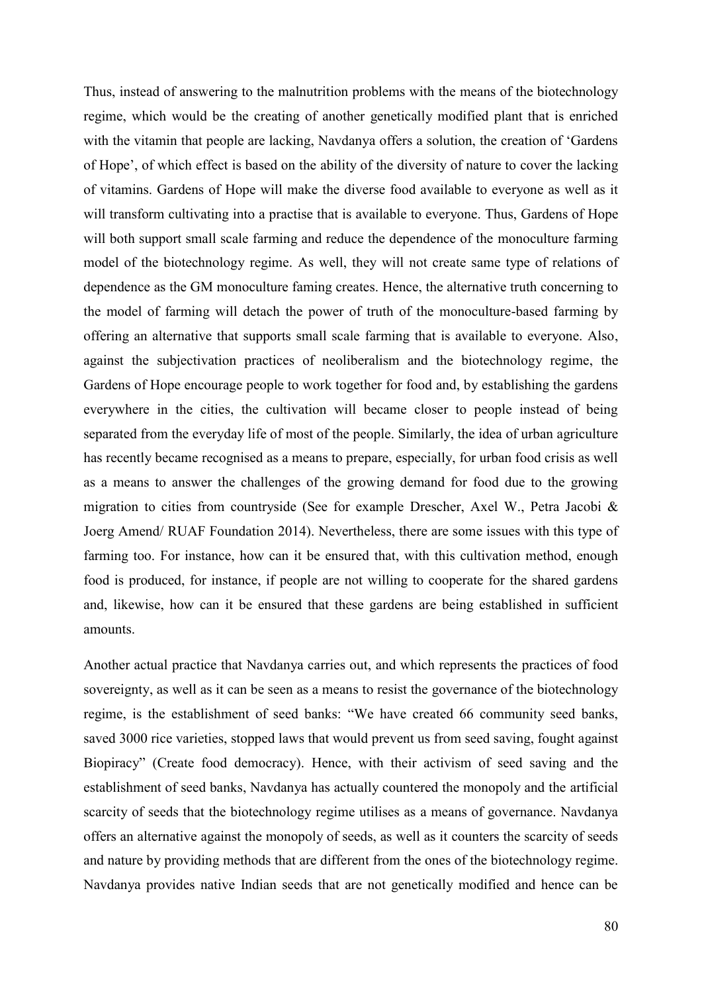Thus, instead of answering to the malnutrition problems with the means of the biotechnology regime, which would be the creating of another genetically modified plant that is enriched with the vitamin that people are lacking, Navdanya offers a solution, the creation of 'Gardens of Hope', of which effect is based on the ability of the diversity of nature to cover the lacking of vitamins. Gardens of Hope will make the diverse food available to everyone as well as it will transform cultivating into a practise that is available to everyone. Thus, Gardens of Hope will both support small scale farming and reduce the dependence of the monoculture farming model of the biotechnology regime. As well, they will not create same type of relations of dependence as the GM monoculture faming creates. Hence, the alternative truth concerning to the model of farming will detach the power of truth of the monoculture-based farming by offering an alternative that supports small scale farming that is available to everyone. Also, against the subjectivation practices of neoliberalism and the biotechnology regime, the Gardens of Hope encourage people to work together for food and, by establishing the gardens everywhere in the cities, the cultivation will became closer to people instead of being separated from the everyday life of most of the people. Similarly, the idea of urban agriculture has recently became recognised as a means to prepare, especially, for urban food crisis as well as a means to answer the challenges of the growing demand for food due to the growing migration to cities from countryside (See for example Drescher, Axel W., Petra Jacobi & Joerg Amend/ RUAF Foundation 2014). Nevertheless, there are some issues with this type of farming too. For instance, how can it be ensured that, with this cultivation method, enough food is produced, for instance, if people are not willing to cooperate for the shared gardens and, likewise, how can it be ensured that these gardens are being established in sufficient amounts.

Another actual practice that Navdanya carries out, and which represents the practices of food sovereignty, as well as it can be seen as a means to resist the governance of the biotechnology regime, is the establishment of seed banks: "We have created 66 community seed banks, saved 3000 rice varieties, stopped laws that would prevent us from seed saving, fought against Biopiracy" (Create food democracy). Hence, with their activism of seed saving and the establishment of seed banks, Navdanya has actually countered the monopoly and the artificial scarcity of seeds that the biotechnology regime utilises as a means of governance. Navdanya offers an alternative against the monopoly of seeds, as well as it counters the scarcity of seeds and nature by providing methods that are different from the ones of the biotechnology regime. Navdanya provides native Indian seeds that are not genetically modified and hence can be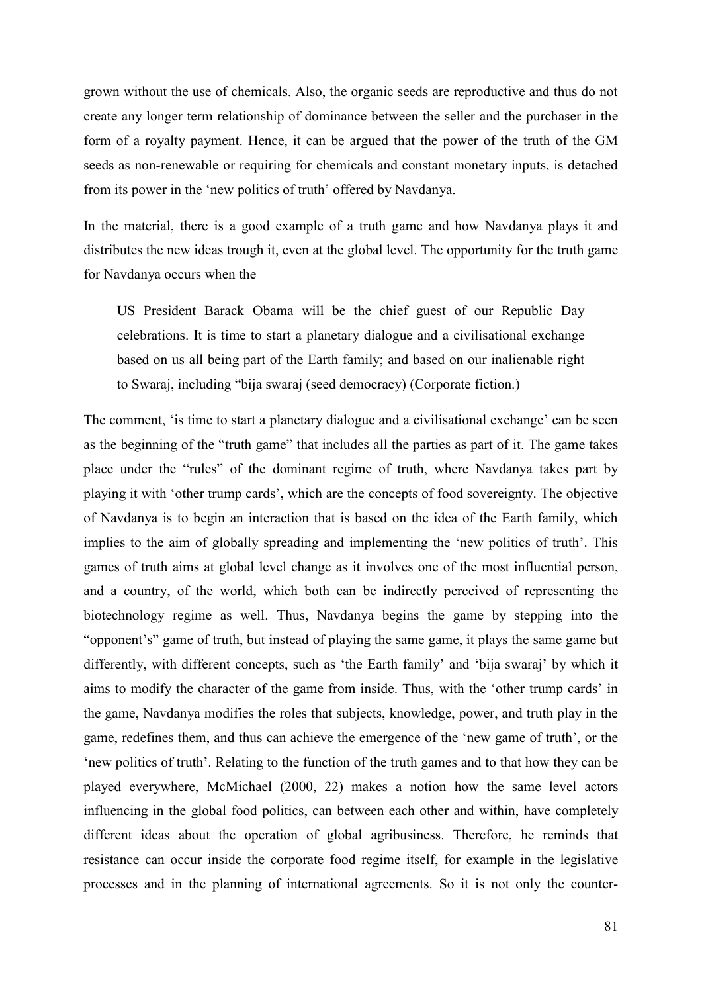grown without the use of chemicals. Also, the organic seeds are reproductive and thus do not create any longer term relationship of dominance between the seller and the purchaser in the form of a royalty payment. Hence, it can be argued that the power of the truth of the GM seeds as non-renewable or requiring for chemicals and constant monetary inputs, is detached from its power in the 'new politics of truth' offered by Navdanya.

In the material, there is a good example of a truth game and how Navdanya plays it and distributes the new ideas trough it, even at the global level. The opportunity for the truth game for Navdanya occurs when the

US President Barack Obama will be the chief guest of our Republic Day celebrations. It is time to start a planetary dialogue and a civilisational exchange based on us all being part of the Earth family; and based on our inalienable right to Swaraj, including "bija swaraj (seed democracy) (Corporate fiction.)

The comment, 'is time to start a planetary dialogue and a civilisational exchange' can be seen as the beginning of the "truth game" that includes all the parties as part of it. The game takes place under the "rules" of the dominant regime of truth, where Navdanya takes part by playing it with 'other trump cards', which are the concepts of food sovereignty. The objective of Navdanya is to begin an interaction that is based on the idea of the Earth family, which implies to the aim of globally spreading and implementing the 'new politics of truth'. This games of truth aims at global level change as it involves one of the most influential person, and a country, of the world, which both can be indirectly perceived of representing the biotechnology regime as well. Thus, Navdanya begins the game by stepping into the "opponent's" game of truth, but instead of playing the same game, it plays the same game but differently, with different concepts, such as 'the Earth family' and 'bija swaraj' by which it aims to modify the character of the game from inside. Thus, with the 'other trump cards' in the game, Navdanya modifies the roles that subjects, knowledge, power, and truth play in the game, redefines them, and thus can achieve the emergence of the 'new game of truth', or the 'new politics of truth'. Relating to the function of the truth games and to that how they can be played everywhere, McMichael (2000, 22) makes a notion how the same level actors influencing in the global food politics, can between each other and within, have completely different ideas about the operation of global agribusiness. Therefore, he reminds that resistance can occur inside the corporate food regime itself, for example in the legislative processes and in the planning of international agreements. So it is not only the counter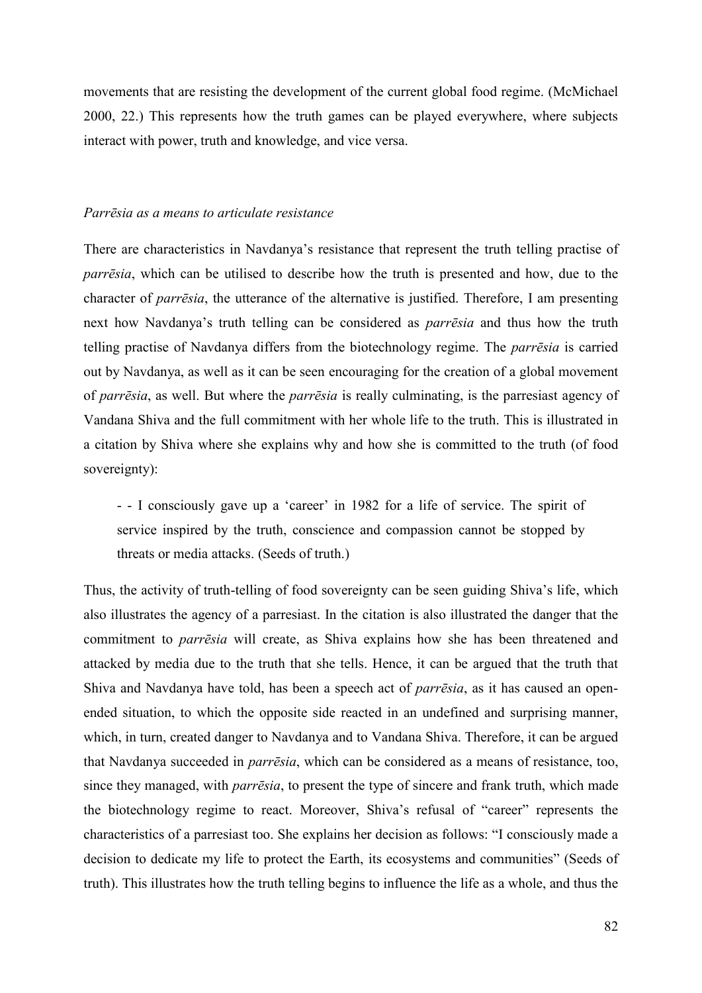movements that are resisting the development of the current global food regime. (McMichael 2000, 22.) This represents how the truth games can be played everywhere, where subjects interact with power, truth and knowledge, and vice versa.

#### *Parrēsia as a means to articulate resistance*

There are characteristics in Navdanya's resistance that represent the truth telling practise of *parrēsia*, which can be utilised to describe how the truth is presented and how, due to the character of *parrēsia*, the utterance of the alternative is justified. Therefore, I am presenting next how Navdanya's truth telling can be considered as *parrēsia* and thus how the truth telling practise of Navdanya differs from the biotechnology regime. The *parrēsia* is carried out by Navdanya, as well as it can be seen encouraging for the creation of a global movement of *parrēsia*, as well. But where the *parrēsia* is really culminating, is the parresiast agency of Vandana Shiva and the full commitment with her whole life to the truth. This is illustrated in a citation by Shiva where she explains why and how she is committed to the truth (of food sovereignty):

- - I consciously gave up a 'career' in 1982 for a life of service. The spirit of service inspired by the truth, conscience and compassion cannot be stopped by threats or media attacks. (Seeds of truth.)

Thus, the activity of truth-telling of food sovereignty can be seen guiding Shiva's life, which also illustrates the agency of a parresiast. In the citation is also illustrated the danger that the commitment to *parrēsia* will create, as Shiva explains how she has been threatened and attacked by media due to the truth that she tells. Hence, it can be argued that the truth that Shiva and Navdanya have told, has been a speech act of *parrēsia*, as it has caused an openended situation, to which the opposite side reacted in an undefined and surprising manner, which, in turn, created danger to Navdanya and to Vandana Shiva. Therefore, it can be argued that Navdanya succeeded in *parrēsia*, which can be considered as a means of resistance, too, since they managed, with *parrēsia*, to present the type of sincere and frank truth, which made the biotechnology regime to react. Moreover, Shiva's refusal of "career" represents the characteristics of a parresiast too. She explains her decision as follows: "I consciously made a decision to dedicate my life to protect the Earth, its ecosystems and communities" (Seeds of truth). This illustrates how the truth telling begins to influence the life as a whole, and thus the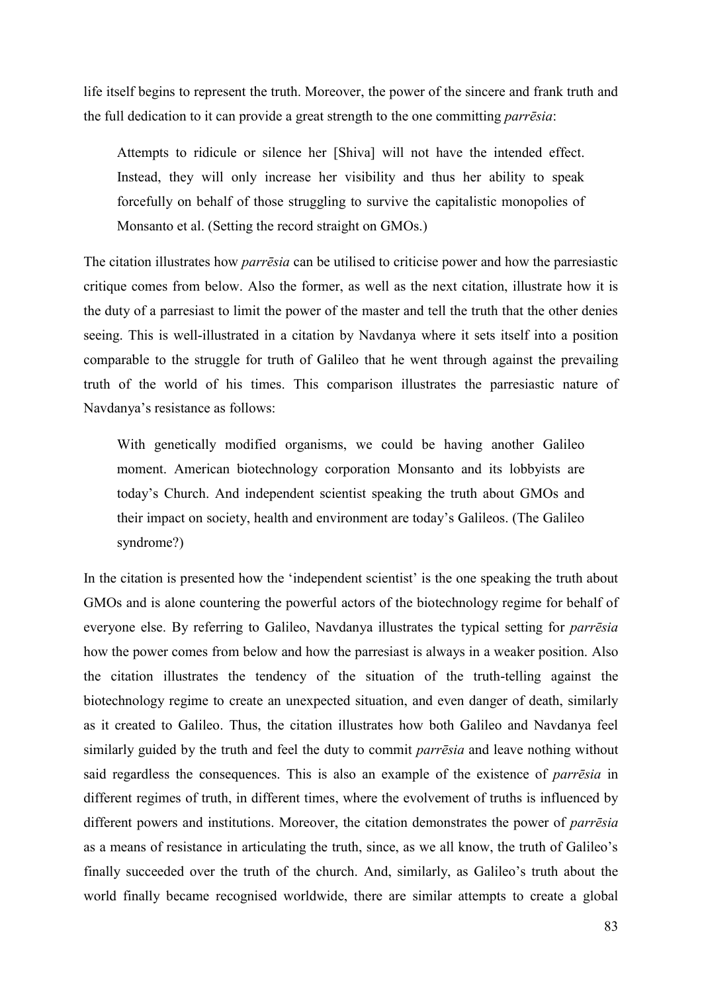life itself begins to represent the truth. Moreover, the power of the sincere and frank truth and the full dedication to it can provide a great strength to the one committing *parrēsia*:

Attempts to ridicule or silence her [Shiva] will not have the intended effect. Instead, they will only increase her visibility and thus her ability to speak forcefully on behalf of those struggling to survive the capitalistic monopolies of Monsanto et al. (Setting the record straight on GMOs.)

The citation illustrates how *parrēsia* can be utilised to criticise power and how the parresiastic critique comes from below. Also the former, as well as the next citation, illustrate how it is the duty of a parresiast to limit the power of the master and tell the truth that the other denies seeing. This is well-illustrated in a citation by Navdanya where it sets itself into a position comparable to the struggle for truth of Galileo that he went through against the prevailing truth of the world of his times. This comparison illustrates the parresiastic nature of Navdanya's resistance as follows:

With genetically modified organisms, we could be having another Galileo moment. American biotechnology corporation Monsanto and its lobbyists are today's Church. And independent scientist speaking the truth about GMOs and their impact on society, health and environment are today's Galileos. (The Galileo syndrome?)

In the citation is presented how the 'independent scientist' is the one speaking the truth about GMOs and is alone countering the powerful actors of the biotechnology regime for behalf of everyone else. By referring to Galileo, Navdanya illustrates the typical setting for *parrēsia* how the power comes from below and how the parresiast is always in a weaker position. Also the citation illustrates the tendency of the situation of the truth-telling against the biotechnology regime to create an unexpected situation, and even danger of death, similarly as it created to Galileo. Thus, the citation illustrates how both Galileo and Navdanya feel similarly guided by the truth and feel the duty to commit *parrēsia* and leave nothing without said regardless the consequences. This is also an example of the existence of *parrēsia* in different regimes of truth, in different times, where the evolvement of truths is influenced by different powers and institutions. Moreover, the citation demonstrates the power of *parrēsia* as a means of resistance in articulating the truth, since, as we all know, the truth of Galileo's finally succeeded over the truth of the church. And, similarly, as Galileo's truth about the world finally became recognised worldwide, there are similar attempts to create a global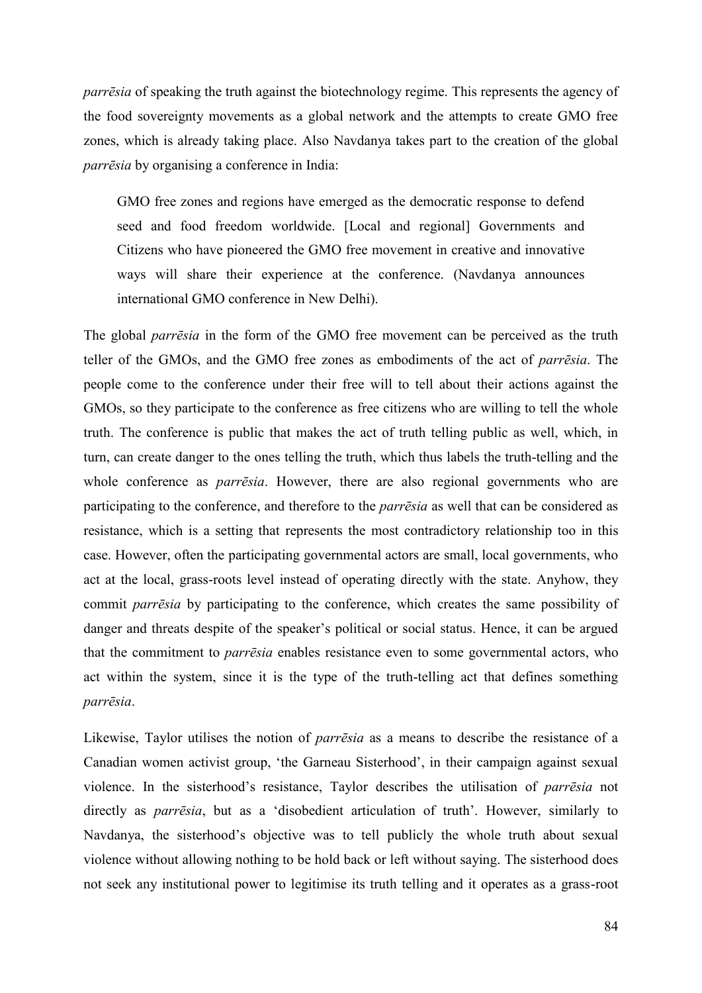*parrēsia* of speaking the truth against the biotechnology regime. This represents the agency of the food sovereignty movements as a global network and the attempts to create GMO free zones, which is already taking place. Also Navdanya takes part to the creation of the global *parrēsia* by organising a conference in India:

GMO free zones and regions have emerged as the democratic response to defend seed and food freedom worldwide. [Local and regional] Governments and Citizens who have pioneered the GMO free movement in creative and innovative ways will share their experience at the conference. (Navdanya announces international GMO conference in New Delhi).

The global *parrēsia* in the form of the GMO free movement can be perceived as the truth teller of the GMOs, and the GMO free zones as embodiments of the act of *parrēsia*. The people come to the conference under their free will to tell about their actions against the GMOs, so they participate to the conference as free citizens who are willing to tell the whole truth. The conference is public that makes the act of truth telling public as well, which, in turn, can create danger to the ones telling the truth, which thus labels the truth-telling and the whole conference as *parrēsia*. However, there are also regional governments who are participating to the conference, and therefore to the *parrēsia* as well that can be considered as resistance, which is a setting that represents the most contradictory relationship too in this case. However, often the participating governmental actors are small, local governments, who act at the local, grass-roots level instead of operating directly with the state. Anyhow, they commit *parrēsia* by participating to the conference, which creates the same possibility of danger and threats despite of the speaker's political or social status. Hence, it can be argued that the commitment to *parrēsia* enables resistance even to some governmental actors, who act within the system, since it is the type of the truth-telling act that defines something *parrēsia*.

Likewise, Taylor utilises the notion of *parrēsia* as a means to describe the resistance of a Canadian women activist group, 'the Garneau Sisterhood', in their campaign against sexual violence. In the sisterhood's resistance, Taylor describes the utilisation of *parrēsia* not directly as *parrēsia*, but as a 'disobedient articulation of truth'. However, similarly to Navdanya, the sisterhood's objective was to tell publicly the whole truth about sexual violence without allowing nothing to be hold back or left without saying. The sisterhood does not seek any institutional power to legitimise its truth telling and it operates as a grass-root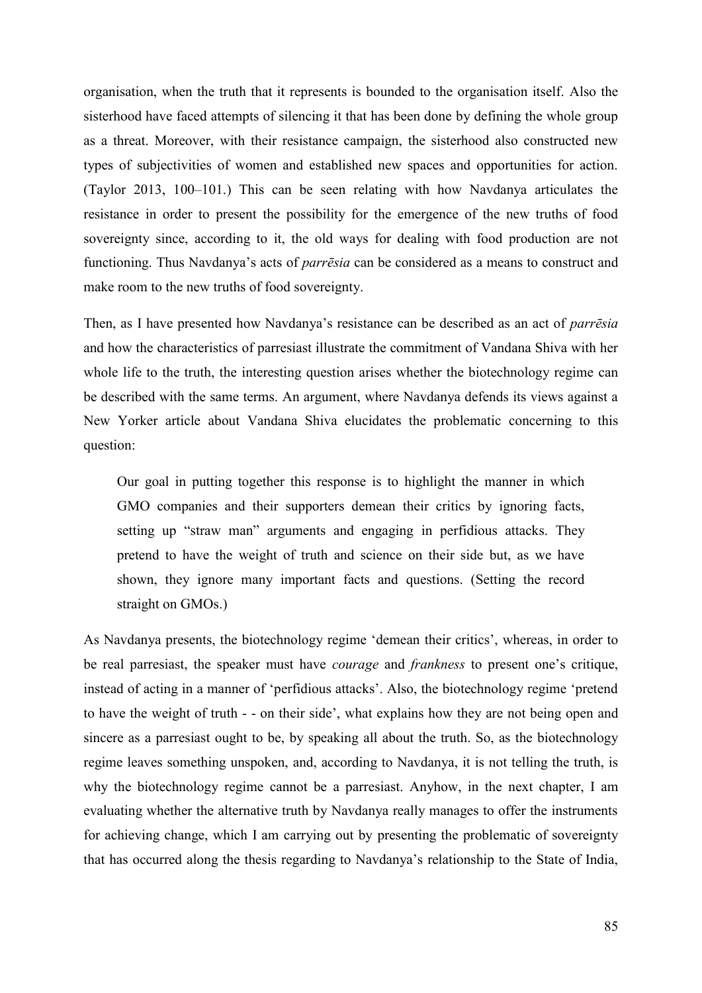organisation, when the truth that it represents is bounded to the organisation itself. Also the sisterhood have faced attempts of silencing it that has been done by defining the whole group as a threat. Moreover, with their resistance campaign, the sisterhood also constructed new types of subjectivities of women and established new spaces and opportunities for action. (Taylor 2013, 100–101.) This can be seen relating with how Navdanya articulates the resistance in order to present the possibility for the emergence of the new truths of food sovereignty since, according to it, the old ways for dealing with food production are not functioning. Thus Navdanya's acts of *parrēsia* can be considered as a means to construct and make room to the new truths of food sovereignty.

Then, as I have presented how Navdanya's resistance can be described as an act of *parrēsia* and how the characteristics of parresiast illustrate the commitment of Vandana Shiva with her whole life to the truth, the interesting question arises whether the biotechnology regime can be described with the same terms. An argument, where Navdanya defends its views against a New Yorker article about Vandana Shiva elucidates the problematic concerning to this question:

Our goal in putting together this response is to highlight the manner in which GMO companies and their supporters demean their critics by ignoring facts, setting up "straw man" arguments and engaging in perfidious attacks. They pretend to have the weight of truth and science on their side but, as we have shown, they ignore many important facts and questions. (Setting the record straight on GMOs.)

As Navdanya presents, the biotechnology regime 'demean their critics', whereas, in order to be real parresiast, the speaker must have *courage* and *frankness* to present one's critique, instead of acting in a manner of 'perfidious attacks'. Also, the biotechnology regime 'pretend to have the weight of truth - - on their side', what explains how they are not being open and sincere as a parresiast ought to be, by speaking all about the truth. So, as the biotechnology regime leaves something unspoken, and, according to Navdanya, it is not telling the truth, is why the biotechnology regime cannot be a parresiast. Anyhow, in the next chapter, I am evaluating whether the alternative truth by Navdanya really manages to offer the instruments for achieving change, which I am carrying out by presenting the problematic of sovereignty that has occurred along the thesis regarding to Navdanya's relationship to the State of India,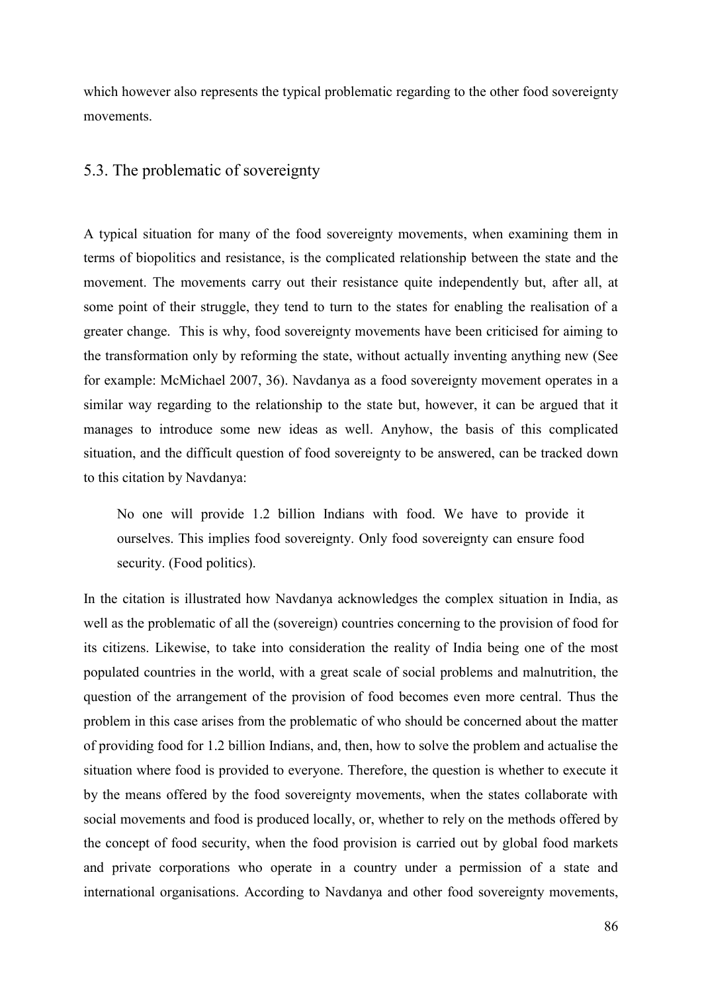which however also represents the typical problematic regarding to the other food sovereignty movements.

# 5.3. The problematic of sovereignty

A typical situation for many of the food sovereignty movements, when examining them in terms of biopolitics and resistance, is the complicated relationship between the state and the movement. The movements carry out their resistance quite independently but, after all, at some point of their struggle, they tend to turn to the states for enabling the realisation of a greater change. This is why, food sovereignty movements have been criticised for aiming to the transformation only by reforming the state, without actually inventing anything new (See for example: McMichael 2007, 36). Navdanya as a food sovereignty movement operates in a similar way regarding to the relationship to the state but, however, it can be argued that it manages to introduce some new ideas as well. Anyhow, the basis of this complicated situation, and the difficult question of food sovereignty to be answered, can be tracked down to this citation by Navdanya:

No one will provide 1.2 billion Indians with food. We have to provide it ourselves. This implies food sovereignty. Only food sovereignty can ensure food security. (Food politics).

In the citation is illustrated how Navdanya acknowledges the complex situation in India, as well as the problematic of all the (sovereign) countries concerning to the provision of food for its citizens. Likewise, to take into consideration the reality of India being one of the most populated countries in the world, with a great scale of social problems and malnutrition, the question of the arrangement of the provision of food becomes even more central. Thus the problem in this case arises from the problematic of who should be concerned about the matter of providing food for 1.2 billion Indians, and, then, how to solve the problem and actualise the situation where food is provided to everyone. Therefore, the question is whether to execute it by the means offered by the food sovereignty movements, when the states collaborate with social movements and food is produced locally, or, whether to rely on the methods offered by the concept of food security, when the food provision is carried out by global food markets and private corporations who operate in a country under a permission of a state and international organisations. According to Navdanya and other food sovereignty movements,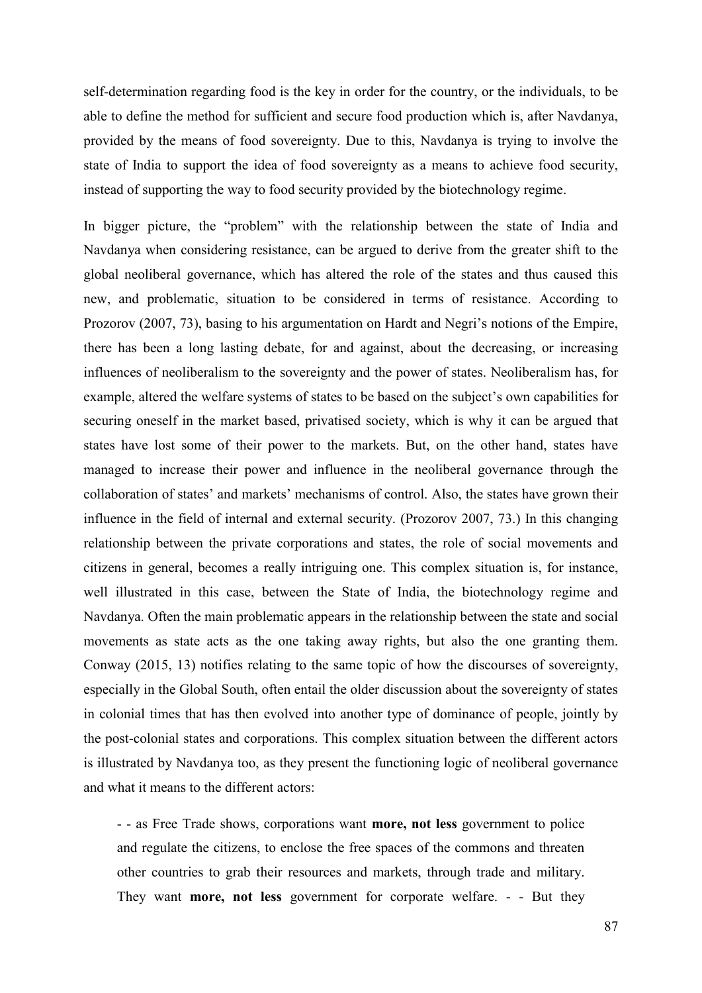self-determination regarding food is the key in order for the country, or the individuals, to be able to define the method for sufficient and secure food production which is, after Navdanya, provided by the means of food sovereignty. Due to this, Navdanya is trying to involve the state of India to support the idea of food sovereignty as a means to achieve food security, instead of supporting the way to food security provided by the biotechnology regime.

In bigger picture, the "problem" with the relationship between the state of India and Navdanya when considering resistance, can be argued to derive from the greater shift to the global neoliberal governance, which has altered the role of the states and thus caused this new, and problematic, situation to be considered in terms of resistance. According to Prozorov (2007, 73), basing to his argumentation on Hardt and Negri's notions of the Empire, there has been a long lasting debate, for and against, about the decreasing, or increasing influences of neoliberalism to the sovereignty and the power of states. Neoliberalism has, for example, altered the welfare systems of states to be based on the subject's own capabilities for securing oneself in the market based, privatised society, which is why it can be argued that states have lost some of their power to the markets. But, on the other hand, states have managed to increase their power and influence in the neoliberal governance through the collaboration of states' and markets' mechanisms of control. Also, the states have grown their influence in the field of internal and external security. (Prozorov 2007, 73.) In this changing relationship between the private corporations and states, the role of social movements and citizens in general, becomes a really intriguing one. This complex situation is, for instance, well illustrated in this case, between the State of India, the biotechnology regime and Navdanya. Often the main problematic appears in the relationship between the state and social movements as state acts as the one taking away rights, but also the one granting them. Conway (2015, 13) notifies relating to the same topic of how the discourses of sovereignty, especially in the Global South, often entail the older discussion about the sovereignty of states in colonial times that has then evolved into another type of dominance of people, jointly by the post-colonial states and corporations. This complex situation between the different actors is illustrated by Navdanya too, as they present the functioning logic of neoliberal governance and what it means to the different actors:

- - as Free Trade shows, corporations want **more, not less** government to police and regulate the citizens, to enclose the free spaces of the commons and threaten other countries to grab their resources and markets, through trade and military. They want **more, not less** government for corporate welfare. - - But they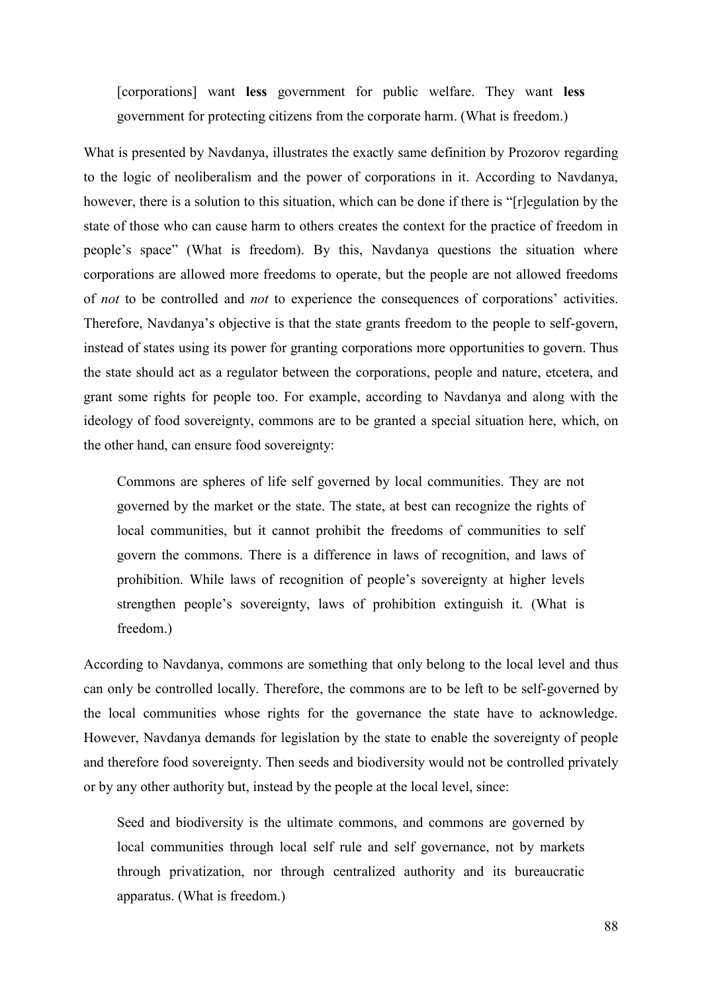[corporations] want **less** government for public welfare. They want **less** government for protecting citizens from the corporate harm. (What is freedom.)

What is presented by Navdanya, illustrates the exactly same definition by Prozorov regarding to the logic of neoliberalism and the power of corporations in it. According to Navdanya, however, there is a solution to this situation, which can be done if there is "[r]egulation by the state of those who can cause harm to others creates the context for the practice of freedom in people's space" (What is freedom). By this, Navdanya questions the situation where corporations are allowed more freedoms to operate, but the people are not allowed freedoms of *not* to be controlled and *not* to experience the consequences of corporations' activities. Therefore, Navdanya's objective is that the state grants freedom to the people to self-govern, instead of states using its power for granting corporations more opportunities to govern. Thus the state should act as a regulator between the corporations, people and nature, etcetera, and grant some rights for people too. For example, according to Navdanya and along with the ideology of food sovereignty, commons are to be granted a special situation here, which, on the other hand, can ensure food sovereignty:

Commons are spheres of life self governed by local communities. They are not governed by the market or the state. The state, at best can recognize the rights of local communities, but it cannot prohibit the freedoms of communities to self govern the commons. There is a difference in laws of recognition, and laws of prohibition. While laws of recognition of people's sovereignty at higher levels strengthen people's sovereignty, laws of prohibition extinguish it. (What is freedom.)

According to Navdanya, commons are something that only belong to the local level and thus can only be controlled locally. Therefore, the commons are to be left to be self-governed by the local communities whose rights for the governance the state have to acknowledge. However, Navdanya demands for legislation by the state to enable the sovereignty of people and therefore food sovereignty. Then seeds and biodiversity would not be controlled privately or by any other authority but, instead by the people at the local level, since:

Seed and biodiversity is the ultimate commons, and commons are governed by local communities through local self rule and self governance, not by markets through privatization, nor through centralized authority and its bureaucratic apparatus. (What is freedom.)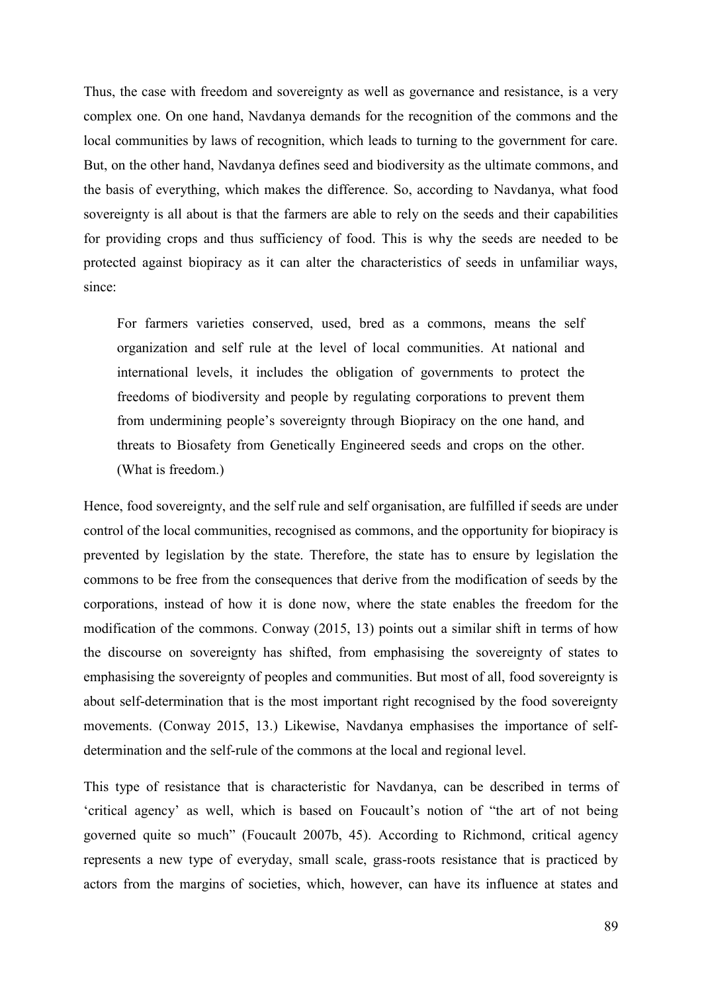Thus, the case with freedom and sovereignty as well as governance and resistance, is a very complex one. On one hand, Navdanya demands for the recognition of the commons and the local communities by laws of recognition, which leads to turning to the government for care. But, on the other hand, Navdanya defines seed and biodiversity as the ultimate commons, and the basis of everything, which makes the difference. So, according to Navdanya, what food sovereignty is all about is that the farmers are able to rely on the seeds and their capabilities for providing crops and thus sufficiency of food. This is why the seeds are needed to be protected against biopiracy as it can alter the characteristics of seeds in unfamiliar ways, since:

For farmers varieties conserved, used, bred as a commons, means the self organization and self rule at the level of local communities. At national and international levels, it includes the obligation of governments to protect the freedoms of biodiversity and people by regulating corporations to prevent them from undermining people's sovereignty through Biopiracy on the one hand, and threats to Biosafety from Genetically Engineered seeds and crops on the other. (What is freedom.)

Hence, food sovereignty, and the self rule and self organisation, are fulfilled if seeds are under control of the local communities, recognised as commons, and the opportunity for biopiracy is prevented by legislation by the state. Therefore, the state has to ensure by legislation the commons to be free from the consequences that derive from the modification of seeds by the corporations, instead of how it is done now, where the state enables the freedom for the modification of the commons. Conway (2015, 13) points out a similar shift in terms of how the discourse on sovereignty has shifted, from emphasising the sovereignty of states to emphasising the sovereignty of peoples and communities. But most of all, food sovereignty is about self-determination that is the most important right recognised by the food sovereignty movements. (Conway 2015, 13.) Likewise, Navdanya emphasises the importance of selfdetermination and the self-rule of the commons at the local and regional level.

This type of resistance that is characteristic for Navdanya, can be described in terms of 'critical agency' as well, which is based on Foucault's notion of "the art of not being governed quite so much" (Foucault 2007b, 45). According to Richmond, critical agency represents a new type of everyday, small scale, grass-roots resistance that is practiced by actors from the margins of societies, which, however, can have its influence at states and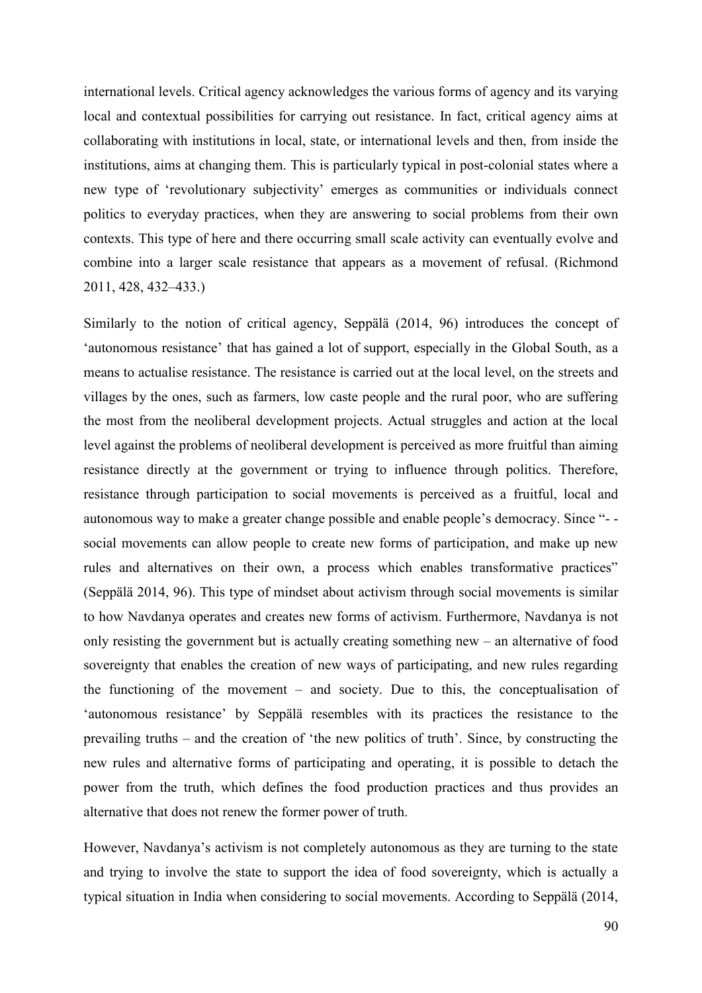international levels. Critical agency acknowledges the various forms of agency and its varying local and contextual possibilities for carrying out resistance. In fact, critical agency aims at collaborating with institutions in local, state, or international levels and then, from inside the institutions, aims at changing them. This is particularly typical in post-colonial states where a new type of 'revolutionary subjectivity' emerges as communities or individuals connect politics to everyday practices, when they are answering to social problems from their own contexts. This type of here and there occurring small scale activity can eventually evolve and combine into a larger scale resistance that appears as a movement of refusal. (Richmond 2011, 428, 432–433.)

Similarly to the notion of critical agency, Seppälä (2014, 96) introduces the concept of 'autonomous resistance' that has gained a lot of support, especially in the Global South, as a means to actualise resistance. The resistance is carried out at the local level, on the streets and villages by the ones, such as farmers, low caste people and the rural poor, who are suffering the most from the neoliberal development projects. Actual struggles and action at the local level against the problems of neoliberal development is perceived as more fruitful than aiming resistance directly at the government or trying to influence through politics. Therefore, resistance through participation to social movements is perceived as a fruitful, local and autonomous way to make a greater change possible and enable people's democracy. Since "- social movements can allow people to create new forms of participation, and make up new rules and alternatives on their own, a process which enables transformative practices" (Seppälä 2014, 96). This type of mindset about activism through social movements is similar to how Navdanya operates and creates new forms of activism. Furthermore, Navdanya is not only resisting the government but is actually creating something new – an alternative of food sovereignty that enables the creation of new ways of participating, and new rules regarding the functioning of the movement – and society. Due to this, the conceptualisation of 'autonomous resistance' by Seppälä resembles with its practices the resistance to the prevailing truths – and the creation of 'the new politics of truth'. Since, by constructing the new rules and alternative forms of participating and operating, it is possible to detach the power from the truth, which defines the food production practices and thus provides an alternative that does not renew the former power of truth.

However, Navdanya's activism is not completely autonomous as they are turning to the state and trying to involve the state to support the idea of food sovereignty, which is actually a typical situation in India when considering to social movements. According to Seppälä (2014,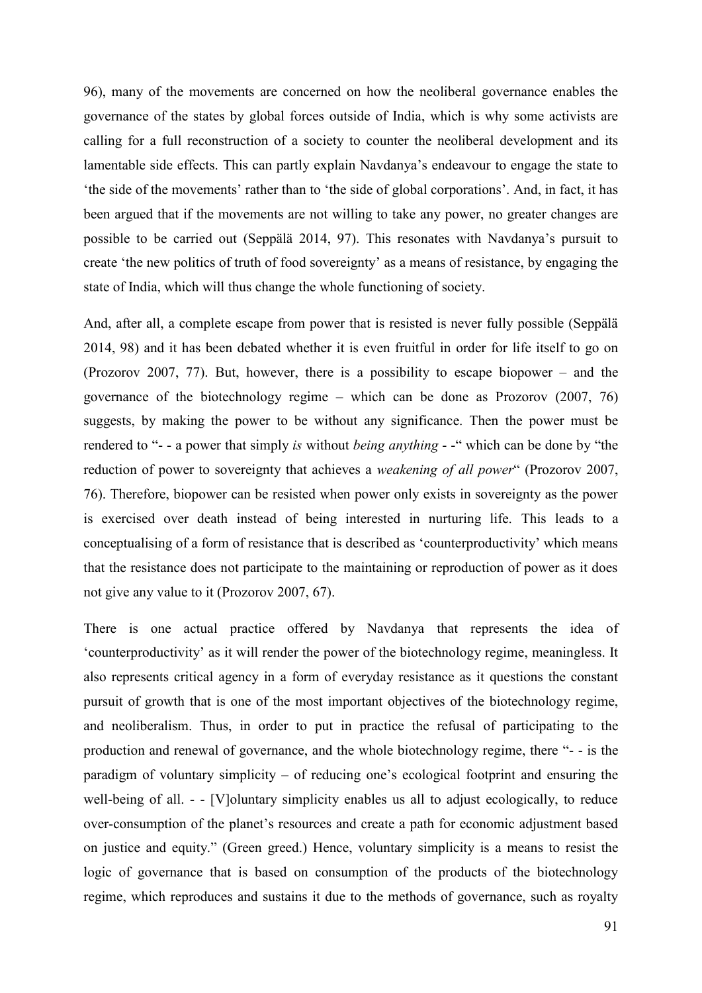96), many of the movements are concerned on how the neoliberal governance enables the governance of the states by global forces outside of India, which is why some activists are calling for a full reconstruction of a society to counter the neoliberal development and its lamentable side effects. This can partly explain Navdanya's endeavour to engage the state to 'the side of the movements' rather than to 'the side of global corporations'. And, in fact, it has been argued that if the movements are not willing to take any power, no greater changes are possible to be carried out (Seppälä 2014, 97). This resonates with Navdanya's pursuit to create 'the new politics of truth of food sovereignty' as a means of resistance, by engaging the state of India, which will thus change the whole functioning of society.

And, after all, a complete escape from power that is resisted is never fully possible (Seppälä 2014, 98) and it has been debated whether it is even fruitful in order for life itself to go on (Prozorov 2007, 77). But, however, there is a possibility to escape biopower – and the governance of the biotechnology regime – which can be done as Prozorov (2007, 76) suggests, by making the power to be without any significance. Then the power must be rendered to "- - a power that simply *is* without *being anything* - -" which can be done by "the reduction of power to sovereignty that achieves a *weakening of all power*" (Prozorov 2007, 76). Therefore, biopower can be resisted when power only exists in sovereignty as the power is exercised over death instead of being interested in nurturing life. This leads to a conceptualising of a form of resistance that is described as 'counterproductivity' which means that the resistance does not participate to the maintaining or reproduction of power as it does not give any value to it (Prozorov 2007, 67).

There is one actual practice offered by Navdanya that represents the idea of 'counterproductivity' as it will render the power of the biotechnology regime, meaningless. It also represents critical agency in a form of everyday resistance as it questions the constant pursuit of growth that is one of the most important objectives of the biotechnology regime, and neoliberalism. Thus, in order to put in practice the refusal of participating to the production and renewal of governance, and the whole biotechnology regime, there "- - is the paradigm of voluntary simplicity – of reducing one's ecological footprint and ensuring the well-being of all. - - [V]oluntary simplicity enables us all to adjust ecologically, to reduce over-consumption of the planet's resources and create a path for economic adjustment based on justice and equity." (Green greed.) Hence, voluntary simplicity is a means to resist the logic of governance that is based on consumption of the products of the biotechnology regime, which reproduces and sustains it due to the methods of governance, such as royalty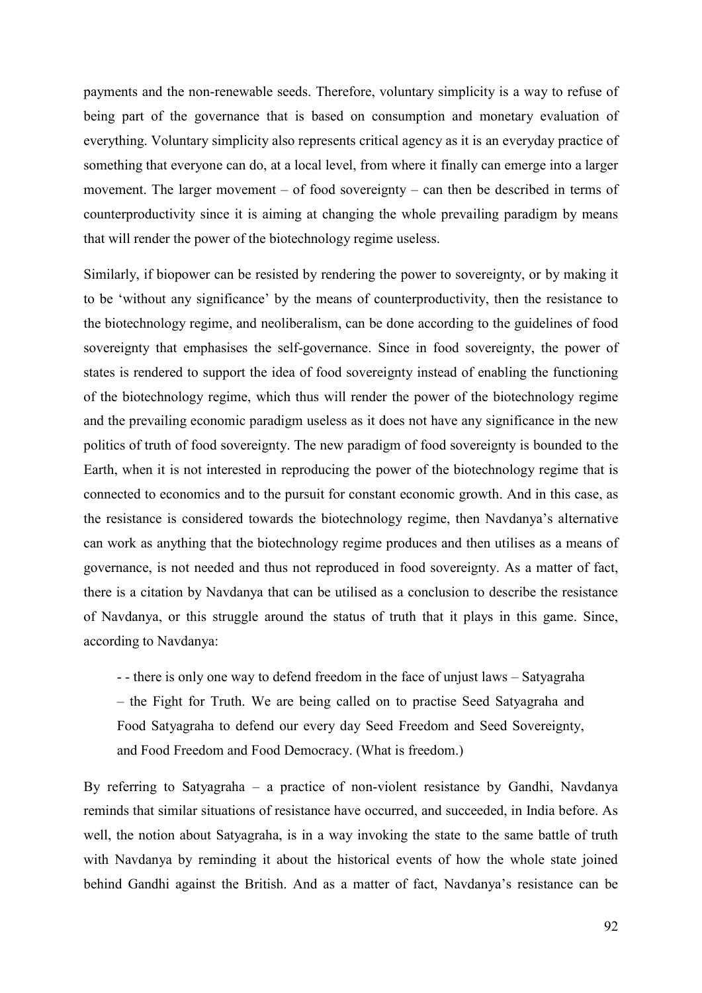payments and the non-renewable seeds. Therefore, voluntary simplicity is a way to refuse of being part of the governance that is based on consumption and monetary evaluation of everything. Voluntary simplicity also represents critical agency as it is an everyday practice of something that everyone can do, at a local level, from where it finally can emerge into a larger movement. The larger movement – of food sovereignty – can then be described in terms of counterproductivity since it is aiming at changing the whole prevailing paradigm by means that will render the power of the biotechnology regime useless.

Similarly, if biopower can be resisted by rendering the power to sovereignty, or by making it to be 'without any significance' by the means of counterproductivity, then the resistance to the biotechnology regime, and neoliberalism, can be done according to the guidelines of food sovereignty that emphasises the self-governance. Since in food sovereignty, the power of states is rendered to support the idea of food sovereignty instead of enabling the functioning of the biotechnology regime, which thus will render the power of the biotechnology regime and the prevailing economic paradigm useless as it does not have any significance in the new politics of truth of food sovereignty. The new paradigm of food sovereignty is bounded to the Earth, when it is not interested in reproducing the power of the biotechnology regime that is connected to economics and to the pursuit for constant economic growth. And in this case, as the resistance is considered towards the biotechnology regime, then Navdanya's alternative can work as anything that the biotechnology regime produces and then utilises as a means of governance, is not needed and thus not reproduced in food sovereignty. As a matter of fact, there is a citation by Navdanya that can be utilised as a conclusion to describe the resistance of Navdanya, or this struggle around the status of truth that it plays in this game. Since, according to Navdanya:

- - there is only one way to defend freedom in the face of unjust laws – Satyagraha – the Fight for Truth. We are being called on to practise Seed Satyagraha and Food Satyagraha to defend our every day Seed Freedom and Seed Sovereignty, and Food Freedom and Food Democracy. (What is freedom.)

By referring to Satyagraha – a practice of non-violent resistance by Gandhi, Navdanya reminds that similar situations of resistance have occurred, and succeeded, in India before. As well, the notion about Satyagraha, is in a way invoking the state to the same battle of truth with Navdanya by reminding it about the historical events of how the whole state joined behind Gandhi against the British. And as a matter of fact, Navdanya's resistance can be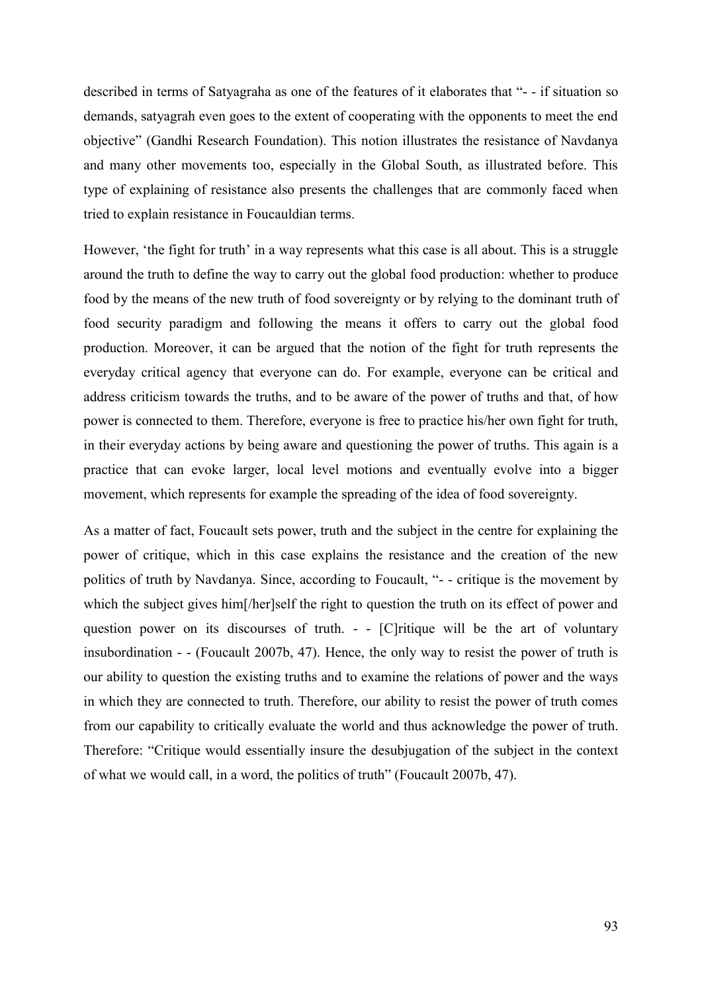described in terms of Satyagraha as one of the features of it elaborates that "- - if situation so demands, satyagrah even goes to the extent of cooperating with the opponents to meet the end objective" (Gandhi Research Foundation). This notion illustrates the resistance of Navdanya and many other movements too, especially in the Global South, as illustrated before. This type of explaining of resistance also presents the challenges that are commonly faced when tried to explain resistance in Foucauldian terms.

However, 'the fight for truth' in a way represents what this case is all about. This is a struggle around the truth to define the way to carry out the global food production: whether to produce food by the means of the new truth of food sovereignty or by relying to the dominant truth of food security paradigm and following the means it offers to carry out the global food production. Moreover, it can be argued that the notion of the fight for truth represents the everyday critical agency that everyone can do. For example, everyone can be critical and address criticism towards the truths, and to be aware of the power of truths and that, of how power is connected to them. Therefore, everyone is free to practice his/her own fight for truth, in their everyday actions by being aware and questioning the power of truths. This again is a practice that can evoke larger, local level motions and eventually evolve into a bigger movement, which represents for example the spreading of the idea of food sovereignty.

As a matter of fact, Foucault sets power, truth and the subject in the centre for explaining the power of critique, which in this case explains the resistance and the creation of the new politics of truth by Navdanya. Since, according to Foucault, "- - critique is the movement by which the subject gives him<sup>[/her]self the right to question the truth on its effect of power and</sup> question power on its discourses of truth. - - [C]ritique will be the art of voluntary insubordination - - (Foucault 2007b, 47). Hence, the only way to resist the power of truth is our ability to question the existing truths and to examine the relations of power and the ways in which they are connected to truth. Therefore, our ability to resist the power of truth comes from our capability to critically evaluate the world and thus acknowledge the power of truth. Therefore: "Critique would essentially insure the desubjugation of the subject in the context of what we would call, in a word, the politics of truth" (Foucault 2007b, 47).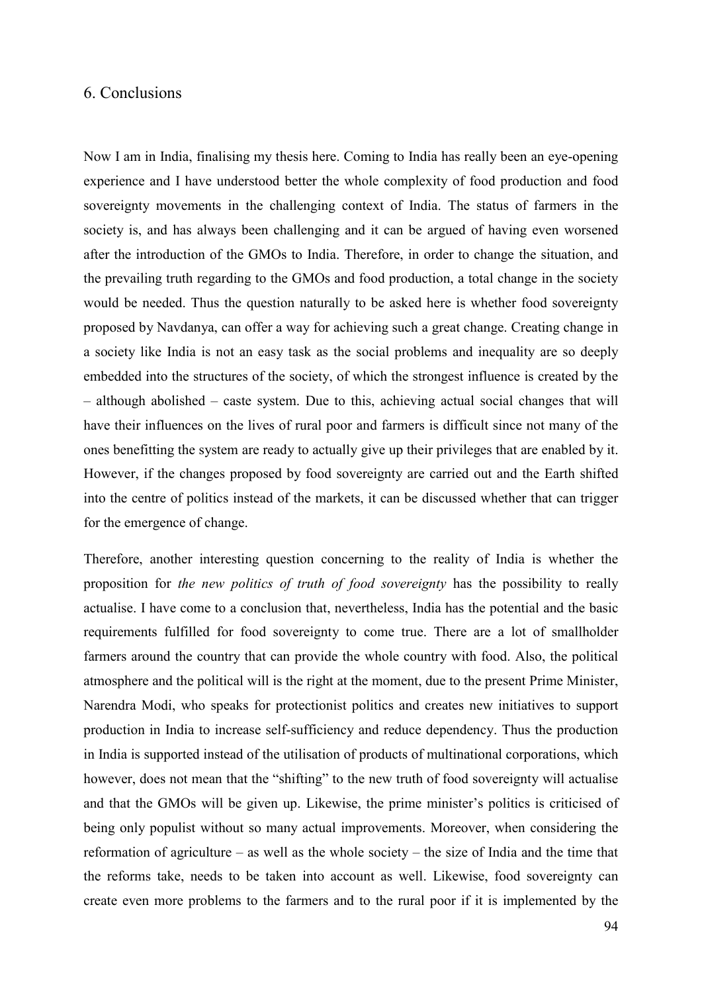### 6. Conclusions

Now I am in India, finalising my thesis here. Coming to India has really been an eye-opening experience and I have understood better the whole complexity of food production and food sovereignty movements in the challenging context of India. The status of farmers in the society is, and has always been challenging and it can be argued of having even worsened after the introduction of the GMOs to India. Therefore, in order to change the situation, and the prevailing truth regarding to the GMOs and food production, a total change in the society would be needed. Thus the question naturally to be asked here is whether food sovereignty proposed by Navdanya, can offer a way for achieving such a great change. Creating change in a society like India is not an easy task as the social problems and inequality are so deeply embedded into the structures of the society, of which the strongest influence is created by the – although abolished – caste system. Due to this, achieving actual social changes that will have their influences on the lives of rural poor and farmers is difficult since not many of the ones benefitting the system are ready to actually give up their privileges that are enabled by it. However, if the changes proposed by food sovereignty are carried out and the Earth shifted into the centre of politics instead of the markets, it can be discussed whether that can trigger for the emergence of change.

Therefore, another interesting question concerning to the reality of India is whether the proposition for *the new politics of truth of food sovereignty* has the possibility to really actualise. I have come to a conclusion that, nevertheless, India has the potential and the basic requirements fulfilled for food sovereignty to come true. There are a lot of smallholder farmers around the country that can provide the whole country with food. Also, the political atmosphere and the political will is the right at the moment, due to the present Prime Minister, Narendra Modi, who speaks for protectionist politics and creates new initiatives to support production in India to increase self-sufficiency and reduce dependency. Thus the production in India is supported instead of the utilisation of products of multinational corporations, which however, does not mean that the "shifting" to the new truth of food sovereignty will actualise and that the GMOs will be given up. Likewise, the prime minister's politics is criticised of being only populist without so many actual improvements. Moreover, when considering the reformation of agriculture – as well as the whole society – the size of India and the time that the reforms take, needs to be taken into account as well. Likewise, food sovereignty can create even more problems to the farmers and to the rural poor if it is implemented by the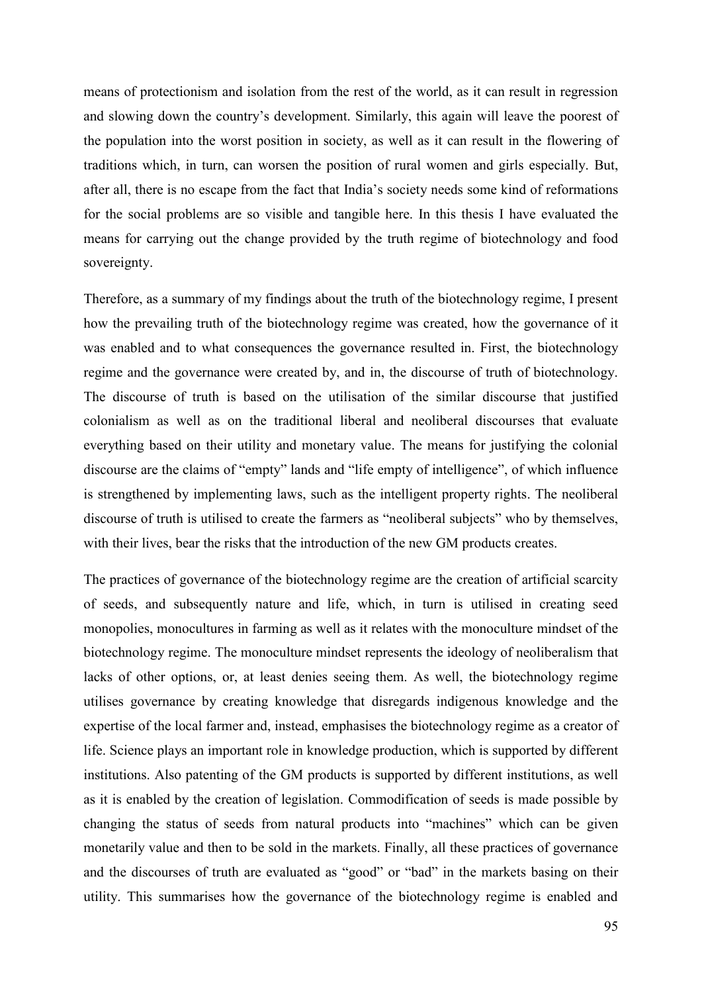means of protectionism and isolation from the rest of the world, as it can result in regression and slowing down the country's development. Similarly, this again will leave the poorest of the population into the worst position in society, as well as it can result in the flowering of traditions which, in turn, can worsen the position of rural women and girls especially. But, after all, there is no escape from the fact that India's society needs some kind of reformations for the social problems are so visible and tangible here. In this thesis I have evaluated the means for carrying out the change provided by the truth regime of biotechnology and food sovereignty.

Therefore, as a summary of my findings about the truth of the biotechnology regime, I present how the prevailing truth of the biotechnology regime was created, how the governance of it was enabled and to what consequences the governance resulted in. First, the biotechnology regime and the governance were created by, and in, the discourse of truth of biotechnology. The discourse of truth is based on the utilisation of the similar discourse that justified colonialism as well as on the traditional liberal and neoliberal discourses that evaluate everything based on their utility and monetary value. The means for justifying the colonial discourse are the claims of "empty" lands and "life empty of intelligence", of which influence is strengthened by implementing laws, such as the intelligent property rights. The neoliberal discourse of truth is utilised to create the farmers as "neoliberal subjects" who by themselves, with their lives, bear the risks that the introduction of the new GM products creates.

The practices of governance of the biotechnology regime are the creation of artificial scarcity of seeds, and subsequently nature and life, which, in turn is utilised in creating seed monopolies, monocultures in farming as well as it relates with the monoculture mindset of the biotechnology regime. The monoculture mindset represents the ideology of neoliberalism that lacks of other options, or, at least denies seeing them. As well, the biotechnology regime utilises governance by creating knowledge that disregards indigenous knowledge and the expertise of the local farmer and, instead, emphasises the biotechnology regime as a creator of life. Science plays an important role in knowledge production, which is supported by different institutions. Also patenting of the GM products is supported by different institutions, as well as it is enabled by the creation of legislation. Commodification of seeds is made possible by changing the status of seeds from natural products into "machines" which can be given monetarily value and then to be sold in the markets. Finally, all these practices of governance and the discourses of truth are evaluated as "good" or "bad" in the markets basing on their utility. This summarises how the governance of the biotechnology regime is enabled and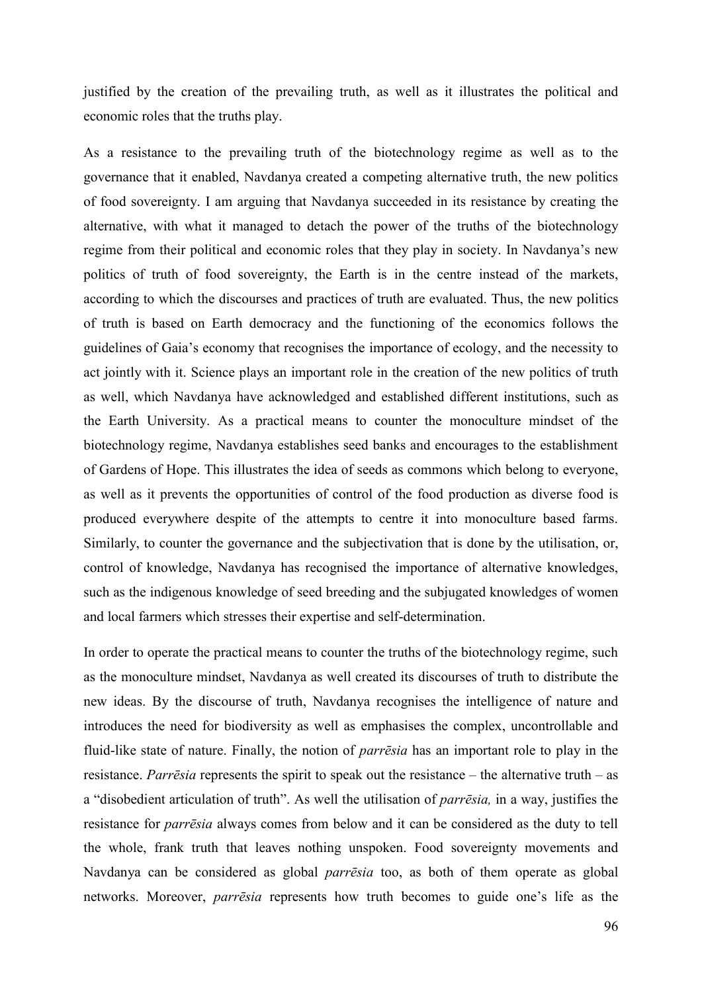justified by the creation of the prevailing truth, as well as it illustrates the political and economic roles that the truths play.

As a resistance to the prevailing truth of the biotechnology regime as well as to the governance that it enabled, Navdanya created a competing alternative truth, the new politics of food sovereignty. I am arguing that Navdanya succeeded in its resistance by creating the alternative, with what it managed to detach the power of the truths of the biotechnology regime from their political and economic roles that they play in society. In Navdanya's new politics of truth of food sovereignty, the Earth is in the centre instead of the markets, according to which the discourses and practices of truth are evaluated. Thus, the new politics of truth is based on Earth democracy and the functioning of the economics follows the guidelines of Gaia's economy that recognises the importance of ecology, and the necessity to act jointly with it. Science plays an important role in the creation of the new politics of truth as well, which Navdanya have acknowledged and established different institutions, such as the Earth University. As a practical means to counter the monoculture mindset of the biotechnology regime, Navdanya establishes seed banks and encourages to the establishment of Gardens of Hope. This illustrates the idea of seeds as commons which belong to everyone, as well as it prevents the opportunities of control of the food production as diverse food is produced everywhere despite of the attempts to centre it into monoculture based farms. Similarly, to counter the governance and the subjectivation that is done by the utilisation, or, control of knowledge, Navdanya has recognised the importance of alternative knowledges, such as the indigenous knowledge of seed breeding and the subjugated knowledges of women and local farmers which stresses their expertise and self-determination.

In order to operate the practical means to counter the truths of the biotechnology regime, such as the monoculture mindset, Navdanya as well created its discourses of truth to distribute the new ideas. By the discourse of truth, Navdanya recognises the intelligence of nature and introduces the need for biodiversity as well as emphasises the complex, uncontrollable and fluid-like state of nature. Finally, the notion of *parrēsia* has an important role to play in the resistance. *Parrēsia* represents the spirit to speak out the resistance – the alternative truth – as a "disobedient articulation of truth". As well the utilisation of *parrēsia,* in a way, justifies the resistance for *parrēsia* always comes from below and it can be considered as the duty to tell the whole, frank truth that leaves nothing unspoken. Food sovereignty movements and Navdanya can be considered as global *parrēsia* too, as both of them operate as global networks. Moreover, *parrēsia* represents how truth becomes to guide one's life as the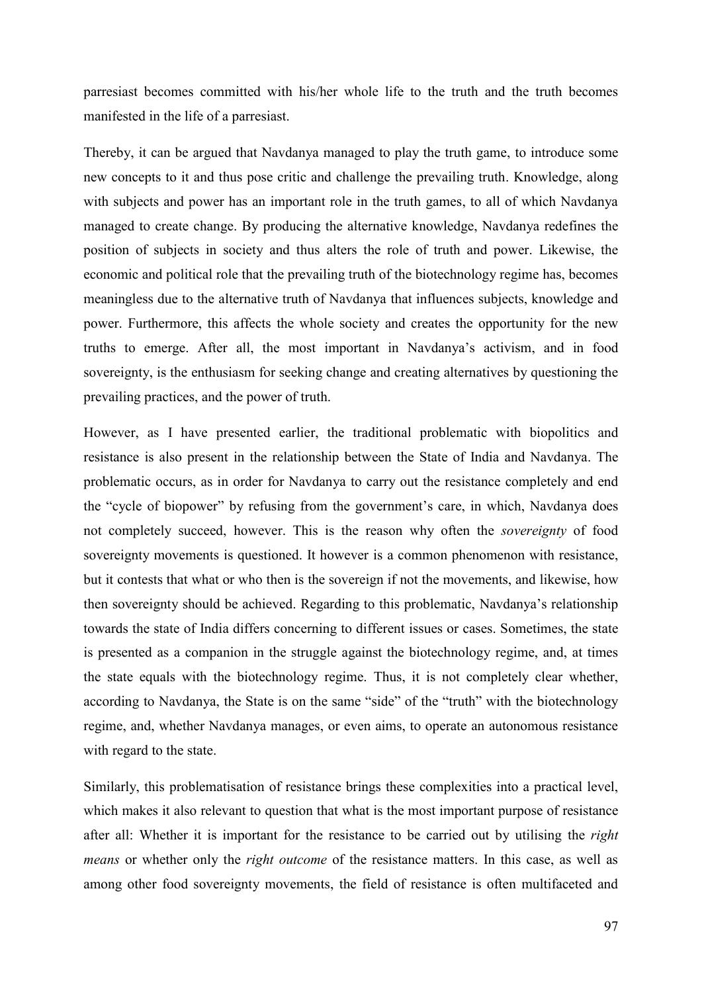parresiast becomes committed with his/her whole life to the truth and the truth becomes manifested in the life of a parresiast.

Thereby, it can be argued that Navdanya managed to play the truth game, to introduce some new concepts to it and thus pose critic and challenge the prevailing truth. Knowledge, along with subjects and power has an important role in the truth games, to all of which Navdanya managed to create change. By producing the alternative knowledge, Navdanya redefines the position of subjects in society and thus alters the role of truth and power. Likewise, the economic and political role that the prevailing truth of the biotechnology regime has, becomes meaningless due to the alternative truth of Navdanya that influences subjects, knowledge and power. Furthermore, this affects the whole society and creates the opportunity for the new truths to emerge. After all, the most important in Navdanya's activism, and in food sovereignty, is the enthusiasm for seeking change and creating alternatives by questioning the prevailing practices, and the power of truth.

However, as I have presented earlier, the traditional problematic with biopolitics and resistance is also present in the relationship between the State of India and Navdanya. The problematic occurs, as in order for Navdanya to carry out the resistance completely and end the "cycle of biopower" by refusing from the government's care, in which, Navdanya does not completely succeed, however. This is the reason why often the *sovereignty* of food sovereignty movements is questioned. It however is a common phenomenon with resistance, but it contests that what or who then is the sovereign if not the movements, and likewise, how then sovereignty should be achieved. Regarding to this problematic, Navdanya's relationship towards the state of India differs concerning to different issues or cases. Sometimes, the state is presented as a companion in the struggle against the biotechnology regime, and, at times the state equals with the biotechnology regime. Thus, it is not completely clear whether, according to Navdanya, the State is on the same "side" of the "truth" with the biotechnology regime, and, whether Navdanya manages, or even aims, to operate an autonomous resistance with regard to the state.

Similarly, this problematisation of resistance brings these complexities into a practical level, which makes it also relevant to question that what is the most important purpose of resistance after all: Whether it is important for the resistance to be carried out by utilising the *right means* or whether only the *right outcome* of the resistance matters. In this case, as well as among other food sovereignty movements, the field of resistance is often multifaceted and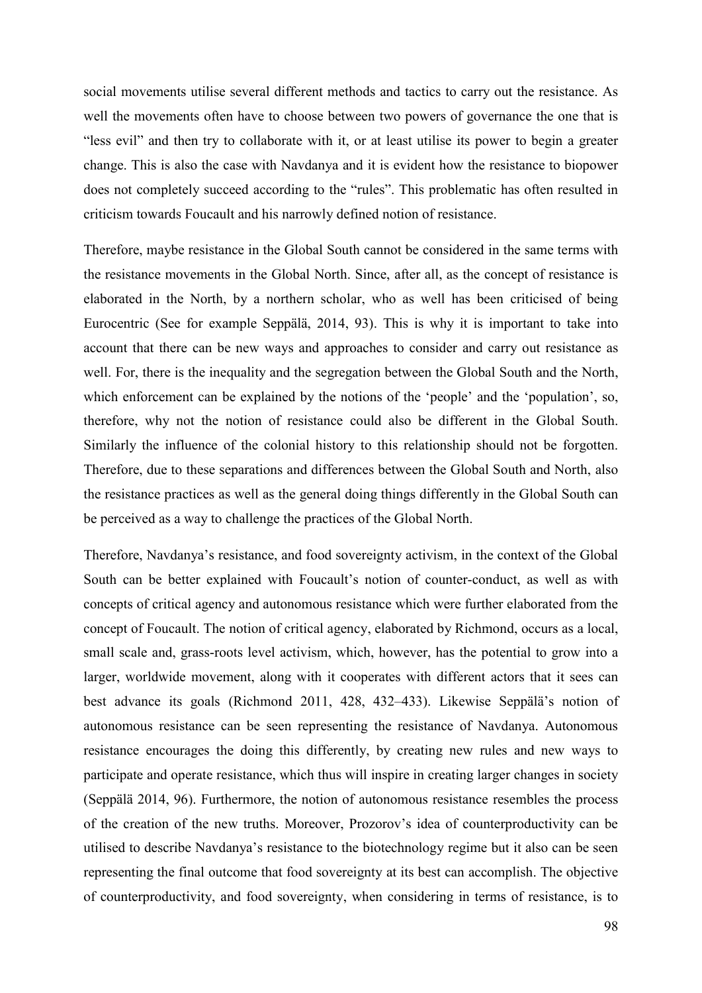social movements utilise several different methods and tactics to carry out the resistance. As well the movements often have to choose between two powers of governance the one that is "less evil" and then try to collaborate with it, or at least utilise its power to begin a greater change. This is also the case with Navdanya and it is evident how the resistance to biopower does not completely succeed according to the "rules". This problematic has often resulted in criticism towards Foucault and his narrowly defined notion of resistance.

Therefore, maybe resistance in the Global South cannot be considered in the same terms with the resistance movements in the Global North. Since, after all, as the concept of resistance is elaborated in the North, by a northern scholar, who as well has been criticised of being Eurocentric (See for example Seppälä, 2014, 93). This is why it is important to take into account that there can be new ways and approaches to consider and carry out resistance as well. For, there is the inequality and the segregation between the Global South and the North, which enforcement can be explained by the notions of the 'people' and the 'population', so, therefore, why not the notion of resistance could also be different in the Global South. Similarly the influence of the colonial history to this relationship should not be forgotten. Therefore, due to these separations and differences between the Global South and North, also the resistance practices as well as the general doing things differently in the Global South can be perceived as a way to challenge the practices of the Global North.

Therefore, Navdanya's resistance, and food sovereignty activism, in the context of the Global South can be better explained with Foucault's notion of counter-conduct, as well as with concepts of critical agency and autonomous resistance which were further elaborated from the concept of Foucault. The notion of critical agency, elaborated by Richmond, occurs as a local, small scale and, grass-roots level activism, which, however, has the potential to grow into a larger, worldwide movement, along with it cooperates with different actors that it sees can best advance its goals (Richmond 2011, 428, 432–433). Likewise Seppälä's notion of autonomous resistance can be seen representing the resistance of Navdanya. Autonomous resistance encourages the doing this differently, by creating new rules and new ways to participate and operate resistance, which thus will inspire in creating larger changes in society (Seppälä 2014, 96). Furthermore, the notion of autonomous resistance resembles the process of the creation of the new truths. Moreover, Prozorov's idea of counterproductivity can be utilised to describe Navdanya's resistance to the biotechnology regime but it also can be seen representing the final outcome that food sovereignty at its best can accomplish. The objective of counterproductivity, and food sovereignty, when considering in terms of resistance, is to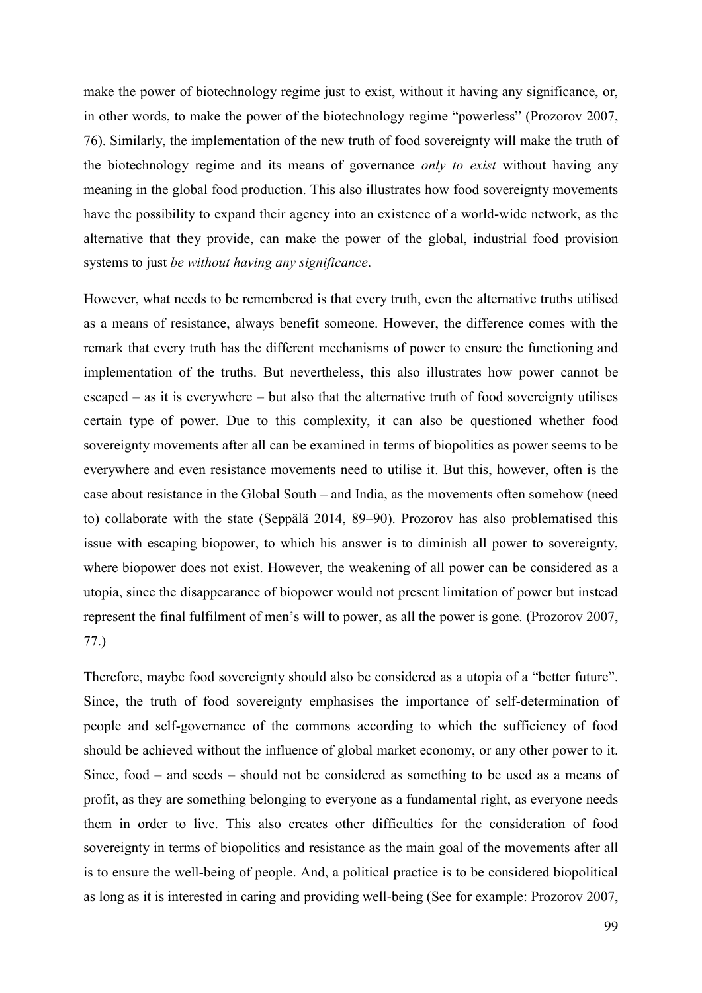make the power of biotechnology regime just to exist, without it having any significance, or, in other words, to make the power of the biotechnology regime "powerless" (Prozorov 2007, 76). Similarly, the implementation of the new truth of food sovereignty will make the truth of the biotechnology regime and its means of governance *only to exist* without having any meaning in the global food production. This also illustrates how food sovereignty movements have the possibility to expand their agency into an existence of a world-wide network, as the alternative that they provide, can make the power of the global, industrial food provision systems to just *be without having any significance*.

However, what needs to be remembered is that every truth, even the alternative truths utilised as a means of resistance, always benefit someone. However, the difference comes with the remark that every truth has the different mechanisms of power to ensure the functioning and implementation of the truths. But nevertheless, this also illustrates how power cannot be escaped – as it is everywhere – but also that the alternative truth of food sovereignty utilises certain type of power. Due to this complexity, it can also be questioned whether food sovereignty movements after all can be examined in terms of biopolitics as power seems to be everywhere and even resistance movements need to utilise it. But this, however, often is the case about resistance in the Global South – and India, as the movements often somehow (need to) collaborate with the state (Seppälä 2014, 89–90). Prozorov has also problematised this issue with escaping biopower, to which his answer is to diminish all power to sovereignty, where biopower does not exist. However, the weakening of all power can be considered as a utopia, since the disappearance of biopower would not present limitation of power but instead represent the final fulfilment of men's will to power, as all the power is gone. (Prozorov 2007, 77.)

Therefore, maybe food sovereignty should also be considered as a utopia of a "better future". Since, the truth of food sovereignty emphasises the importance of self-determination of people and self-governance of the commons according to which the sufficiency of food should be achieved without the influence of global market economy, or any other power to it. Since, food – and seeds – should not be considered as something to be used as a means of profit, as they are something belonging to everyone as a fundamental right, as everyone needs them in order to live. This also creates other difficulties for the consideration of food sovereignty in terms of biopolitics and resistance as the main goal of the movements after all is to ensure the well-being of people. And, a political practice is to be considered biopolitical as long as it is interested in caring and providing well-being (See for example: Prozorov 2007,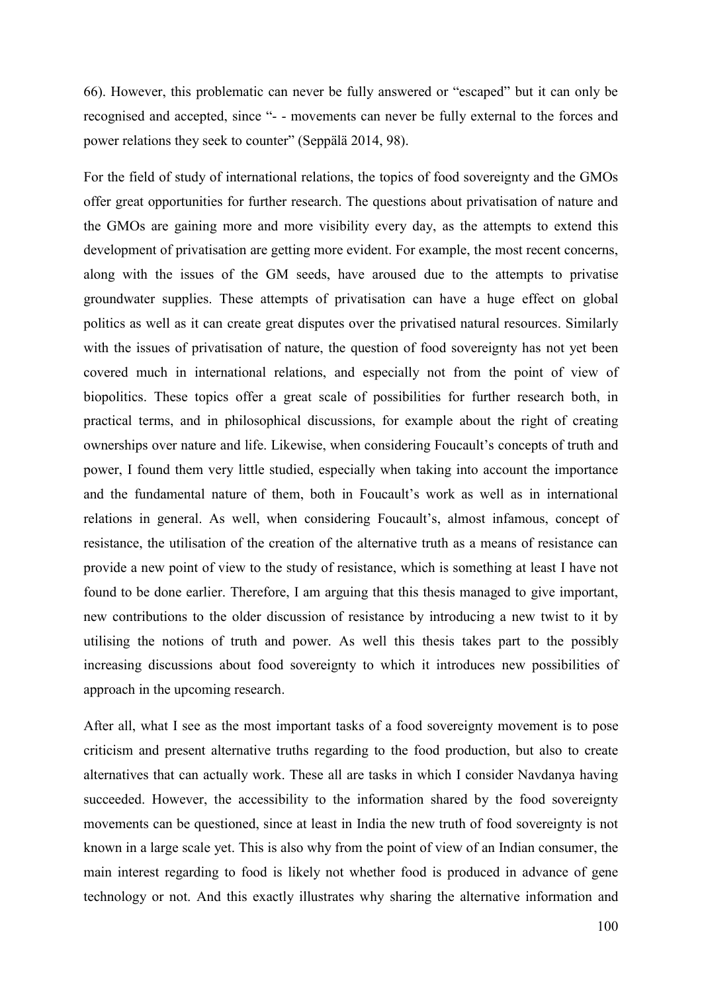66). However, this problematic can never be fully answered or "escaped" but it can only be recognised and accepted, since "- - movements can never be fully external to the forces and power relations they seek to counter" (Seppälä 2014, 98).

For the field of study of international relations, the topics of food sovereignty and the GMOs offer great opportunities for further research. The questions about privatisation of nature and the GMOs are gaining more and more visibility every day, as the attempts to extend this development of privatisation are getting more evident. For example, the most recent concerns, along with the issues of the GM seeds, have aroused due to the attempts to privatise groundwater supplies. These attempts of privatisation can have a huge effect on global politics as well as it can create great disputes over the privatised natural resources. Similarly with the issues of privatisation of nature, the question of food sovereignty has not yet been covered much in international relations, and especially not from the point of view of biopolitics. These topics offer a great scale of possibilities for further research both, in practical terms, and in philosophical discussions, for example about the right of creating ownerships over nature and life. Likewise, when considering Foucault's concepts of truth and power, I found them very little studied, especially when taking into account the importance and the fundamental nature of them, both in Foucault's work as well as in international relations in general. As well, when considering Foucault's, almost infamous, concept of resistance, the utilisation of the creation of the alternative truth as a means of resistance can provide a new point of view to the study of resistance, which is something at least I have not found to be done earlier. Therefore, I am arguing that this thesis managed to give important, new contributions to the older discussion of resistance by introducing a new twist to it by utilising the notions of truth and power. As well this thesis takes part to the possibly increasing discussions about food sovereignty to which it introduces new possibilities of approach in the upcoming research.

After all, what I see as the most important tasks of a food sovereignty movement is to pose criticism and present alternative truths regarding to the food production, but also to create alternatives that can actually work. These all are tasks in which I consider Navdanya having succeeded. However, the accessibility to the information shared by the food sovereignty movements can be questioned, since at least in India the new truth of food sovereignty is not known in a large scale yet. This is also why from the point of view of an Indian consumer, the main interest regarding to food is likely not whether food is produced in advance of gene technology or not. And this exactly illustrates why sharing the alternative information and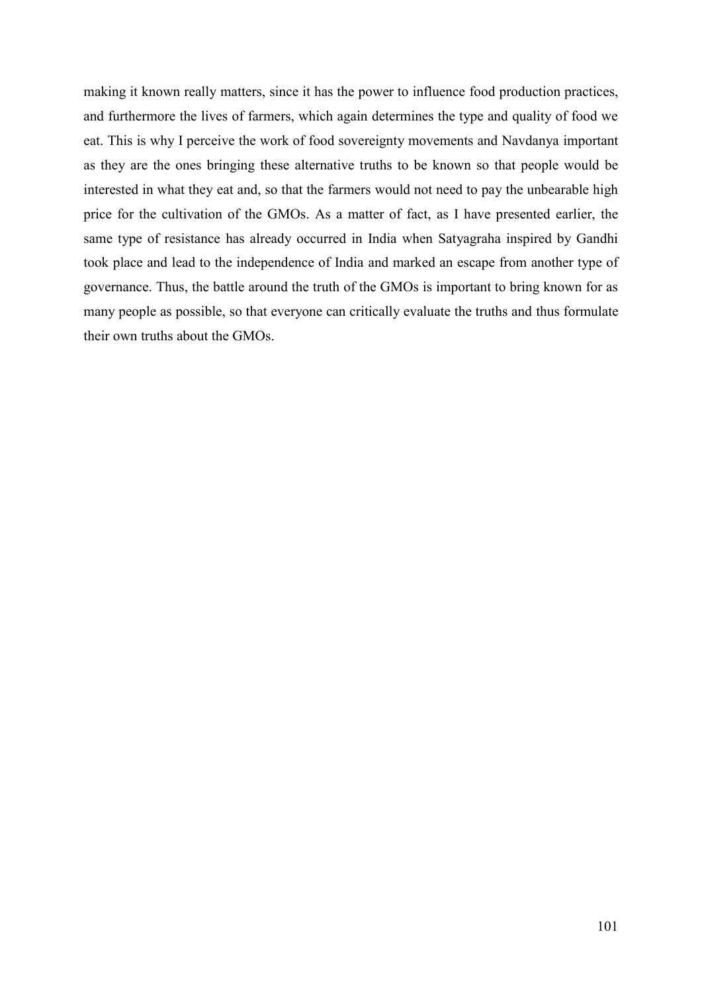making it known really matters, since it has the power to influence food production practices, and furthermore the lives of farmers, which again determines the type and quality of food we eat. This is why I perceive the work of food sovereignty movements and Navdanya important as they are the ones bringing these alternative truths to be known so that people would be interested in what they eat and, so that the farmers would not need to pay the unbearable high price for the cultivation of the GMOs. As a matter of fact, as I have presented earlier, the same type of resistance has already occurred in India when Satyagraha inspired by Gandhi took place and lead to the independence of India and marked an escape from another type of governance. Thus, the battle around the truth of the GMOs is important to bring known for as many people as possible, so that everyone can critically evaluate the truths and thus formulate their own truths about the GMOs.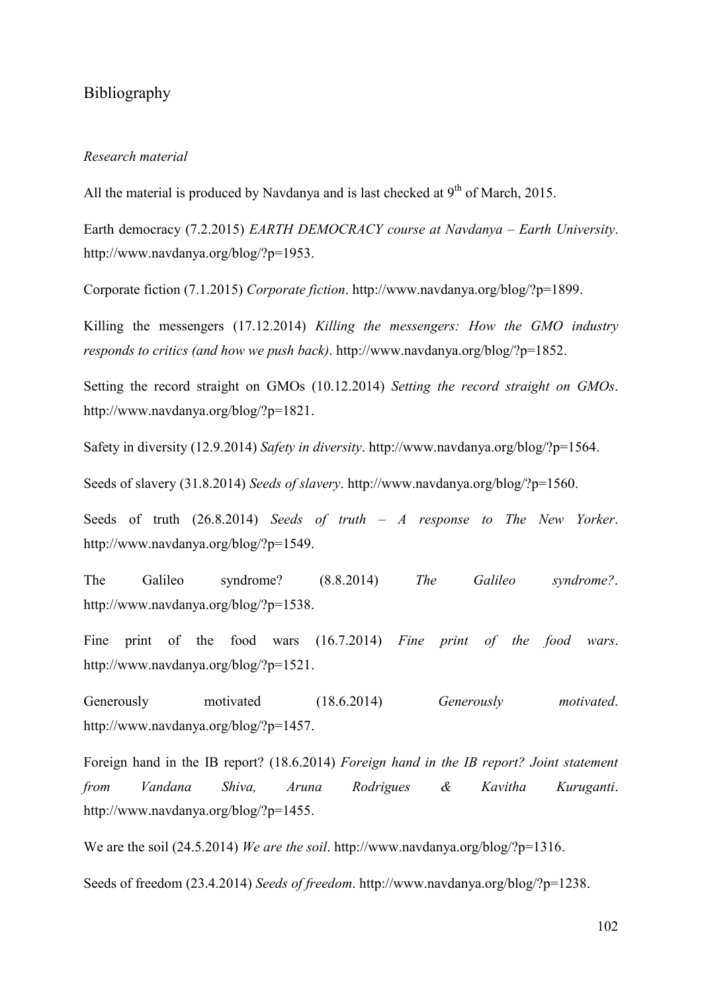# Bibliography

### *Research material*

All the material is produced by Navdanya and is last checked at  $9<sup>th</sup>$  of March, 2015.

Earth democracy (7.2.2015) *EARTH DEMOCRACY course at Navdanya – Earth University*. http://www.navdanya.org/blog/?p=1953.

Corporate fiction (7.1.2015) *Corporate fiction*. http://www.navdanya.org/blog/?p=1899.

Killing the messengers (17.12.2014) *Killing the messengers: How the GMO industry responds to critics (and how we push back)*. http://www.navdanya.org/blog/?p=1852.

Setting the record straight on GMOs (10.12.2014) *Setting the record straight on GMOs*. http://www.navdanya.org/blog/?p=1821.

Safety in diversity (12.9.2014) *Safety in diversity*. http://www.navdanya.org/blog/?p=1564.

Seeds of slavery (31.8.2014) *Seeds of slavery*. http://www.navdanya.org/blog/?p=1560.

Seeds of truth (26.8.2014) *Seeds of truth – A response to The New Yorker*. http://www.navdanya.org/blog/?p=1549.

The Galileo syndrome? (8.8.2014) *The Galileo syndrome?*. http://www.navdanya.org/blog/?p=1538.

Fine print of the food wars (16.7.2014) *Fine print of the food wars*. http://www.navdanya.org/blog/?p=1521.

Generously motivated (18.6.2014) *Generously motivated*. http://www.navdanya.org/blog/?p=1457.

Foreign hand in the IB report? (18.6.2014) *Foreign hand in the IB report? Joint statement from Vandana Shiva, Aruna Rodrigues & Kavitha Kuruganti*. http://www.navdanya.org/blog/?p=1455.

We are the soil (24.5.2014) *We are the soil*. http://www.navdanya.org/blog/?p=1316.

Seeds of freedom (23.4.2014) *Seeds of freedom*. http://www.navdanya.org/blog/?p=1238.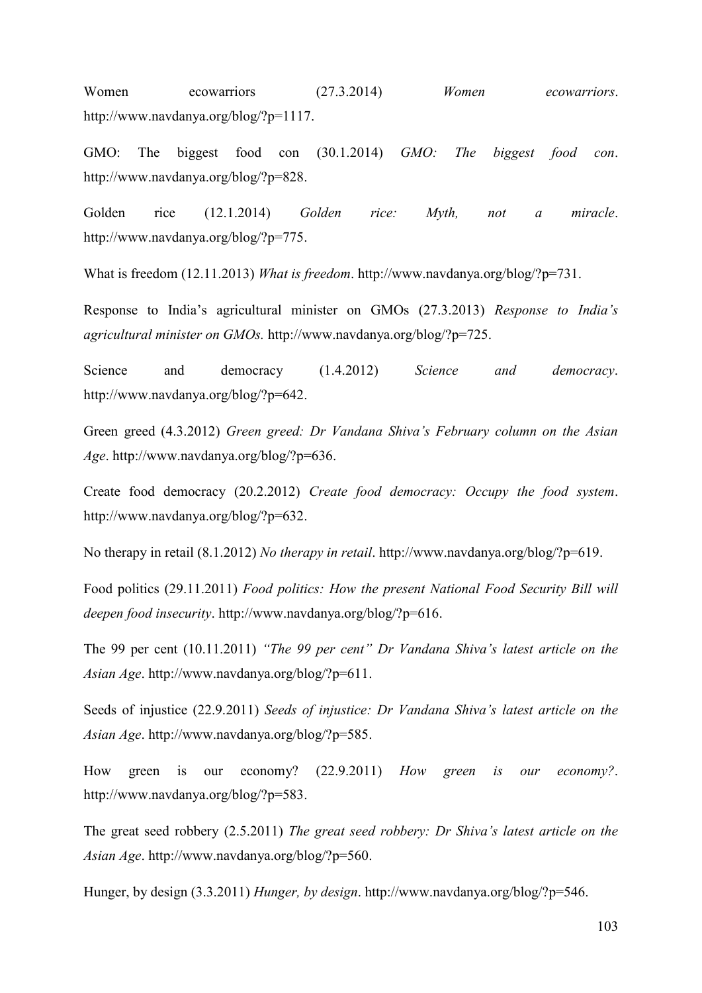Women ecowarriors (27.3.2014) *Women ecowarriors*. http://www.navdanya.org/blog/?p=1117.

GMO: The biggest food con (30.1.2014) *GMO: The biggest food con*. http://www.navdanya.org/blog/?p=828.

Golden rice (12.1.2014) *Golden rice: Myth, not a miracle*. http://www.navdanya.org/blog/?p=775.

What is freedom (12.11.2013) *What is freedom*. http://www.navdanya.org/blog/?p=731.

Response to India's agricultural minister on GMOs (27.3.2013) *Response to India's agricultural minister on GMOs.* http://www.navdanya.org/blog/?p=725.

Science and democracy (1.4.2012) *Science and democracy*. http://www.navdanya.org/blog/?p=642.

Green greed (4.3.2012) *Green greed: Dr Vandana Shiva's February column on the Asian Age*. http://www.navdanya.org/blog/?p=636.

Create food democracy (20.2.2012) *Create food democracy: Occupy the food system*. http://www.navdanya.org/blog/?p=632.

No therapy in retail (8.1.2012) *No therapy in retail*. http://www.navdanya.org/blog/?p=619.

Food politics (29.11.2011) *Food politics: How the present National Food Security Bill will deepen food insecurity*. http://www.navdanya.org/blog/?p=616.

The 99 per cent (10.11.2011) *"The 99 per cent" Dr Vandana Shiva's latest article on the Asian Age*. http://www.navdanya.org/blog/?p=611.

Seeds of injustice (22.9.2011) *Seeds of injustice: Dr Vandana Shiva's latest article on the Asian Age*. http://www.navdanya.org/blog/?p=585.

How green is our economy? (22.9.2011) *How green is our economy?*. http://www.navdanya.org/blog/?p=583.

The great seed robbery (2.5.2011) *The great seed robbery: Dr Shiva's latest article on the Asian Age*. http://www.navdanya.org/blog/?p=560.

Hunger, by design (3.3.2011) *Hunger, by design*. http://www.navdanya.org/blog/?p=546.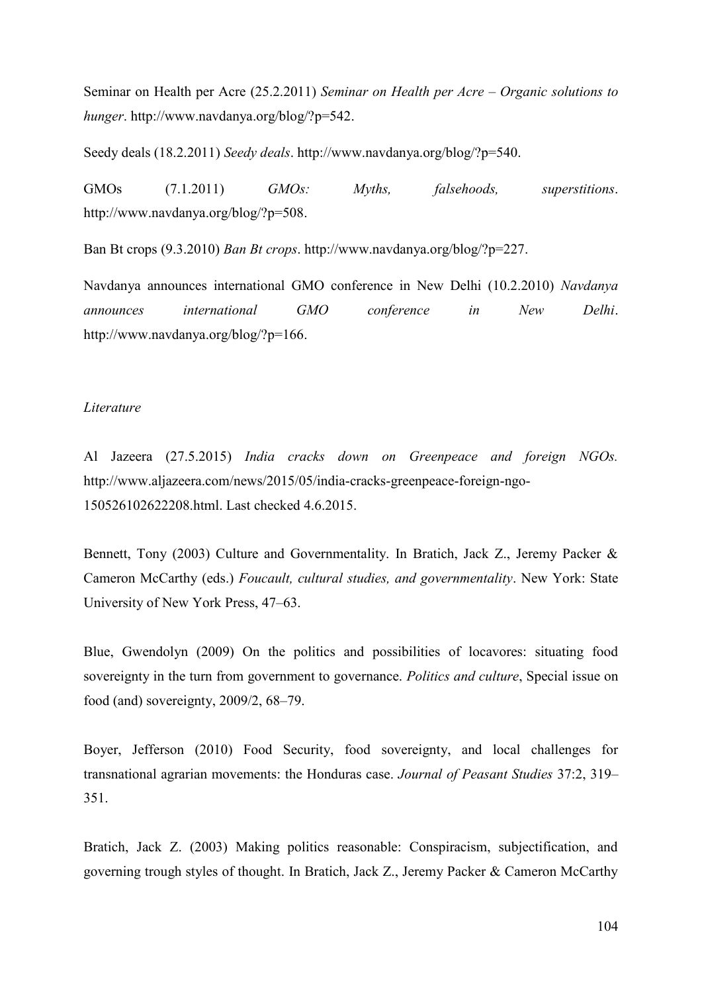Seminar on Health per Acre (25.2.2011) *Seminar on Health per Acre – Organic solutions to hunger*. http://www.navdanya.org/blog/?p=542.

Seedy deals (18.2.2011) *Seedy deals*. http://www.navdanya.org/blog/?p=540.

GMOs (7.1.2011) *GMOs: Myths, falsehoods, superstitions*. http://www.navdanya.org/blog/?p=508.

Ban Bt crops (9.3.2010) *Ban Bt crops*. http://www.navdanya.org/blog/?p=227.

Navdanya announces international GMO conference in New Delhi (10.2.2010) *Navdanya announces international GMO conference in New Delhi*. http://www.navdanya.org/blog/?p=166.

#### *Literature*

Al Jazeera (27.5.2015) *India cracks down on Greenpeace and foreign NGOs.* http://www.aljazeera.com/news/2015/05/india-cracks-greenpeace-foreign-ngo-150526102622208.html. Last checked 4.6.2015.

Bennett, Tony (2003) Culture and Governmentality. In Bratich, Jack Z., Jeremy Packer & Cameron McCarthy (eds.) *Foucault, cultural studies, and governmentality*. New York: State University of New York Press, 47–63.

Blue, Gwendolyn (2009) On the politics and possibilities of locavores: situating food sovereignty in the turn from government to governance. *Politics and culture*, Special issue on food (and) sovereignty, 2009/2, 68–79.

Boyer, Jefferson (2010) Food Security, food sovereignty, and local challenges for transnational agrarian movements: the Honduras case. *Journal of Peasant Studies* 37:2, 319– 351.

Bratich, Jack Z. (2003) Making politics reasonable: Conspiracism, subjectification, and governing trough styles of thought. In Bratich, Jack Z., Jeremy Packer & Cameron McCarthy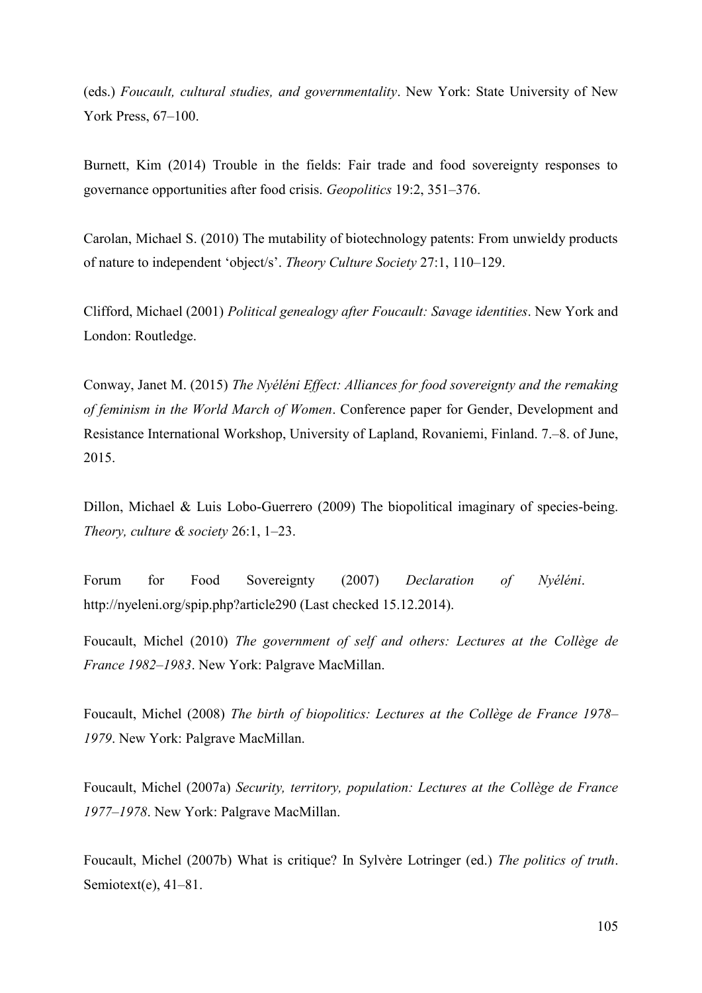(eds.) *Foucault, cultural studies, and governmentality*. New York: State University of New York Press, 67–100.

Burnett, Kim (2014) Trouble in the fields: Fair trade and food sovereignty responses to governance opportunities after food crisis. *Geopolitics* 19:2, 351–376.

Carolan, Michael S. (2010) The mutability of biotechnology patents: From unwieldy products of nature to independent 'object/s'. *Theory Culture Society* 27:1, 110–129.

Clifford, Michael (2001) *Political genealogy after Foucault: Savage identities*. New York and London: Routledge.

Conway, Janet M. (2015) *The Nyéléni Effect: Alliances for food sovereignty and the remaking of feminism in the World March of Women*. Conference paper for Gender, Development and Resistance International Workshop, University of Lapland, Rovaniemi, Finland. 7.–8. of June, 2015.

Dillon, Michael & Luis Lobo-Guerrero (2009) The biopolitical imaginary of species-being. *Theory, culture & society* 26:1, 1–23.

Forum for Food Sovereignty (2007) *Declaration of Nyéléni*. http://nyeleni.org/spip.php?article290 (Last checked 15.12.2014).

Foucault, Michel (2010) *The government of self and others: Lectures at the Collège de France 1982–1983*. New York: Palgrave MacMillan.

Foucault, Michel (2008) *The birth of biopolitics: Lectures at the Collège de France 1978– 1979*. New York: Palgrave MacMillan.

Foucault, Michel (2007a) *Security, territory, population: Lectures at the Collège de France 1977*–*1978*. New York: Palgrave MacMillan.

Foucault, Michel (2007b) What is critique? In Sylvère Lotringer (ed.) *The politics of truth*. Semiotext(e), 41–81.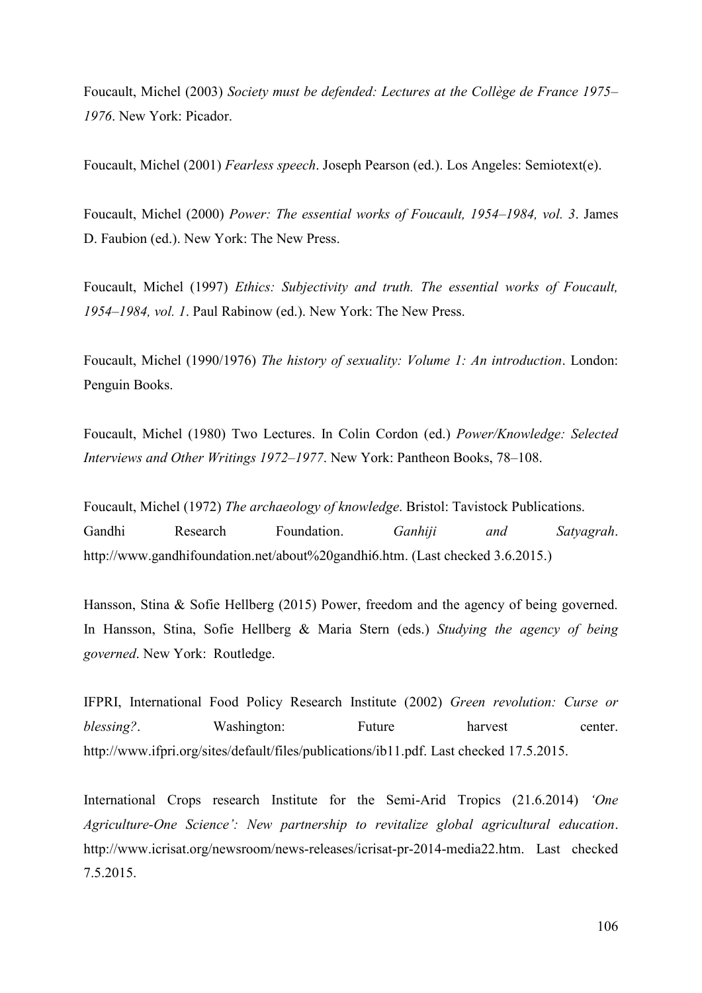Foucault, Michel (2003) *Society must be defended: Lectures at the Collège de France 1975*– *1976*. New York: Picador.

Foucault, Michel (2001) *Fearless speech*. Joseph Pearson (ed.). Los Angeles: Semiotext(e).

Foucault, Michel (2000) *Power: The essential works of Foucault, 1954*–*1984, vol. 3*. James D. Faubion (ed.). New York: The New Press.

Foucault, Michel (1997) *Ethics: Subjectivity and truth. The essential works of Foucault, 1954–1984, vol. 1*. Paul Rabinow (ed.). New York: The New Press.

Foucault, Michel (1990/1976) *The history of sexuality: Volume 1: An introduction*. London: Penguin Books.

Foucault, Michel (1980) Two Lectures. In Colin Cordon (ed.) *Power/Knowledge: Selected Interviews and Other Writings 1972–1977*. New York: Pantheon Books, 78–108.

Foucault, Michel (1972) *The archaeology of knowledge*. Bristol: Tavistock Publications. Gandhi Research Foundation. *Ganhiji and Satyagrah*. http://www.gandhifoundation.net/about%20gandhi6.htm. (Last checked 3.6.2015.)

Hansson, Stina & Sofie Hellberg (2015) Power, freedom and the agency of being governed. In Hansson, Stina, Sofie Hellberg & Maria Stern (eds.) *Studying the agency of being governed*. New York: Routledge.

IFPRI, International Food Policy Research Institute (2002) *Green revolution: Curse or blessing?*. Washington: Future harvest center. http://www.ifpri.org/sites/default/files/publications/ib11.pdf. Last checked 17.5.2015.

International Crops research Institute for the Semi-Arid Tropics (21.6.2014) *'One Agriculture-One Science': New partnership to revitalize global agricultural education*. http://www.icrisat.org/newsroom/news-releases/icrisat-pr-2014-media22.htm. Last checked 7.5.2015.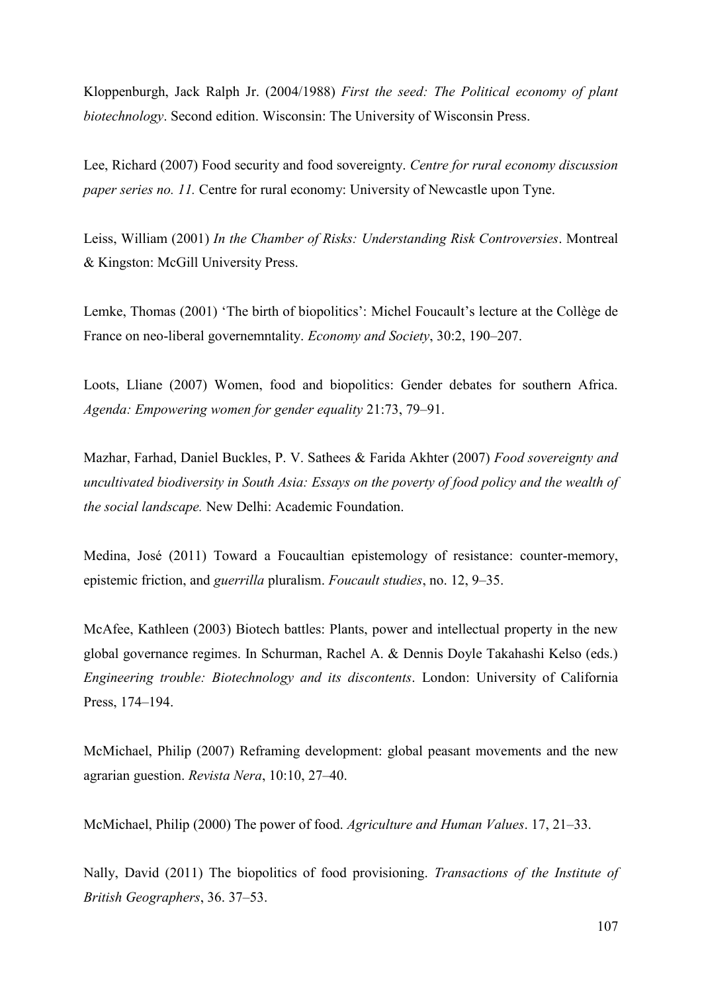Kloppenburgh, Jack Ralph Jr. (2004/1988) *First the seed: The Political economy of plant biotechnology*. Second edition. Wisconsin: The University of Wisconsin Press.

Lee, Richard (2007) Food security and food sovereignty. *Centre for rural economy discussion paper series no. 11.* Centre for rural economy: University of Newcastle upon Tyne.

Leiss, William (2001) *In the Chamber of Risks: Understanding Risk Controversies*. Montreal & Kingston: McGill University Press.

Lemke, Thomas (2001) 'The birth of biopolitics': Michel Foucault's lecture at the Collège de France on neo-liberal governemntality. *Economy and Society*, 30:2, 190–207.

Loots, Lliane (2007) Women, food and biopolitics: Gender debates for southern Africa. *Agenda: Empowering women for gender equality* 21:73, 79–91.

Mazhar, Farhad, Daniel Buckles, P. V. Sathees & Farida Akhter (2007) *Food sovereignty and uncultivated biodiversity in South Asia: Essays on the poverty of food policy and the wealth of the social landscape.* New Delhi: Academic Foundation.

Medina, José (2011) Toward a Foucaultian epistemology of resistance: counter-memory, epistemic friction, and *guerrilla* pluralism. *Foucault studies*, no. 12, 9–35.

McAfee, Kathleen (2003) Biotech battles: Plants, power and intellectual property in the new global governance regimes. In Schurman, Rachel A. & Dennis Doyle Takahashi Kelso (eds.) *Engineering trouble: Biotechnology and its discontents*. London: University of California Press, 174–194.

McMichael, Philip (2007) Reframing development: global peasant movements and the new agrarian guestion. *Revista Nera*, 10:10, 27–40.

McMichael, Philip (2000) The power of food. *Agriculture and Human Values*. 17, 21–33.

Nally, David (2011) The biopolitics of food provisioning. *Transactions of the Institute of British Geographers*, 36. 37–53.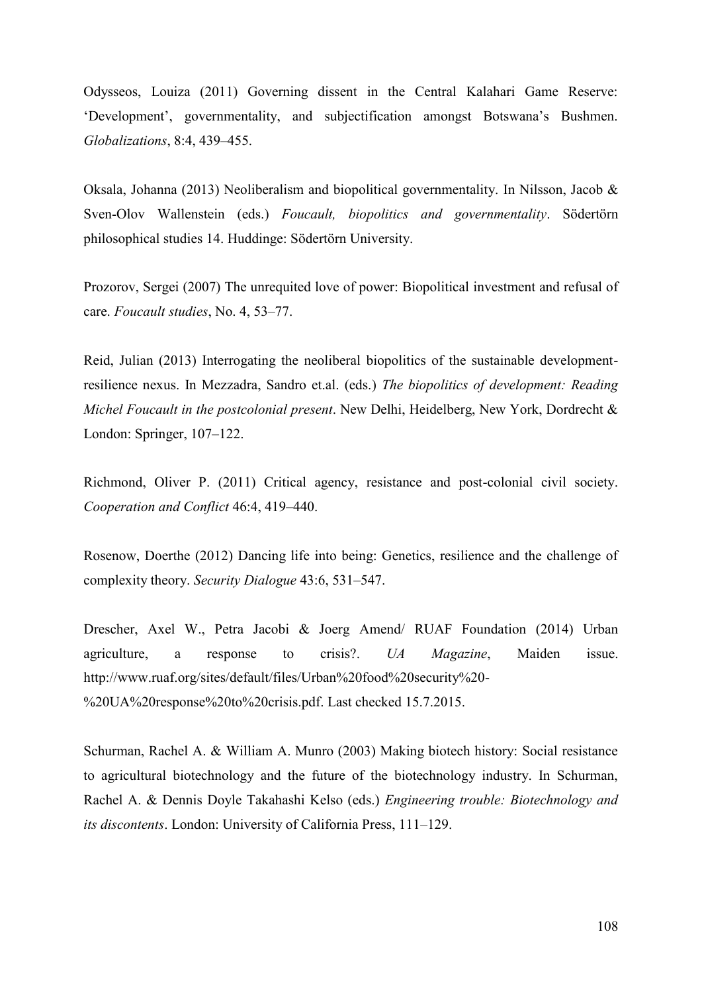Odysseos, Louiza (2011) Governing dissent in the Central Kalahari Game Reserve: 'Development', governmentality, and subjectification amongst Botswana's Bushmen. *Globalizations*, 8:4, 439–455.

Oksala, Johanna (2013) Neoliberalism and biopolitical governmentality. In Nilsson, Jacob & Sven-Olov Wallenstein (eds.) *Foucault, biopolitics and governmentality*. Södertörn philosophical studies 14. Huddinge: Södertörn University.

Prozorov, Sergei (2007) The unrequited love of power: Biopolitical investment and refusal of care. *Foucault studies*, No. 4, 53–77.

Reid, Julian (2013) Interrogating the neoliberal biopolitics of the sustainable developmentresilience nexus. In Mezzadra, Sandro et.al. (eds.) *The biopolitics of development: Reading Michel Foucault in the postcolonial present*. New Delhi, Heidelberg, New York, Dordrecht & London: Springer, 107–122.

Richmond, Oliver P. (2011) Critical agency, resistance and post-colonial civil society. *Cooperation and Conflict* 46:4, 419–440.

Rosenow, Doerthe (2012) Dancing life into being: Genetics, resilience and the challenge of complexity theory. *Security Dialogue* 43:6, 531–547.

Drescher, Axel W., Petra Jacobi & Joerg Amend/ RUAF Foundation (2014) Urban agriculture, a response to crisis?. *UA Magazine*, Maiden issue. http://www.ruaf.org/sites/default/files/Urban%20food%20security%20- %20UA%20response%20to%20crisis.pdf. Last checked 15.7.2015.

Schurman, Rachel A. & William A. Munro (2003) Making biotech history: Social resistance to agricultural biotechnology and the future of the biotechnology industry. In Schurman, Rachel A. & Dennis Doyle Takahashi Kelso (eds.) *Engineering trouble: Biotechnology and its discontents*. London: University of California Press, 111–129.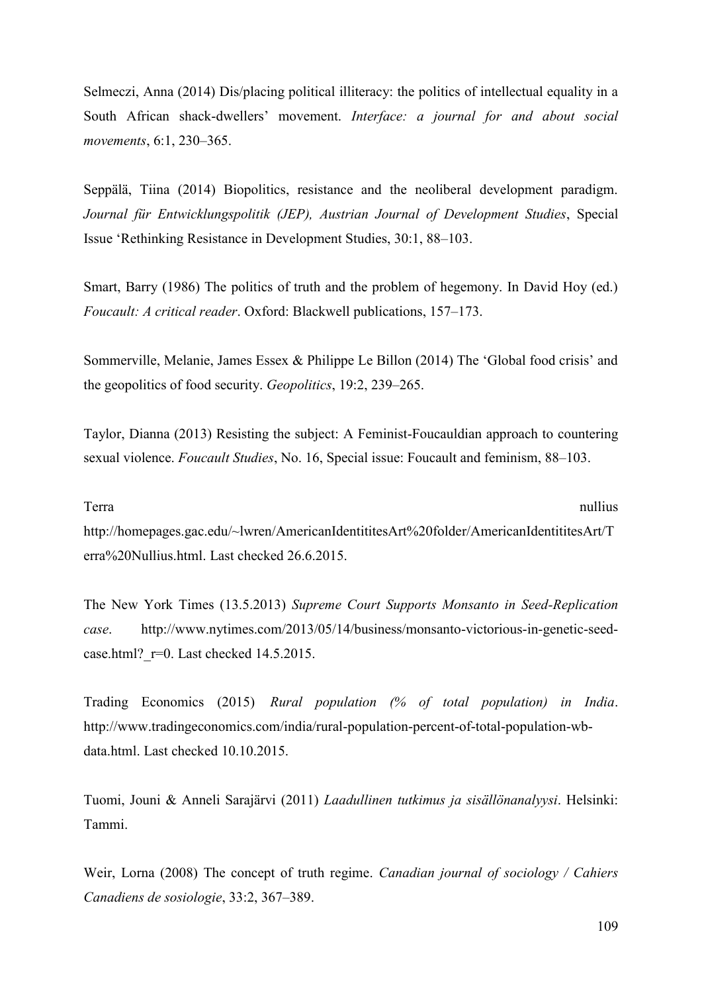Selmeczi, Anna (2014) Dis/placing political illiteracy: the politics of intellectual equality in a South African shack-dwellers' movement. *Interface: a journal for and about social movements*, 6:1, 230–365.

Seppälä, Tiina (2014) Biopolitics, resistance and the neoliberal development paradigm. *Journal für Entwicklungspolitik (JEP), Austrian Journal of Development Studies*, Special Issue 'Rethinking Resistance in Development Studies, 30:1, 88–103.

Smart, Barry (1986) The politics of truth and the problem of hegemony. In David Hoy (ed.) *Foucault: A critical reader*. Oxford: Blackwell publications, 157–173.

Sommerville, Melanie, James Essex & Philippe Le Billon (2014) The 'Global food crisis' and the geopolitics of food security. *Geopolitics*, 19:2, 239–265.

Taylor, Dianna (2013) Resisting the subject: A Feminist-Foucauldian approach to countering sexual violence. *Foucault Studies*, No. 16, Special issue: Foucault and feminism, 88–103.

## Terra nullius extension and the contract of the contract of the contract of the nullius nullius nullius of the contract of the contract of the contract of the contract of the contract of the contract of the contract of the

http://homepages.gac.edu/~lwren/AmericanIdentititesArt%20folder/AmericanIdentititesArt/T erra%20Nullius.html. Last checked 26.6.2015.

The New York Times (13.5.2013) *Supreme Court Supports Monsanto in Seed-Replication case*. http://www.nytimes.com/2013/05/14/business/monsanto-victorious-in-genetic-seedcase.html?  $r=0$ . Last checked 14.5.2015.

Trading Economics (2015) *Rural population (% of total population) in India*. http://www.tradingeconomics.com/india/rural-population-percent-of-total-population-wbdata.html. Last checked 10.10.2015.

Tuomi, Jouni & Anneli Sarajärvi (2011) *Laadullinen tutkimus ja sisällönanalyysi*. Helsinki: Tammi.

Weir, Lorna (2008) The concept of truth regime. *Canadian journal of sociology / Cahiers Canadiens de sosiologie*, 33:2, 367–389.